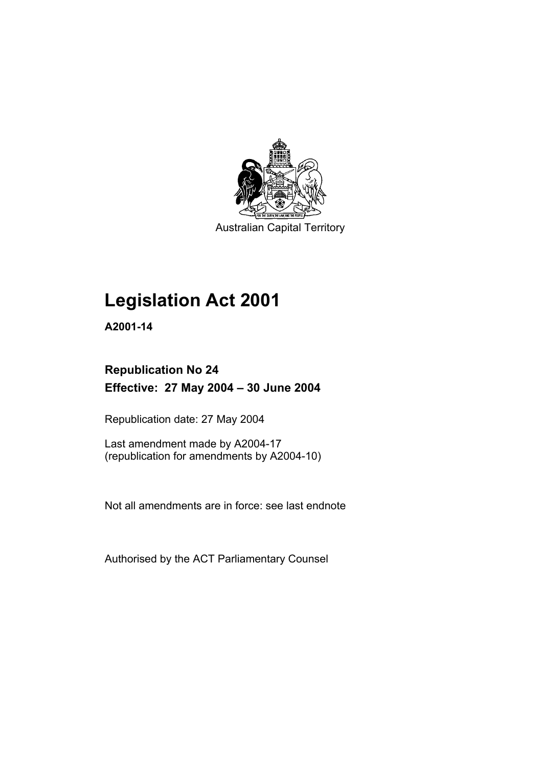

Australian Capital Territory

# **Legislation Act 2001**

**A2001-14** 

# **Republication No 24 Effective: 27 May 2004 – 30 June 2004**

Republication date: 27 May 2004

Last amendment made by A2004-17 (republication for amendments by A2004-10)

Not all amendments are in force: see last endnote

Authorised by the ACT Parliamentary Counsel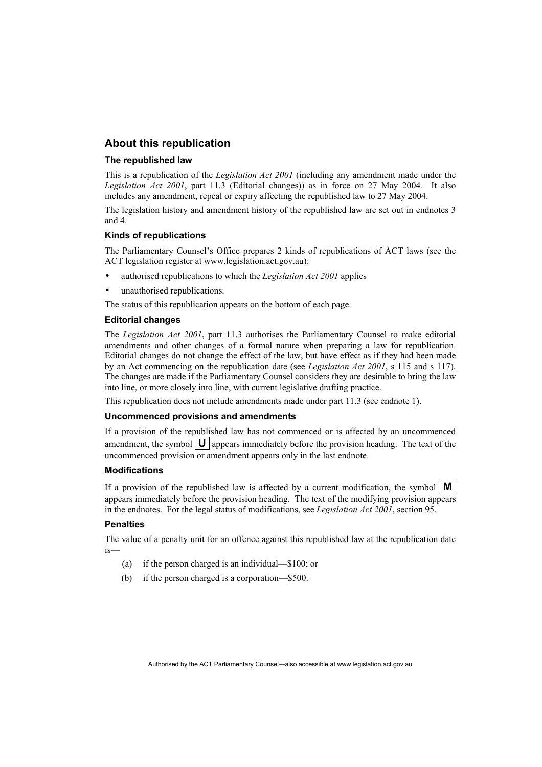## **About this republication**

### **The republished law**

This is a republication of the *Legislation Act 2001* (including any amendment made under the *Legislation Act 2001*, part 11.3 (Editorial changes)) as in force on 27 May 2004*.* It also includes any amendment, repeal or expiry affecting the republished law to 27 May 2004.

The legislation history and amendment history of the republished law are set out in endnotes 3 and 4.

### **Kinds of republications**

The Parliamentary Counsel's Office prepares 2 kinds of republications of ACT laws (see the ACT legislation register at www.legislation.act.gov.au):

- authorised republications to which the *Legislation Act 2001* applies
- unauthorised republications.

The status of this republication appears on the bottom of each page.

### **Editorial changes**

The *Legislation Act 2001*, part 11.3 authorises the Parliamentary Counsel to make editorial amendments and other changes of a formal nature when preparing a law for republication. Editorial changes do not change the effect of the law, but have effect as if they had been made by an Act commencing on the republication date (see *Legislation Act 2001*, s 115 and s 117). The changes are made if the Parliamentary Counsel considers they are desirable to bring the law into line, or more closely into line, with current legislative drafting practice.

This republication does not include amendments made under part 11.3 (see endnote 1).

### **Uncommenced provisions and amendments**

If a provision of the republished law has not commenced or is affected by an uncommenced amendment, the symbol  $\mathbf{U}$  appears immediately before the provision heading. The text of the uncommenced provision or amendment appears only in the last endnote.

### **Modifications**

If a provision of the republished law is affected by a current modification, the symbol  $\mathbf{M}$ appears immediately before the provision heading. The text of the modifying provision appears in the endnotes. For the legal status of modifications, see *Legislation Act 2001*, section 95.

### **Penalties**

The value of a penalty unit for an offence against this republished law at the republication date is—

- (a) if the person charged is an individual—\$100; or
- (b) if the person charged is a corporation—\$500.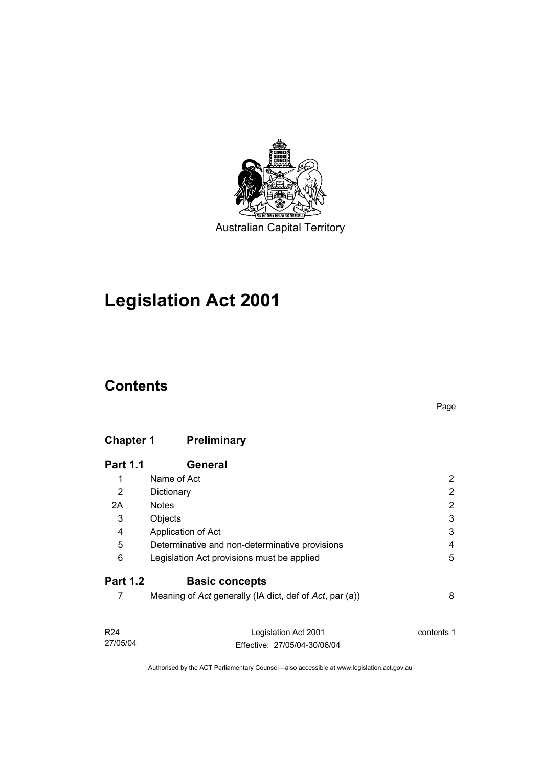

Australian Capital Territory

# **Legislation Act 2001**

# **Contents**

# **Chapter 1 Preliminary**

| <b>Part 1.1</b> | General                                                 |   |
|-----------------|---------------------------------------------------------|---|
| 1               | Name of Act                                             | 2 |
| 2               | Dictionary                                              | 2 |
| 2A              | <b>Notes</b>                                            | 2 |
| 3               | Objects                                                 | 3 |
| 4               | Application of Act                                      | 3 |
| 5               | Determinative and non-determinative provisions          | 4 |
| 6               | Legislation Act provisions must be applied              | 5 |
| <b>Part 1.2</b> | <b>Basic concepts</b>                                   |   |
|                 | Meaning of Act generally (IA dict, def of Act, par (a)) | 8 |

| R24      | Legislation Act 2001         | contents 1 |
|----------|------------------------------|------------|
| 27/05/04 | Effective: 27/05/04-30/06/04 |            |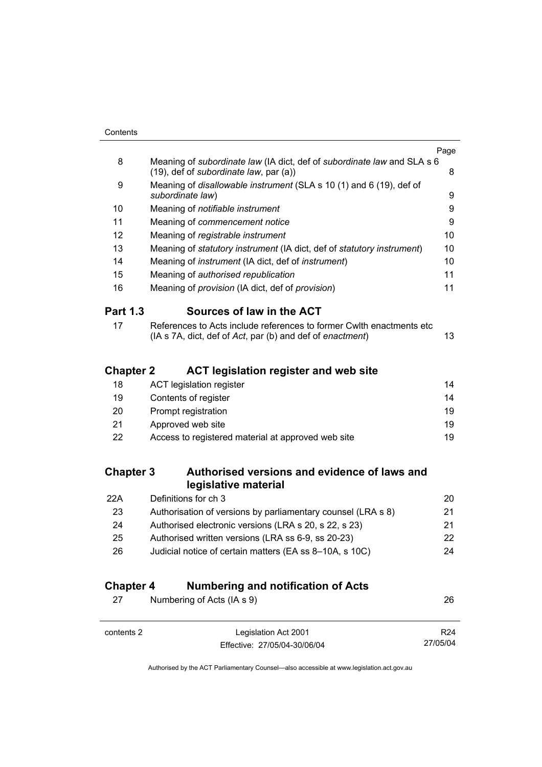| Contents |
|----------|
|          |

|                  |                                                                                                                                   | Page |
|------------------|-----------------------------------------------------------------------------------------------------------------------------------|------|
| 8                | Meaning of subordinate law (IA dict, def of subordinate law and SLA s 6                                                           |      |
|                  | (19), def of subordinate law, par (a))                                                                                            | 8    |
| 9                | Meaning of disallowable instrument (SLA s 10 (1) and 6 (19), def of<br>subordinate law)                                           | 9    |
| 10               | Meaning of notifiable instrument                                                                                                  | 9    |
| 11               | Meaning of commencement notice                                                                                                    | 9    |
| 12               | Meaning of registrable instrument                                                                                                 | 10   |
| 13               | Meaning of statutory instrument (IA dict, def of statutory instrument)                                                            | 10   |
| 14               | Meaning of <i>instrument</i> (IA dict, def of <i>instrument</i> )                                                                 | 10   |
| 15               | Meaning of authorised republication                                                                                               | 11   |
| 16               | Meaning of provision (IA dict, def of provision)                                                                                  | 11   |
| <b>Part 1.3</b>  | Sources of law in the ACT                                                                                                         |      |
| 17               | References to Acts include references to former Cwlth enactments etc<br>(IA s 7A, dict, def of Act, par (b) and def of enactment) | 13   |
| <b>Chapter 2</b> | <b>ACT legislation register and web site</b>                                                                                      |      |
| 18               | <b>ACT legislation register</b>                                                                                                   | 14   |
| 19               | Contents of register                                                                                                              | 14   |
| 20               | Prompt registration                                                                                                               | 19   |
| 21               | Approved web site                                                                                                                 | 19   |
| 22               | Access to registered material at approved web site                                                                                | 19   |
| <b>Chapter 3</b> | Authorised versions and evidence of laws and                                                                                      |      |
|                  | legislative material                                                                                                              |      |
| 22A              | Definitions for ch 3                                                                                                              | 20   |
| 23               | Authorisation of versions by parliamentary counsel (LRA s 8)                                                                      | 21   |
| 24               | Authorised electronic versions (LRA s 20, s 22, s 23)                                                                             | 21   |
| 25               | Authorised written versions (LRA ss 6-9, ss 20-23)                                                                                | 22   |
|                  |                                                                                                                                   |      |

26 Judicial notice of certain matters (EA ss 8–10A, s 10C) 24

# **Chapter 4 Numbering and notification of Acts**

| 27<br>Numbering of Acts (IA s 9) |                                                      | 26                          |
|----------------------------------|------------------------------------------------------|-----------------------------|
| contents 2                       | Legislation Act 2001<br>Effective: 27/05/04-30/06/04 | R <sub>24</sub><br>27/05/04 |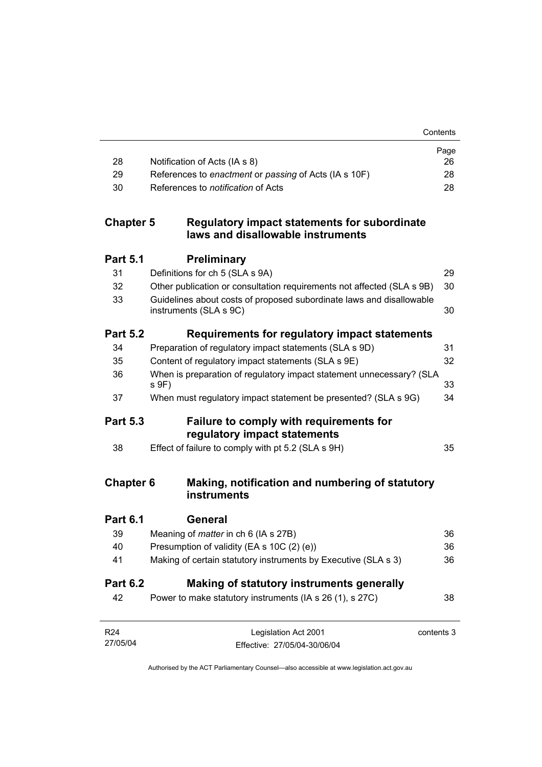|                  |                                                                                                | Page       |
|------------------|------------------------------------------------------------------------------------------------|------------|
| 28<br>29         | Notification of Acts (IA s 8)<br>References to enactment or passing of Acts (IA s 10F)         | 26<br>28   |
| 30               | References to notification of Acts                                                             | 28         |
| <b>Chapter 5</b> | <b>Regulatory impact statements for subordinate</b><br>laws and disallowable instruments       |            |
| <b>Part 5.1</b>  | <b>Preliminary</b>                                                                             |            |
| 31               | Definitions for ch 5 (SLA s 9A)                                                                | 29         |
| 32               | Other publication or consultation requirements not affected (SLA s 9B)                         | 30         |
| 33               | Guidelines about costs of proposed subordinate laws and disallowable<br>instruments (SLA s 9C) | 30         |
| <b>Part 5.2</b>  | Requirements for regulatory impact statements                                                  |            |
| 34               | Preparation of regulatory impact statements (SLA s 9D)                                         | 31         |
| 35               | Content of regulatory impact statements (SLA s 9E)                                             | 32         |
| 36               | When is preparation of regulatory impact statement unnecessary? (SLA<br>s 9F)                  | 33         |
| 37               | When must regulatory impact statement be presented? (SLA s 9G)                                 | 34         |
| <b>Part 5.3</b>  | Failure to comply with requirements for<br>regulatory impact statements                        |            |
| 38               | Effect of failure to comply with pt 5.2 (SLA s 9H)                                             | 35         |
| <b>Chapter 6</b> | Making, notification and numbering of statutory<br>instruments                                 |            |
| <b>Part 6.1</b>  | <b>General</b>                                                                                 |            |
| 39               | Meaning of <i>matter</i> in ch 6 (IA s 27B)                                                    | 36         |
| 40               | Presumption of validity (EA s 10C (2) (e))                                                     | 36         |
| 41               | Making of certain statutory instruments by Executive (SLA s 3)                                 | 36         |
| <b>Part 6.2</b>  | Making of statutory instruments generally                                                      |            |
| 42               | Power to make statutory instruments (IA s 26 (1), s 27C)                                       | 38         |
| R <sub>24</sub>  | Legislation Act 2001                                                                           | contents 3 |
| 27/05/04         | Effective: 27/05/04-30/06/04                                                                   |            |

Contents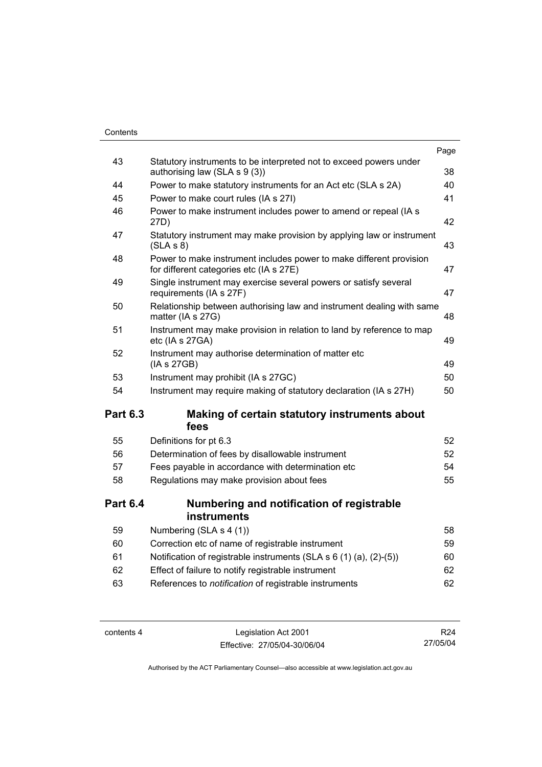### **Contents**

|                 |                                                                                                                | Page |
|-----------------|----------------------------------------------------------------------------------------------------------------|------|
| 43              | Statutory instruments to be interpreted not to exceed powers under<br>authorising law (SLA s 9 (3))            | 38   |
| 44              | Power to make statutory instruments for an Act etc (SLA s 2A)                                                  | 40   |
| 45              | Power to make court rules (IA s 27I)                                                                           | 41   |
| 46              | Power to make instrument includes power to amend or repeal (IA s<br>27D)                                       | 42   |
| 47              | Statutory instrument may make provision by applying law or instrument<br>(SLA S 8)                             | 43   |
| 48              | Power to make instrument includes power to make different provision<br>for different categories etc (IA s 27E) | 47   |
| 49              | Single instrument may exercise several powers or satisfy several<br>requirements (IA s 27F)                    | 47   |
| 50              | Relationship between authorising law and instrument dealing with same<br>matter (IA s 27G)                     | 48   |
| 51              | Instrument may make provision in relation to land by reference to map<br>etc (IA s 27GA)                       | 49   |
| 52              | Instrument may authorise determination of matter etc<br>(IA s 27GB)                                            | 49   |
| 53              | Instrument may prohibit (IA s 27GC)                                                                            | 50   |
|                 | Instrument may require making of statutory declaration (IA s 27H)                                              |      |
| 54              |                                                                                                                | 50   |
| <b>Part 6.3</b> | Making of certain statutory instruments about<br>fees                                                          |      |
| 55              | Definitions for pt 6.3                                                                                         | 52   |
| 56              | Determination of fees by disallowable instrument                                                               | 52   |
| 57              | Fees payable in accordance with determination etc                                                              | 54   |
| 58              | Regulations may make provision about fees                                                                      | 55   |
| <b>Part 6.4</b> | Numbering and notification of registrable<br>instruments                                                       |      |
| 59              | Numbering (SLA s 4 (1))                                                                                        | 58   |
| 60              | Correction etc of name of registrable instrument                                                               | 59   |
| 61              | Notification of registrable instruments (SLA s 6 (1) (a), (2)-(5))                                             | 60   |
| 62              | Effect of failure to notify registrable instrument                                                             | 62   |
| 63              | References to notification of registrable instruments                                                          | 62   |

contents 4 Legislation Act 2001 Effective: 27/05/04-30/06/04

R24 27/05/04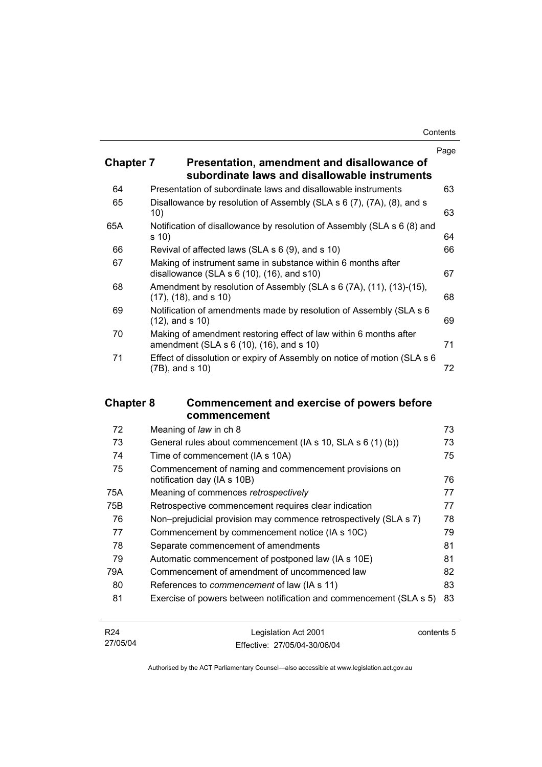| Contents |
|----------|
|----------|

|                  |                                                                                                                 | Page |
|------------------|-----------------------------------------------------------------------------------------------------------------|------|
| <b>Chapter 7</b> | Presentation, amendment and disallowance of<br>subordinate laws and disallowable instruments                    |      |
| 64               | Presentation of subordinate laws and disallowable instruments                                                   | 63   |
| 65               | Disallowance by resolution of Assembly (SLA s 6 (7), (7A), (8), and s<br>10)                                    | 63   |
| 65A              | Notification of disallowance by resolution of Assembly (SLA s 6 (8) and<br>s 10)                                | 64   |
| 66               | Revival of affected laws (SLA s 6 (9), and s 10)                                                                | 66   |
| 67               | Making of instrument same in substance within 6 months after<br>disallowance (SLA $s$ 6 (10), (16), and $s$ 10) | 67   |
| 68               | Amendment by resolution of Assembly (SLA s 6 (7A), (11), (13)-(15),<br>$(17)$ , $(18)$ , and s 10)              | 68   |
| 69               | Notification of amendments made by resolution of Assembly (SLA s 6<br>$(12)$ , and s $(10)$                     | 69   |
| 70               | Making of amendment restoring effect of law within 6 months after<br>amendment (SLA s 6 (10), (16), and s 10)   | 71   |
| 71               | Effect of dissolution or expiry of Assembly on notice of motion (SLA s 6<br>(7B), and s 10)                     | 72   |

# **Chapter 8 Commencement and exercise of powers before commencement**

| 72  | Meaning of law in ch 8                                                               | 73 |
|-----|--------------------------------------------------------------------------------------|----|
| 73  | General rules about commencement (IA s 10, SLA s 6 (1) (b))                          | 73 |
| 74  | Time of commencement (IA s 10A)                                                      | 75 |
| 75  | Commencement of naming and commencement provisions on<br>notification day (IA s 10B) | 76 |
| 75A | Meaning of commences retrospectively                                                 | 77 |
| 75B | Retrospective commencement requires clear indication                                 | 77 |
| 76  | Non-prejudicial provision may commence retrospectively (SLA s 7)                     | 78 |
| 77  | Commencement by commencement notice (IA s 10C)                                       | 79 |
| 78  | Separate commencement of amendments                                                  | 81 |
| 79  | Automatic commencement of postponed law (IA s 10E)                                   | 81 |
| 79A | Commencement of amendment of uncommenced law                                         | 82 |
| 80  | References to <i>commencement</i> of law (IA s 11)                                   | 83 |
| 81  | Exercise of powers between notification and commencement (SLA s 5)                   | 83 |

| R24      | Legislation Act 2001         | contents 5 |
|----------|------------------------------|------------|
| 27/05/04 | Effective: 27/05/04-30/06/04 |            |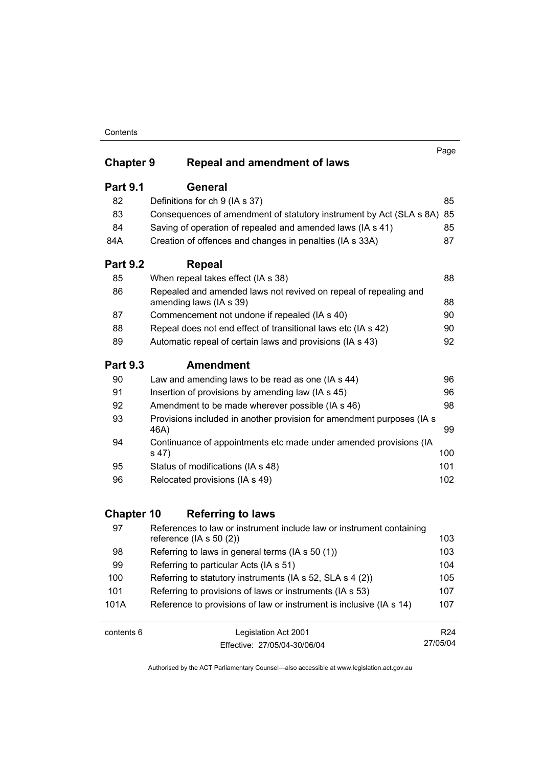### **Contents**

| <b>Chapter 9</b> | Repeal and amendment of laws                                                                | Page |
|------------------|---------------------------------------------------------------------------------------------|------|
| <b>Part 9.1</b>  | General                                                                                     |      |
| 82               | Definitions for ch 9 (IA s 37)                                                              | 85   |
| 83               | Consequences of amendment of statutory instrument by Act (SLA s 8A)                         | 85   |
| 84               | Saving of operation of repealed and amended laws (IA s 41)                                  | 85   |
| 84A              | Creation of offences and changes in penalties (IA s 33A)                                    | 87   |
| <b>Part 9.2</b>  | <b>Repeal</b>                                                                               |      |
| 85               | When repeal takes effect (IA s 38)                                                          | 88   |
| 86               | Repealed and amended laws not revived on repeal of repealing and<br>amending laws (IA s 39) | 88   |
| 87               | Commencement not undone if repealed (IA s 40)                                               | 90   |
| 88               | Repeal does not end effect of transitional laws etc (IA s 42)                               | 90   |
| 89               | Automatic repeal of certain laws and provisions (IA s 43)                                   | 92   |
| <b>Part 9.3</b>  | <b>Amendment</b>                                                                            |      |
| 90               | Law and amending laws to be read as one (IA s 44)                                           | 96   |
| 91               | Insertion of provisions by amending law (IA s 45)                                           | 96   |
| 92               | Amendment to be made wherever possible (IA s 46)                                            | 98   |
| 93               | Provisions included in another provision for amendment purposes (IA s<br>46A)               | 99   |
| 94               | Continuance of appointments etc made under amended provisions (IA<br>s 47)                  | 100  |
| 95               | Status of modifications (IA s 48)                                                           | 101  |
| 96               | Relocated provisions (IA s 49)                                                              | 102  |

# **Chapter 10 Referring to laws**

| 97   | References to law or instrument include law or instrument containing<br>reference ( $ A \simeq 50(2)$ ) | 103 |
|------|---------------------------------------------------------------------------------------------------------|-----|
| 98   | Referring to laws in general terms (IA s 50 (1))                                                        | 103 |
| 99   | Referring to particular Acts (IA s 51)                                                                  | 104 |
| 100  | Referring to statutory instruments (IA s 52, SLA s 4 (2))                                               | 105 |
| 101  | Referring to provisions of laws or instruments (IA s 53)                                                | 107 |
| 101A | Reference to provisions of law or instrument is inclusive (IA s 14)                                     | 107 |
|      |                                                                                                         |     |

contents 6 Legislation Act 2001 Effective: 27/05/04-30/06/04

R24 27/05/04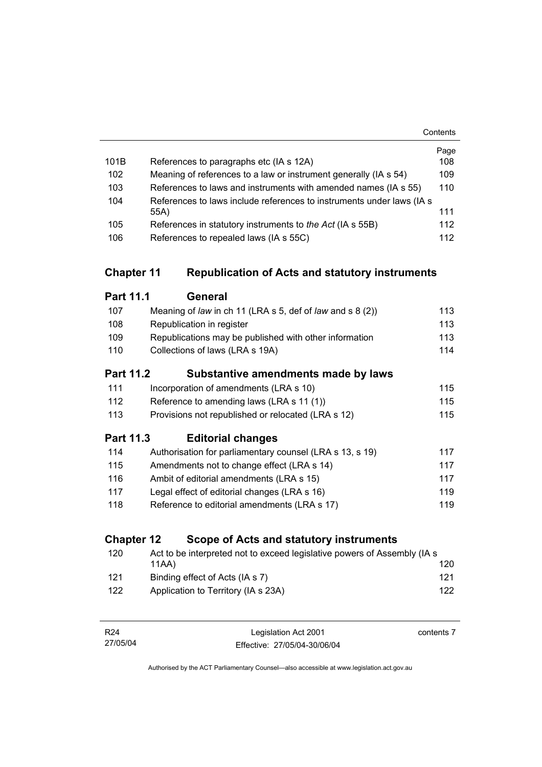|      |                                                                        | Page |
|------|------------------------------------------------------------------------|------|
| 101B | References to paragraphs etc (IA s 12A)                                | 108  |
| 102  | Meaning of references to a law or instrument generally (IA s 54)       | 109  |
| 103  | References to laws and instruments with amended names (IA s 55)        | 110  |
| 104  | References to laws include references to instruments under laws (IA s) |      |
|      | 55A)                                                                   | 111  |
| 105  | References in statutory instruments to the Act (IA s 55B)              | 112  |
| 106  | References to repealed laws (IA s 55C)                                 | 112  |

# **Chapter 11 Republication of Acts and statutory instruments**

| <b>Part 11.1</b> | General                                                       |     |
|------------------|---------------------------------------------------------------|-----|
| 107              | Meaning of law in ch 11 (LRA $s$ 5, def of law and $s$ 8 (2)) | 113 |
| 108              | Republication in register                                     | 113 |
| 109              | Republications may be published with other information        | 113 |
| 110              | Collections of laws (LRA s 19A)                               | 114 |
|                  | Part 11.2<br>Substantive amendments made by laws              |     |
| 111              | Incorporation of amendments (LRA s 10)                        | 115 |
| 112              | Reference to amending laws (LRA s 11 (1))                     | 115 |
| 113              | Provisions not republished or relocated (LRA s 12)            | 115 |
| Part 11.3        | <b>Editorial changes</b>                                      |     |
| 114              | Authorisation for parliamentary counsel (LRA s 13, s 19)      | 117 |
| 115              | Amendments not to change effect (LRA s 14)                    | 117 |
| 116              | Ambit of editorial amendments (LRA s 15)                      | 117 |
| 117              | Legal effect of editorial changes (LRA s 16)                  | 119 |

118 Reference to editorial amendments (LRA s 17) 119

# **Chapter 12 Scope of Acts and statutory instruments**

| 120 | Act to be interpreted not to exceed legislative powers of Assembly (IA s) |     |
|-----|---------------------------------------------------------------------------|-----|
|     | 11AA)                                                                     | 120 |
| 121 | Binding effect of Acts (IA s 7)                                           | 121 |
| 122 | Application to Territory (IA s 23A)                                       | 122 |

| R24      | Legislation Act 2001         | contents 7 |
|----------|------------------------------|------------|
| 27/05/04 | Effective: 27/05/04-30/06/04 |            |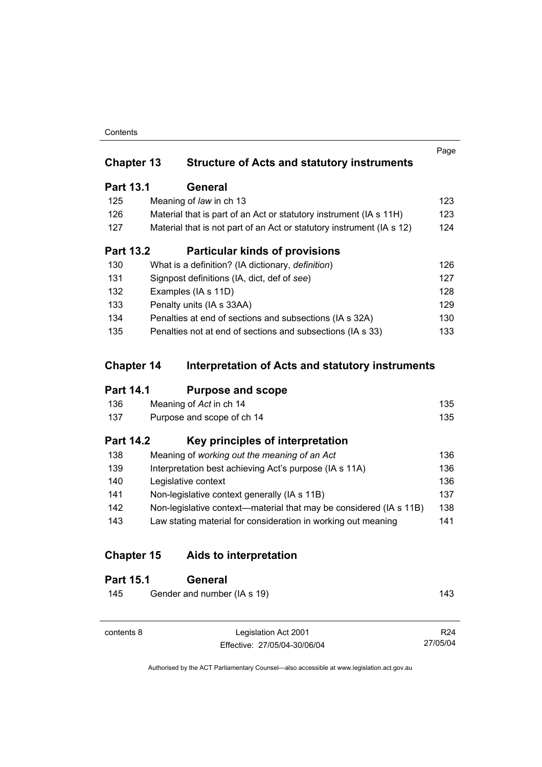### **Contents**

| <b>Structure of Acts and statutory instruments</b>        |                                                                                                                                                                                                                                                                                                                                                                                                                                                                 |
|-----------------------------------------------------------|-----------------------------------------------------------------------------------------------------------------------------------------------------------------------------------------------------------------------------------------------------------------------------------------------------------------------------------------------------------------------------------------------------------------------------------------------------------------|
| General                                                   |                                                                                                                                                                                                                                                                                                                                                                                                                                                                 |
|                                                           | 123                                                                                                                                                                                                                                                                                                                                                                                                                                                             |
|                                                           | 123                                                                                                                                                                                                                                                                                                                                                                                                                                                             |
|                                                           | 124                                                                                                                                                                                                                                                                                                                                                                                                                                                             |
| <b>Particular kinds of provisions</b>                     |                                                                                                                                                                                                                                                                                                                                                                                                                                                                 |
|                                                           | 126                                                                                                                                                                                                                                                                                                                                                                                                                                                             |
|                                                           | 127                                                                                                                                                                                                                                                                                                                                                                                                                                                             |
|                                                           | 128                                                                                                                                                                                                                                                                                                                                                                                                                                                             |
|                                                           | 129                                                                                                                                                                                                                                                                                                                                                                                                                                                             |
|                                                           | 130                                                                                                                                                                                                                                                                                                                                                                                                                                                             |
|                                                           | 133                                                                                                                                                                                                                                                                                                                                                                                                                                                             |
| <b>Chapter 13</b><br><b>Part 13.1</b><br><b>Part 13.2</b> | Meaning of law in ch 13<br>Material that is part of an Act or statutory instrument (IA s 11H)<br>Material that is not part of an Act or statutory instrument (IA s 12)<br>What is a definition? (IA dictionary, <i>definition</i> )<br>Signpost definitions (IA, dict, def of see)<br>Examples (IA s 11D)<br>Penalty units (IA s 33AA)<br>Penalties at end of sections and subsections (IA s 32A)<br>Penalties not at end of sections and subsections (IA s 33) |

# **Chapter 14 Interpretation of Acts and statutory instruments**

# **Part 14.1 Purpose and scope**

| 136  | Meaning of Act in ch 14    | 135 |
|------|----------------------------|-----|
| -137 | Purpose and scope of ch 14 | 135 |

# **Part 14.2 Key principles of interpretation**

| 138 | Meaning of working out the meaning of an Act                       | 136 |
|-----|--------------------------------------------------------------------|-----|
| 139 | Interpretation best achieving Act's purpose (IA s 11A)             | 136 |
| 140 | Legislative context                                                | 136 |
| 141 | Non-legislative context generally (IA s 11B)                       | 137 |
| 142 | Non-legislative context—material that may be considered (IA s 11B) | 138 |
| 143 | Law stating material for consideration in working out meaning      | 141 |
|     |                                                                    |     |

# **Chapter 15 Aids to interpretation**

| <b>Part 15.1</b> | General                     |                 |
|------------------|-----------------------------|-----------------|
| 145              | Gender and number (IA s 19) | 143             |
|                  |                             |                 |
| contents 8       | Legislation Act 2001        | R <sub>24</sub> |

Effective: 27/05/04-30/06/04

R24 27/05/04

Page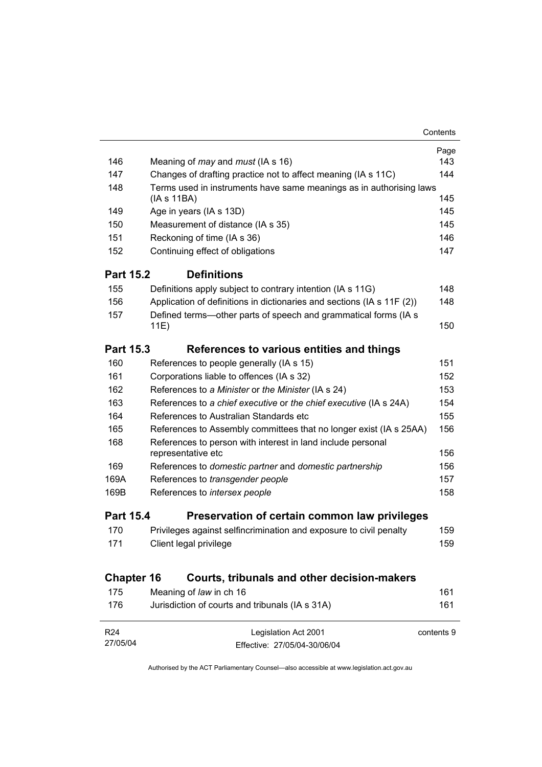| 146               | Meaning of <i>may</i> and <i>must</i> (IA s 16)                         | Page<br>143 |
|-------------------|-------------------------------------------------------------------------|-------------|
| 147               | Changes of drafting practice not to affect meaning (IA s 11C)           | 144         |
| 148               | Terms used in instruments have same meanings as in authorising laws     |             |
|                   | (IAs 11BA)                                                              | 145         |
| 149               | Age in years (IA s 13D)                                                 |             |
| 150               | Measurement of distance (IA s 35)                                       | 145         |
| 151               | Reckoning of time (IA s 36)                                             | 146         |
| 152               | Continuing effect of obligations                                        | 147         |
| <b>Part 15.2</b>  | <b>Definitions</b>                                                      |             |
| 155               | Definitions apply subject to contrary intention (IA s 11G)              | 148         |
| 156               | Application of definitions in dictionaries and sections (IA s 11F (2))  | 148         |
| 157               | Defined terms—other parts of speech and grammatical forms (IA s<br>11E) | 150         |
| <b>Part 15.3</b>  | References to various entities and things                               |             |
| 160               | References to people generally (IA s 15)                                | 151         |
| 161               | Corporations liable to offences (IA s 32)                               | 152         |
| 162               | References to a Minister or the Minister (IA s 24)                      | 153         |
| 163               | References to a chief executive or the chief executive (IA s 24A)       | 154         |
| 164               | References to Australian Standards etc                                  | 155         |
| 165               | References to Assembly committees that no longer exist (IA s 25AA)      | 156         |
| 168               | References to person with interest in land include personal             |             |
|                   | representative etc                                                      | 156         |
| 169               | References to domestic partner and domestic partnership                 | 156         |
| 169A              | References to transgender people                                        | 157         |
| 169B              | References to intersex people                                           | 158         |
| <b>Part 15.4</b>  | Preservation of certain common law privileges                           |             |
| 170               | Privileges against selfincrimination and exposure to civil penalty      | 159         |
| 171               | Client legal privilege                                                  | 159         |
| <b>Chapter 16</b> | Courts, tribunals and other decision-makers                             |             |
| 175               | Meaning of law in ch 16                                                 | 161         |
| 176               | Jurisdiction of courts and tribunals (IA s 31A)                         | 161         |
| R <sub>24</sub>   |                                                                         | contents 9  |
| 27/05/04          | Legislation Act 2001<br>Effective: 27/05/04-30/06/04                    |             |
|                   |                                                                         |             |

Contents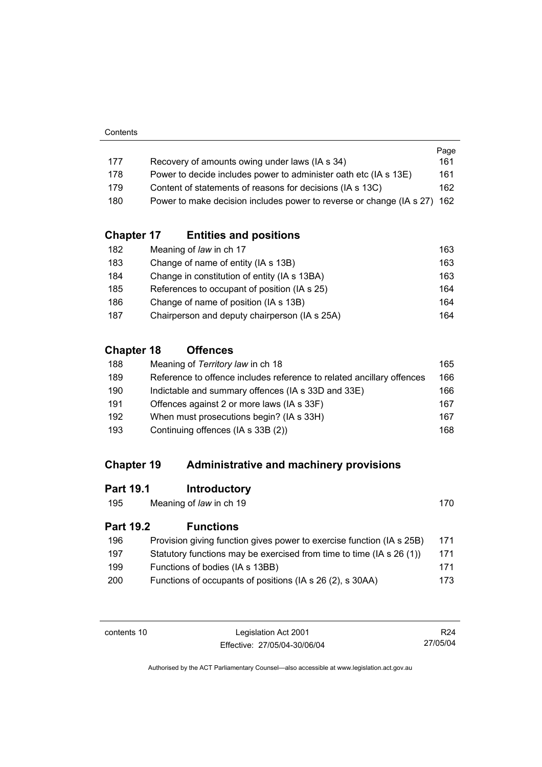|     |                                                                          | Page |
|-----|--------------------------------------------------------------------------|------|
| 177 | Recovery of amounts owing under laws (IA s 34)                           | 161  |
| 178 | Power to decide includes power to administer oath etc (IA s 13E)         | 161  |
| 179 | Content of statements of reasons for decisions (IA s 13C)                | 162  |
| 180 | Power to make decision includes power to reverse or change (IA s 27) 162 |      |

# **Chapter 17 Entities and positions**

| 182 | Meaning of law in ch 17                       | 163 |
|-----|-----------------------------------------------|-----|
| 183 | Change of name of entity (IA s 13B)           | 163 |
| 184 | Change in constitution of entity (IA s 13BA)  | 163 |
| 185 | References to occupant of position (IA s 25)  | 164 |
| 186 | Change of name of position (IA s 13B)         | 164 |
| 187 | Chairperson and deputy chairperson (IA s 25A) | 164 |

# **Chapter 18 Offences**

| Meaning of Territory law in ch 18                                     | 165 |
|-----------------------------------------------------------------------|-----|
| Reference to offence includes reference to related ancillary offences | 166 |
| Indictable and summary offences (IA s 33D and 33E)                    | 166 |
| Offences against 2 or more laws (IA s 33F)                            | 167 |
| When must prosecutions begin? (IA s 33H)                              | 167 |
| Continuing offences (IA s 33B (2))                                    | 168 |
|                                                                       |     |

# **Chapter 19 Administrative and machinery provisions**

# **Part 19.1 Introductory**

| 195 | Meaning of law in ch 19 | 170 |
|-----|-------------------------|-----|
|-----|-------------------------|-----|

# **Part 19.2 Functions**

| 196 | Provision giving function gives power to exercise function (IA s 25B) | 171  |
|-----|-----------------------------------------------------------------------|------|
| 197 | Statutory functions may be exercised from time to time (IA s 26 (1))  | 171  |
| 199 | Functions of bodies (IA s 13BB)                                       | 171  |
| 200 | Functions of occupants of positions (IA s 26 (2), s 30AA)             | 173. |

| contents 10 |  |
|-------------|--|
|-------------|--|

Legislation Act 2001 Effective: 27/05/04-30/06/04

R24 27/05/04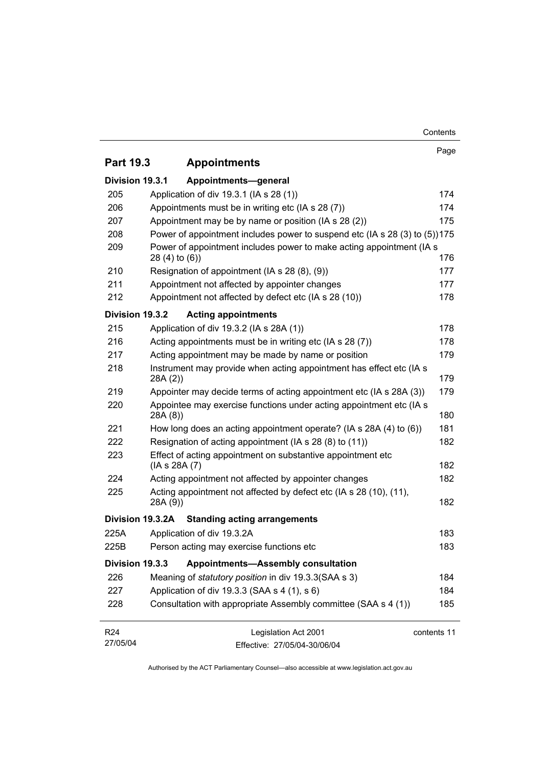| <b>Part 19.3</b>            | <b>Appointments</b>                                                                        | Page        |
|-----------------------------|--------------------------------------------------------------------------------------------|-------------|
|                             |                                                                                            |             |
| Division 19.3.1             | Appointments-general                                                                       |             |
| 205                         | Application of div 19.3.1 (IA s 28 (1))                                                    | 174         |
| 206                         | Appointments must be in writing etc (IA s 28 (7))                                          | 174         |
| 207                         | Appointment may be by name or position (IA s 28 (2))                                       | 175         |
| 208                         | Power of appointment includes power to suspend etc (IA s 28 (3) to (5))175                 |             |
| 209                         | Power of appointment includes power to make acting appointment (IA s<br>$28(4)$ to $(6)$ ) | 176         |
| 210                         | Resignation of appointment (IA s 28 (8), (9))                                              | 177         |
| 211                         | Appointment not affected by appointer changes                                              | 177         |
| 212                         | Appointment not affected by defect etc (IA s 28 (10))                                      | 178         |
| Division 19.3.2             | <b>Acting appointments</b>                                                                 |             |
| 215                         | Application of div 19.3.2 (IA s 28A (1))                                                   | 178         |
| 216                         | Acting appointments must be in writing etc (IA s 28 (7))                                   | 178         |
| 217                         | Acting appointment may be made by name or position                                         | 179         |
| 218                         | Instrument may provide when acting appointment has effect etc (IA s<br>28A(2)              | 179         |
| 219                         | Appointer may decide terms of acting appointment etc (IA s 28A (3))                        | 179         |
| 220                         | Appointee may exercise functions under acting appointment etc (IA s<br>28A(8)              | 180         |
| 221                         | How long does an acting appointment operate? (IA s 28A (4) to (6))                         | 181         |
| 222                         | Resignation of acting appointment (IA s 28 (8) to (11))                                    | 182         |
| 223                         | Effect of acting appointment on substantive appointment etc<br>(IA s 28A (7)               | 182         |
| 224                         | Acting appointment not affected by appointer changes                                       | 182         |
| 225                         | Acting appointment not affected by defect etc (IA s 28 (10), (11),                         |             |
|                             | 28A (9))                                                                                   | 182         |
|                             | Division 19.3.2A Standing acting arrangements                                              |             |
| 225A                        | Application of div 19.3.2A                                                                 | 183         |
| 225B                        | Person acting may exercise functions etc                                                   | 183         |
| Division 19.3.3             | <b>Appointments-Assembly consultation</b>                                                  |             |
| 226                         | Meaning of <i>statutory position</i> in div 19.3.3 (SAA s 3)                               | 184         |
| 227                         | Application of div 19.3.3 (SAA s 4 (1), s 6)                                               | 184         |
| 228                         | Consultation with appropriate Assembly committee (SAA s 4 (1))                             | 185         |
| R <sub>24</sub><br>27/05/04 | Legislation Act 2001<br>Effective: 27/05/04-30/06/04                                       | contents 11 |

Contents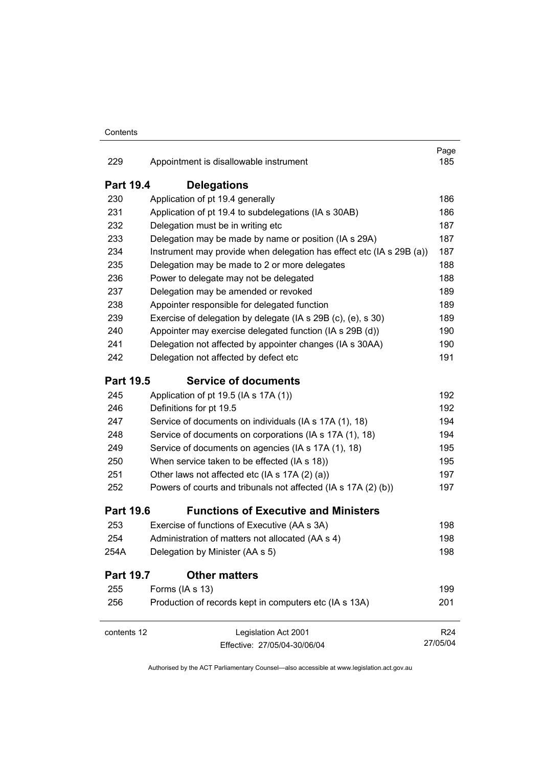| 229                                      | Appointment is disallowable instrument                               | Page<br>185     |  |
|------------------------------------------|----------------------------------------------------------------------|-----------------|--|
| <b>Part 19.4</b>                         | <b>Delegations</b>                                                   |                 |  |
| 230                                      | Application of pt 19.4 generally                                     | 186             |  |
| 231                                      | Application of pt 19.4 to subdelegations (IA s 30AB)                 | 186             |  |
| 232                                      | Delegation must be in writing etc                                    | 187             |  |
| 233                                      | Delegation may be made by name or position (IA s 29A)                | 187             |  |
| 234                                      | Instrument may provide when delegation has effect etc (IA s 29B (a)) | 187             |  |
| 235                                      | Delegation may be made to 2 or more delegates                        | 188             |  |
| 236                                      | Power to delegate may not be delegated                               | 188             |  |
| 237                                      | Delegation may be amended or revoked                                 | 189             |  |
| 238                                      | Appointer responsible for delegated function                         | 189             |  |
| 239                                      | Exercise of delegation by delegate (IA s 29B (c), (e), s 30)         | 189             |  |
| 240                                      | Appointer may exercise delegated function (IA s 29B (d))             | 190             |  |
| 241                                      | Delegation not affected by appointer changes (IA s 30AA)             | 190             |  |
| 242                                      | Delegation not affected by defect etc                                | 191             |  |
| <b>Part 19.5</b>                         | <b>Service of documents</b>                                          |                 |  |
| 245                                      | Application of pt 19.5 (IA s 17A (1))                                | 192             |  |
| 246                                      | Definitions for pt 19.5                                              | 192             |  |
| 247                                      | Service of documents on individuals (IA s 17A (1), 18)               | 194             |  |
| 248                                      | Service of documents on corporations (IA s 17A (1), 18)              | 194             |  |
| 249                                      | Service of documents on agencies (IA s 17A (1), 18)                  | 195             |  |
| 250                                      | When service taken to be effected (IA s 18))                         | 195             |  |
| 251                                      | Other laws not affected etc (IA s 17A (2) (a))                       | 197             |  |
| 252                                      | Powers of courts and tribunals not affected (IA s 17A (2) (b))       | 197             |  |
| <b>Part 19.6</b>                         | <b>Functions of Executive and Ministers</b>                          |                 |  |
| 253                                      | Exercise of functions of Executive (AA s 3A)                         | 198             |  |
| 254                                      | Administration of matters not allocated (AA s 4)                     | 198             |  |
| 254A                                     | Delegation by Minister (AA s 5)                                      | 198             |  |
| <b>Part 19.7</b><br><b>Other matters</b> |                                                                      |                 |  |
| 255                                      | Forms (IA s 13)                                                      | 199             |  |
| 256                                      | Production of records kept in computers etc (IA s 13A)               | 201             |  |
| contents 12                              | Legislation Act 2001                                                 | R <sub>24</sub> |  |
|                                          | Effective: 27/05/04-30/06/04                                         | 27/05/04        |  |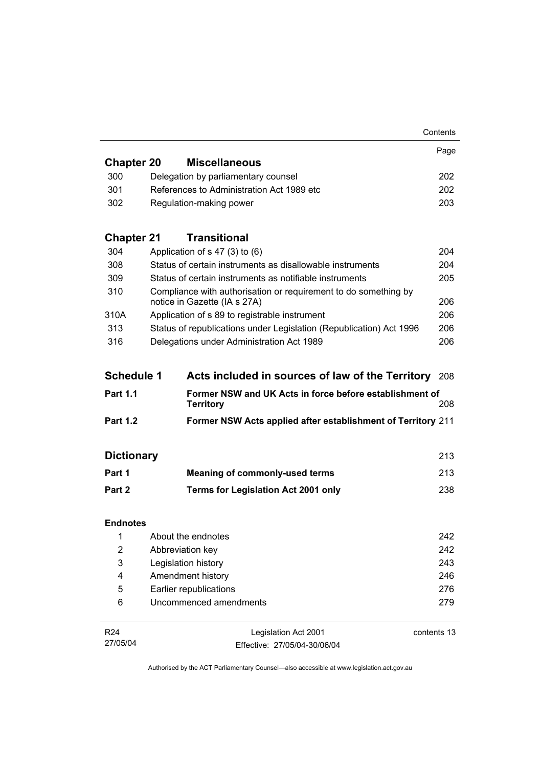|                         |                                                                                                 | Contents    |
|-------------------------|-------------------------------------------------------------------------------------------------|-------------|
|                         |                                                                                                 | Page        |
| <b>Chapter 20</b>       | <b>Miscellaneous</b>                                                                            |             |
| 300                     | Delegation by parliamentary counsel                                                             | 202         |
| 301                     | References to Administration Act 1989 etc                                                       | 202         |
| 302                     | Regulation-making power                                                                         | 203         |
| <b>Chapter 21</b>       | <b>Transitional</b>                                                                             |             |
| 304                     | Application of $s$ 47 (3) to (6)                                                                | 204         |
| 308                     | Status of certain instruments as disallowable instruments                                       | 204         |
| 309                     | Status of certain instruments as notifiable instruments                                         | 205         |
| 310                     | Compliance with authorisation or requirement to do something by<br>notice in Gazette (IA s 27A) | 206         |
| 310A                    | Application of s 89 to registrable instrument                                                   | 206         |
| 313                     | Status of republications under Legislation (Republication) Act 1996                             | 206         |
| 316                     | Delegations under Administration Act 1989                                                       | 206         |
| <b>Schedule 1</b>       | Acts included in sources of law of the Territory                                                | 208         |
| <b>Part 1.1</b>         | Former NSW and UK Acts in force before establishment of<br><b>Territory</b>                     | 208         |
| <b>Part 1.2</b>         | Former NSW Acts applied after establishment of Territory 211                                    |             |
| <b>Dictionary</b>       |                                                                                                 | 213         |
| Part 1                  | <b>Meaning of commonly-used terms</b>                                                           | 213         |
| Part 2                  | Terms for Legislation Act 2001 only                                                             | 238         |
| <b>Endnotes</b>         |                                                                                                 |             |
|                         | 1 About the endnotes                                                                            | 242         |
| $\overline{\mathbf{c}}$ | Abbreviation key                                                                                | 242         |
| 3                       | Legislation history                                                                             | 243         |
| 4                       | Amendment history                                                                               | 246         |
| 5                       | Earlier republications                                                                          | 276         |
| 6                       | Uncommenced amendments                                                                          | 279         |
| R <sub>24</sub>         |                                                                                                 | contents 13 |
|                         | Legislation Act 2001                                                                            |             |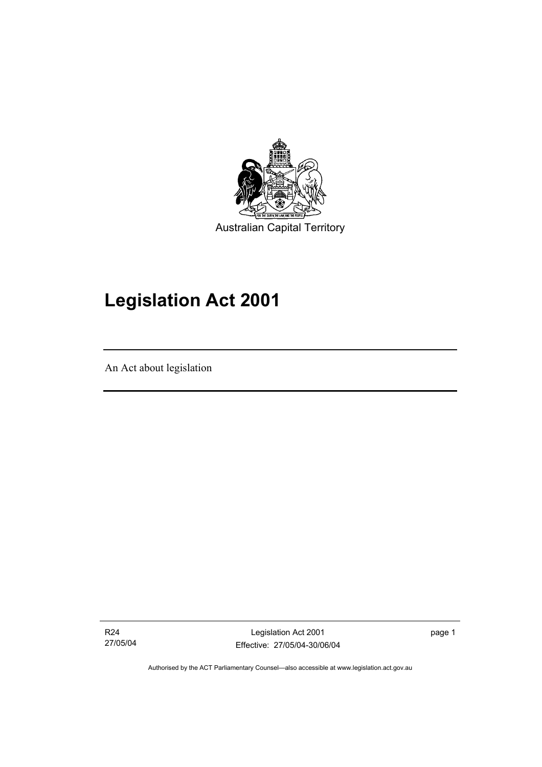

# **Legislation Act 2001**

An Act about legislation

I

R24 27/05/04

Legislation Act 2001 Effective: 27/05/04-30/06/04 page 1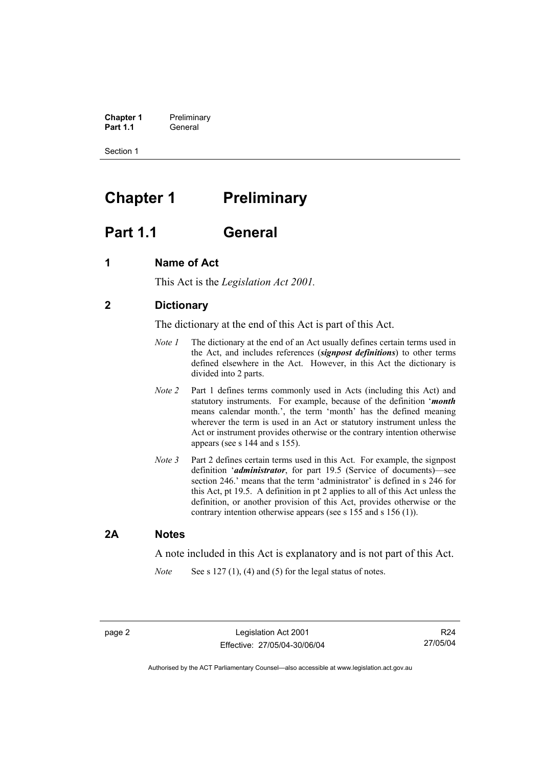**Chapter 1** Preliminary<br>**Part 1.1** General General

Section 1

# **Chapter 1** Preliminary

# **Part 1.1 General**

## **1 Name of Act**

This Act is the *Legislation Act 2001.* 

## **2 Dictionary**

The dictionary at the end of this Act is part of this Act.

- *Note 1* The dictionary at the end of an Act usually defines certain terms used in the Act, and includes references (*signpost definitions*) to other terms defined elsewhere in the Act. However, in this Act the dictionary is divided into 2 parts.
- *Note 2* Part 1 defines terms commonly used in Acts (including this Act) and statutory instruments. For example, because of the definition '*month* means calendar month.', the term 'month' has the defined meaning wherever the term is used in an Act or statutory instrument unless the Act or instrument provides otherwise or the contrary intention otherwise appears (see s 144 and s 155).
- *Note 3* Part 2 defines certain terms used in this Act. For example, the signpost definition '*administrator*, for part 19.5 (Service of documents)—see section 246.' means that the term 'administrator' is defined in s 246 for this Act, pt 19.5. A definition in pt 2 applies to all of this Act unless the definition, or another provision of this Act, provides otherwise or the contrary intention otherwise appears (see s 155 and s 156 (1)).

### **2A Notes**

A note included in this Act is explanatory and is not part of this Act.

*Note* See s 127 (1), (4) and (5) for the legal status of notes.

R24 27/05/04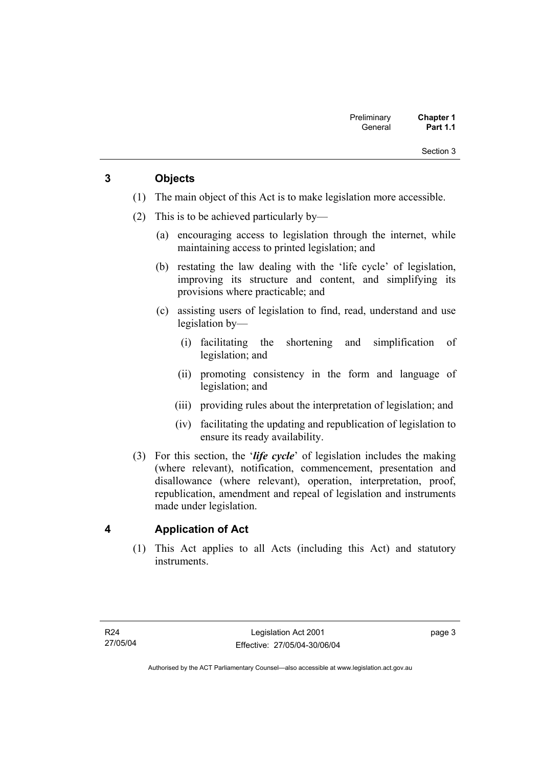## **3 Objects**

- (1) The main object of this Act is to make legislation more accessible.
- (2) This is to be achieved particularly by—
	- (a) encouraging access to legislation through the internet, while maintaining access to printed legislation; and
	- (b) restating the law dealing with the 'life cycle' of legislation, improving its structure and content, and simplifying its provisions where practicable; and
	- (c) assisting users of legislation to find, read, understand and use legislation by—
		- (i) facilitating the shortening and simplification of legislation; and
		- (ii) promoting consistency in the form and language of legislation; and
		- (iii) providing rules about the interpretation of legislation; and
		- (iv) facilitating the updating and republication of legislation to ensure its ready availability.
- (3) For this section, the '*life cycle*' of legislation includes the making (where relevant), notification, commencement, presentation and disallowance (where relevant), operation, interpretation, proof, republication, amendment and repeal of legislation and instruments made under legislation.

## **4 Application of Act**

 (1) This Act applies to all Acts (including this Act) and statutory instruments.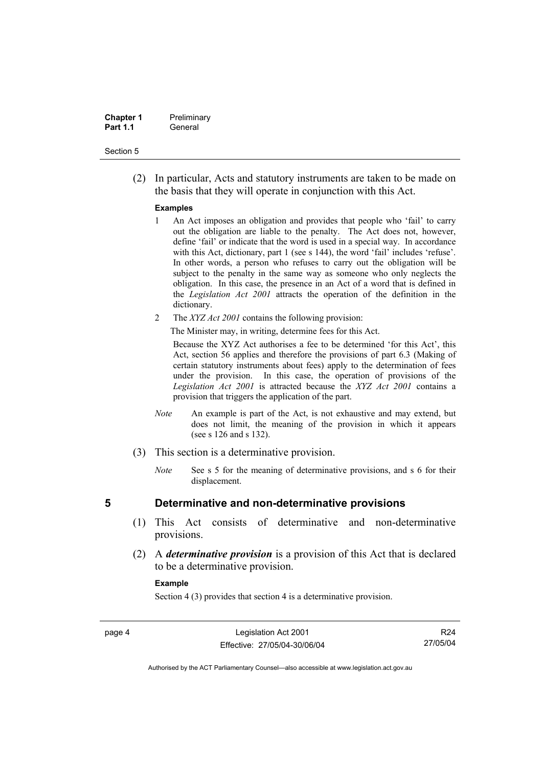| <b>Chapter 1</b> | Preliminary |
|------------------|-------------|
| <b>Part 1.1</b>  | General     |

 (2) In particular, Acts and statutory instruments are taken to be made on the basis that they will operate in conjunction with this Act.

### **Examples**

- 1 An Act imposes an obligation and provides that people who 'fail' to carry out the obligation are liable to the penalty. The Act does not, however, define 'fail' or indicate that the word is used in a special way. In accordance with this Act, dictionary, part 1 (see s 144), the word 'fail' includes 'refuse'. In other words, a person who refuses to carry out the obligation will be subject to the penalty in the same way as someone who only neglects the obligation. In this case, the presence in an Act of a word that is defined in the *Legislation Act 2001* attracts the operation of the definition in the dictionary.
- 2 The *XYZ Act 2001* contains the following provision:

The Minister may, in writing, determine fees for this Act.

Because the XYZ Act authorises a fee to be determined 'for this Act', this Act, section 56 applies and therefore the provisions of part 6.3 (Making of certain statutory instruments about fees) apply to the determination of fees under the provision. In this case, the operation of provisions of the *Legislation Act 2001* is attracted because the *XYZ Act 2001* contains a provision that triggers the application of the part.

- *Note* An example is part of the Act, is not exhaustive and may extend, but does not limit, the meaning of the provision in which it appears (see s 126 and s 132).
- (3) This section is a determinative provision.
	- *Note* See s 5 for the meaning of determinative provisions, and s 6 for their displacement.

- **5 Determinative and non-determinative provisions** 
	- (1) This Act consists of determinative and non-determinative provisions.
	- (2) A *determinative provision* is a provision of this Act that is declared to be a determinative provision.

### **Example**

Section 4 (3) provides that section 4 is a determinative provision.

page 4 Legislation Act 2001 Effective: 27/05/04-30/06/04

R24 27/05/04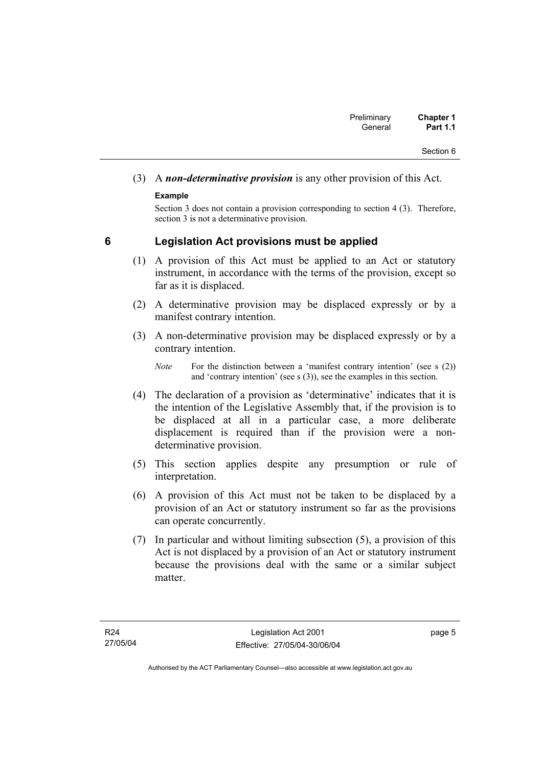# (3) A *non-determinative provision* is any other provision of this Act.

## **Example**

Section 3 does not contain a provision corresponding to section 4 (3). Therefore, section 3 is not a determinative provision.

## **6 Legislation Act provisions must be applied**

- (1) A provision of this Act must be applied to an Act or statutory instrument, in accordance with the terms of the provision, except so far as it is displaced.
- (2) A determinative provision may be displaced expressly or by a manifest contrary intention.
- (3) A non-determinative provision may be displaced expressly or by a contrary intention.

- (4) The declaration of a provision as 'determinative' indicates that it is the intention of the Legislative Assembly that, if the provision is to be displaced at all in a particular case, a more deliberate displacement is required than if the provision were a nondeterminative provision.
- (5) This section applies despite any presumption or rule of interpretation.
- (6) A provision of this Act must not be taken to be displaced by a provision of an Act or statutory instrument so far as the provisions can operate concurrently.
- (7) In particular and without limiting subsection (5), a provision of this Act is not displaced by a provision of an Act or statutory instrument because the provisions deal with the same or a similar subject matter

page 5

*Note* For the distinction between a 'manifest contrary intention' (see s (2)) and 'contrary intention' (see s (3)), see the examples in this section.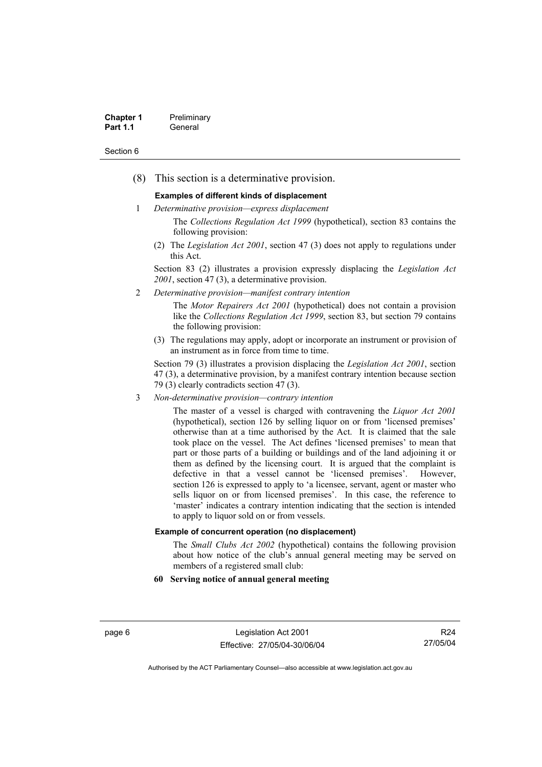| <b>Chapter 1</b> | Preliminary |
|------------------|-------------|
| <b>Part 1.1</b>  | General     |

(8) This section is a determinative provision.

### **Examples of different kinds of displacement**

- 1 *Determinative provision—express displacement*
	- The *Collections Regulation Act 1999* (hypothetical), section 83 contains the following provision:
	- (2) The *Legislation Act 2001*, section 47 (3) does not apply to regulations under this Act.

Section 83 (2) illustrates a provision expressly displacing the *Legislation Act 2001*, section 47 (3), a determinative provision.

2 *Determinative provision—manifest contrary intention*

The *Motor Repairers Act 2001* (hypothetical) does not contain a provision like the *Collections Regulation Act 1999*, section 83, but section 79 contains the following provision:

(3) The regulations may apply, adopt or incorporate an instrument or provision of an instrument as in force from time to time.

Section 79 (3) illustrates a provision displacing the *Legislation Act 2001*, section 47 (3), a determinative provision, by a manifest contrary intention because section 79 (3) clearly contradicts section 47 (3).

3 *Non-determinative provision—contrary intention*

The master of a vessel is charged with contravening the *Liquor Act 2001* (hypothetical), section 126 by selling liquor on or from 'licensed premises' otherwise than at a time authorised by the Act. It is claimed that the sale took place on the vessel. The Act defines 'licensed premises' to mean that part or those parts of a building or buildings and of the land adjoining it or them as defined by the licensing court. It is argued that the complaint is defective in that a vessel cannot be 'licensed premises'. However, section 126 is expressed to apply to 'a licensee, servant, agent or master who sells liquor on or from licensed premises'. In this case, the reference to 'master' indicates a contrary intention indicating that the section is intended to apply to liquor sold on or from vessels.

### **Example of concurrent operation (no displacement)**

The *Small Clubs Act 2002* (hypothetical) contains the following provision about how notice of the club's annual general meeting may be served on members of a registered small club:

### **60 Serving notice of annual general meeting**

page 6 Legislation Act 2001 Effective: 27/05/04-30/06/04

R24 27/05/04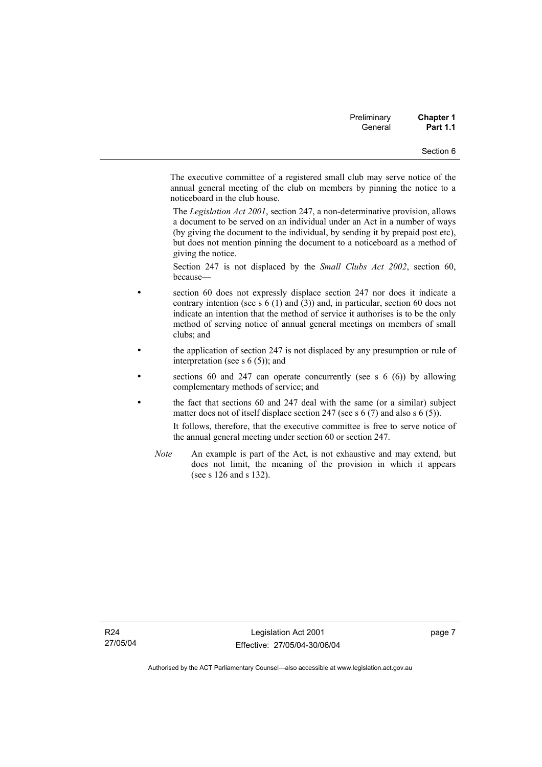| Preliminary | <b>Chapter 1</b> |
|-------------|------------------|
| General     | <b>Part 1.1</b>  |

The executive committee of a registered small club may serve notice of the annual general meeting of the club on members by pinning the notice to a noticeboard in the club house.

The *Legislation Act 2001*, section 247, a non-determinative provision, allows a document to be served on an individual under an Act in a number of ways (by giving the document to the individual, by sending it by prepaid post etc), but does not mention pinning the document to a noticeboard as a method of giving the notice.

Section 247 is not displaced by the *Small Clubs Act 2002*, section 60, because—

- section 60 does not expressly displace section 247 nor does it indicate a contrary intention (see s 6 (1) and (3)) and, in particular, section 60 does not indicate an intention that the method of service it authorises is to be the only method of serving notice of annual general meetings on members of small clubs; and
- the application of section 247 is not displaced by any presumption or rule of interpretation (see s 6 (5)); and
- sections 60 and 247 can operate concurrently (see s  $6(6)$ ) by allowing complementary methods of service; and
- the fact that sections 60 and 247 deal with the same (or a similar) subject matter does not of itself displace section 247 (see s 6 (7) and also s 6 (5)).

It follows, therefore, that the executive committee is free to serve notice of the annual general meeting under section 60 or section 247.

*Note* An example is part of the Act, is not exhaustive and may extend, but does not limit, the meaning of the provision in which it appears (see s 126 and s 132).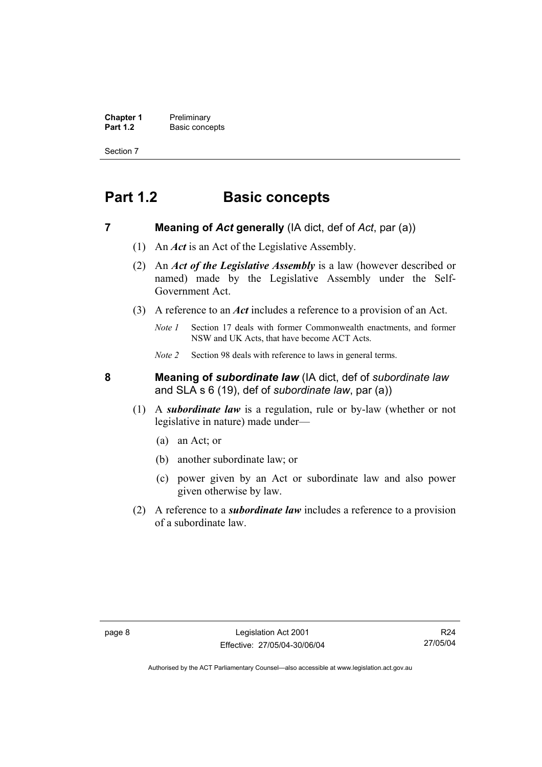**Chapter 1** Preliminary<br>**Part 1.2** Basic conce **Basic concepts** 

Section 7

# **Part 1.2 Basic concepts**

**7 Meaning of** *Act* **generally** (IA dict, def of *Act*, par (a))

- (1) An *Act* is an Act of the Legislative Assembly.
- (2) An *Act of the Legislative Assembly* is a law (however described or named) made by the Legislative Assembly under the Self-Government Act.
- (3) A reference to an *Act* includes a reference to a provision of an Act.
	- *Note 1* Section 17 deals with former Commonwealth enactments, and former NSW and UK Acts, that have become ACT Acts.
	- *Note 2* Section 98 deals with reference to laws in general terms.

**8 Meaning of** *subordinate law* (IA dict, def of *subordinate law* and SLA s 6 (19), def of *subordinate law*, par (a))

- (1) A *subordinate law* is a regulation, rule or by-law (whether or not legislative in nature) made under—
	- (a) an Act; or
	- (b) another subordinate law; or
	- (c) power given by an Act or subordinate law and also power given otherwise by law.
- (2) A reference to a *subordinate law* includes a reference to a provision of a subordinate law.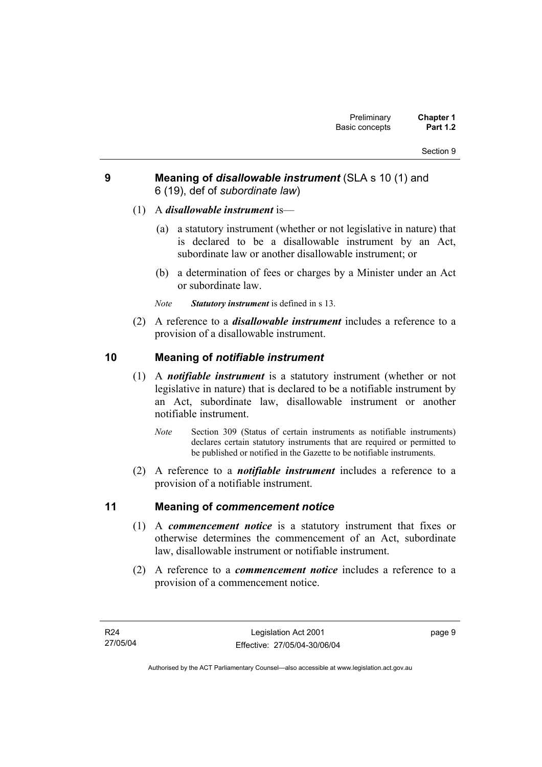## **9 Meaning of** *disallowable instrument* (SLA s 10 (1) and 6 (19), def of *subordinate law*)

- (1) A *disallowable instrument* is—
	- (a) a statutory instrument (whether or not legislative in nature) that is declared to be a disallowable instrument by an Act, subordinate law or another disallowable instrument; or
	- (b) a determination of fees or charges by a Minister under an Act or subordinate law.
	- *Note Statutory instrument* is defined in s 13.
- (2) A reference to a *disallowable instrument* includes a reference to a provision of a disallowable instrument.

## **10 Meaning of** *notifiable instrument*

- (1) A *notifiable instrument* is a statutory instrument (whether or not legislative in nature) that is declared to be a notifiable instrument by an Act, subordinate law, disallowable instrument or another notifiable instrument.
	- *Note* Section 309 (Status of certain instruments as notifiable instruments) declares certain statutory instruments that are required or permitted to be published or notified in the Gazette to be notifiable instruments.
- (2) A reference to a *notifiable instrument* includes a reference to a provision of a notifiable instrument.

## **11 Meaning of** *commencement notice*

- (1) A *commencement notice* is a statutory instrument that fixes or otherwise determines the commencement of an Act, subordinate law, disallowable instrument or notifiable instrument.
- (2) A reference to a *commencement notice* includes a reference to a provision of a commencement notice.

page 9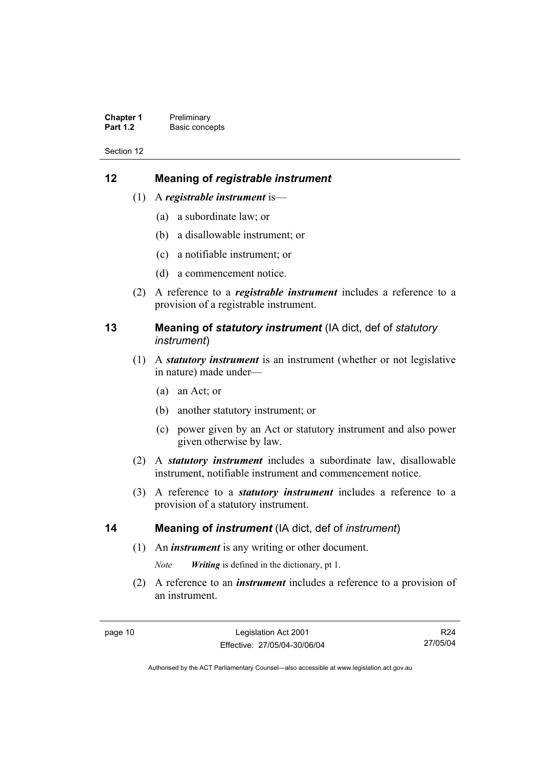| <b>Chapter 1</b> | Preliminary    |
|------------------|----------------|
| <b>Part 1.2</b>  | Basic concepts |

## **12 Meaning of** *registrable instrument*

- (1) A *registrable instrument* is—
	- (a) a subordinate law; or
	- (b) a disallowable instrument; or
	- (c) a notifiable instrument; or
	- (d) a commencement notice.
- (2) A reference to a *registrable instrument* includes a reference to a provision of a registrable instrument.

## **13 Meaning of** *statutory instrument* (IA dict, def of *statutory instrument*)

- (1) A *statutory instrument* is an instrument (whether or not legislative in nature) made under—
	- (a) an Act; or
	- (b) another statutory instrument; or
	- (c) power given by an Act or statutory instrument and also power given otherwise by law.
- (2) A *statutory instrument* includes a subordinate law, disallowable instrument, notifiable instrument and commencement notice.
- (3) A reference to a *statutory instrument* includes a reference to a provision of a statutory instrument.

### **14 Meaning of** *instrument* (IA dict, def of *instrument*)

(1) An *instrument* is any writing or other document.

*Note Writing* is defined in the dictionary, pt 1.

 (2) A reference to an *instrument* includes a reference to a provision of an instrument.

R24 27/05/04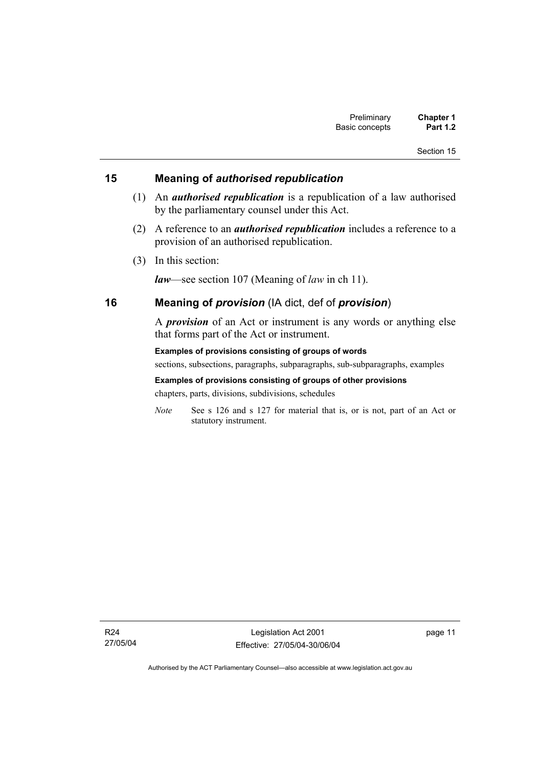## **15 Meaning of** *authorised republication*

- (1) An *authorised republication* is a republication of a law authorised by the parliamentary counsel under this Act.
- (2) A reference to an *authorised republication* includes a reference to a provision of an authorised republication.
- (3) In this section:

*law*—see section 107 (Meaning of *law* in ch 11).

## **16 Meaning of** *provision* (IA dict, def of *provision*)

A *provision* of an Act or instrument is any words or anything else that forms part of the Act or instrument.

**Examples of provisions consisting of groups of words**  sections, subsections, paragraphs, subparagraphs, sub-subparagraphs, examples **Examples of provisions consisting of groups of other provisions** 

chapters, parts, divisions, subdivisions, schedules

*Note* See s 126 and s 127 for material that is, or is not, part of an Act or statutory instrument.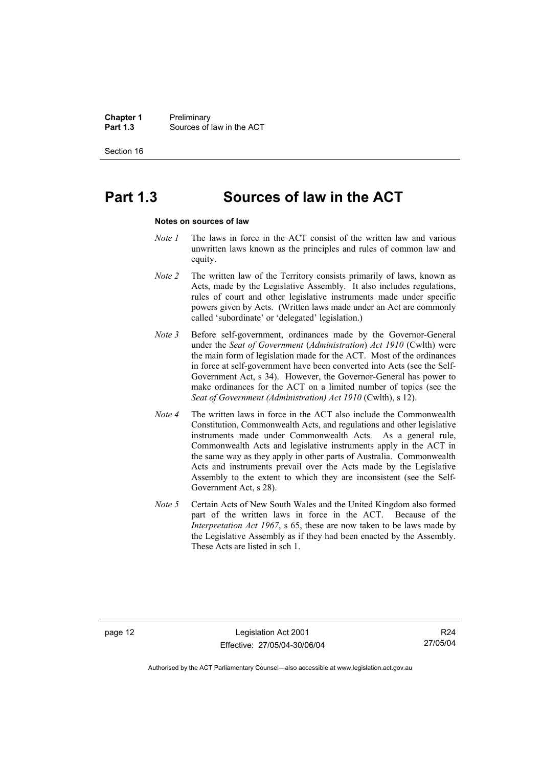**Chapter 1** Preliminary<br>**Part 1.3** Sources of **Part 1.3** Sources of law in the ACT

Section 16

# **Part 1.3 Sources of law in the ACT**

#### **Notes on sources of law**

- *Note 1* The laws in force in the ACT consist of the written law and various unwritten laws known as the principles and rules of common law and equity.
- *Note 2* The written law of the Territory consists primarily of laws, known as Acts, made by the Legislative Assembly. It also includes regulations, rules of court and other legislative instruments made under specific powers given by Acts. (Written laws made under an Act are commonly called 'subordinate' or 'delegated' legislation.)
- *Note 3* Before self-government, ordinances made by the Governor-General under the *Seat of Government* (*Administration*) *Act 1910* (Cwlth) were the main form of legislation made for the ACT. Most of the ordinances in force at self-government have been converted into Acts (see the Self-Government Act, s 34). However, the Governor-General has power to make ordinances for the ACT on a limited number of topics (see the *Seat of Government (Administration) Act 1910* (Cwlth), s 12).
- *Note 4* The written laws in force in the ACT also include the Commonwealth Constitution, Commonwealth Acts, and regulations and other legislative instruments made under Commonwealth Acts. As a general rule, Commonwealth Acts and legislative instruments apply in the ACT in the same way as they apply in other parts of Australia. Commonwealth Acts and instruments prevail over the Acts made by the Legislative Assembly to the extent to which they are inconsistent (see the Self-Government Act, s 28).
- *Note 5* Certain Acts of New South Wales and the United Kingdom also formed part of the written laws in force in the ACT. Because of the *Interpretation Act 1967*, s 65, these are now taken to be laws made by the Legislative Assembly as if they had been enacted by the Assembly. These Acts are listed in sch 1.

page 12 Legislation Act 2001 Effective: 27/05/04-30/06/04

R24 27/05/04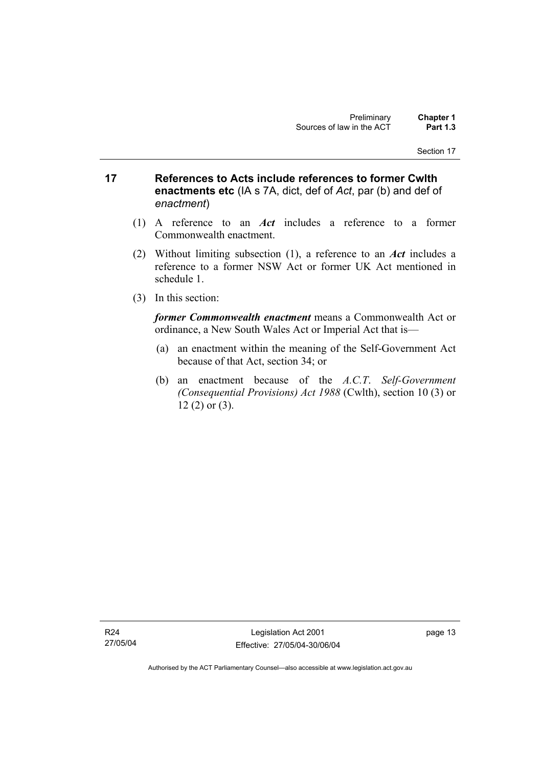- **17 References to Acts include references to former Cwlth enactments etc** (IA s 7A, dict, def of *Act*, par (b) and def of *enactment*)
	- (1) A reference to an *Act* includes a reference to a former Commonwealth enactment.
	- (2) Without limiting subsection (1), a reference to an *Act* includes a reference to a former NSW Act or former UK Act mentioned in schedule 1.
	- (3) In this section:

*former Commonwealth enactment* means a Commonwealth Act or ordinance, a New South Wales Act or Imperial Act that is—

- (a) an enactment within the meaning of the Self-Government Act because of that Act, section 34; or
- (b) an enactment because of the *A.C.T*. *Self-Government (Consequential Provisions) Act 1988* (Cwlth), section 10 (3) or 12 (2) or (3).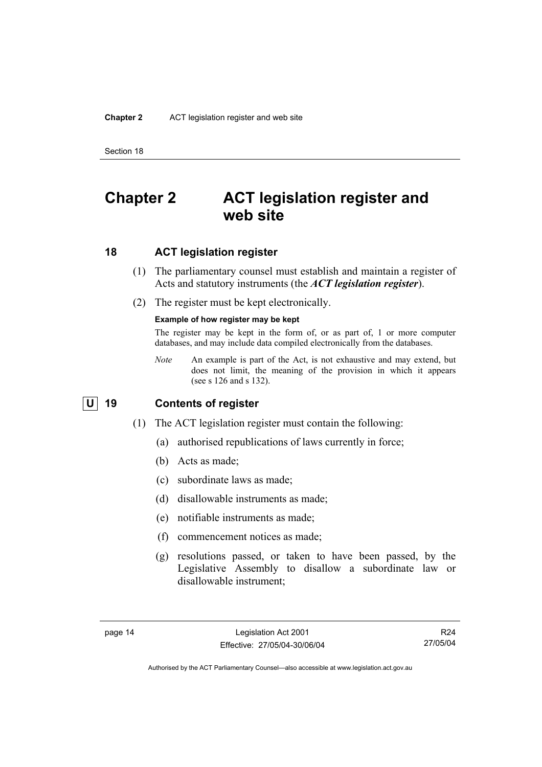# **Chapter 2 ACT legislation register and web site**

## **18 ACT legislation register**

- (1) The parliamentary counsel must establish and maintain a register of Acts and statutory instruments (the *ACT legislation register*).
- (2) The register must be kept electronically.

### **Example of how register may be kept**

The register may be kept in the form of, or as part of, 1 or more computer databases, and may include data compiled electronically from the databases.

*Note* An example is part of the Act, is not exhaustive and may extend, but does not limit, the meaning of the provision in which it appears (see s 126 and s 132).

# **U 19 Contents of register**

- (1) The ACT legislation register must contain the following:
	- (a) authorised republications of laws currently in force;
	- (b) Acts as made;
	- (c) subordinate laws as made;
	- (d) disallowable instruments as made;
	- (e) notifiable instruments as made;
	- (f) commencement notices as made;
	- (g) resolutions passed, or taken to have been passed, by the Legislative Assembly to disallow a subordinate law or disallowable instrument;

R24 27/05/04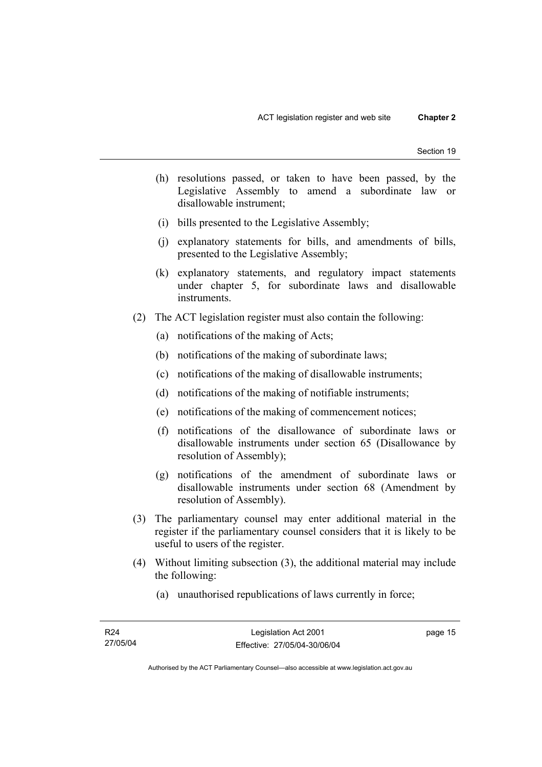- (h) resolutions passed, or taken to have been passed, by the Legislative Assembly to amend a subordinate law or disallowable instrument;
- (i) bills presented to the Legislative Assembly;
- (j) explanatory statements for bills, and amendments of bills, presented to the Legislative Assembly;
- (k) explanatory statements, and regulatory impact statements under chapter 5, for subordinate laws and disallowable instruments.
- (2) The ACT legislation register must also contain the following:
	- (a) notifications of the making of Acts;
	- (b) notifications of the making of subordinate laws;
	- (c) notifications of the making of disallowable instruments;
	- (d) notifications of the making of notifiable instruments;
	- (e) notifications of the making of commencement notices;
	- (f) notifications of the disallowance of subordinate laws or disallowable instruments under section 65 (Disallowance by resolution of Assembly);
	- (g) notifications of the amendment of subordinate laws or disallowable instruments under section 68 (Amendment by resolution of Assembly).
- (3) The parliamentary counsel may enter additional material in the register if the parliamentary counsel considers that it is likely to be useful to users of the register.
- (4) Without limiting subsection (3), the additional material may include the following:
	- (a) unauthorised republications of laws currently in force;

page 15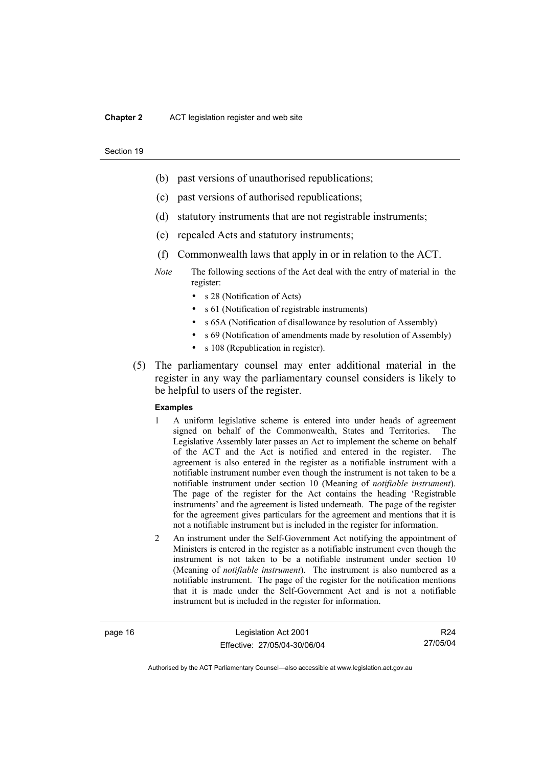### **Chapter 2** ACT legislation register and web site

#### Section 19

- (b) past versions of unauthorised republications;
- (c) past versions of authorised republications;
- (d) statutory instruments that are not registrable instruments;
- (e) repealed Acts and statutory instruments;
- (f) Commonwealth laws that apply in or in relation to the ACT.
- *Note* The following sections of the Act deal with the entry of material in the register:
	- s 28 (Notification of Acts)
	- s 61 (Notification of registrable instruments)
	- s 65A (Notification of disallowance by resolution of Assembly)
	- s 69 (Notification of amendments made by resolution of Assembly)
	- s 108 (Republication in register).
- (5) The parliamentary counsel may enter additional material in the register in any way the parliamentary counsel considers is likely to be helpful to users of the register.

### **Examples**

- 1 A uniform legislative scheme is entered into under heads of agreement signed on behalf of the Commonwealth, States and Territories. The Legislative Assembly later passes an Act to implement the scheme on behalf of the ACT and the Act is notified and entered in the register. The agreement is also entered in the register as a notifiable instrument with a notifiable instrument number even though the instrument is not taken to be a notifiable instrument under section 10 (Meaning of *notifiable instrument*). The page of the register for the Act contains the heading 'Registrable instruments' and the agreement is listed underneath. The page of the register for the agreement gives particulars for the agreement and mentions that it is not a notifiable instrument but is included in the register for information.
- 2 An instrument under the Self-Government Act notifying the appointment of Ministers is entered in the register as a notifiable instrument even though the instrument is not taken to be a notifiable instrument under section 10 (Meaning of *notifiable instrument*). The instrument is also numbered as a notifiable instrument. The page of the register for the notification mentions that it is made under the Self-Government Act and is not a notifiable instrument but is included in the register for information.

page 16 Legislation Act 2001 Effective: 27/05/04-30/06/04

R24 27/05/04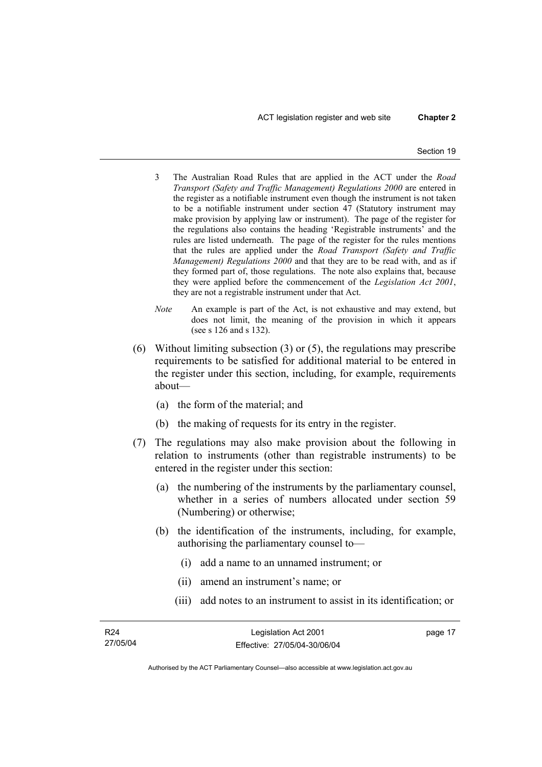ACT legislation register and web site **Chapter 2** 

- 3 The Australian Road Rules that are applied in the ACT under the *Road Transport (Safety and Traffic Management) Regulations 2000* are entered in the register as a notifiable instrument even though the instrument is not taken to be a notifiable instrument under section 47 (Statutory instrument may make provision by applying law or instrument). The page of the register for the regulations also contains the heading 'Registrable instruments' and the rules are listed underneath. The page of the register for the rules mentions that the rules are applied under the *Road Transport (Safety and Traffic Management) Regulations 2000* and that they are to be read with, and as if they formed part of, those regulations. The note also explains that, because they were applied before the commencement of the *Legislation Act 2001*, they are not a registrable instrument under that Act.
- *Note* An example is part of the Act, is not exhaustive and may extend, but does not limit, the meaning of the provision in which it appears (see s 126 and s 132).
- (6) Without limiting subsection (3) or (5), the regulations may prescribe requirements to be satisfied for additional material to be entered in the register under this section, including, for example, requirements about—
	- (a) the form of the material; and
	- (b) the making of requests for its entry in the register.
- (7) The regulations may also make provision about the following in relation to instruments (other than registrable instruments) to be entered in the register under this section:
	- (a) the numbering of the instruments by the parliamentary counsel, whether in a series of numbers allocated under section 59 (Numbering) or otherwise;
	- (b) the identification of the instruments, including, for example, authorising the parliamentary counsel to—
		- (i) add a name to an unnamed instrument; or
		- (ii) amend an instrument's name; or
		- (iii) add notes to an instrument to assist in its identification; or

| R24      | Legislation Act 2001         | page 17 |
|----------|------------------------------|---------|
| 27/05/04 | Effective: 27/05/04-30/06/04 |         |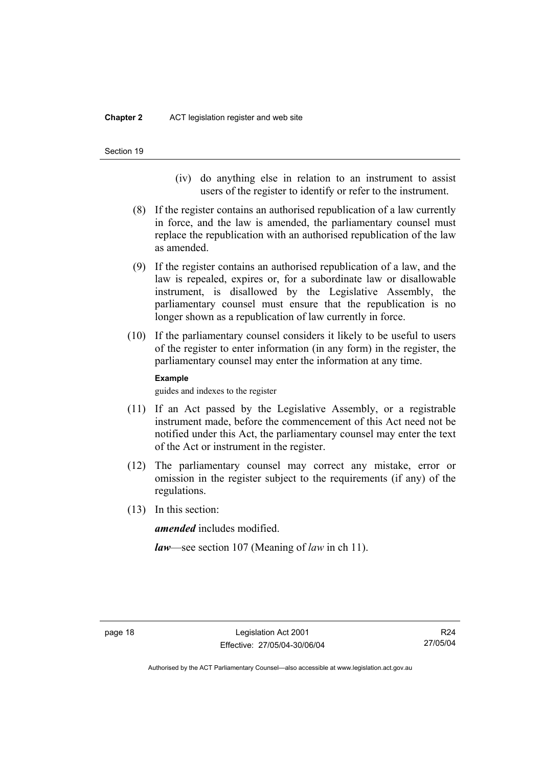- (iv) do anything else in relation to an instrument to assist users of the register to identify or refer to the instrument.
- (8) If the register contains an authorised republication of a law currently in force, and the law is amended, the parliamentary counsel must replace the republication with an authorised republication of the law as amended.
- (9) If the register contains an authorised republication of a law, and the law is repealed, expires or, for a subordinate law or disallowable instrument, is disallowed by the Legislative Assembly, the parliamentary counsel must ensure that the republication is no longer shown as a republication of law currently in force.
- (10) If the parliamentary counsel considers it likely to be useful to users of the register to enter information (in any form) in the register, the parliamentary counsel may enter the information at any time.

### **Example**

guides and indexes to the register

- (11) If an Act passed by the Legislative Assembly, or a registrable instrument made, before the commencement of this Act need not be notified under this Act, the parliamentary counsel may enter the text of the Act or instrument in the register.
- (12) The parliamentary counsel may correct any mistake, error or omission in the register subject to the requirements (if any) of the regulations.
- (13) In this section:

*amended* includes modified.

*law*—see section 107 (Meaning of *law* in ch 11).

R24 27/05/04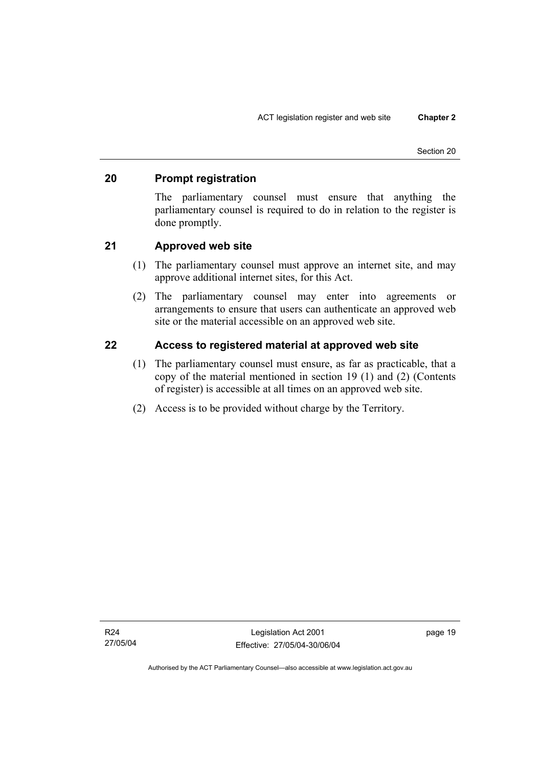## **20 Prompt registration**

The parliamentary counsel must ensure that anything the parliamentary counsel is required to do in relation to the register is done promptly.

## **21 Approved web site**

- (1) The parliamentary counsel must approve an internet site, and may approve additional internet sites, for this Act.
- (2) The parliamentary counsel may enter into agreements or arrangements to ensure that users can authenticate an approved web site or the material accessible on an approved web site.

## **22 Access to registered material at approved web site**

- (1) The parliamentary counsel must ensure, as far as practicable, that a copy of the material mentioned in section 19 (1) and (2) (Contents of register) is accessible at all times on an approved web site.
- (2) Access is to be provided without charge by the Territory.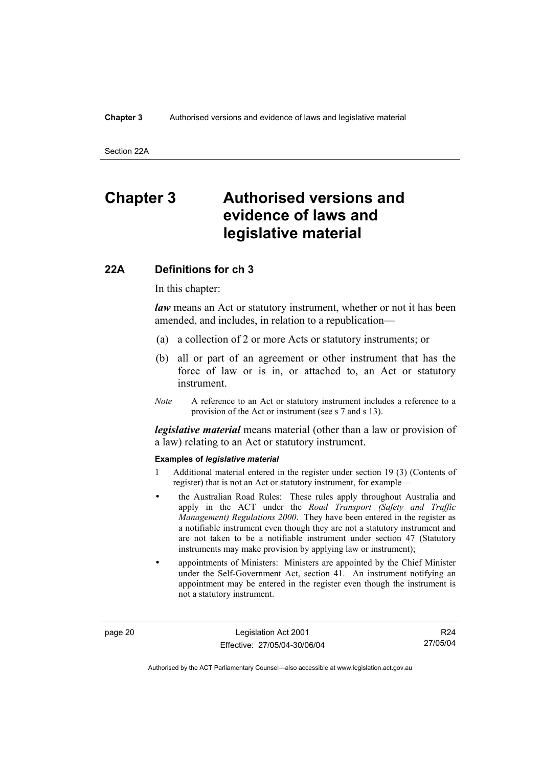Section 22A

# **Chapter 3 Authorised versions and evidence of laws and legislative material**

### **22A Definitions for ch 3**

In this chapter:

*law* means an Act or statutory instrument, whether or not it has been amended, and includes, in relation to a republication—

- (a) a collection of 2 or more Acts or statutory instruments; or
- (b) all or part of an agreement or other instrument that has the force of law or is in, or attached to, an Act or statutory instrument.
- *Note* A reference to an Act or statutory instrument includes a reference to a provision of the Act or instrument (see s 7 and s 13).

*legislative material* means material (other than a law or provision of a law) relating to an Act or statutory instrument.

### **Examples of** *legislative material*

- 1 Additional material entered in the register under section 19 (3) (Contents of register) that is not an Act or statutory instrument, for example—
- the Australian Road Rules: These rules apply throughout Australia and apply in the ACT under the *Road Transport (Safety and Traffic Management) Regulations 2000*. They have been entered in the register as a notifiable instrument even though they are not a statutory instrument and are not taken to be a notifiable instrument under section 47 (Statutory instruments may make provision by applying law or instrument);
- appointments of Ministers: Ministers are appointed by the Chief Minister under the Self-Government Act, section 41. An instrument notifying an appointment may be entered in the register even though the instrument is not a statutory instrument.

page 20 Legislation Act 2001 Effective: 27/05/04-30/06/04

R24 27/05/04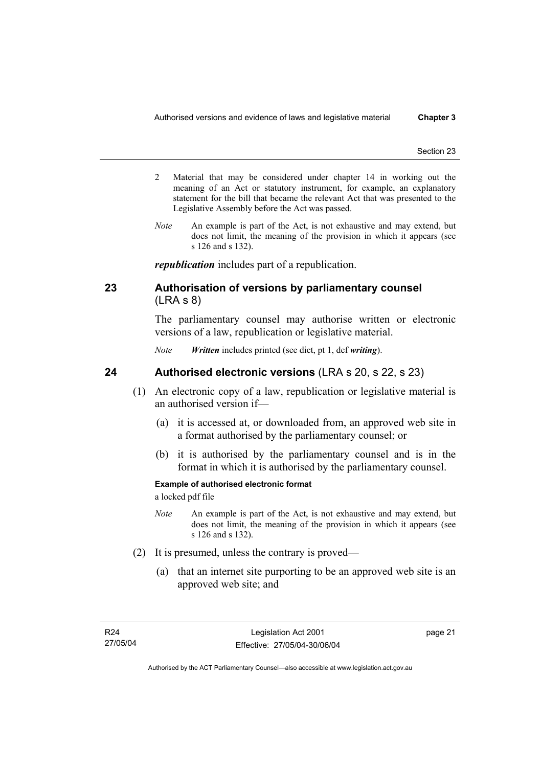- 2 Material that may be considered under chapter 14 in working out the meaning of an Act or statutory instrument, for example, an explanatory statement for the bill that became the relevant Act that was presented to the Legislative Assembly before the Act was passed.
- *Note* An example is part of the Act, is not exhaustive and may extend, but does not limit, the meaning of the provision in which it appears (see s 126 and s 132).

*republication* includes part of a republication.

# **23 Authorisation of versions by parliamentary counsel**  (LRA s 8)

The parliamentary counsel may authorise written or electronic versions of a law, republication or legislative material.

*Note Written* includes printed (see dict, pt 1, def *writing*).

## **24 Authorised electronic versions** (LRA s 20, s 22, s 23)

- (1) An electronic copy of a law, republication or legislative material is an authorised version if—
	- (a) it is accessed at, or downloaded from, an approved web site in a format authorised by the parliamentary counsel; or
	- (b) it is authorised by the parliamentary counsel and is in the format in which it is authorised by the parliamentary counsel.

### **Example of authorised electronic format**

a locked pdf file

- *Note* An example is part of the Act, is not exhaustive and may extend, but does not limit, the meaning of the provision in which it appears (see s 126 and s 132).
- (2) It is presumed, unless the contrary is proved—
	- (a) that an internet site purporting to be an approved web site is an approved web site; and

page 21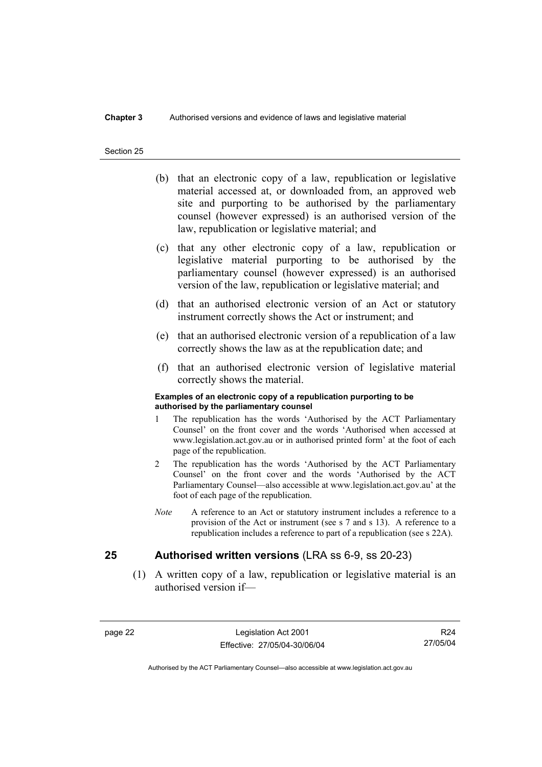### **Chapter 3** Authorised versions and evidence of laws and legislative material

#### Section 25

- (b) that an electronic copy of a law, republication or legislative material accessed at, or downloaded from, an approved web site and purporting to be authorised by the parliamentary counsel (however expressed) is an authorised version of the law, republication or legislative material; and
- (c) that any other electronic copy of a law, republication or legislative material purporting to be authorised by the parliamentary counsel (however expressed) is an authorised version of the law, republication or legislative material; and
- (d) that an authorised electronic version of an Act or statutory instrument correctly shows the Act or instrument; and
- (e) that an authorised electronic version of a republication of a law correctly shows the law as at the republication date; and
- (f) that an authorised electronic version of legislative material correctly shows the material.

#### **Examples of an electronic copy of a republication purporting to be authorised by the parliamentary counsel**

- 1 The republication has the words 'Authorised by the ACT Parliamentary Counsel' on the front cover and the words 'Authorised when accessed at www.legislation.act.gov.au or in authorised printed form' at the foot of each page of the republication.
- 2 The republication has the words 'Authorised by the ACT Parliamentary Counsel' on the front cover and the words 'Authorised by the ACT Parliamentary Counsel—also accessible at www.legislation.act.gov.au' at the foot of each page of the republication.
- *Note* A reference to an Act or statutory instrument includes a reference to a provision of the Act or instrument (see s 7 and s 13). A reference to a republication includes a reference to part of a republication (see s 22A).

### **25 Authorised written versions** (LRA ss 6-9, ss 20-23)

 (1) A written copy of a law, republication or legislative material is an authorised version if—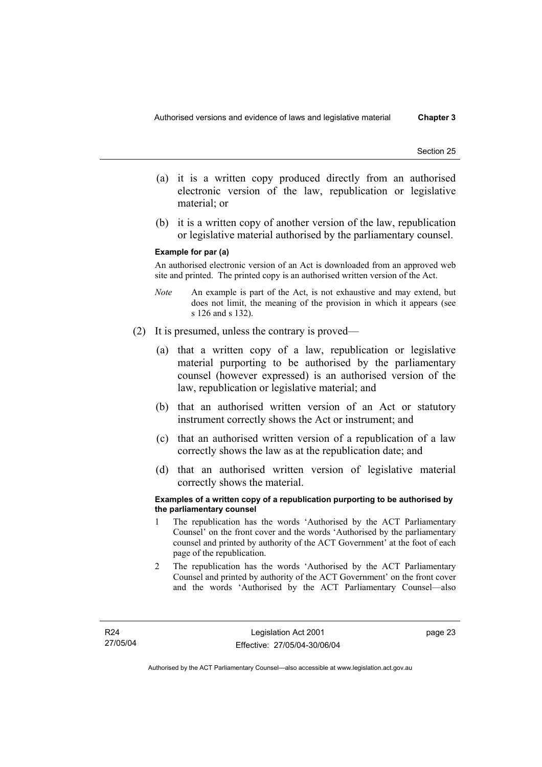- (a) it is a written copy produced directly from an authorised electronic version of the law, republication or legislative material; or
- (b) it is a written copy of another version of the law, republication or legislative material authorised by the parliamentary counsel.

#### **Example for par (a)**

An authorised electronic version of an Act is downloaded from an approved web site and printed. The printed copy is an authorised written version of the Act.

- *Note* An example is part of the Act, is not exhaustive and may extend, but does not limit, the meaning of the provision in which it appears (see s 126 and s 132).
- (2) It is presumed, unless the contrary is proved—
	- (a) that a written copy of a law, republication or legislative material purporting to be authorised by the parliamentary counsel (however expressed) is an authorised version of the law, republication or legislative material; and
	- (b) that an authorised written version of an Act or statutory instrument correctly shows the Act or instrument; and
	- (c) that an authorised written version of a republication of a law correctly shows the law as at the republication date; and
	- (d) that an authorised written version of legislative material correctly shows the material.

#### **Examples of a written copy of a republication purporting to be authorised by the parliamentary counsel**

- 1 The republication has the words 'Authorised by the ACT Parliamentary Counsel' on the front cover and the words 'Authorised by the parliamentary counsel and printed by authority of the ACT Government' at the foot of each page of the republication.
- 2 The republication has the words 'Authorised by the ACT Parliamentary Counsel and printed by authority of the ACT Government' on the front cover and the words 'Authorised by the ACT Parliamentary Counsel—also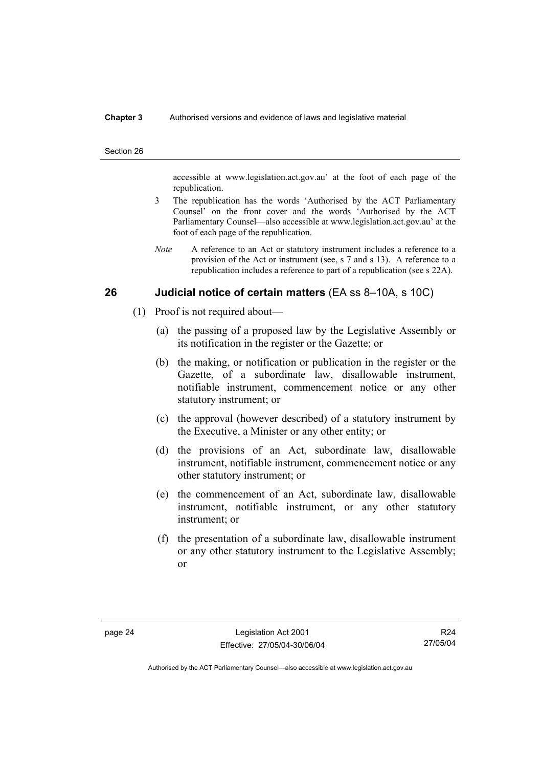### **Chapter 3** Authorised versions and evidence of laws and legislative material

#### Section 26

accessible at www.legislation.act.gov.au' at the foot of each page of the republication.

- 3 The republication has the words 'Authorised by the ACT Parliamentary Counsel' on the front cover and the words 'Authorised by the ACT Parliamentary Counsel—also accessible at www.legislation.act.gov.au' at the foot of each page of the republication.
- *Note* A reference to an Act or statutory instrument includes a reference to a provision of the Act or instrument (see, s 7 and s 13). A reference to a republication includes a reference to part of a republication (see s 22A).

# **26 Judicial notice of certain matters** (EA ss 8–10A, s 10C)

- (1) Proof is not required about—
	- (a) the passing of a proposed law by the Legislative Assembly or its notification in the register or the Gazette; or
	- (b) the making, or notification or publication in the register or the Gazette, of a subordinate law, disallowable instrument, notifiable instrument, commencement notice or any other statutory instrument; or
	- (c) the approval (however described) of a statutory instrument by the Executive, a Minister or any other entity; or
	- (d) the provisions of an Act, subordinate law, disallowable instrument, notifiable instrument, commencement notice or any other statutory instrument; or
	- (e) the commencement of an Act, subordinate law, disallowable instrument, notifiable instrument, or any other statutory instrument; or
	- (f) the presentation of a subordinate law, disallowable instrument or any other statutory instrument to the Legislative Assembly; or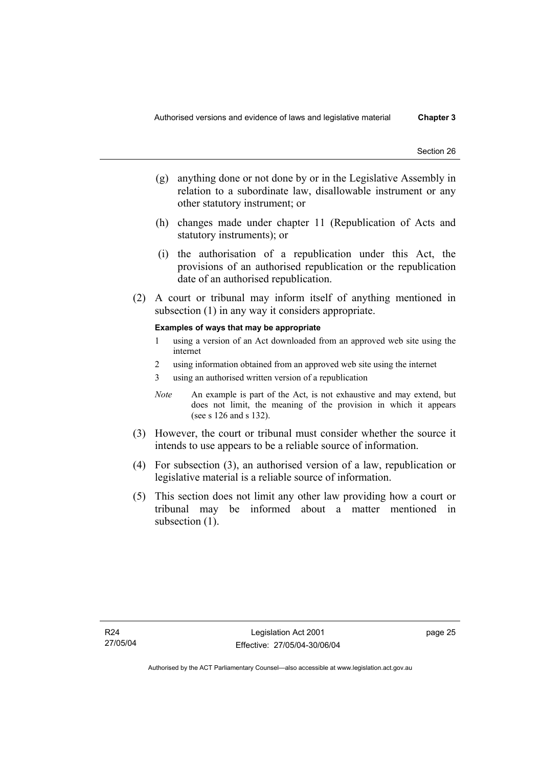- (g) anything done or not done by or in the Legislative Assembly in relation to a subordinate law, disallowable instrument or any other statutory instrument; or
- (h) changes made under chapter 11 (Republication of Acts and statutory instruments); or
- (i) the authorisation of a republication under this Act, the provisions of an authorised republication or the republication date of an authorised republication.
- (2) A court or tribunal may inform itself of anything mentioned in subsection (1) in any way it considers appropriate.

#### **Examples of ways that may be appropriate**

- 1 using a version of an Act downloaded from an approved web site using the internet
- 2 using information obtained from an approved web site using the internet
- 3 using an authorised written version of a republication
- *Note* An example is part of the Act, is not exhaustive and may extend, but does not limit, the meaning of the provision in which it appears (see s 126 and s 132).
- (3) However, the court or tribunal must consider whether the source it intends to use appears to be a reliable source of information.
- (4) For subsection (3), an authorised version of a law, republication or legislative material is a reliable source of information.
- (5) This section does not limit any other law providing how a court or tribunal may be informed about a matter mentioned in subsection (1).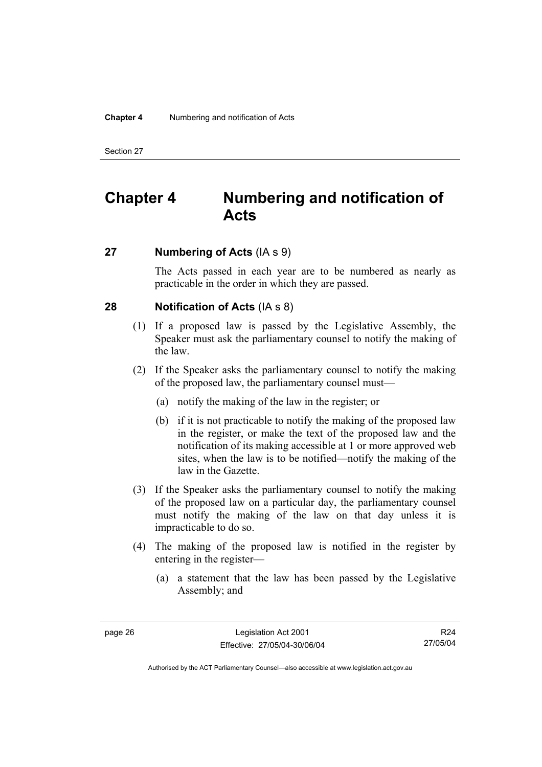# **Chapter 4 Numbering and notification of Acts**

# **27 Numbering of Acts** (IA s 9)

The Acts passed in each year are to be numbered as nearly as practicable in the order in which they are passed.

# **28 Notification of Acts** (IA s 8)

- (1) If a proposed law is passed by the Legislative Assembly, the Speaker must ask the parliamentary counsel to notify the making of the law.
- (2) If the Speaker asks the parliamentary counsel to notify the making of the proposed law, the parliamentary counsel must—
	- (a) notify the making of the law in the register; or
	- (b) if it is not practicable to notify the making of the proposed law in the register, or make the text of the proposed law and the notification of its making accessible at 1 or more approved web sites, when the law is to be notified—notify the making of the law in the Gazette.
- (3) If the Speaker asks the parliamentary counsel to notify the making of the proposed law on a particular day, the parliamentary counsel must notify the making of the law on that day unless it is impracticable to do so.
- (4) The making of the proposed law is notified in the register by entering in the register—
	- (a) a statement that the law has been passed by the Legislative Assembly; and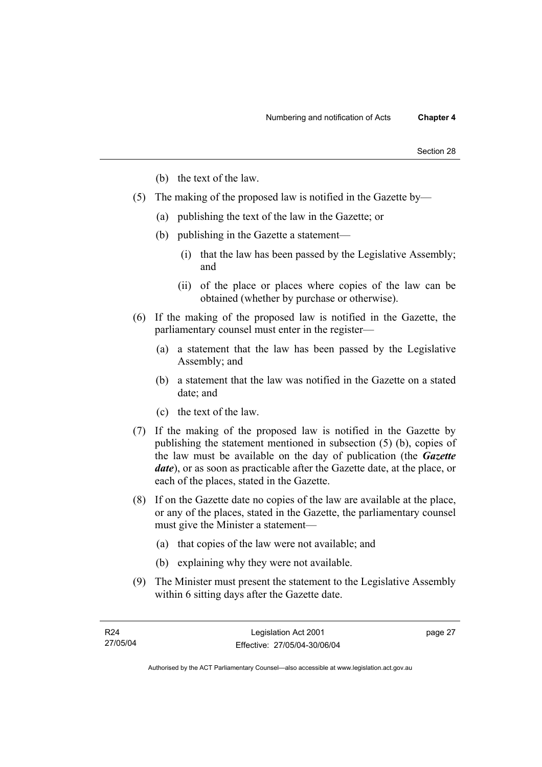- (b) the text of the law.
- (5) The making of the proposed law is notified in the Gazette by—
	- (a) publishing the text of the law in the Gazette; or
	- (b) publishing in the Gazette a statement—
		- (i) that the law has been passed by the Legislative Assembly; and
		- (ii) of the place or places where copies of the law can be obtained (whether by purchase or otherwise).
- (6) If the making of the proposed law is notified in the Gazette, the parliamentary counsel must enter in the register—
	- (a) a statement that the law has been passed by the Legislative Assembly; and
	- (b) a statement that the law was notified in the Gazette on a stated date; and
	- (c) the text of the law.
- (7) If the making of the proposed law is notified in the Gazette by publishing the statement mentioned in subsection (5) (b), copies of the law must be available on the day of publication (the *Gazette date*), or as soon as practicable after the Gazette date, at the place, or each of the places, stated in the Gazette.
- (8) If on the Gazette date no copies of the law are available at the place, or any of the places, stated in the Gazette, the parliamentary counsel must give the Minister a statement—
	- (a) that copies of the law were not available; and
	- (b) explaining why they were not available.
- (9) The Minister must present the statement to the Legislative Assembly within 6 sitting days after the Gazette date.

page 27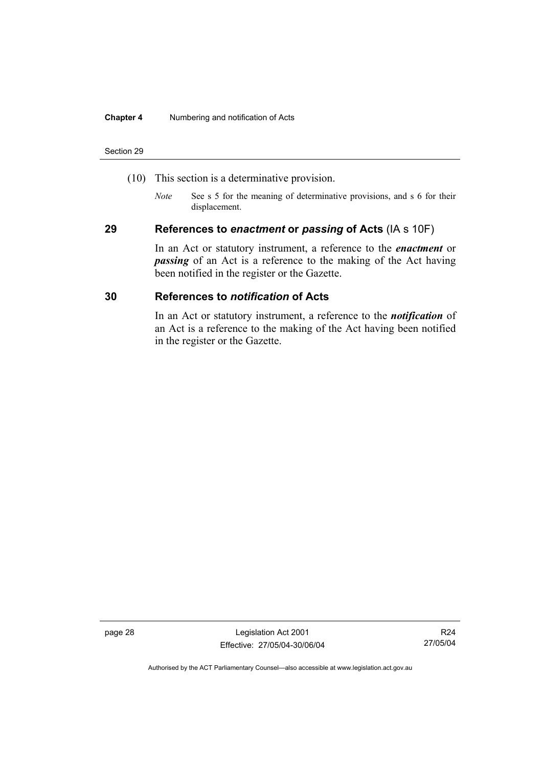#### **Chapter 4** Numbering and notification of Acts

#### Section 29

- (10) This section is a determinative provision.
	- *Note* See s 5 for the meaning of determinative provisions, and s 6 for their displacement.

### **29 References to** *enactment* **or** *passing* **of Acts** (IA s 10F)

In an Act or statutory instrument, a reference to the *enactment* or *passing* of an Act is a reference to the making of the Act having been notified in the register or the Gazette.

# **30 References to** *notification* **of Acts**

In an Act or statutory instrument, a reference to the *notification* of an Act is a reference to the making of the Act having been notified in the register or the Gazette.

page 28 Legislation Act 2001 Effective: 27/05/04-30/06/04

R24 27/05/04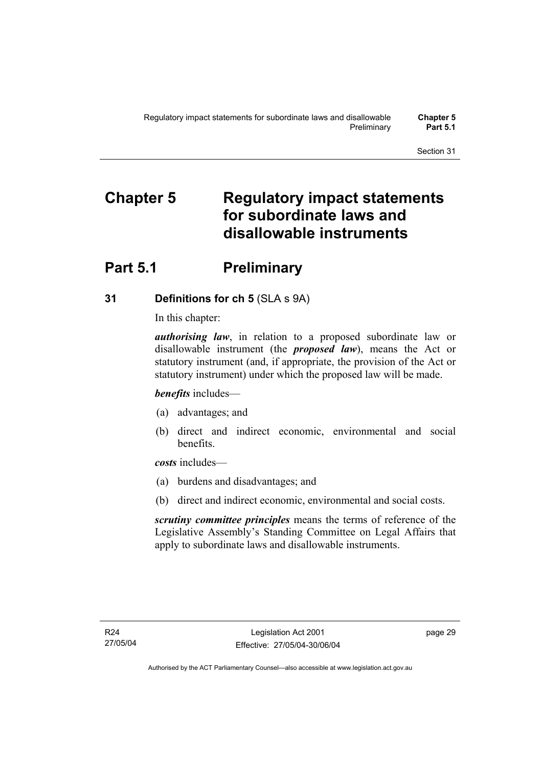# **Chapter 5 Regulatory impact statements for subordinate laws and disallowable instruments**

# **Part 5.1** Preliminary

# **31 Definitions for ch 5** (SLA s 9A)

In this chapter:

*authorising law*, in relation to a proposed subordinate law or disallowable instrument (the *proposed law*), means the Act or statutory instrument (and, if appropriate, the provision of the Act or statutory instrument) under which the proposed law will be made.

*benefits* includes—

- (a) advantages; and
- (b) direct and indirect economic, environmental and social benefits.

*costs* includes—

- (a) burdens and disadvantages; and
- (b) direct and indirect economic, environmental and social costs.

*scrutiny committee principles* means the terms of reference of the Legislative Assembly's Standing Committee on Legal Affairs that apply to subordinate laws and disallowable instruments.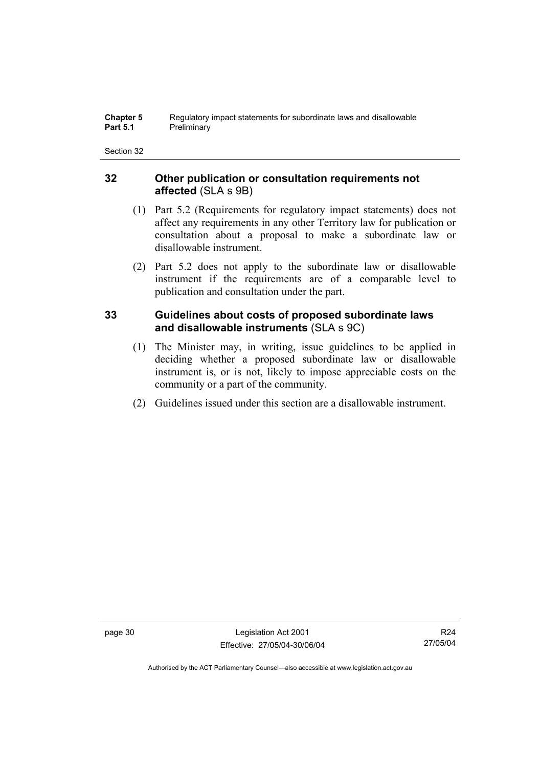#### **Chapter 5** Regulatory impact statements for subordinate laws and disallowable<br>**Part 5.1** Preliminary **Preliminary**

# **32 Other publication or consultation requirements not affected** (SLA s 9B)

- (1) Part 5.2 (Requirements for regulatory impact statements) does not affect any requirements in any other Territory law for publication or consultation about a proposal to make a subordinate law or disallowable instrument.
- (2) Part 5.2 does not apply to the subordinate law or disallowable instrument if the requirements are of a comparable level to publication and consultation under the part.

# **33 Guidelines about costs of proposed subordinate laws and disallowable instruments** (SLA s 9C)

- (1) The Minister may, in writing, issue guidelines to be applied in deciding whether a proposed subordinate law or disallowable instrument is, or is not, likely to impose appreciable costs on the community or a part of the community.
- (2) Guidelines issued under this section are a disallowable instrument.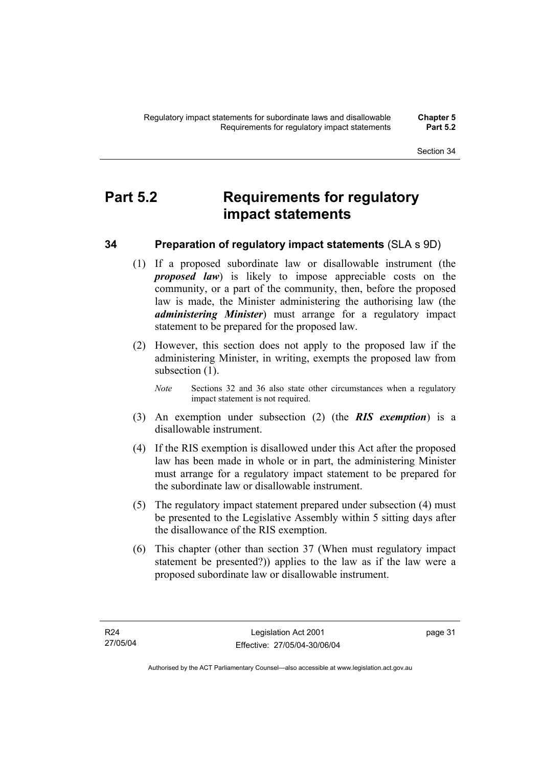# **Part 5.2 Requirements for regulatory impact statements**

# **34 Preparation of regulatory impact statements** (SLA s 9D)

- (1) If a proposed subordinate law or disallowable instrument (the *proposed law*) is likely to impose appreciable costs on the community, or a part of the community, then, before the proposed law is made, the Minister administering the authorising law (the *administering Minister*) must arrange for a regulatory impact statement to be prepared for the proposed law.
- (2) However, this section does not apply to the proposed law if the administering Minister, in writing, exempts the proposed law from subsection  $(1)$ .
	- *Note* Sections 32 and 36 also state other circumstances when a regulatory impact statement is not required.
- (3) An exemption under subsection (2) (the *RIS exemption*) is a disallowable instrument.
- (4) If the RIS exemption is disallowed under this Act after the proposed law has been made in whole or in part, the administering Minister must arrange for a regulatory impact statement to be prepared for the subordinate law or disallowable instrument.
- (5) The regulatory impact statement prepared under subsection (4) must be presented to the Legislative Assembly within 5 sitting days after the disallowance of the RIS exemption.
- (6) This chapter (other than section 37 (When must regulatory impact statement be presented?)) applies to the law as if the law were a proposed subordinate law or disallowable instrument.

page 31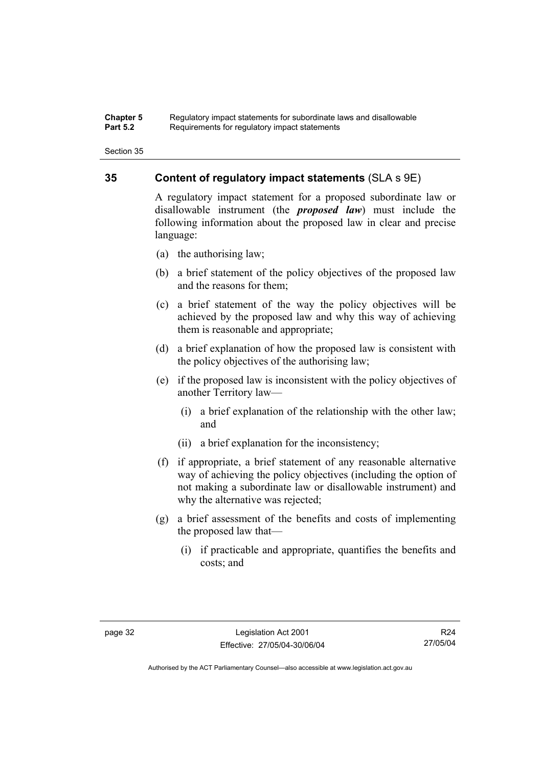#### **Chapter 5** Regulatory impact statements for subordinate laws and disallowable<br>**Part 5.2** Requirements for requistory impact statements Requirements for regulatory impact statements

# **35 Content of regulatory impact statements** (SLA s 9E)

A regulatory impact statement for a proposed subordinate law or disallowable instrument (the *proposed law*) must include the following information about the proposed law in clear and precise language:

- (a) the authorising law;
- (b) a brief statement of the policy objectives of the proposed law and the reasons for them;
- (c) a brief statement of the way the policy objectives will be achieved by the proposed law and why this way of achieving them is reasonable and appropriate;
- (d) a brief explanation of how the proposed law is consistent with the policy objectives of the authorising law;
- (e) if the proposed law is inconsistent with the policy objectives of another Territory law—
	- (i) a brief explanation of the relationship with the other law; and
	- (ii) a brief explanation for the inconsistency;
- (f) if appropriate, a brief statement of any reasonable alternative way of achieving the policy objectives (including the option of not making a subordinate law or disallowable instrument) and why the alternative was rejected;
- (g) a brief assessment of the benefits and costs of implementing the proposed law that—
	- (i) if practicable and appropriate, quantifies the benefits and costs; and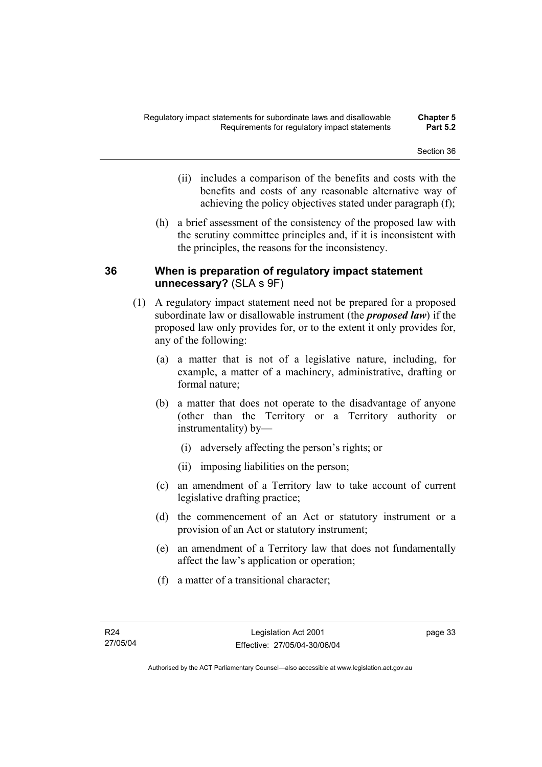- (ii) includes a comparison of the benefits and costs with the benefits and costs of any reasonable alternative way of achieving the policy objectives stated under paragraph (f);
- (h) a brief assessment of the consistency of the proposed law with the scrutiny committee principles and, if it is inconsistent with the principles, the reasons for the inconsistency.

# **36 When is preparation of regulatory impact statement unnecessary?** (SLA s 9F)

- (1) A regulatory impact statement need not be prepared for a proposed subordinate law or disallowable instrument (the *proposed law*) if the proposed law only provides for, or to the extent it only provides for, any of the following:
	- (a) a matter that is not of a legislative nature, including, for example, a matter of a machinery, administrative, drafting or formal nature;
	- (b) a matter that does not operate to the disadvantage of anyone (other than the Territory or a Territory authority or instrumentality) by—
		- (i) adversely affecting the person's rights; or
		- (ii) imposing liabilities on the person;
	- (c) an amendment of a Territory law to take account of current legislative drafting practice;
	- (d) the commencement of an Act or statutory instrument or a provision of an Act or statutory instrument;
	- (e) an amendment of a Territory law that does not fundamentally affect the law's application or operation;
	- (f) a matter of a transitional character;

page 33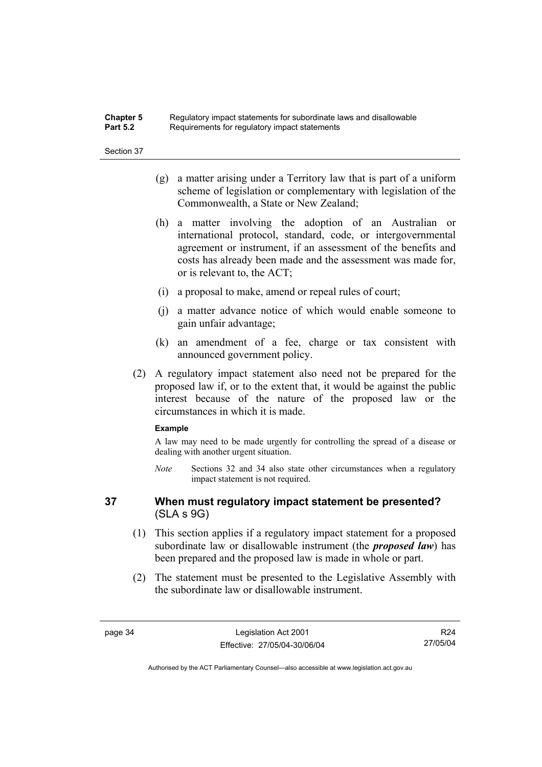### **Chapter 5** Regulatory impact statements for subordinate laws and disallowable<br>**Part 5.2** Requirements for requistory impact statements Requirements for regulatory impact statements

Section 37

- (g) a matter arising under a Territory law that is part of a uniform scheme of legislation or complementary with legislation of the Commonwealth, a State or New Zealand;
- (h) a matter involving the adoption of an Australian or international protocol, standard, code, or intergovernmental agreement or instrument, if an assessment of the benefits and costs has already been made and the assessment was made for, or is relevant to, the ACT;
- (i) a proposal to make, amend or repeal rules of court;
- (j) a matter advance notice of which would enable someone to gain unfair advantage;
- (k) an amendment of a fee, charge or tax consistent with announced government policy.
- (2) A regulatory impact statement also need not be prepared for the proposed law if, or to the extent that, it would be against the public interest because of the nature of the proposed law or the circumstances in which it is made.

#### **Example**

A law may need to be made urgently for controlling the spread of a disease or dealing with another urgent situation.

*Note* Sections 32 and 34 also state other circumstances when a regulatory impact statement is not required.

# **37 When must regulatory impact statement be presented?**  (SLA s 9G)

- (1) This section applies if a regulatory impact statement for a proposed subordinate law or disallowable instrument (the *proposed law*) has been prepared and the proposed law is made in whole or part.
- (2) The statement must be presented to the Legislative Assembly with the subordinate law or disallowable instrument.

R24 27/05/04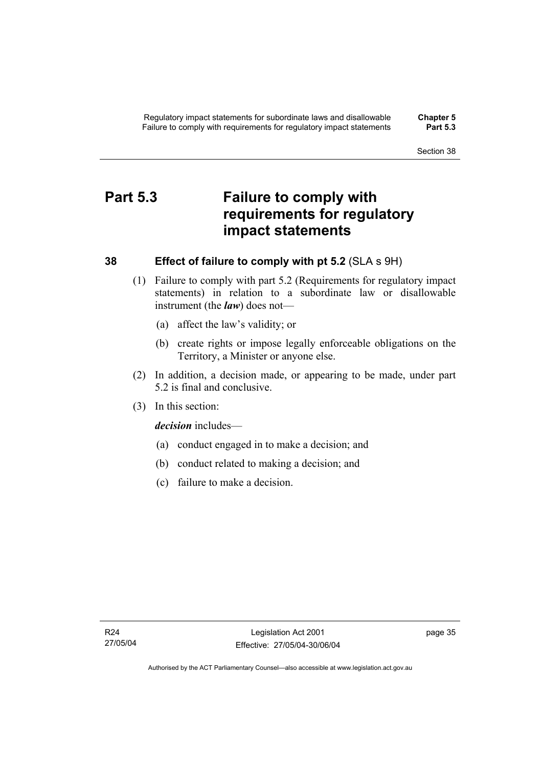# **Part 5.3 Failure to comply with requirements for regulatory impact statements**

# **38 Effect of failure to comply with pt 5.2** (SLA s 9H)

- (1) Failure to comply with part 5.2 (Requirements for regulatory impact statements) in relation to a subordinate law or disallowable instrument (the *law*) does not—
	- (a) affect the law's validity; or
	- (b) create rights or impose legally enforceable obligations on the Territory, a Minister or anyone else.
- (2) In addition, a decision made, or appearing to be made, under part 5.2 is final and conclusive.
- (3) In this section:

*decision* includes—

- (a) conduct engaged in to make a decision; and
- (b) conduct related to making a decision; and
- (c) failure to make a decision.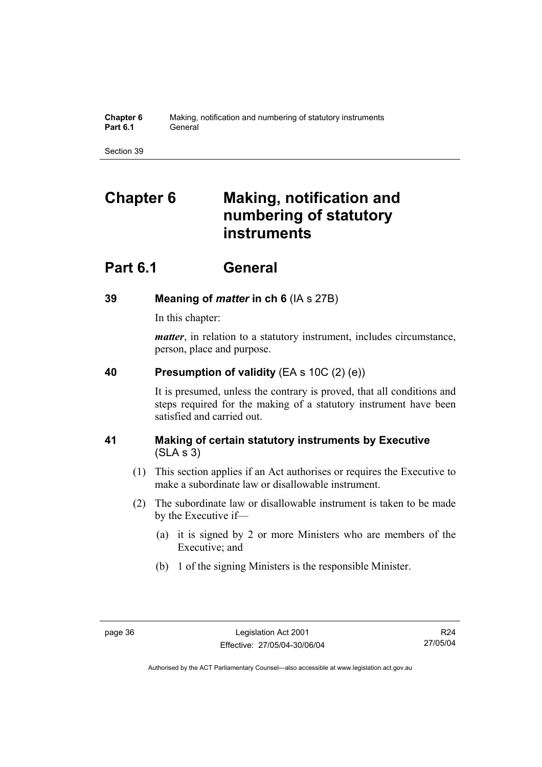| <b>Chapter 6</b> | Making, notification and numbering of statutory instruments |
|------------------|-------------------------------------------------------------|
| <b>Part 6.1</b>  | General                                                     |

# **Chapter 6 Making, notification and numbering of statutory instruments**

# **Part 6.1 General**

# **39 Meaning of** *matter* **in ch 6** (IA s 27B)

In this chapter:

*matter*, in relation to a statutory instrument, includes circumstance, person, place and purpose.

# **40 Presumption of validity** (EA s 10C (2) (e))

It is presumed, unless the contrary is proved, that all conditions and steps required for the making of a statutory instrument have been satisfied and carried out.

# **41 Making of certain statutory instruments by Executive**  (SLA s 3)

- (1) This section applies if an Act authorises or requires the Executive to make a subordinate law or disallowable instrument.
- (2) The subordinate law or disallowable instrument is taken to be made by the Executive if—
	- (a) it is signed by 2 or more Ministers who are members of the Executive; and
	- (b) 1 of the signing Ministers is the responsible Minister.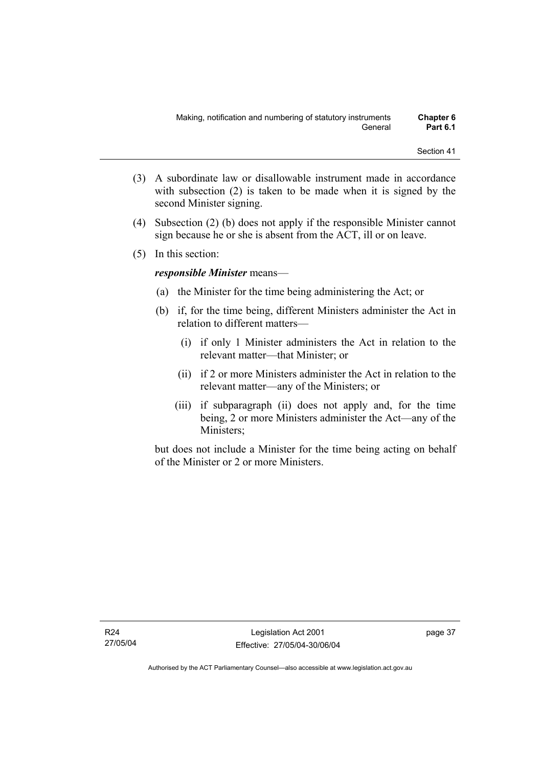- (3) A subordinate law or disallowable instrument made in accordance with subsection (2) is taken to be made when it is signed by the second Minister signing.
- (4) Subsection (2) (b) does not apply if the responsible Minister cannot sign because he or she is absent from the ACT, ill or on leave.
- (5) In this section:

## *responsible Minister* means—

- (a) the Minister for the time being administering the Act; or
- (b) if, for the time being, different Ministers administer the Act in relation to different matters—
	- (i) if only 1 Minister administers the Act in relation to the relevant matter—that Minister; or
	- (ii) if 2 or more Ministers administer the Act in relation to the relevant matter—any of the Ministers; or
	- (iii) if subparagraph (ii) does not apply and, for the time being, 2 or more Ministers administer the Act—any of the Ministers;

but does not include a Minister for the time being acting on behalf of the Minister or 2 or more Ministers.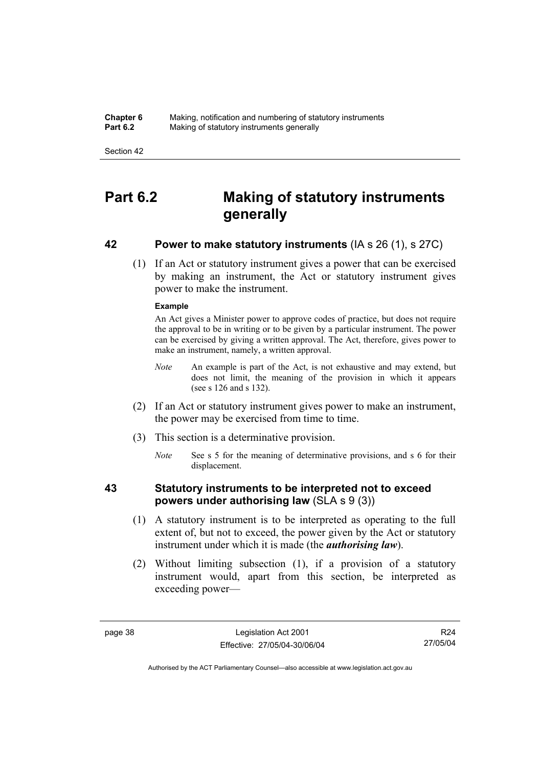**Chapter 6** Making, notification and numbering of statutory instruments<br>**Part 6.2** Making of statutory instruments generally **Making of statutory instruments generally** 

Section 42

# **Part 6.2 Making of statutory instruments generally**

# **42 Power to make statutory instruments** (IA s 26 (1), s 27C)

 (1) If an Act or statutory instrument gives a power that can be exercised by making an instrument, the Act or statutory instrument gives power to make the instrument.

#### **Example**

An Act gives a Minister power to approve codes of practice, but does not require the approval to be in writing or to be given by a particular instrument. The power can be exercised by giving a written approval. The Act, therefore, gives power to make an instrument, namely, a written approval.

- *Note* An example is part of the Act, is not exhaustive and may extend, but does not limit, the meaning of the provision in which it appears (see s 126 and s 132).
- (2) If an Act or statutory instrument gives power to make an instrument, the power may be exercised from time to time.
- (3) This section is a determinative provision.
	- *Note* See s 5 for the meaning of determinative provisions, and s 6 for their displacement.

# **43 Statutory instruments to be interpreted not to exceed powers under authorising law** (SLA s 9 (3))

- (1) A statutory instrument is to be interpreted as operating to the full extent of, but not to exceed, the power given by the Act or statutory instrument under which it is made (the *authorising law*).
- (2) Without limiting subsection (1), if a provision of a statutory instrument would, apart from this section, be interpreted as exceeding power—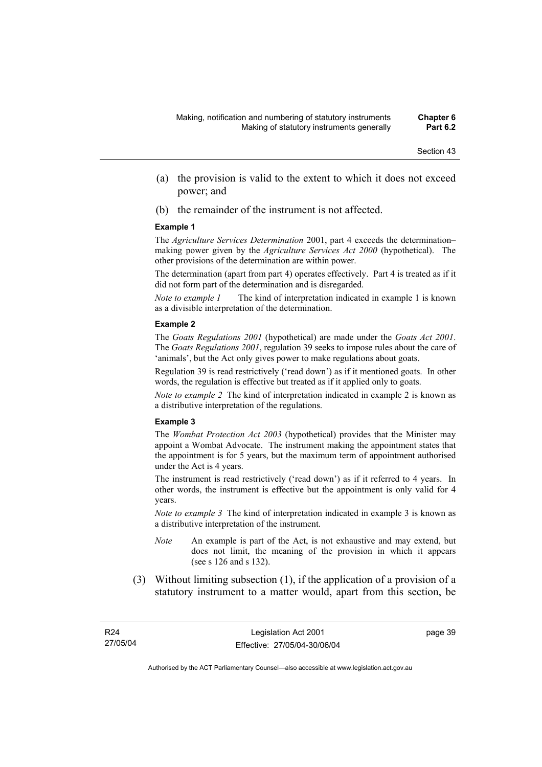- (a) the provision is valid to the extent to which it does not exceed power; and
- (b) the remainder of the instrument is not affected.

#### **Example 1**

The *Agriculture Services Determination* 2001, part 4 exceeds the determination– making power given by the *Agriculture Services Act 2000* (hypothetical). The other provisions of the determination are within power.

The determination (apart from part 4) operates effectively. Part 4 is treated as if it did not form part of the determination and is disregarded.

*Note to example 1* The kind of interpretation indicated in example 1 is known as a divisible interpretation of the determination.

#### **Example 2**

The *Goats Regulations 2001* (hypothetical) are made under the *Goats Act 2001*. The *Goats Regulations 2001*, regulation 39 seeks to impose rules about the care of 'animals', but the Act only gives power to make regulations about goats.

Regulation 39 is read restrictively ('read down') as if it mentioned goats. In other words, the regulation is effective but treated as if it applied only to goats.

*Note to example 2* The kind of interpretation indicated in example 2 is known as a distributive interpretation of the regulations.

#### **Example 3**

The *Wombat Protection Act 2003* (hypothetical) provides that the Minister may appoint a Wombat Advocate. The instrument making the appointment states that the appointment is for 5 years, but the maximum term of appointment authorised under the Act is 4 years.

The instrument is read restrictively ('read down') as if it referred to 4 years. In other words, the instrument is effective but the appointment is only valid for 4 years.

*Note to example 3* The kind of interpretation indicated in example 3 is known as a distributive interpretation of the instrument.

- *Note* An example is part of the Act, is not exhaustive and may extend, but does not limit, the meaning of the provision in which it appears (see s 126 and s 132).
- (3) Without limiting subsection (1), if the application of a provision of a statutory instrument to a matter would, apart from this section, be

page 39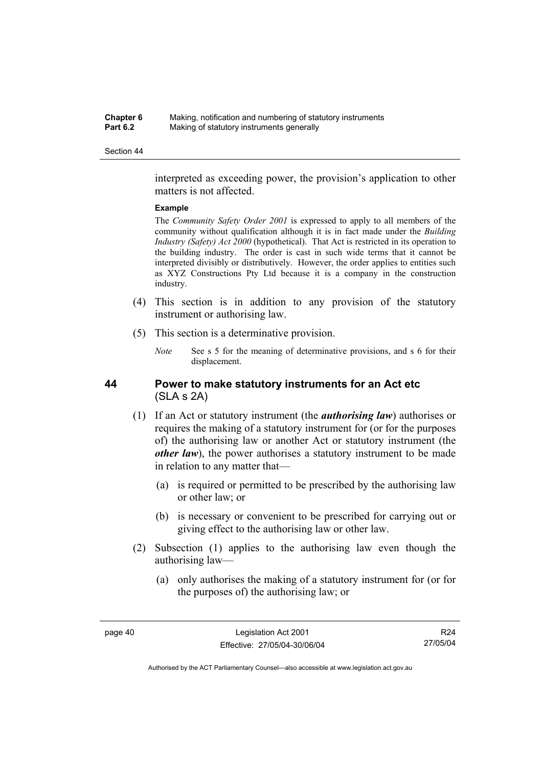#### **Chapter 6** Making, notification and numbering of statutory instruments<br>**Part 6.2** Making of statutory instruments generally **Making of statutory instruments generally**

#### Section 44

interpreted as exceeding power, the provision's application to other matters is not affected.

#### **Example**

The *Community Safety Order 2001* is expressed to apply to all members of the community without qualification although it is in fact made under the *Building Industry (Safety) Act 2000* (hypothetical). That Act is restricted in its operation to the building industry. The order is cast in such wide terms that it cannot be interpreted divisibly or distributively. However, the order applies to entities such as XYZ Constructions Pty Ltd because it is a company in the construction industry.

- (4) This section is in addition to any provision of the statutory instrument or authorising law.
- (5) This section is a determinative provision.
	- *Note* See s 5 for the meaning of determinative provisions, and s 6 for their displacement.

# **44 Power to make statutory instruments for an Act etc**  (SLA s 2A)

- (1) If an Act or statutory instrument (the *authorising law*) authorises or requires the making of a statutory instrument for (or for the purposes of) the authorising law or another Act or statutory instrument (the *other law*), the power authorises a statutory instrument to be made in relation to any matter that—
	- (a) is required or permitted to be prescribed by the authorising law or other law; or
	- (b) is necessary or convenient to be prescribed for carrying out or giving effect to the authorising law or other law.
- (2) Subsection (1) applies to the authorising law even though the authorising law—
	- (a) only authorises the making of a statutory instrument for (or for the purposes of) the authorising law; or

R24 27/05/04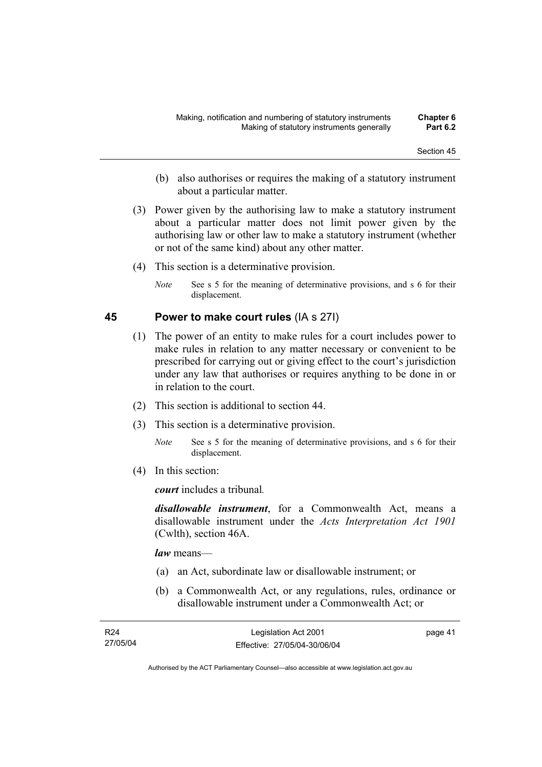- (b) also authorises or requires the making of a statutory instrument about a particular matter.
- (3) Power given by the authorising law to make a statutory instrument about a particular matter does not limit power given by the authorising law or other law to make a statutory instrument (whether or not of the same kind) about any other matter.
- (4) This section is a determinative provision.
	- *Note* See s 5 for the meaning of determinative provisions, and s 6 for their displacement.

# **45 Power to make court rules** (IA s 27I)

- (1) The power of an entity to make rules for a court includes power to make rules in relation to any matter necessary or convenient to be prescribed for carrying out or giving effect to the court's jurisdiction under any law that authorises or requires anything to be done in or in relation to the court.
- (2) This section is additional to section 44.
- (3) This section is a determinative provision.
	- *Note* See s 5 for the meaning of determinative provisions, and s 6 for their displacement.
- (4) In this section:

*court* includes a tribunal*.*

*disallowable instrument*, for a Commonwealth Act, means a disallowable instrument under the *Acts Interpretation Act 1901* (Cwlth), section 46A.

*law* means—

- (a) an Act, subordinate law or disallowable instrument; or
- (b) a Commonwealth Act, or any regulations, rules, ordinance or disallowable instrument under a Commonwealth Act; or

| R24      | Legislation Act 2001         | page 41 |
|----------|------------------------------|---------|
| 27/05/04 | Effective: 27/05/04-30/06/04 |         |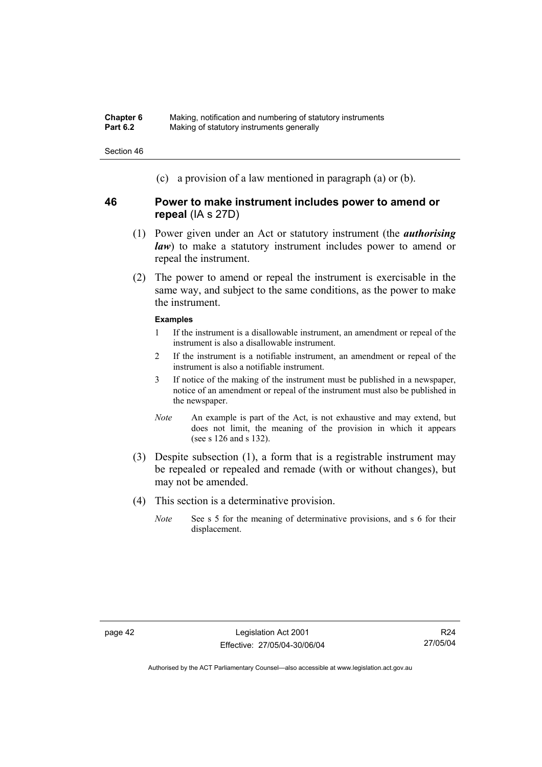(c) a provision of a law mentioned in paragraph (a) or (b).

# **46 Power to make instrument includes power to amend or repeal** (IA s 27D)

- (1) Power given under an Act or statutory instrument (the *authorising law*) to make a statutory instrument includes power to amend or repeal the instrument.
- (2) The power to amend or repeal the instrument is exercisable in the same way, and subject to the same conditions, as the power to make the instrument.

#### **Examples**

- 1 If the instrument is a disallowable instrument, an amendment or repeal of the instrument is also a disallowable instrument.
- 2 If the instrument is a notifiable instrument, an amendment or repeal of the instrument is also a notifiable instrument.
- 3 If notice of the making of the instrument must be published in a newspaper, notice of an amendment or repeal of the instrument must also be published in the newspaper.
- *Note* An example is part of the Act, is not exhaustive and may extend, but does not limit, the meaning of the provision in which it appears (see s 126 and s 132).
- (3) Despite subsection (1), a form that is a registrable instrument may be repealed or repealed and remade (with or without changes), but may not be amended.
- (4) This section is a determinative provision.
	- *Note* See s 5 for the meaning of determinative provisions, and s 6 for their displacement.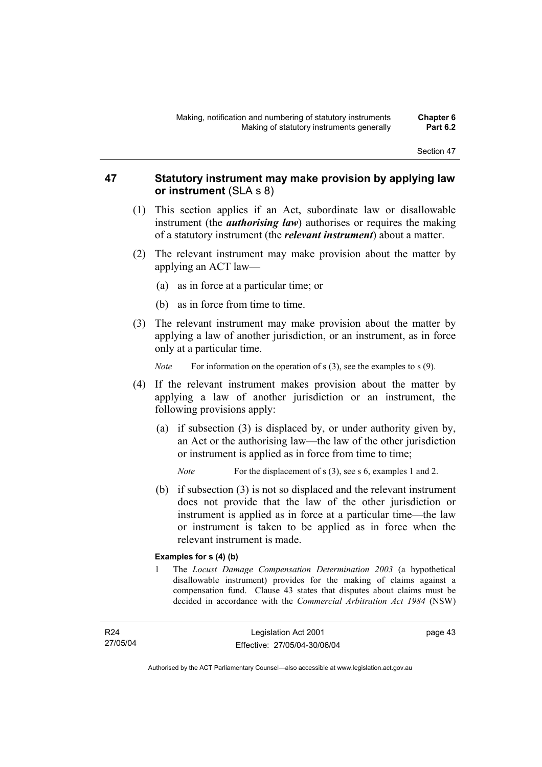# **47 Statutory instrument may make provision by applying law or instrument** (SLA s 8)

- (1) This section applies if an Act, subordinate law or disallowable instrument (the *authorising law*) authorises or requires the making of a statutory instrument (the *relevant instrument*) about a matter.
- (2) The relevant instrument may make provision about the matter by applying an ACT law—
	- (a) as in force at a particular time; or
	- (b) as in force from time to time.
- (3) The relevant instrument may make provision about the matter by applying a law of another jurisdiction, or an instrument, as in force only at a particular time.

*Note* For information on the operation of s (3), see the examples to s (9).

- (4) If the relevant instrument makes provision about the matter by applying a law of another jurisdiction or an instrument, the following provisions apply:
	- (a) if subsection (3) is displaced by, or under authority given by, an Act or the authorising law—the law of the other jurisdiction or instrument is applied as in force from time to time;

*Note* For the displacement of s (3), see s 6, examples 1 and 2.

 (b) if subsection (3) is not so displaced and the relevant instrument does not provide that the law of the other jurisdiction or instrument is applied as in force at a particular time—the law or instrument is taken to be applied as in force when the relevant instrument is made.

#### **Examples for s (4) (b)**

1 The *Locust Damage Compensation Determination 2003* (a hypothetical disallowable instrument) provides for the making of claims against a compensation fund. Clause 43 states that disputes about claims must be decided in accordance with the *Commercial Arbitration Act 1984* (NSW)

R24 27/05/04 page 43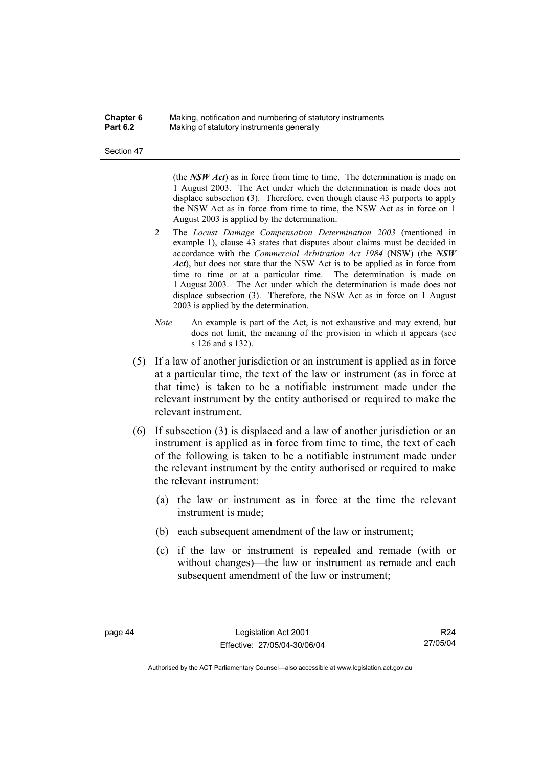#### **Chapter 6** Making, notification and numbering of statutory instruments<br>**Part 6.2** Making of statutory instruments generally **Making of statutory instruments generally**

Section 47

(the *NSW Act*) as in force from time to time. The determination is made on 1 August 2003. The Act under which the determination is made does not displace subsection (3). Therefore, even though clause 43 purports to apply the NSW Act as in force from time to time, the NSW Act as in force on 1 August 2003 is applied by the determination.

- 2 The *Locust Damage Compensation Determination 2003* (mentioned in example 1), clause 43 states that disputes about claims must be decided in accordance with the *Commercial Arbitration Act 1984* (NSW) (the *NSW Act*), but does not state that the NSW Act is to be applied as in force from time to time or at a particular time. The determination is made on 1 August 2003. The Act under which the determination is made does not displace subsection (3). Therefore, the NSW Act as in force on 1 August 2003 is applied by the determination.
- *Note* An example is part of the Act, is not exhaustive and may extend, but does not limit, the meaning of the provision in which it appears (see s 126 and s 132).
- (5) If a law of another jurisdiction or an instrument is applied as in force at a particular time, the text of the law or instrument (as in force at that time) is taken to be a notifiable instrument made under the relevant instrument by the entity authorised or required to make the relevant instrument.
- (6) If subsection (3) is displaced and a law of another jurisdiction or an instrument is applied as in force from time to time, the text of each of the following is taken to be a notifiable instrument made under the relevant instrument by the entity authorised or required to make the relevant instrument:
	- (a) the law or instrument as in force at the time the relevant instrument is made;
	- (b) each subsequent amendment of the law or instrument;
	- (c) if the law or instrument is repealed and remade (with or without changes)—the law or instrument as remade and each subsequent amendment of the law or instrument;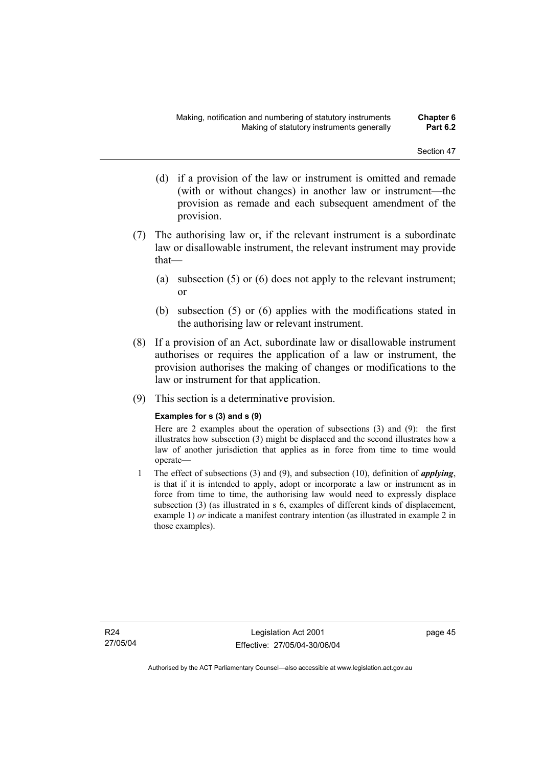- (d) if a provision of the law or instrument is omitted and remade (with or without changes) in another law or instrument—the provision as remade and each subsequent amendment of the provision.
- (7) The authorising law or, if the relevant instrument is a subordinate law or disallowable instrument, the relevant instrument may provide that—
	- (a) subsection (5) or (6) does not apply to the relevant instrument; or
	- (b) subsection (5) or (6) applies with the modifications stated in the authorising law or relevant instrument.
- (8) If a provision of an Act, subordinate law or disallowable instrument authorises or requires the application of a law or instrument, the provision authorises the making of changes or modifications to the law or instrument for that application.
- (9) This section is a determinative provision.

### **Examples for s (3) and s (9)**

Here are 2 examples about the operation of subsections (3) and (9): the first illustrates how subsection (3) might be displaced and the second illustrates how a law of another jurisdiction that applies as in force from time to time would operate—

1 The effect of subsections (3) and (9), and subsection (10), definition of *applying*, is that if it is intended to apply, adopt or incorporate a law or instrument as in force from time to time, the authorising law would need to expressly displace subsection (3) (as illustrated in s 6, examples of different kinds of displacement, example 1) *or* indicate a manifest contrary intention (as illustrated in example 2 in those examples).

R24 27/05/04 page 45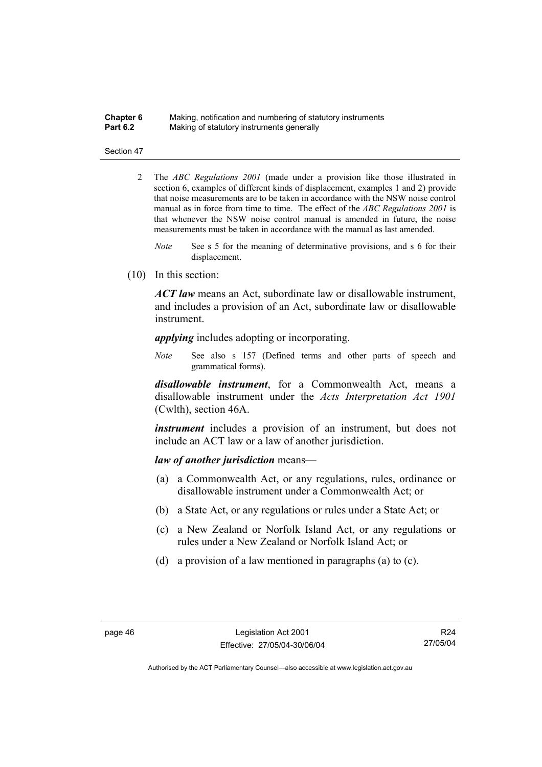#### **Chapter 6** Making, notification and numbering of statutory instruments<br>**Part 6.2** Making of statutory instruments generally **Making of statutory instruments generally**

#### Section 47

- 2 The *ABC Regulations 2001* (made under a provision like those illustrated in section 6, examples of different kinds of displacement, examples 1 and 2) provide that noise measurements are to be taken in accordance with the NSW noise control manual as in force from time to time. The effect of the *ABC Regulations 2001* is that whenever the NSW noise control manual is amended in future, the noise measurements must be taken in accordance with the manual as last amended.
	- *Note* See s 5 for the meaning of determinative provisions, and s 6 for their displacement.
- (10) In this section:

*ACT law* means an Act, subordinate law or disallowable instrument, and includes a provision of an Act, subordinate law or disallowable instrument.

*applying* includes adopting or incorporating.

*Note* See also s 157 (Defined terms and other parts of speech and grammatical forms).

*disallowable instrument*, for a Commonwealth Act, means a disallowable instrument under the *Acts Interpretation Act 1901* (Cwlth), section 46A.

*instrument* includes a provision of an instrument, but does not include an ACT law or a law of another jurisdiction.

#### *law of another jurisdiction* means—

- (a) a Commonwealth Act, or any regulations, rules, ordinance or disallowable instrument under a Commonwealth Act; or
- (b) a State Act, or any regulations or rules under a State Act; or
- (c) a New Zealand or Norfolk Island Act, or any regulations or rules under a New Zealand or Norfolk Island Act; or
- (d) a provision of a law mentioned in paragraphs (a) to (c).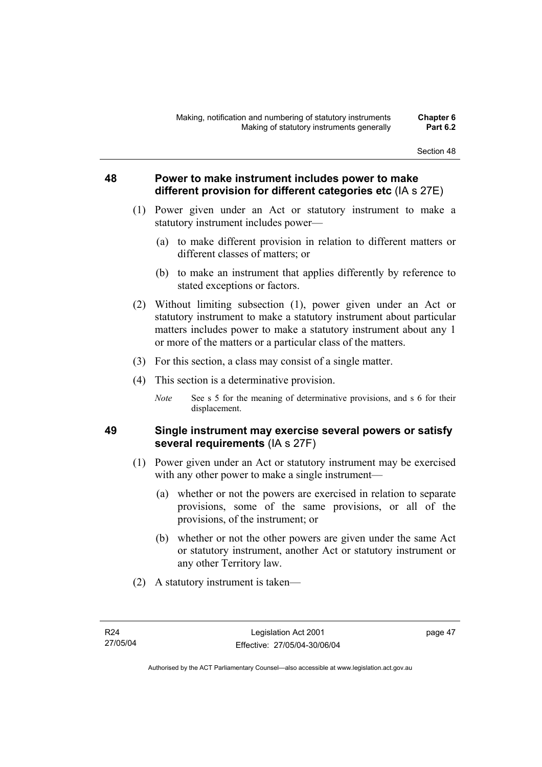# **48 Power to make instrument includes power to make different provision for different categories etc** (IA s 27E)

- (1) Power given under an Act or statutory instrument to make a statutory instrument includes power—
	- (a) to make different provision in relation to different matters or different classes of matters; or
	- (b) to make an instrument that applies differently by reference to stated exceptions or factors.
- (2) Without limiting subsection (1), power given under an Act or statutory instrument to make a statutory instrument about particular matters includes power to make a statutory instrument about any 1 or more of the matters or a particular class of the matters.
- (3) For this section, a class may consist of a single matter.
- (4) This section is a determinative provision.
	- *Note* See s 5 for the meaning of determinative provisions, and s 6 for their displacement.

# **49 Single instrument may exercise several powers or satisfy several requirements** (IA s 27F)

- (1) Power given under an Act or statutory instrument may be exercised with any other power to make a single instrument—
	- (a) whether or not the powers are exercised in relation to separate provisions, some of the same provisions, or all of the provisions, of the instrument; or
	- (b) whether or not the other powers are given under the same Act or statutory instrument, another Act or statutory instrument or any other Territory law.
- (2) A statutory instrument is taken—

page 47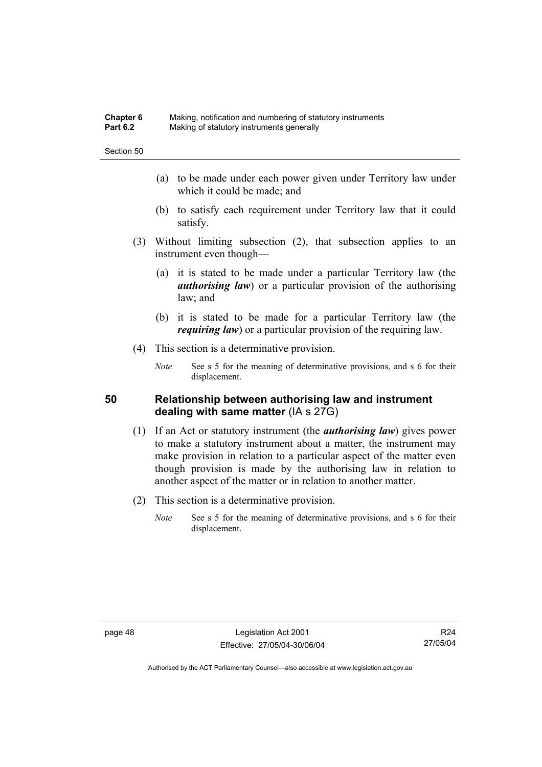#### **Chapter 6** Making, notification and numbering of statutory instruments<br>**Part 6.2** Making of statutory instruments generally **Making of statutory instruments generally**

Section 50

- (a) to be made under each power given under Territory law under which it could be made; and
- (b) to satisfy each requirement under Territory law that it could satisfy.
- (3) Without limiting subsection (2), that subsection applies to an instrument even though—
	- (a) it is stated to be made under a particular Territory law (the *authorising law*) or a particular provision of the authorising law; and
	- (b) it is stated to be made for a particular Territory law (the *requiring law*) or a particular provision of the requiring law.
- (4) This section is a determinative provision.
	- *Note* See s 5 for the meaning of determinative provisions, and s 6 for their displacement.

### **50 Relationship between authorising law and instrument dealing with same matter** (IA s 27G)

- (1) If an Act or statutory instrument (the *authorising law*) gives power to make a statutory instrument about a matter, the instrument may make provision in relation to a particular aspect of the matter even though provision is made by the authorising law in relation to another aspect of the matter or in relation to another matter.
- (2) This section is a determinative provision.
	- *Note* See s 5 for the meaning of determinative provisions, and s 6 for their displacement.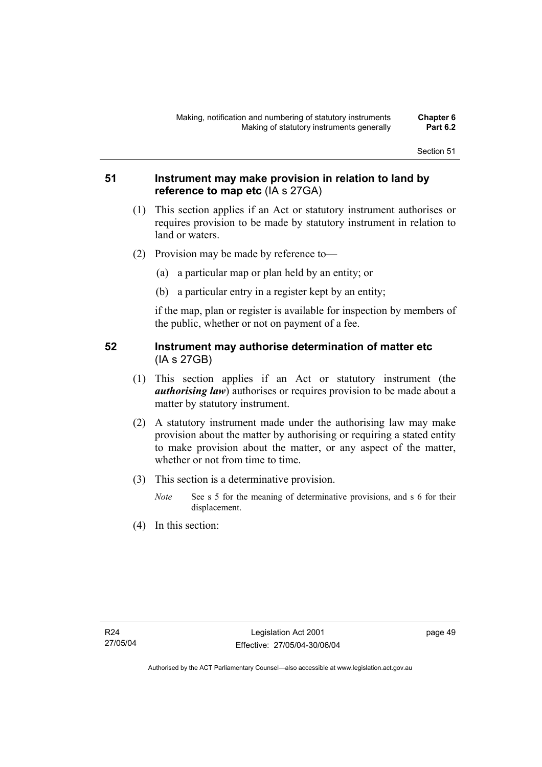# **51 Instrument may make provision in relation to land by reference to map etc** (IA s 27GA)

- (1) This section applies if an Act or statutory instrument authorises or requires provision to be made by statutory instrument in relation to land or waters.
- (2) Provision may be made by reference to—
	- (a) a particular map or plan held by an entity; or
	- (b) a particular entry in a register kept by an entity;

if the map, plan or register is available for inspection by members of the public, whether or not on payment of a fee.

# **52 Instrument may authorise determination of matter etc**  (IA s 27GB)

- (1) This section applies if an Act or statutory instrument (the *authorising law*) authorises or requires provision to be made about a matter by statutory instrument.
- (2) A statutory instrument made under the authorising law may make provision about the matter by authorising or requiring a stated entity to make provision about the matter, or any aspect of the matter, whether or not from time to time.
- (3) This section is a determinative provision.
	- *Note* See s 5 for the meaning of determinative provisions, and s 6 for their displacement.
- (4) In this section: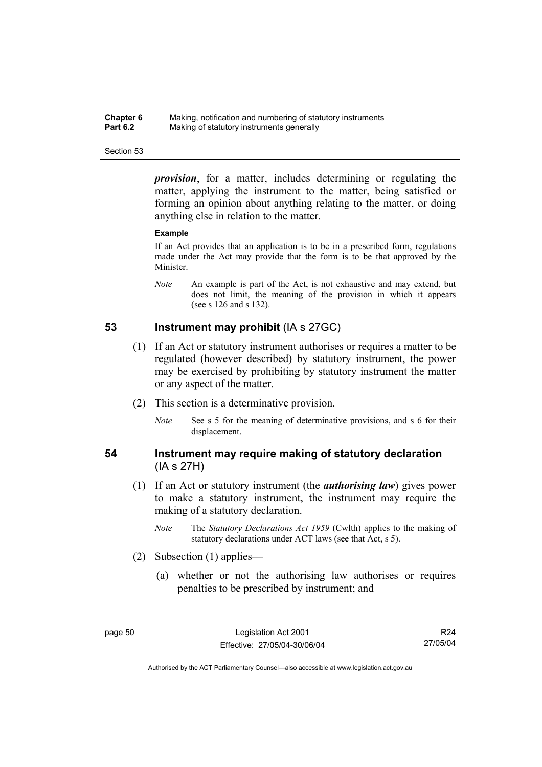| Chapter 6       | Making, notification and numbering of statutory instruments |
|-----------------|-------------------------------------------------------------|
| <b>Part 6.2</b> | Making of statutory instruments generally                   |

*provision*, for a matter, includes determining or regulating the matter, applying the instrument to the matter, being satisfied or forming an opinion about anything relating to the matter, or doing anything else in relation to the matter.

#### **Example**

If an Act provides that an application is to be in a prescribed form, regulations made under the Act may provide that the form is to be that approved by the Minister.

*Note* An example is part of the Act, is not exhaustive and may extend, but does not limit, the meaning of the provision in which it appears (see s 126 and s 132).

# **53 Instrument may prohibit** (IA s 27GC)

- (1) If an Act or statutory instrument authorises or requires a matter to be regulated (however described) by statutory instrument, the power may be exercised by prohibiting by statutory instrument the matter or any aspect of the matter.
- (2) This section is a determinative provision.
	- *Note* See s 5 for the meaning of determinative provisions, and s 6 for their displacement.

# **54 Instrument may require making of statutory declaration**  (IA s 27H)

- (1) If an Act or statutory instrument (the *authorising law*) gives power to make a statutory instrument, the instrument may require the making of a statutory declaration.
	- *Note* The *Statutory Declarations Act 1959* (Cwlth) applies to the making of statutory declarations under ACT laws (see that Act, s 5).
- (2) Subsection (1) applies—
	- (a) whether or not the authorising law authorises or requires penalties to be prescribed by instrument; and

R24 27/05/04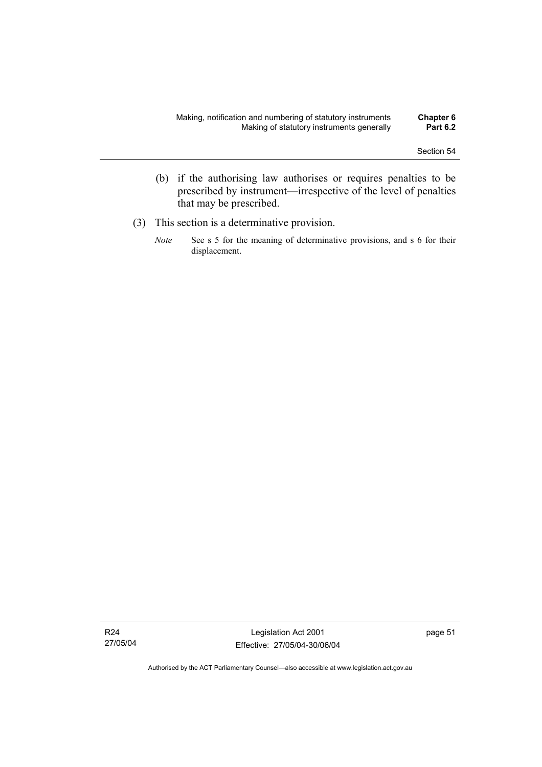- (b) if the authorising law authorises or requires penalties to be prescribed by instrument—irrespective of the level of penalties that may be prescribed.
- (3) This section is a determinative provision.
	- *Note* See s 5 for the meaning of determinative provisions, and s 6 for their displacement.

Legislation Act 2001 Effective: 27/05/04-30/06/04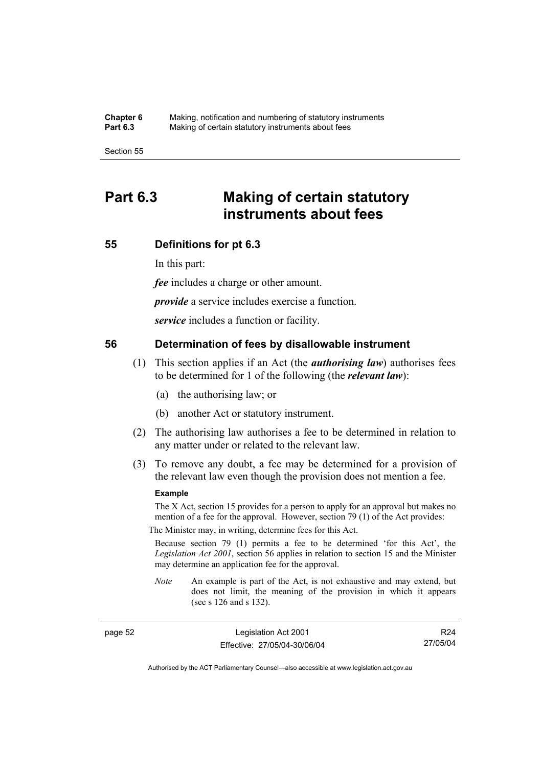**Chapter 6** Making, notification and numbering of statutory instruments<br>**Part 6.3** Making of certain statutory instruments about fees Making of certain statutory instruments about fees

Section 55

# **Part 6.3 Making of certain statutory instruments about fees**

# **55 Definitions for pt 6.3**

In this part:

*fee* includes a charge or other amount.

*provide* a service includes exercise a function.

*service* includes a function or facility.

### **56 Determination of fees by disallowable instrument**

- (1) This section applies if an Act (the *authorising law*) authorises fees to be determined for 1 of the following (the *relevant law*):
	- (a) the authorising law; or
	- (b) another Act or statutory instrument.
- (2) The authorising law authorises a fee to be determined in relation to any matter under or related to the relevant law.
- (3) To remove any doubt, a fee may be determined for a provision of the relevant law even though the provision does not mention a fee.

#### **Example**

The X Act, section 15 provides for a person to apply for an approval but makes no mention of a fee for the approval. However, section 79 (1) of the Act provides:

The Minister may, in writing, determine fees for this Act.

Because section 79 (1) permits a fee to be determined 'for this Act', the *Legislation Act 2001*, section 56 applies in relation to section 15 and the Minister may determine an application fee for the approval.

*Note* An example is part of the Act, is not exhaustive and may extend, but does not limit, the meaning of the provision in which it appears (see s 126 and s 132).

page 52 Legislation Act 2001 Effective: 27/05/04-30/06/04

R24 27/05/04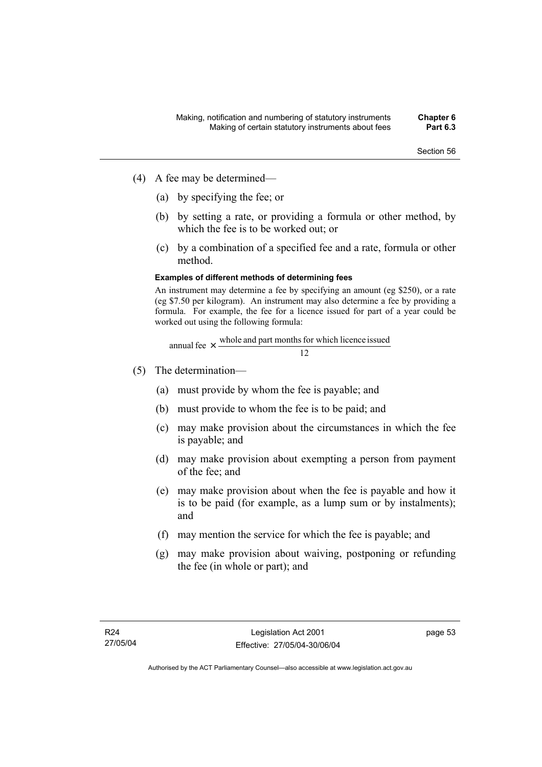- (4) A fee may be determined—
	- (a) by specifying the fee; or
	- (b) by setting a rate, or providing a formula or other method, by which the fee is to be worked out; or
	- (c) by a combination of a specified fee and a rate, formula or other method.

#### **Examples of different methods of determining fees**

An instrument may determine a fee by specifying an amount (eg \$250), or a rate (eg \$7.50 per kilogram). An instrument may also determine a fee by providing a formula. For example, the fee for a licence issued for part of a year could be worked out using the following formula:

annual fee 
$$
\times
$$
 whole and part months for which licence issued 12

- (5) The determination—
	- (a) must provide by whom the fee is payable; and
	- (b) must provide to whom the fee is to be paid; and
	- (c) may make provision about the circumstances in which the fee is payable; and
	- (d) may make provision about exempting a person from payment of the fee; and
	- (e) may make provision about when the fee is payable and how it is to be paid (for example, as a lump sum or by instalments); and
	- (f) may mention the service for which the fee is payable; and
	- (g) may make provision about waiving, postponing or refunding the fee (in whole or part); and

page 53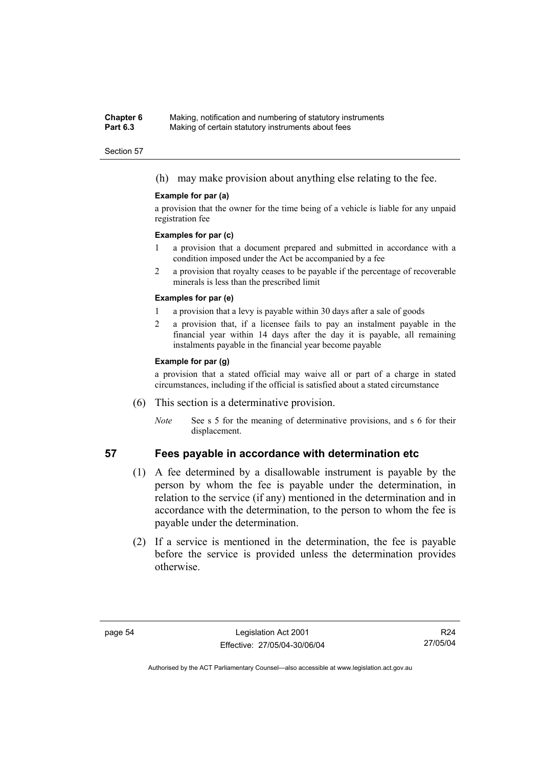#### **Chapter 6** Making, notification and numbering of statutory instruments<br>**Part 6.3** Making of certain statutory instruments about fees Making of certain statutory instruments about fees

#### Section 57

(h) may make provision about anything else relating to the fee.

#### **Example for par (a)**

a provision that the owner for the time being of a vehicle is liable for any unpaid registration fee

#### **Examples for par (c)**

- 1 a provision that a document prepared and submitted in accordance with a condition imposed under the Act be accompanied by a fee
- 2 a provision that royalty ceases to be payable if the percentage of recoverable minerals is less than the prescribed limit

#### **Examples for par (e)**

- 1 a provision that a levy is payable within 30 days after a sale of goods
- 2 a provision that, if a licensee fails to pay an instalment payable in the financial year within 14 days after the day it is payable, all remaining instalments payable in the financial year become payable

#### **Example for par (g)**

a provision that a stated official may waive all or part of a charge in stated circumstances, including if the official is satisfied about a stated circumstance

- (6) This section is a determinative provision.
	- *Note* See s 5 for the meaning of determinative provisions, and s 6 for their displacement.

# **57 Fees payable in accordance with determination etc**

- (1) A fee determined by a disallowable instrument is payable by the person by whom the fee is payable under the determination, in relation to the service (if any) mentioned in the determination and in accordance with the determination, to the person to whom the fee is payable under the determination.
- (2) If a service is mentioned in the determination, the fee is payable before the service is provided unless the determination provides otherwise.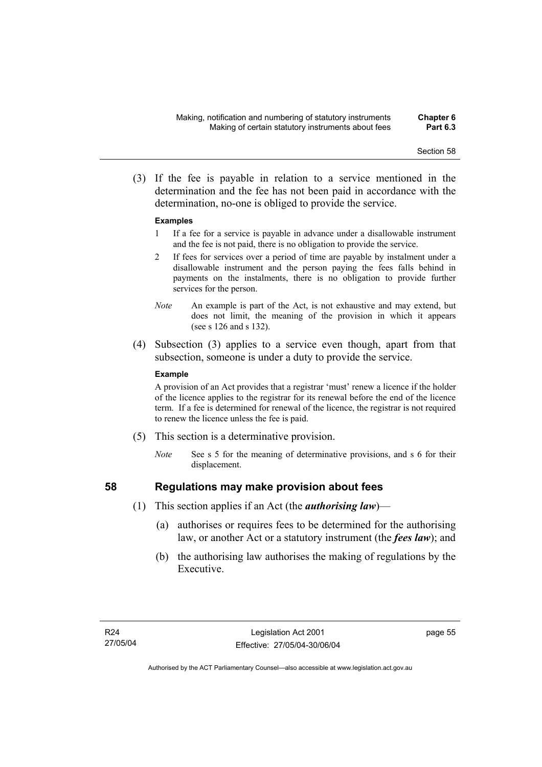(3) If the fee is payable in relation to a service mentioned in the determination and the fee has not been paid in accordance with the determination, no-one is obliged to provide the service.

#### **Examples**

- 1 If a fee for a service is payable in advance under a disallowable instrument and the fee is not paid, there is no obligation to provide the service.
- 2 If fees for services over a period of time are payable by instalment under a disallowable instrument and the person paying the fees falls behind in payments on the instalments, there is no obligation to provide further services for the person.
- *Note* An example is part of the Act, is not exhaustive and may extend, but does not limit, the meaning of the provision in which it appears (see s 126 and s 132).
- (4) Subsection (3) applies to a service even though, apart from that subsection, someone is under a duty to provide the service.

#### **Example**

A provision of an Act provides that a registrar 'must' renew a licence if the holder of the licence applies to the registrar for its renewal before the end of the licence term. If a fee is determined for renewal of the licence, the registrar is not required to renew the licence unless the fee is paid.

- (5) This section is a determinative provision.
	- *Note* See s 5 for the meaning of determinative provisions, and s 6 for their displacement.

- **58 Regulations may make provision about fees** 
	- (1) This section applies if an Act (the *authorising law*)—
		- (a) authorises or requires fees to be determined for the authorising law, or another Act or a statutory instrument (the *fees law*); and
		- (b) the authorising law authorises the making of regulations by the Executive.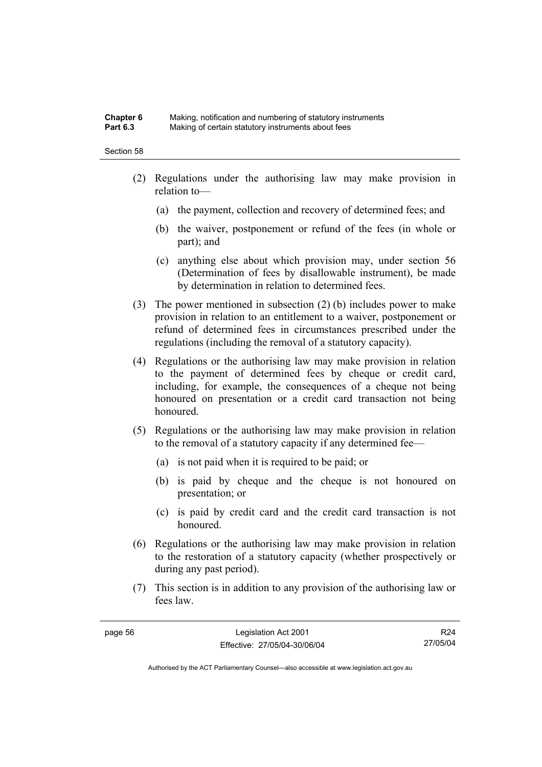#### **Chapter 6** Making, notification and numbering of statutory instruments<br>**Part 6.3** Making of certain statutory instruments about fees Making of certain statutory instruments about fees

#### Section 58

- (2) Regulations under the authorising law may make provision in relation to—
	- (a) the payment, collection and recovery of determined fees; and
	- (b) the waiver, postponement or refund of the fees (in whole or part); and
	- (c) anything else about which provision may, under section 56 (Determination of fees by disallowable instrument), be made by determination in relation to determined fees.
- (3) The power mentioned in subsection (2) (b) includes power to make provision in relation to an entitlement to a waiver, postponement or refund of determined fees in circumstances prescribed under the regulations (including the removal of a statutory capacity).
- (4) Regulations or the authorising law may make provision in relation to the payment of determined fees by cheque or credit card, including, for example, the consequences of a cheque not being honoured on presentation or a credit card transaction not being honoured.
- (5) Regulations or the authorising law may make provision in relation to the removal of a statutory capacity if any determined fee—
	- (a) is not paid when it is required to be paid; or
	- (b) is paid by cheque and the cheque is not honoured on presentation; or
	- (c) is paid by credit card and the credit card transaction is not honoured.
- (6) Regulations or the authorising law may make provision in relation to the restoration of a statutory capacity (whether prospectively or during any past period).
- (7) This section is in addition to any provision of the authorising law or fees law.

R24 27/05/04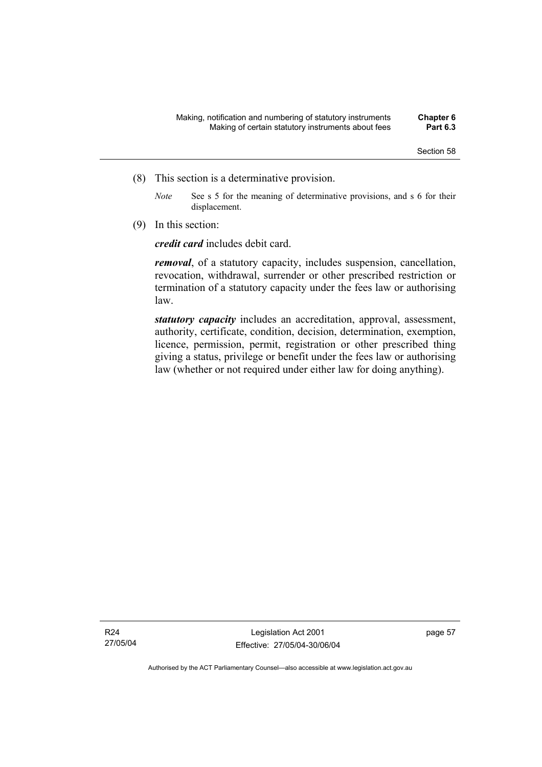- (8) This section is a determinative provision.
	- *Note* See s 5 for the meaning of determinative provisions, and s 6 for their displacement.
- (9) In this section:

*credit card* includes debit card.

*removal*, of a statutory capacity, includes suspension, cancellation, revocation, withdrawal, surrender or other prescribed restriction or termination of a statutory capacity under the fees law or authorising law.

*statutory capacity* includes an accreditation, approval, assessment, authority, certificate, condition, decision, determination, exemption, licence, permission, permit, registration or other prescribed thing giving a status, privilege or benefit under the fees law or authorising law (whether or not required under either law for doing anything).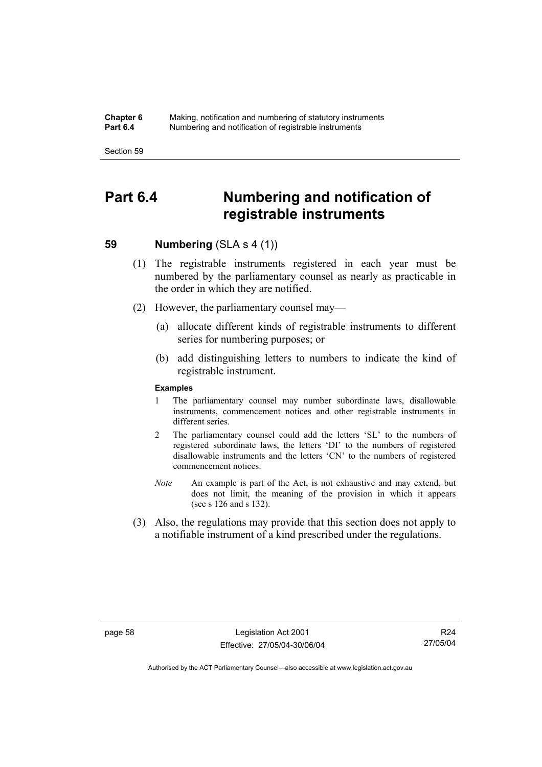#### **Chapter 6** Making, notification and numbering of statutory instruments<br>**Part 6.4** Mumbering and notification of registrable instruments **Part 6.4** Numbering and notification of registrable instruments

Section 59

## **Part 6.4 Numbering and notification of registrable instruments**

### **59 Numbering (SLA s 4 (1))**

- (1) The registrable instruments registered in each year must be numbered by the parliamentary counsel as nearly as practicable in the order in which they are notified.
- (2) However, the parliamentary counsel may—
	- (a) allocate different kinds of registrable instruments to different series for numbering purposes; or
	- (b) add distinguishing letters to numbers to indicate the kind of registrable instrument.

#### **Examples**

- 1 The parliamentary counsel may number subordinate laws, disallowable instruments, commencement notices and other registrable instruments in different series.
- 2 The parliamentary counsel could add the letters 'SL' to the numbers of registered subordinate laws, the letters 'DI' to the numbers of registered disallowable instruments and the letters 'CN' to the numbers of registered commencement notices.
- *Note* An example is part of the Act, is not exhaustive and may extend, but does not limit, the meaning of the provision in which it appears (see s 126 and s 132).
- (3) Also, the regulations may provide that this section does not apply to a notifiable instrument of a kind prescribed under the regulations.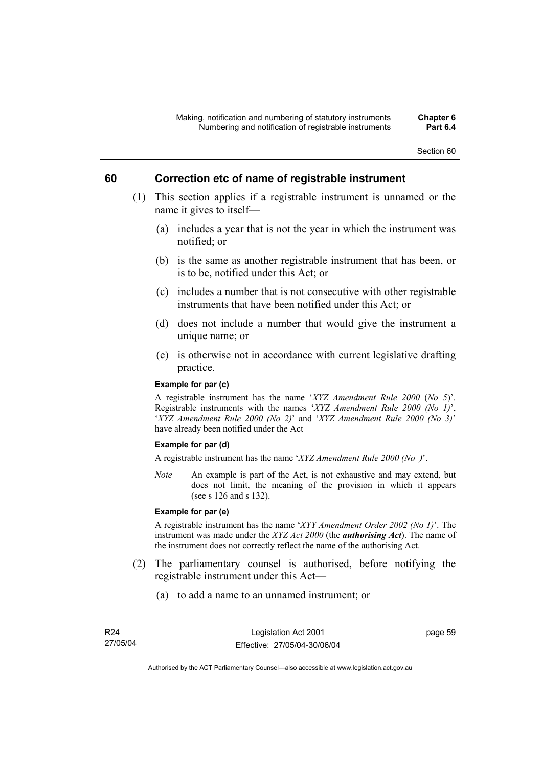### **60 Correction etc of name of registrable instrument**

- (1) This section applies if a registrable instrument is unnamed or the name it gives to itself—
	- (a) includes a year that is not the year in which the instrument was notified; or
	- (b) is the same as another registrable instrument that has been, or is to be, notified under this Act; or
	- (c) includes a number that is not consecutive with other registrable instruments that have been notified under this Act; or
	- (d) does not include a number that would give the instrument a unique name; or
	- (e) is otherwise not in accordance with current legislative drafting practice.

#### **Example for par (c)**

A registrable instrument has the name '*XYZ Amendment Rule 2000* (*No 5*)'. Registrable instruments with the names '*XYZ Amendment Rule 2000 (No 1)*', '*XYZ Amendment Rule 2000 (No 2)*' and '*XYZ Amendment Rule 2000 (No 3)*' have already been notified under the Act

#### **Example for par (d)**

A registrable instrument has the name '*XYZ Amendment Rule 2000 (No )*'.

*Note* An example is part of the Act, is not exhaustive and may extend, but does not limit, the meaning of the provision in which it appears (see s 126 and s 132).

#### **Example for par (e)**

A registrable instrument has the name '*XYY Amendment Order 2002 (No 1)*'. The instrument was made under the *XYZ Act 2000* (the *authorising Act*). The name of the instrument does not correctly reflect the name of the authorising Act.

- (2) The parliamentary counsel is authorised, before notifying the registrable instrument under this Act—
	- (a) to add a name to an unnamed instrument; or

page 59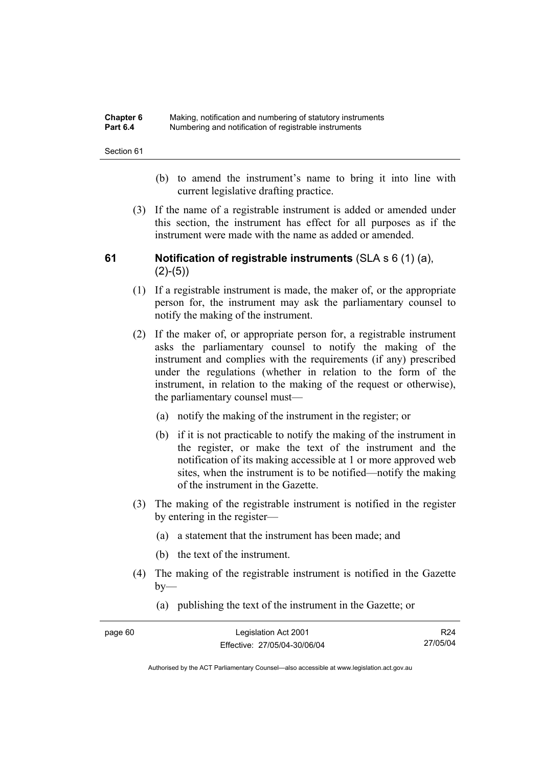| <b>Chapter 6</b> | Making, notification and numbering of statutory instruments |
|------------------|-------------------------------------------------------------|
| <b>Part 6.4</b>  | Numbering and notification of registrable instruments       |

- (b) to amend the instrument's name to bring it into line with current legislative drafting practice.
- (3) If the name of a registrable instrument is added or amended under this section, the instrument has effect for all purposes as if the instrument were made with the name as added or amended.

### **61 Notification of registrable instruments** (SLA s 6 (1) (a),  $(2)-(5)$

- (1) If a registrable instrument is made, the maker of, or the appropriate person for, the instrument may ask the parliamentary counsel to notify the making of the instrument.
- (2) If the maker of, or appropriate person for, a registrable instrument asks the parliamentary counsel to notify the making of the instrument and complies with the requirements (if any) prescribed under the regulations (whether in relation to the form of the instrument, in relation to the making of the request or otherwise), the parliamentary counsel must—
	- (a) notify the making of the instrument in the register; or
	- (b) if it is not practicable to notify the making of the instrument in the register, or make the text of the instrument and the notification of its making accessible at 1 or more approved web sites, when the instrument is to be notified—notify the making of the instrument in the Gazette.
- (3) The making of the registrable instrument is notified in the register by entering in the register—
	- (a) a statement that the instrument has been made; and
	- (b) the text of the instrument.
- (4) The making of the registrable instrument is notified in the Gazette  $bv$ —
	- (a) publishing the text of the instrument in the Gazette; or

| page 60 | Legislation Act 2001         | R24      |
|---------|------------------------------|----------|
|         | Effective: 27/05/04-30/06/04 | 27/05/04 |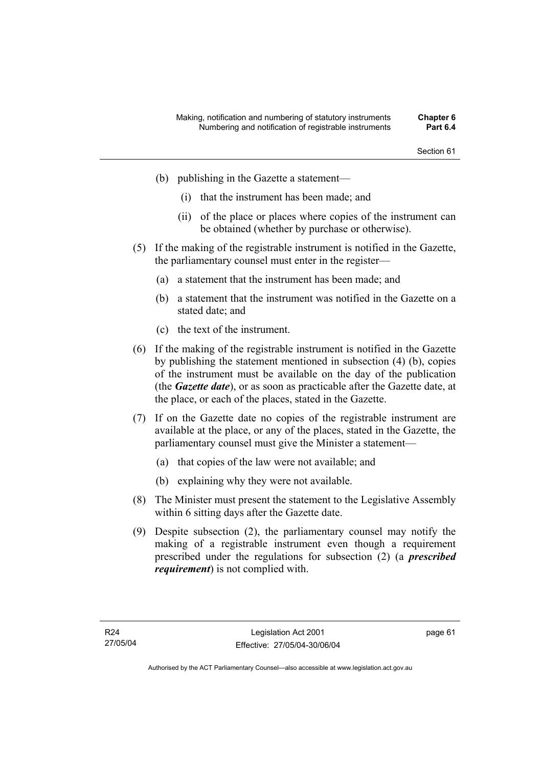- (b) publishing in the Gazette a statement—
	- (i) that the instrument has been made; and
	- (ii) of the place or places where copies of the instrument can be obtained (whether by purchase or otherwise).
- (5) If the making of the registrable instrument is notified in the Gazette, the parliamentary counsel must enter in the register—
	- (a) a statement that the instrument has been made; and
	- (b) a statement that the instrument was notified in the Gazette on a stated date; and
	- (c) the text of the instrument.
- (6) If the making of the registrable instrument is notified in the Gazette by publishing the statement mentioned in subsection (4) (b), copies of the instrument must be available on the day of the publication (the *Gazette date*), or as soon as practicable after the Gazette date, at the place, or each of the places, stated in the Gazette.
- (7) If on the Gazette date no copies of the registrable instrument are available at the place, or any of the places, stated in the Gazette, the parliamentary counsel must give the Minister a statement—
	- (a) that copies of the law were not available; and
	- (b) explaining why they were not available.
- (8) The Minister must present the statement to the Legislative Assembly within 6 sitting days after the Gazette date.
- (9) Despite subsection (2), the parliamentary counsel may notify the making of a registrable instrument even though a requirement prescribed under the regulations for subsection (2) (a *prescribed requirement*) is not complied with.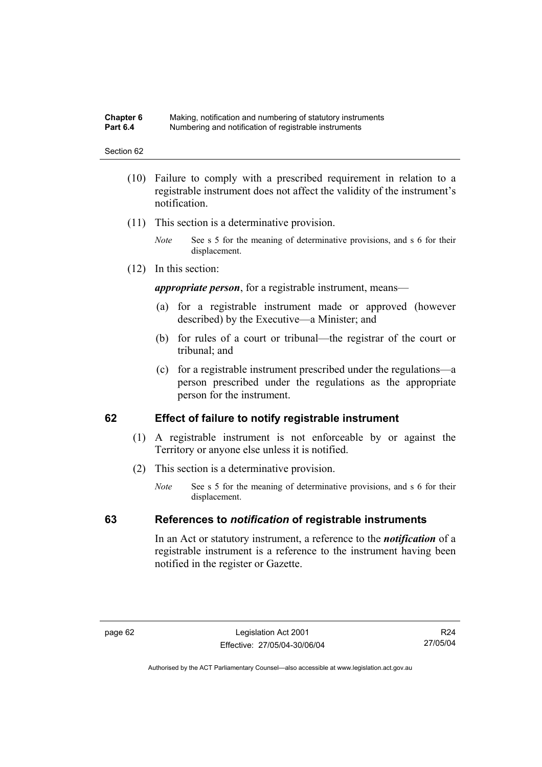#### **Chapter 6** Making, notification and numbering of statutory instruments<br>**Part 6.4** Mumbering and notification of registrable instruments **Part 6.4** Numbering and notification of registrable instruments

#### Section 62

- (10) Failure to comply with a prescribed requirement in relation to a registrable instrument does not affect the validity of the instrument's notification.
- (11) This section is a determinative provision.
	- *Note* See s 5 for the meaning of determinative provisions, and s 6 for their displacement.
- (12) In this section:

*appropriate person*, for a registrable instrument, means—

- (a) for a registrable instrument made or approved (however described) by the Executive—a Minister; and
- (b) for rules of a court or tribunal—the registrar of the court or tribunal; and
- (c) for a registrable instrument prescribed under the regulations—a person prescribed under the regulations as the appropriate person for the instrument.

### **62 Effect of failure to notify registrable instrument**

- (1) A registrable instrument is not enforceable by or against the Territory or anyone else unless it is notified.
- (2) This section is a determinative provision.
	- *Note* See s 5 for the meaning of determinative provisions, and s 6 for their displacement.

### **63 References to** *notification* **of registrable instruments**

In an Act or statutory instrument, a reference to the *notification* of a registrable instrument is a reference to the instrument having been notified in the register or Gazette.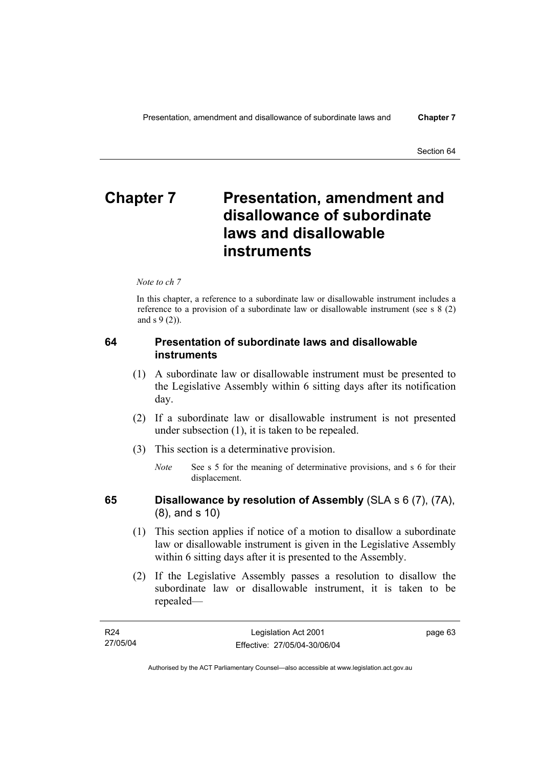# **Chapter 7** Presentation, amendment and **disallowance of subordinate laws and disallowable instruments**

*Note to ch 7* 

In this chapter, a reference to a subordinate law or disallowable instrument includes a reference to a provision of a subordinate law or disallowable instrument (see s 8 (2) and s 9 (2)).

### **64 Presentation of subordinate laws and disallowable instruments**

- (1) A subordinate law or disallowable instrument must be presented to the Legislative Assembly within 6 sitting days after its notification day.
- (2) If a subordinate law or disallowable instrument is not presented under subsection (1), it is taken to be repealed.
- (3) This section is a determinative provision.

- 
- **65 Disallowance by resolution of Assembly** (SLA s 6 (7), (7A), (8), and s 10)
	- (1) This section applies if notice of a motion to disallow a subordinate law or disallowable instrument is given in the Legislative Assembly within 6 sitting days after it is presented to the Assembly.
	- (2) If the Legislative Assembly passes a resolution to disallow the subordinate law or disallowable instrument, it is taken to be repealed—

*Note* See s 5 for the meaning of determinative provisions, and s 6 for their displacement.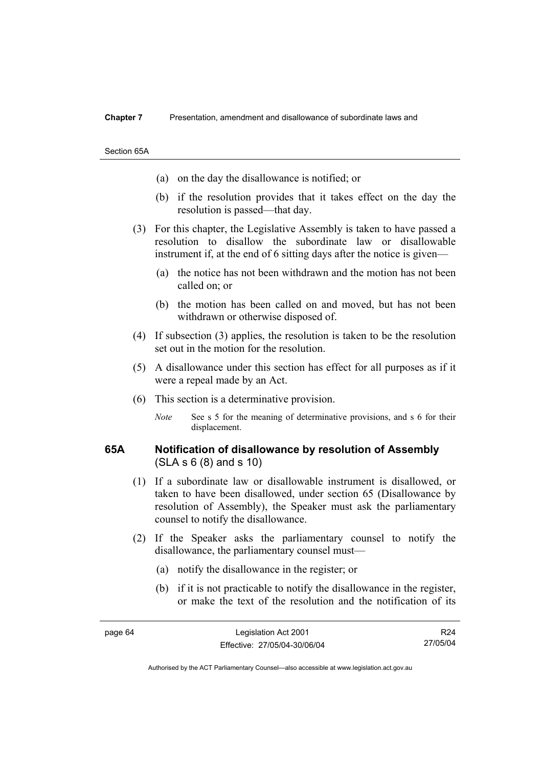Section 65A

- (a) on the day the disallowance is notified; or
- (b) if the resolution provides that it takes effect on the day the resolution is passed—that day.
- (3) For this chapter, the Legislative Assembly is taken to have passed a resolution to disallow the subordinate law or disallowable instrument if, at the end of 6 sitting days after the notice is given—
	- (a) the notice has not been withdrawn and the motion has not been called on; or
	- (b) the motion has been called on and moved, but has not been withdrawn or otherwise disposed of.
- (4) If subsection (3) applies, the resolution is taken to be the resolution set out in the motion for the resolution.
- (5) A disallowance under this section has effect for all purposes as if it were a repeal made by an Act.
- (6) This section is a determinative provision.
	- *Note* See s 5 for the meaning of determinative provisions, and s 6 for their displacement.

### **65A Notification of disallowance by resolution of Assembly**  (SLA s 6 (8) and s 10)

- (1) If a subordinate law or disallowable instrument is disallowed, or taken to have been disallowed, under section 65 (Disallowance by resolution of Assembly), the Speaker must ask the parliamentary counsel to notify the disallowance.
- (2) If the Speaker asks the parliamentary counsel to notify the disallowance, the parliamentary counsel must—
	- (a) notify the disallowance in the register; or
	- (b) if it is not practicable to notify the disallowance in the register, or make the text of the resolution and the notification of its

R24 27/05/04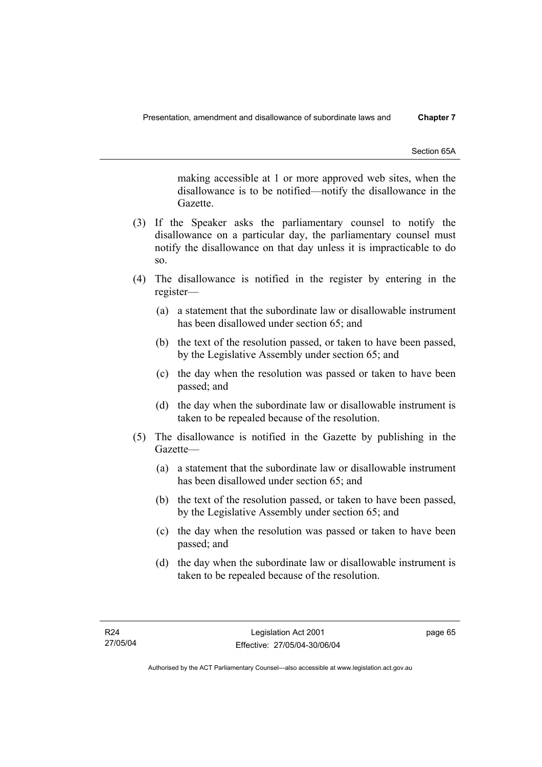Section 65A

making accessible at 1 or more approved web sites, when the disallowance is to be notified—notify the disallowance in the Gazette.

- (3) If the Speaker asks the parliamentary counsel to notify the disallowance on a particular day, the parliamentary counsel must notify the disallowance on that day unless it is impracticable to do so.
- (4) The disallowance is notified in the register by entering in the register—
	- (a) a statement that the subordinate law or disallowable instrument has been disallowed under section 65; and
	- (b) the text of the resolution passed, or taken to have been passed, by the Legislative Assembly under section 65; and
	- (c) the day when the resolution was passed or taken to have been passed; and
	- (d) the day when the subordinate law or disallowable instrument is taken to be repealed because of the resolution.
- (5) The disallowance is notified in the Gazette by publishing in the Gazette—
	- (a) a statement that the subordinate law or disallowable instrument has been disallowed under section 65; and
	- (b) the text of the resolution passed, or taken to have been passed, by the Legislative Assembly under section 65; and
	- (c) the day when the resolution was passed or taken to have been passed; and
	- (d) the day when the subordinate law or disallowable instrument is taken to be repealed because of the resolution.

page 65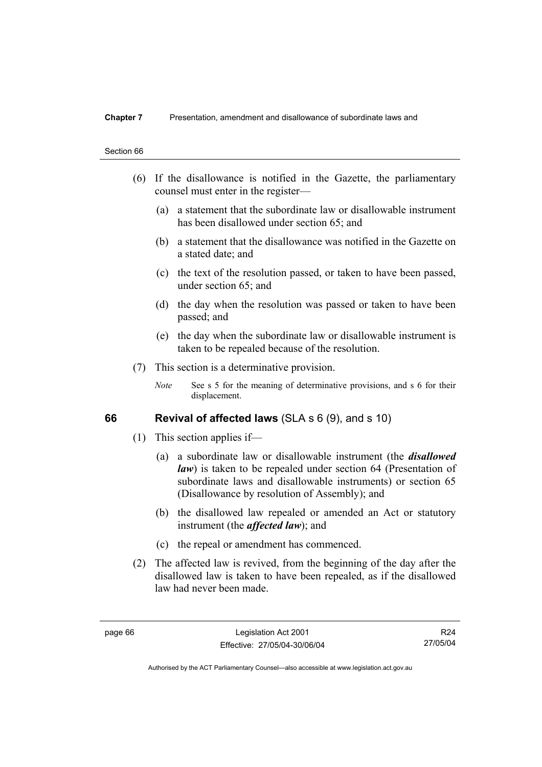- (6) If the disallowance is notified in the Gazette, the parliamentary counsel must enter in the register—
	- (a) a statement that the subordinate law or disallowable instrument has been disallowed under section 65; and
	- (b) a statement that the disallowance was notified in the Gazette on a stated date; and
	- (c) the text of the resolution passed, or taken to have been passed, under section 65; and
	- (d) the day when the resolution was passed or taken to have been passed; and
	- (e) the day when the subordinate law or disallowable instrument is taken to be repealed because of the resolution.
- (7) This section is a determinative provision.
	- *Note* See s 5 for the meaning of determinative provisions, and s 6 for their displacement.

### **66 Revival of affected laws** (SLA s 6 (9), and s 10)

- (1) This section applies if—
	- (a) a subordinate law or disallowable instrument (the *disallowed law*) is taken to be repealed under section 64 (Presentation of subordinate laws and disallowable instruments) or section 65 (Disallowance by resolution of Assembly); and
	- (b) the disallowed law repealed or amended an Act or statutory instrument (the *affected law*); and
	- (c) the repeal or amendment has commenced.
- (2) The affected law is revived, from the beginning of the day after the disallowed law is taken to have been repealed, as if the disallowed law had never been made.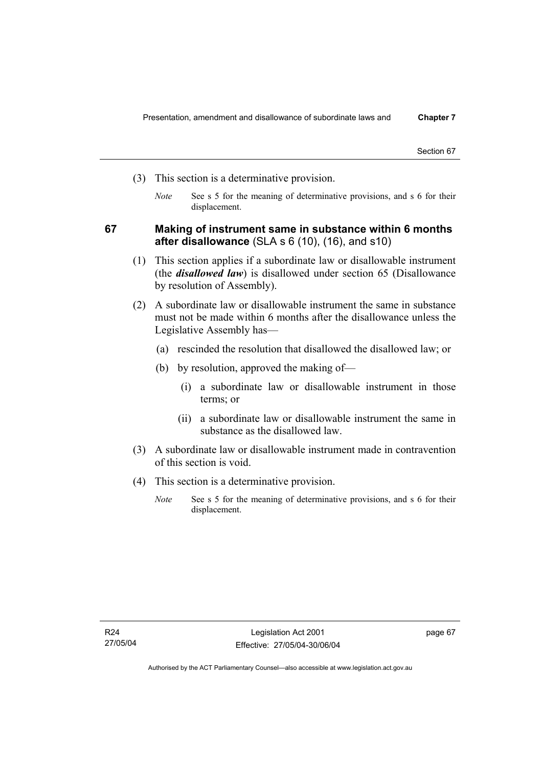- (3) This section is a determinative provision.
	- *Note* See s 5 for the meaning of determinative provisions, and s 6 for their displacement.

### **67 Making of instrument same in substance within 6 months after disallowance** (SLA s 6 (10), (16), and s10)

- (1) This section applies if a subordinate law or disallowable instrument (the *disallowed law*) is disallowed under section 65 (Disallowance by resolution of Assembly).
- (2) A subordinate law or disallowable instrument the same in substance must not be made within 6 months after the disallowance unless the Legislative Assembly has—
	- (a) rescinded the resolution that disallowed the disallowed law; or
	- (b) by resolution, approved the making of—
		- (i) a subordinate law or disallowable instrument in those terms; or
		- (ii) a subordinate law or disallowable instrument the same in substance as the disallowed law.
- (3) A subordinate law or disallowable instrument made in contravention of this section is void.
- (4) This section is a determinative provision.
	- *Note* See s 5 for the meaning of determinative provisions, and s 6 for their displacement.

page 67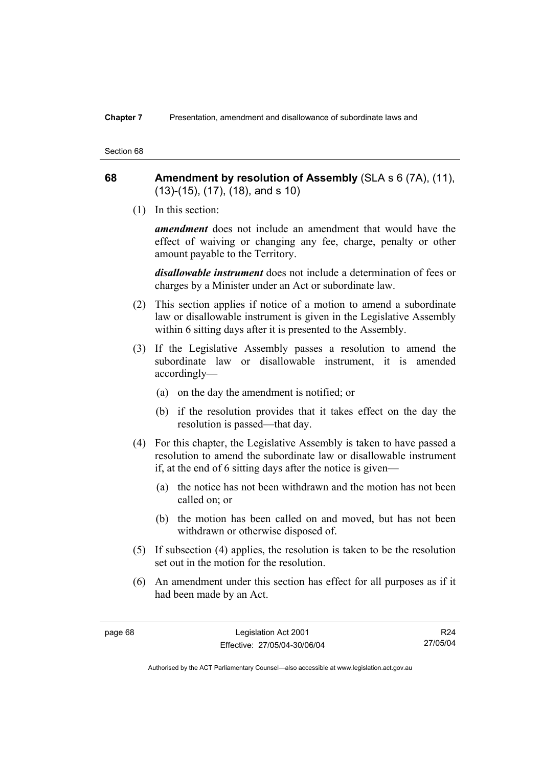### **68 Amendment by resolution of Assembly** (SLA s 6 (7A), (11), (13)-(15), (17), (18), and s 10)

(1) In this section:

*amendment* does not include an amendment that would have the effect of waiving or changing any fee, charge, penalty or other amount payable to the Territory.

*disallowable instrument* does not include a determination of fees or charges by a Minister under an Act or subordinate law.

- (2) This section applies if notice of a motion to amend a subordinate law or disallowable instrument is given in the Legislative Assembly within 6 sitting days after it is presented to the Assembly.
- (3) If the Legislative Assembly passes a resolution to amend the subordinate law or disallowable instrument, it is amended accordingly—
	- (a) on the day the amendment is notified; or
	- (b) if the resolution provides that it takes effect on the day the resolution is passed—that day.
- (4) For this chapter, the Legislative Assembly is taken to have passed a resolution to amend the subordinate law or disallowable instrument if, at the end of 6 sitting days after the notice is given—
	- (a) the notice has not been withdrawn and the motion has not been called on; or
	- (b) the motion has been called on and moved, but has not been withdrawn or otherwise disposed of.
- (5) If subsection (4) applies, the resolution is taken to be the resolution set out in the motion for the resolution.
- (6) An amendment under this section has effect for all purposes as if it had been made by an Act.

R24 27/05/04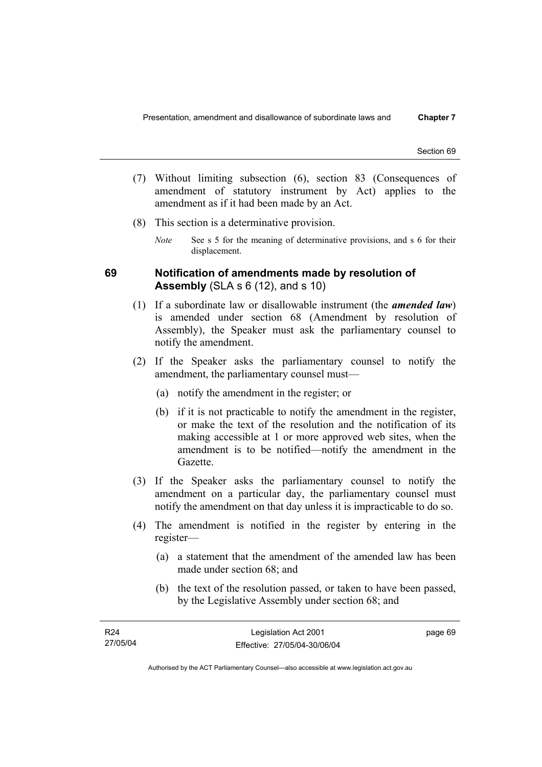- (7) Without limiting subsection (6), section 83 (Consequences of amendment of statutory instrument by Act) applies to the amendment as if it had been made by an Act.
- (8) This section is a determinative provision.
	- *Note* See s 5 for the meaning of determinative provisions, and s 6 for their displacement.

### **69 Notification of amendments made by resolution of Assembly** (SLA s 6 (12), and s 10)

- (1) If a subordinate law or disallowable instrument (the *amended law*) is amended under section 68 (Amendment by resolution of Assembly), the Speaker must ask the parliamentary counsel to notify the amendment.
- (2) If the Speaker asks the parliamentary counsel to notify the amendment, the parliamentary counsel must—
	- (a) notify the amendment in the register; or
	- (b) if it is not practicable to notify the amendment in the register, or make the text of the resolution and the notification of its making accessible at 1 or more approved web sites, when the amendment is to be notified—notify the amendment in the Gazette.
- (3) If the Speaker asks the parliamentary counsel to notify the amendment on a particular day, the parliamentary counsel must notify the amendment on that day unless it is impracticable to do so.
- (4) The amendment is notified in the register by entering in the register—
	- (a) a statement that the amendment of the amended law has been made under section 68; and
	- (b) the text of the resolution passed, or taken to have been passed, by the Legislative Assembly under section 68; and

| R24      | Legislation Act 2001         | page 69 |
|----------|------------------------------|---------|
| 27/05/04 | Effective: 27/05/04-30/06/04 |         |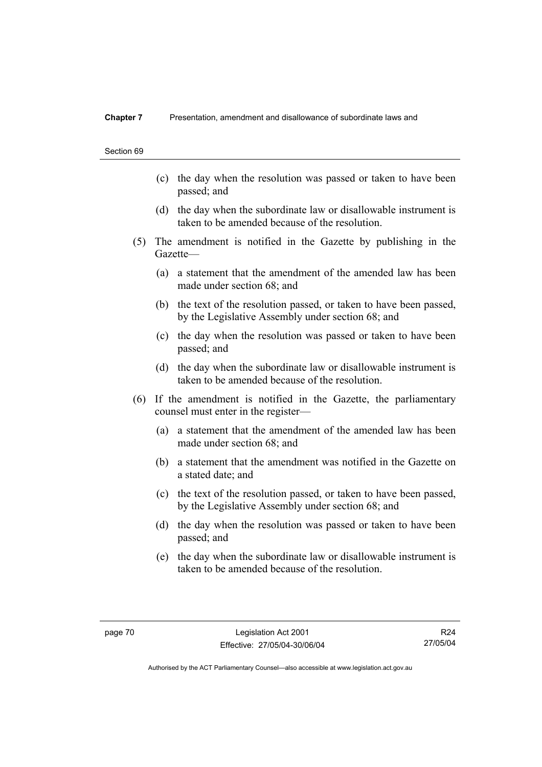- (c) the day when the resolution was passed or taken to have been passed; and
- (d) the day when the subordinate law or disallowable instrument is taken to be amended because of the resolution.
- (5) The amendment is notified in the Gazette by publishing in the Gazette—
	- (a) a statement that the amendment of the amended law has been made under section 68; and
	- (b) the text of the resolution passed, or taken to have been passed, by the Legislative Assembly under section 68; and
	- (c) the day when the resolution was passed or taken to have been passed; and
	- (d) the day when the subordinate law or disallowable instrument is taken to be amended because of the resolution.
- (6) If the amendment is notified in the Gazette, the parliamentary counsel must enter in the register—
	- (a) a statement that the amendment of the amended law has been made under section 68; and
	- (b) a statement that the amendment was notified in the Gazette on a stated date; and
	- (c) the text of the resolution passed, or taken to have been passed, by the Legislative Assembly under section 68; and
	- (d) the day when the resolution was passed or taken to have been passed; and
	- (e) the day when the subordinate law or disallowable instrument is taken to be amended because of the resolution.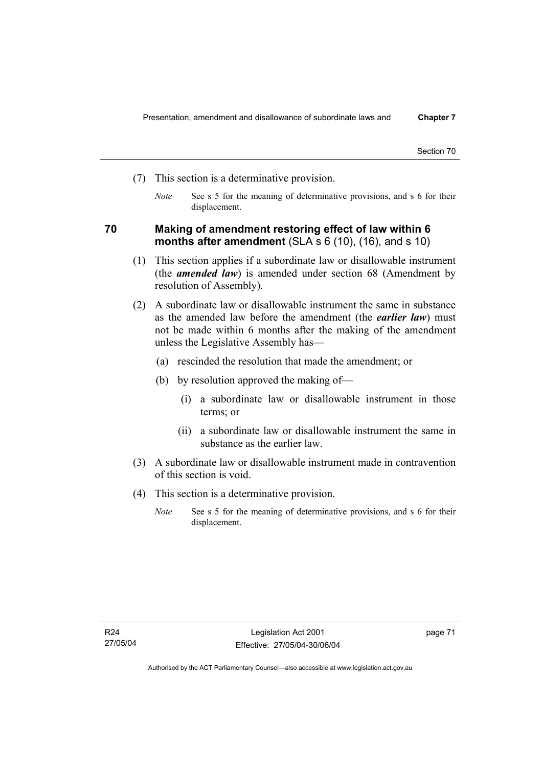- (7) This section is a determinative provision.
	- *Note* See s 5 for the meaning of determinative provisions, and s 6 for their displacement.

### **70 Making of amendment restoring effect of law within 6 months after amendment** (SLA s 6 (10), (16), and s 10)

- (1) This section applies if a subordinate law or disallowable instrument (the *amended law*) is amended under section 68 (Amendment by resolution of Assembly).
- (2) A subordinate law or disallowable instrument the same in substance as the amended law before the amendment (the *earlier law*) must not be made within 6 months after the making of the amendment unless the Legislative Assembly has—
	- (a) rescinded the resolution that made the amendment; or
	- (b) by resolution approved the making of—
		- (i) a subordinate law or disallowable instrument in those terms; or
		- (ii) a subordinate law or disallowable instrument the same in substance as the earlier law.
- (3) A subordinate law or disallowable instrument made in contravention of this section is void.
- (4) This section is a determinative provision.
	- *Note* See s 5 for the meaning of determinative provisions, and s 6 for their displacement.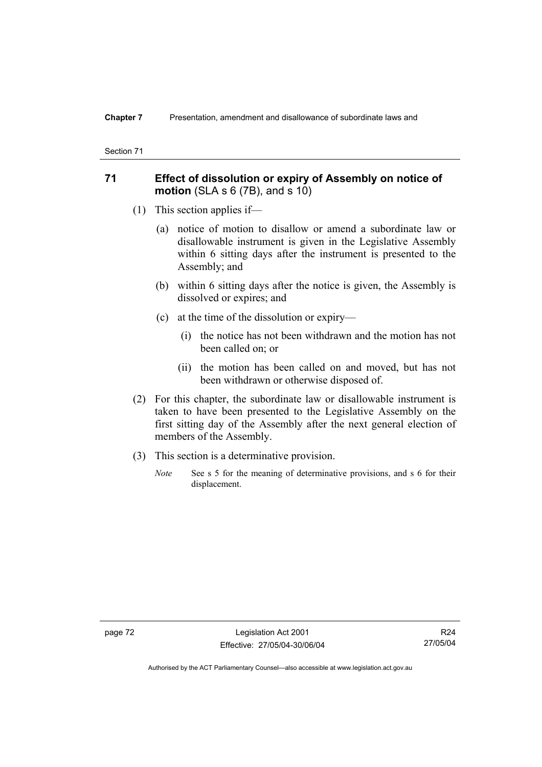### **71 Effect of dissolution or expiry of Assembly on notice of motion** (SLA s 6 (7B), and s 10)

- (1) This section applies if—
	- (a) notice of motion to disallow or amend a subordinate law or disallowable instrument is given in the Legislative Assembly within 6 sitting days after the instrument is presented to the Assembly; and
	- (b) within 6 sitting days after the notice is given, the Assembly is dissolved or expires; and
	- (c) at the time of the dissolution or expiry—
		- (i) the notice has not been withdrawn and the motion has not been called on; or
		- (ii) the motion has been called on and moved, but has not been withdrawn or otherwise disposed of.
- (2) For this chapter, the subordinate law or disallowable instrument is taken to have been presented to the Legislative Assembly on the first sitting day of the Assembly after the next general election of members of the Assembly.
- (3) This section is a determinative provision.
	- *Note* See s 5 for the meaning of determinative provisions, and s 6 for their displacement.

page 72 Legislation Act 2001 Effective: 27/05/04-30/06/04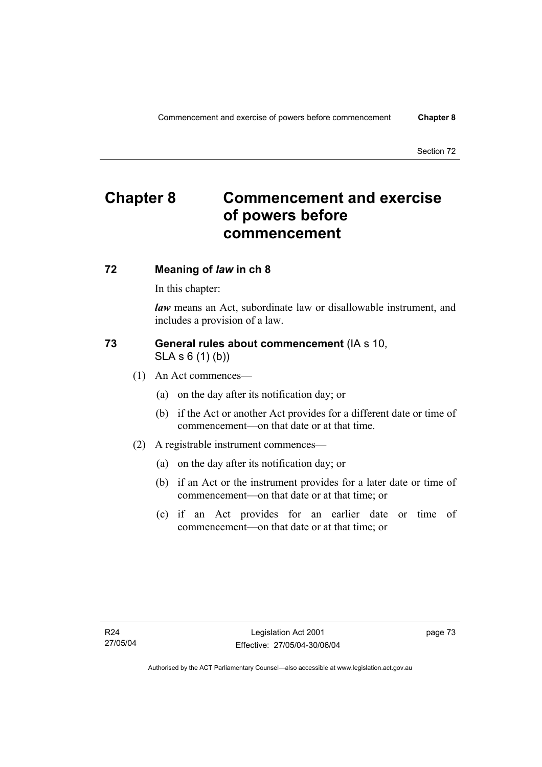## **Chapter 8 Commencement and exercise of powers before commencement**

### **72 Meaning of** *law* **in ch 8**

In this chapter:

*law* means an Act, subordinate law or disallowable instrument, and includes a provision of a law.

### **73 General rules about commencement** (IA s 10, SLA s 6 (1) (b))

- (1) An Act commences—
	- (a) on the day after its notification day; or
	- (b) if the Act or another Act provides for a different date or time of commencement—on that date or at that time.
- (2) A registrable instrument commences—
	- (a) on the day after its notification day; or
	- (b) if an Act or the instrument provides for a later date or time of commencement—on that date or at that time; or
	- (c) if an Act provides for an earlier date or time of commencement—on that date or at that time; or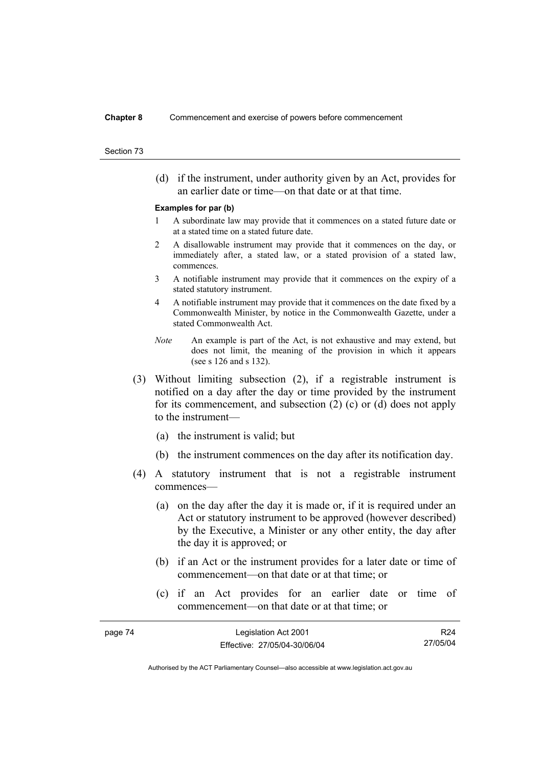#### **Chapter 8** Commencement and exercise of powers before commencement

#### Section 73

 (d) if the instrument, under authority given by an Act, provides for an earlier date or time—on that date or at that time.

#### **Examples for par (b)**

- 1 A subordinate law may provide that it commences on a stated future date or at a stated time on a stated future date.
- 2 A disallowable instrument may provide that it commences on the day, or immediately after, a stated law, or a stated provision of a stated law, commences.
- 3 A notifiable instrument may provide that it commences on the expiry of a stated statutory instrument.
- 4 A notifiable instrument may provide that it commences on the date fixed by a Commonwealth Minister, by notice in the Commonwealth Gazette, under a stated Commonwealth Act.
- *Note* An example is part of the Act, is not exhaustive and may extend, but does not limit, the meaning of the provision in which it appears (see s 126 and s 132).
- (3) Without limiting subsection (2), if a registrable instrument is notified on a day after the day or time provided by the instrument for its commencement, and subsection (2) (c) or (d) does not apply to the instrument—
	- (a) the instrument is valid; but
	- (b) the instrument commences on the day after its notification day.
- (4) A statutory instrument that is not a registrable instrument commences—
	- (a) on the day after the day it is made or, if it is required under an Act or statutory instrument to be approved (however described) by the Executive, a Minister or any other entity, the day after the day it is approved; or
	- (b) if an Act or the instrument provides for a later date or time of commencement—on that date or at that time; or
	- (c) if an Act provides for an earlier date or time of commencement—on that date or at that time; or

| page 74 | Legislation Act 2001         | R24      |
|---------|------------------------------|----------|
|         | Effective: 27/05/04-30/06/04 | 27/05/04 |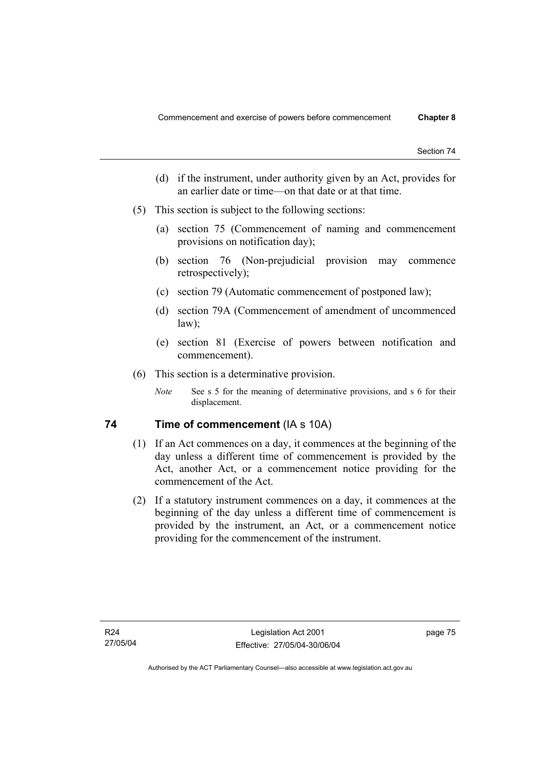- (d) if the instrument, under authority given by an Act, provides for an earlier date or time—on that date or at that time.
- (5) This section is subject to the following sections:
	- (a) section 75 (Commencement of naming and commencement provisions on notification day);
	- (b) section 76 (Non-prejudicial provision may commence retrospectively);
	- (c) section 79 (Automatic commencement of postponed law);
	- (d) section 79A (Commencement of amendment of uncommenced law);
	- (e) section 81 (Exercise of powers between notification and commencement).
- (6) This section is a determinative provision.
	- *Note* See s 5 for the meaning of determinative provisions, and s 6 for their displacement.

### **74** Time of commencement (IA s 10A)

- (1) If an Act commences on a day, it commences at the beginning of the day unless a different time of commencement is provided by the Act, another Act, or a commencement notice providing for the commencement of the Act.
- (2) If a statutory instrument commences on a day, it commences at the beginning of the day unless a different time of commencement is provided by the instrument, an Act, or a commencement notice providing for the commencement of the instrument.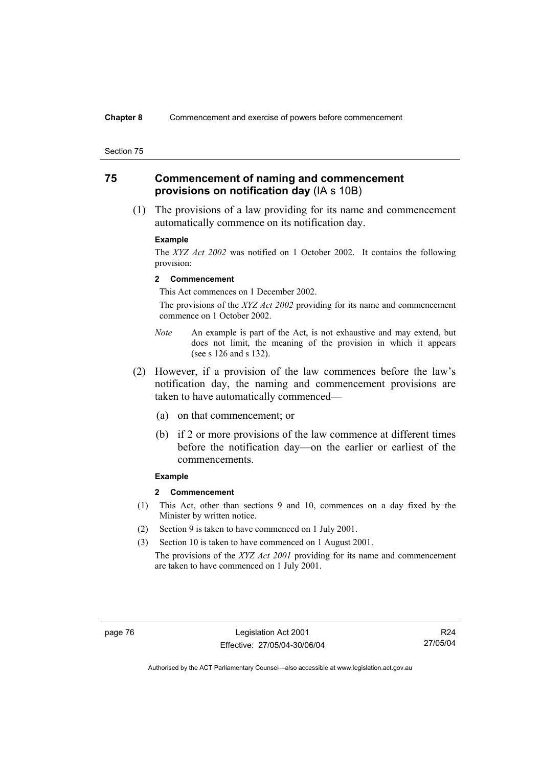### **75 Commencement of naming and commencement provisions on notification day** (IA s 10B)

 (1) The provisions of a law providing for its name and commencement automatically commence on its notification day.

#### **Example**

The *XYZ Act 2002* was notified on 1 October 2002. It contains the following provision:

#### **2 Commencement**

This Act commences on 1 December 2002.

 The provisions of the *XYZ Act 2002* providing for its name and commencement commence on 1 October 2002.

- *Note* An example is part of the Act, is not exhaustive and may extend, but does not limit, the meaning of the provision in which it appears (see s 126 and s 132).
- (2) However, if a provision of the law commences before the law's notification day, the naming and commencement provisions are taken to have automatically commenced—
	- (a) on that commencement; or
	- (b) if 2 or more provisions of the law commence at different times before the notification day—on the earlier or earliest of the commencements.

#### **Example**

#### **2 Commencement**

- (1) This Act, other than sections 9 and 10, commences on a day fixed by the Minister by written notice.
- (2) Section 9 is taken to have commenced on 1 July 2001.
- (3) Section 10 is taken to have commenced on 1 August 2001.

The provisions of the *XYZ Act 2001* providing for its name and commencement are taken to have commenced on 1 July 2001.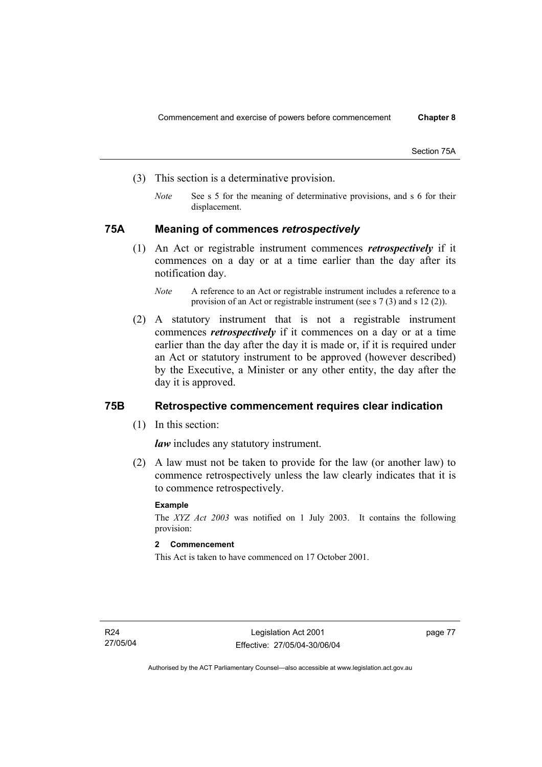Section 75A

- (3) This section is a determinative provision.
	- *Note* See s 5 for the meaning of determinative provisions, and s 6 for their displacement.

### **75A Meaning of commences** *retrospectively*

 (1) An Act or registrable instrument commences *retrospectively* if it commences on a day or at a time earlier than the day after its notification day.

 (2) A statutory instrument that is not a registrable instrument commences *retrospectively* if it commences on a day or at a time earlier than the day after the day it is made or, if it is required under an Act or statutory instrument to be approved (however described) by the Executive, a Minister or any other entity, the day after the day it is approved.

### **75B Retrospective commencement requires clear indication**

(1) In this section:

*law* includes any statutory instrument.

 (2) A law must not be taken to provide for the law (or another law) to commence retrospectively unless the law clearly indicates that it is to commence retrospectively.

#### **Example**

The *XYZ Act 2003* was notified on 1 July 2003. It contains the following provision:

### **2 Commencement**

This Act is taken to have commenced on 17 October 2001.

*Note* A reference to an Act or registrable instrument includes a reference to a provision of an Act or registrable instrument (see s 7 (3) and s 12 (2)).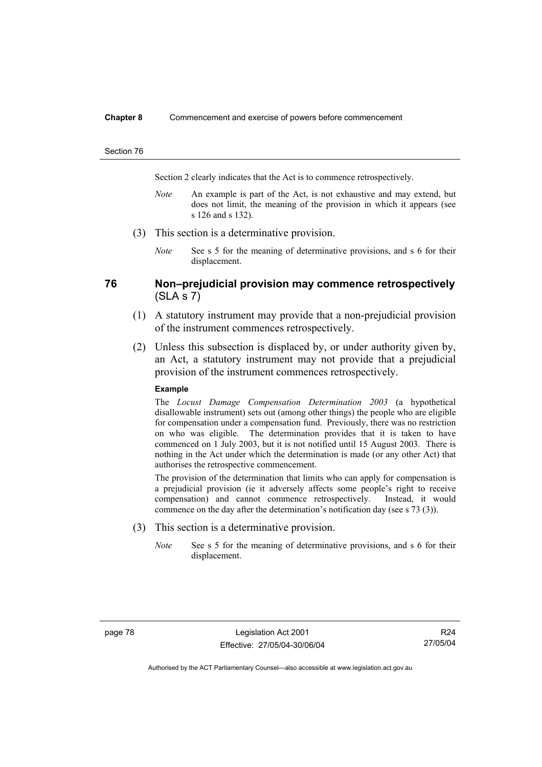#### **Chapter 8** Commencement and exercise of powers before commencement

#### Section 76

Section 2 clearly indicates that the Act is to commence retrospectively.

- *Note* An example is part of the Act, is not exhaustive and may extend, but does not limit, the meaning of the provision in which it appears (see s 126 and s 132).
- (3) This section is a determinative provision.
	- *Note* See s 5 for the meaning of determinative provisions, and s 6 for their displacement.

### **76 Non–prejudicial provision may commence retrospectively**   $(SLA S 7)$

- (1) A statutory instrument may provide that a non-prejudicial provision of the instrument commences retrospectively.
- (2) Unless this subsection is displaced by, or under authority given by, an Act, a statutory instrument may not provide that a prejudicial provision of the instrument commences retrospectively.

#### **Example**

The *Locust Damage Compensation Determination 2003* (a hypothetical disallowable instrument) sets out (among other things) the people who are eligible for compensation under a compensation fund. Previously, there was no restriction on who was eligible. The determination provides that it is taken to have commenced on 1 July 2003, but it is not notified until 15 August 2003. There is nothing in the Act under which the determination is made (or any other Act) that authorises the retrospective commencement.

The provision of the determination that limits who can apply for compensation is a prejudicial provision (ie it adversely affects some people's right to receive compensation) and cannot commence retrospectively. Instead, it would commence on the day after the determination's notification day (see s 73 (3)).

- (3) This section is a determinative provision.
	- *Note* See s 5 for the meaning of determinative provisions, and s 6 for their displacement.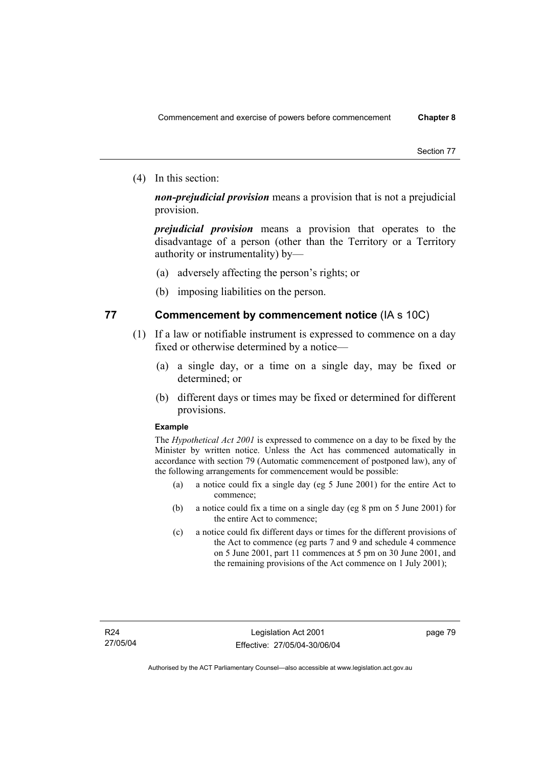(4) In this section:

*non-prejudicial provision* means a provision that is not a prejudicial provision.

*prejudicial provision* means a provision that operates to the disadvantage of a person (other than the Territory or a Territory authority or instrumentality) by—

- (a) adversely affecting the person's rights; or
- (b) imposing liabilities on the person.

### **77 Commencement by commencement notice** (IA s 10C)

- (1) If a law or notifiable instrument is expressed to commence on a day fixed or otherwise determined by a notice—
	- (a) a single day, or a time on a single day, may be fixed or determined; or
	- (b) different days or times may be fixed or determined for different provisions.

#### **Example**

The *Hypothetical Act 2001* is expressed to commence on a day to be fixed by the Minister by written notice. Unless the Act has commenced automatically in accordance with section 79 (Automatic commencement of postponed law), any of the following arrangements for commencement would be possible:

- (a) a notice could fix a single day (eg 5 June 2001) for the entire Act to commence;
- (b) a notice could fix a time on a single day (eg 8 pm on 5 June 2001) for the entire Act to commence;
- (c) a notice could fix different days or times for the different provisions of the Act to commence (eg parts 7 and 9 and schedule 4 commence on 5 June 2001, part 11 commences at 5 pm on 30 June 2001, and the remaining provisions of the Act commence on 1 July 2001);

page 79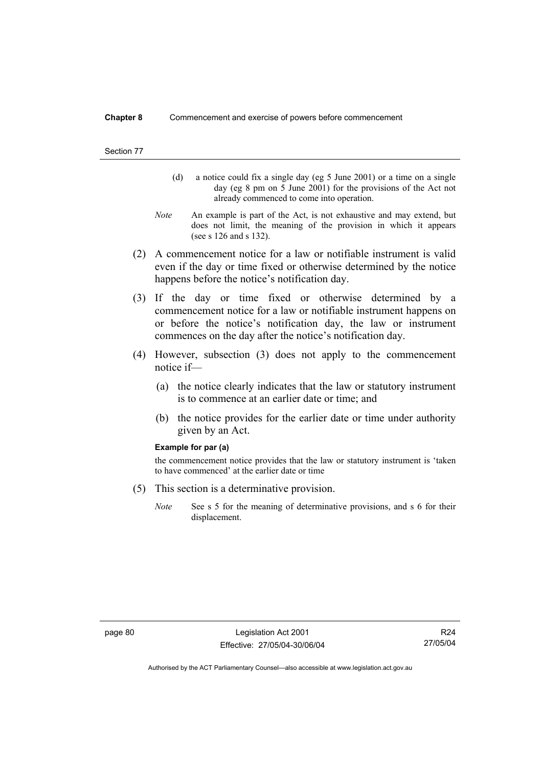#### **Chapter 8** Commencement and exercise of powers before commencement

#### Section 77

- (d) a notice could fix a single day (eg 5 June 2001) or a time on a single day (eg 8 pm on 5 June 2001) for the provisions of the Act not already commenced to come into operation.
- *Note* An example is part of the Act, is not exhaustive and may extend, but does not limit, the meaning of the provision in which it appears (see s 126 and s 132).
- (2) A commencement notice for a law or notifiable instrument is valid even if the day or time fixed or otherwise determined by the notice happens before the notice's notification day.
- (3) If the day or time fixed or otherwise determined by a commencement notice for a law or notifiable instrument happens on or before the notice's notification day, the law or instrument commences on the day after the notice's notification day.
- (4) However, subsection (3) does not apply to the commencement notice if—
	- (a) the notice clearly indicates that the law or statutory instrument is to commence at an earlier date or time; and
	- (b) the notice provides for the earlier date or time under authority given by an Act.

#### **Example for par (a)**

the commencement notice provides that the law or statutory instrument is 'taken to have commenced' at the earlier date or time

- (5) This section is a determinative provision.
	- *Note* See s 5 for the meaning of determinative provisions, and s 6 for their displacement.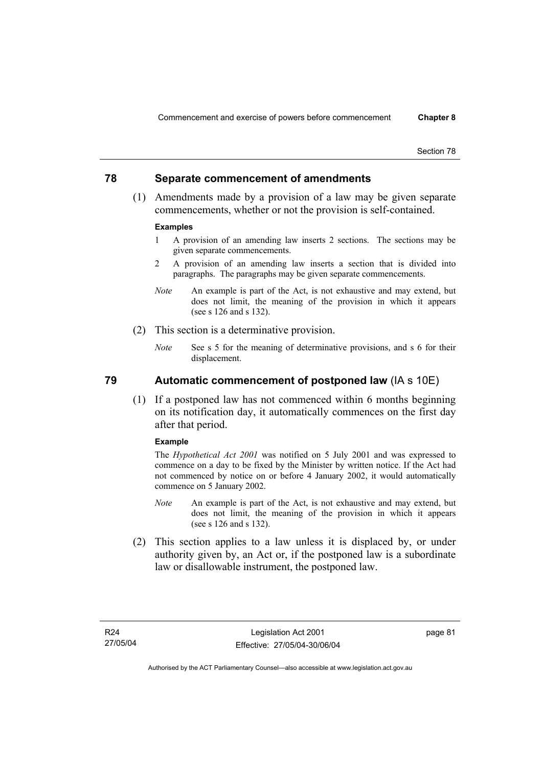### **78 Separate commencement of amendments**

 (1) Amendments made by a provision of a law may be given separate commencements, whether or not the provision is self-contained.

#### **Examples**

- 1 A provision of an amending law inserts 2 sections. The sections may be given separate commencements.
- 2 A provision of an amending law inserts a section that is divided into paragraphs. The paragraphs may be given separate commencements.
- *Note* An example is part of the Act, is not exhaustive and may extend, but does not limit, the meaning of the provision in which it appears (see s 126 and s 132).
- (2) This section is a determinative provision.
	- *Note* See s 5 for the meaning of determinative provisions, and s 6 for their displacement.

### **79 Automatic commencement of postponed law** (IA s 10E)

 (1) If a postponed law has not commenced within 6 months beginning on its notification day, it automatically commences on the first day after that period.

#### **Example**

The *Hypothetical Act 2001* was notified on 5 July 2001 and was expressed to commence on a day to be fixed by the Minister by written notice. If the Act had not commenced by notice on or before 4 January 2002, it would automatically commence on 5 January 2002.

- *Note* An example is part of the Act, is not exhaustive and may extend, but does not limit, the meaning of the provision in which it appears (see s 126 and s 132).
- (2) This section applies to a law unless it is displaced by, or under authority given by, an Act or, if the postponed law is a subordinate law or disallowable instrument, the postponed law.

page 81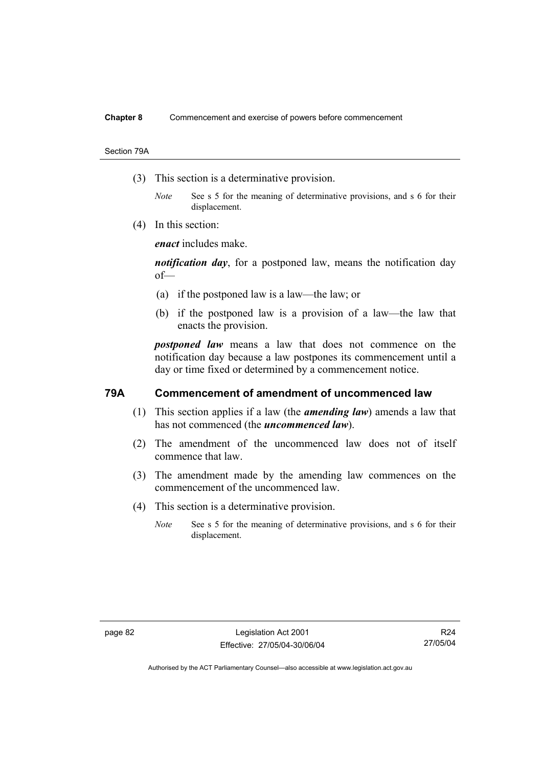Section 79A

- (3) This section is a determinative provision.
	- *Note* See s 5 for the meaning of determinative provisions, and s 6 for their displacement.
- (4) In this section:

*enact* includes make.

*notification day*, for a postponed law, means the notification day of—

- (a) if the postponed law is a law—the law; or
- (b) if the postponed law is a provision of a law—the law that enacts the provision.

*postponed law* means a law that does not commence on the notification day because a law postpones its commencement until a day or time fixed or determined by a commencement notice.

### **79A Commencement of amendment of uncommenced law**

- (1) This section applies if a law (the *amending law*) amends a law that has not commenced (the *uncommenced law*).
- (2) The amendment of the uncommenced law does not of itself commence that law.
- (3) The amendment made by the amending law commences on the commencement of the uncommenced law.
- (4) This section is a determinative provision.
	- *Note* See s 5 for the meaning of determinative provisions, and s 6 for their displacement.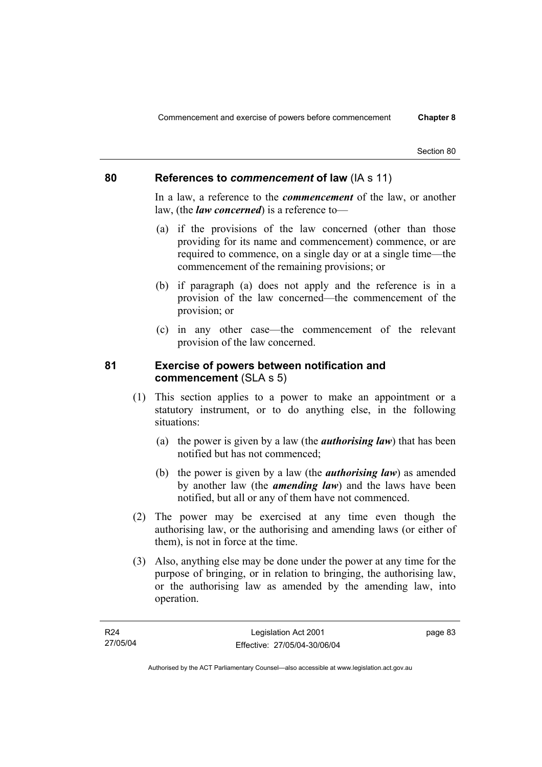### **80 References to** *commencement* **of law** (IA s 11)

In a law, a reference to the *commencement* of the law, or another law, (the *law concerned*) is a reference to—

- (a) if the provisions of the law concerned (other than those providing for its name and commencement) commence, or are required to commence, on a single day or at a single time—the commencement of the remaining provisions; or
- (b) if paragraph (a) does not apply and the reference is in a provision of the law concerned—the commencement of the provision; or
- (c) in any other case—the commencement of the relevant provision of the law concerned.

### **81 Exercise of powers between notification and commencement** (SLA s 5)

- (1) This section applies to a power to make an appointment or a statutory instrument, or to do anything else, in the following situations:
	- (a) the power is given by a law (the *authorising law*) that has been notified but has not commenced;
	- (b) the power is given by a law (the *authorising law*) as amended by another law (the *amending law*) and the laws have been notified, but all or any of them have not commenced.
- (2) The power may be exercised at any time even though the authorising law, or the authorising and amending laws (or either of them), is not in force at the time.
- (3) Also, anything else may be done under the power at any time for the purpose of bringing, or in relation to bringing, the authorising law, or the authorising law as amended by the amending law, into operation.

page 83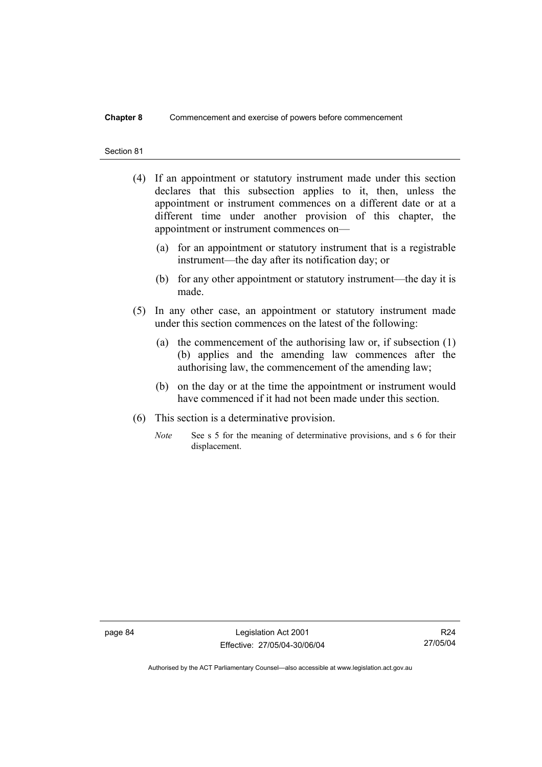#### **Chapter 8** Commencement and exercise of powers before commencement

#### Section 81

- (4) If an appointment or statutory instrument made under this section declares that this subsection applies to it, then, unless the appointment or instrument commences on a different date or at a different time under another provision of this chapter, the appointment or instrument commences on—
	- (a) for an appointment or statutory instrument that is a registrable instrument—the day after its notification day; or
	- (b) for any other appointment or statutory instrument—the day it is made.
- (5) In any other case, an appointment or statutory instrument made under this section commences on the latest of the following:
	- (a) the commencement of the authorising law or, if subsection (1) (b) applies and the amending law commences after the authorising law, the commencement of the amending law;
	- (b) on the day or at the time the appointment or instrument would have commenced if it had not been made under this section.
- (6) This section is a determinative provision.
	- *Note* See s 5 for the meaning of determinative provisions, and s 6 for their displacement.

page 84 Legislation Act 2001 Effective: 27/05/04-30/06/04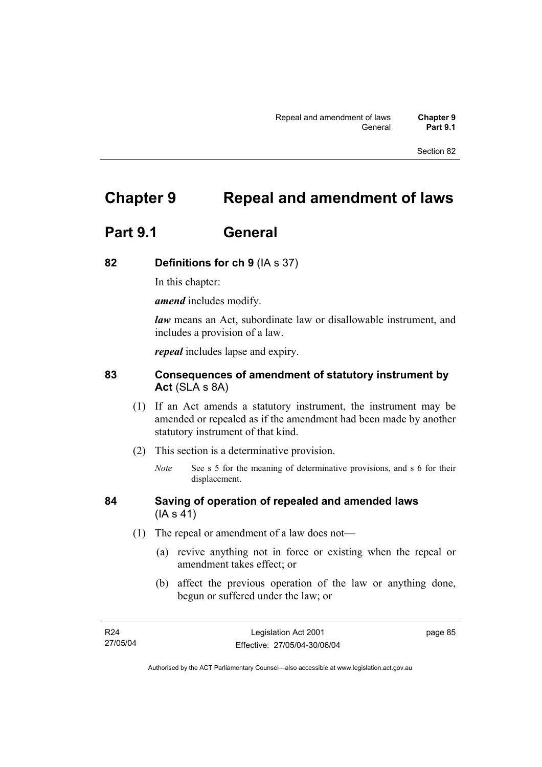## **Chapter 9 Repeal and amendment of laws**

## **Part 9.1 General**

### **82 Definitions for ch 9** (IA s 37)

In this chapter:

*amend* includes modify.

*law* means an Act, subordinate law or disallowable instrument, and includes a provision of a law.

*repeal* includes lapse and expiry.

## **83 Consequences of amendment of statutory instrument by Act** (SLA s 8A)

- (1) If an Act amends a statutory instrument, the instrument may be amended or repealed as if the amendment had been made by another statutory instrument of that kind.
- (2) This section is a determinative provision.
	- *Note* See s 5 for the meaning of determinative provisions, and s 6 for their displacement.

### **84 Saving of operation of repealed and amended laws** (IA s 41)

- (1) The repeal or amendment of a law does not—
	- (a) revive anything not in force or existing when the repeal or amendment takes effect; or
	- (b) affect the previous operation of the law or anything done, begun or suffered under the law; or

page 85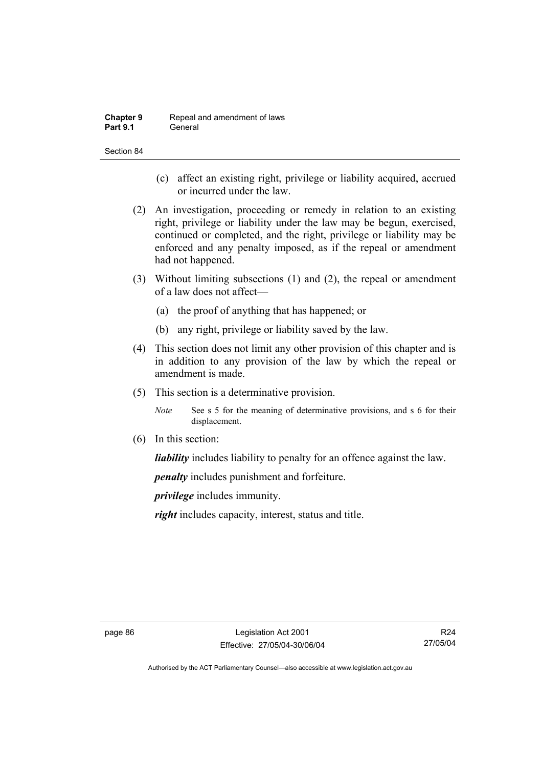| <b>Chapter 9</b> | Repeal and amendment of laws |
|------------------|------------------------------|
| <b>Part 9.1</b>  | General                      |

- (c) affect an existing right, privilege or liability acquired, accrued or incurred under the law.
- (2) An investigation, proceeding or remedy in relation to an existing right, privilege or liability under the law may be begun, exercised, continued or completed, and the right, privilege or liability may be enforced and any penalty imposed, as if the repeal or amendment had not happened.
- (3) Without limiting subsections (1) and (2), the repeal or amendment of a law does not affect—
	- (a) the proof of anything that has happened; or
	- (b) any right, privilege or liability saved by the law.
- (4) This section does not limit any other provision of this chapter and is in addition to any provision of the law by which the repeal or amendment is made.
- (5) This section is a determinative provision.
	- *Note* See s 5 for the meaning of determinative provisions, and s 6 for their displacement.
- (6) In this section:

*liability* includes liability to penalty for an offence against the law.

*penalty* includes punishment and forfeiture.

*privilege* includes immunity.

*right* includes capacity, interest, status and title.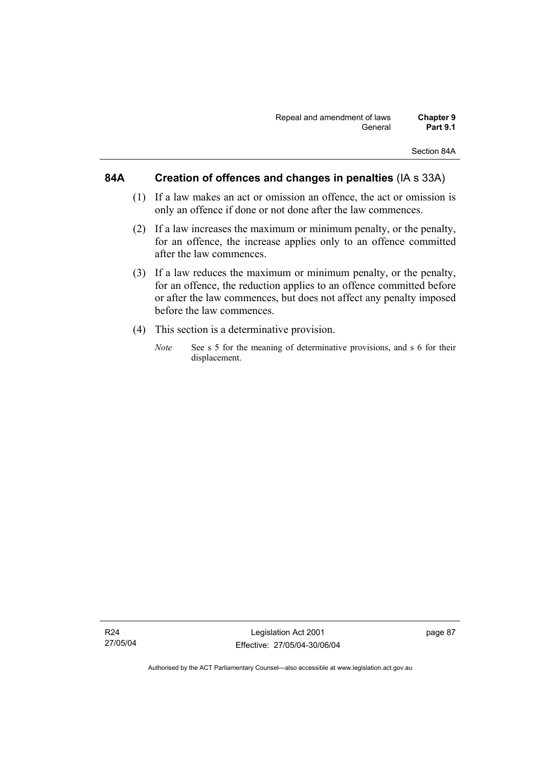### **84A Creation of offences and changes in penalties** (IA s 33A)

- (1) If a law makes an act or omission an offence, the act or omission is only an offence if done or not done after the law commences.
- (2) If a law increases the maximum or minimum penalty, or the penalty, for an offence, the increase applies only to an offence committed after the law commences.
- (3) If a law reduces the maximum or minimum penalty, or the penalty, for an offence, the reduction applies to an offence committed before or after the law commences, but does not affect any penalty imposed before the law commences.
- (4) This section is a determinative provision.
	- *Note* See s 5 for the meaning of determinative provisions, and s 6 for their displacement.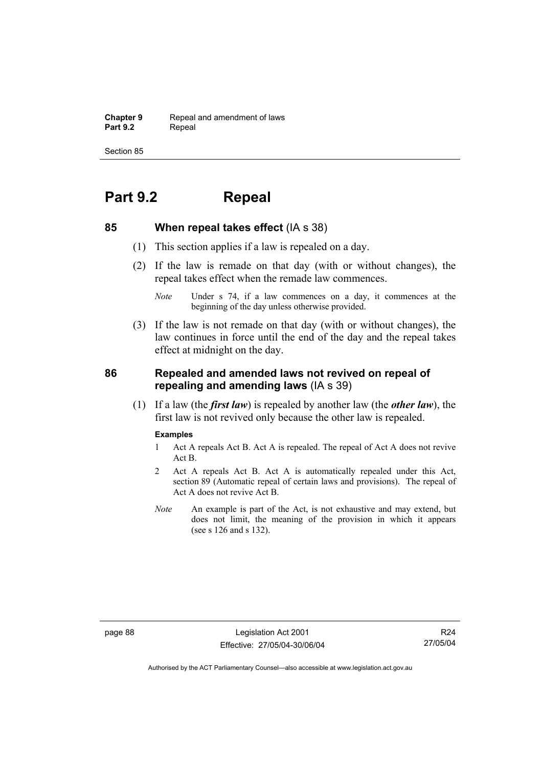**Chapter 9 Repeal and amendment of laws**<br>**Part 9.2 Repeal** Repeal

Section 85

## **Part 9.2 Repeal**

### **85 When repeal takes effect** (IA s 38)

- (1) This section applies if a law is repealed on a day.
- (2) If the law is remade on that day (with or without changes), the repeal takes effect when the remade law commences.

 (3) If the law is not remade on that day (with or without changes), the law continues in force until the end of the day and the repeal takes effect at midnight on the day.

### **86 Repealed and amended laws not revived on repeal of repealing and amending laws** (IA s 39)

 (1) If a law (the *first law*) is repealed by another law (the *other law*), the first law is not revived only because the other law is repealed.

#### **Examples**

- 1 Act A repeals Act B. Act A is repealed. The repeal of Act A does not revive Act B.
- 2 Act A repeals Act B. Act A is automatically repealed under this Act, section 89 (Automatic repeal of certain laws and provisions). The repeal of Act A does not revive Act B.
- *Note* An example is part of the Act, is not exhaustive and may extend, but does not limit, the meaning of the provision in which it appears (see s 126 and s 132).

*Note* Under s 74, if a law commences on a day, it commences at the beginning of the day unless otherwise provided.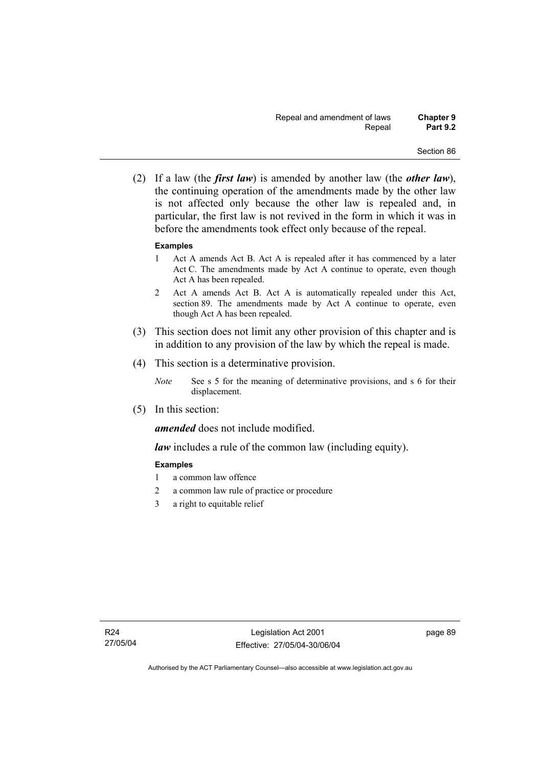(2) If a law (the *first law*) is amended by another law (the *other law*), the continuing operation of the amendments made by the other law is not affected only because the other law is repealed and, in particular, the first law is not revived in the form in which it was in before the amendments took effect only because of the repeal.

### **Examples**

- 1 Act A amends Act B. Act A is repealed after it has commenced by a later Act C. The amendments made by Act A continue to operate, even though Act A has been repealed.
- 2 Act A amends Act B. Act A is automatically repealed under this Act, section 89. The amendments made by Act A continue to operate, even though Act A has been repealed.
- (3) This section does not limit any other provision of this chapter and is in addition to any provision of the law by which the repeal is made.
- (4) This section is a determinative provision.
	- *Note* See s 5 for the meaning of determinative provisions, and s 6 for their displacement.
- (5) In this section:

*amended* does not include modified.

*law* includes a rule of the common law (including equity).

### **Examples**

- 1 a common law offence
- 2 a common law rule of practice or procedure
- 3 a right to equitable relief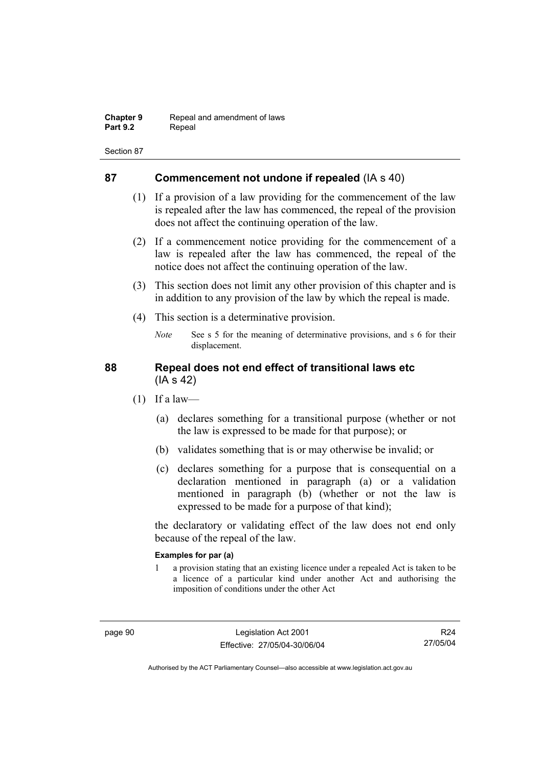| <b>Chapter 9</b> | Repeal and amendment of laws |
|------------------|------------------------------|
| <b>Part 9.2</b>  | Repeal                       |

### **87 Commencement not undone if repealed** (IA s 40)

- (1) If a provision of a law providing for the commencement of the law is repealed after the law has commenced, the repeal of the provision does not affect the continuing operation of the law.
- (2) If a commencement notice providing for the commencement of a law is repealed after the law has commenced, the repeal of the notice does not affect the continuing operation of the law.
- (3) This section does not limit any other provision of this chapter and is in addition to any provision of the law by which the repeal is made.
- (4) This section is a determinative provision.
	- *Note* See s 5 for the meaning of determinative provisions, and s 6 for their displacement.

### **88 Repeal does not end effect of transitional laws etc**  (IA s 42)

- $(1)$  If a law—
	- (a) declares something for a transitional purpose (whether or not the law is expressed to be made for that purpose); or
	- (b) validates something that is or may otherwise be invalid; or
	- (c) declares something for a purpose that is consequential on a declaration mentioned in paragraph (a) or a validation mentioned in paragraph (b) (whether or not the law is expressed to be made for a purpose of that kind);

the declaratory or validating effect of the law does not end only because of the repeal of the law.

### **Examples for par (a)**

1 a provision stating that an existing licence under a repealed Act is taken to be a licence of a particular kind under another Act and authorising the imposition of conditions under the other Act

R24 27/05/04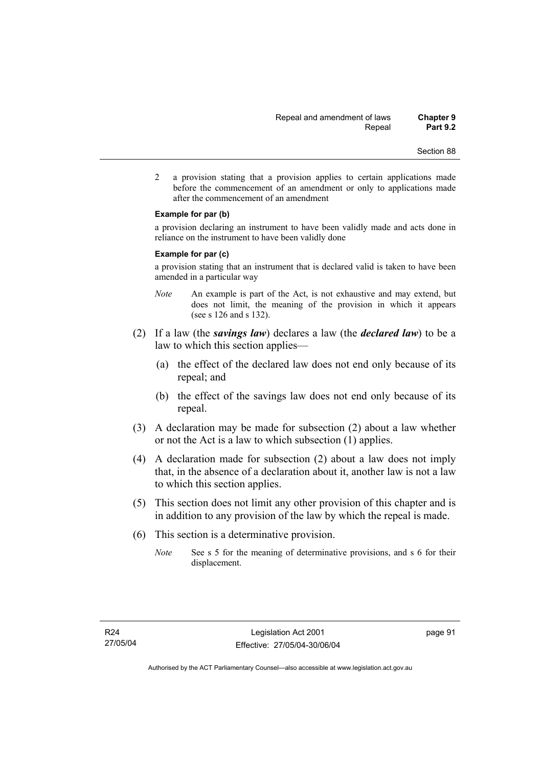- Section 88
- 2 a provision stating that a provision applies to certain applications made before the commencement of an amendment or only to applications made after the commencement of an amendment

#### **Example for par (b)**

a provision declaring an instrument to have been validly made and acts done in reliance on the instrument to have been validly done

#### **Example for par (c)**

a provision stating that an instrument that is declared valid is taken to have been amended in a particular way

- *Note* An example is part of the Act, is not exhaustive and may extend, but does not limit, the meaning of the provision in which it appears (see s 126 and s 132).
- (2) If a law (the *savings law*) declares a law (the *declared law*) to be a law to which this section applies—
	- (a) the effect of the declared law does not end only because of its repeal; and
	- (b) the effect of the savings law does not end only because of its repeal.
- (3) A declaration may be made for subsection (2) about a law whether or not the Act is a law to which subsection (1) applies.
- (4) A declaration made for subsection (2) about a law does not imply that, in the absence of a declaration about it, another law is not a law to which this section applies.
- (5) This section does not limit any other provision of this chapter and is in addition to any provision of the law by which the repeal is made.
- (6) This section is a determinative provision.
	- *Note* See s 5 for the meaning of determinative provisions, and s 6 for their displacement.

page 91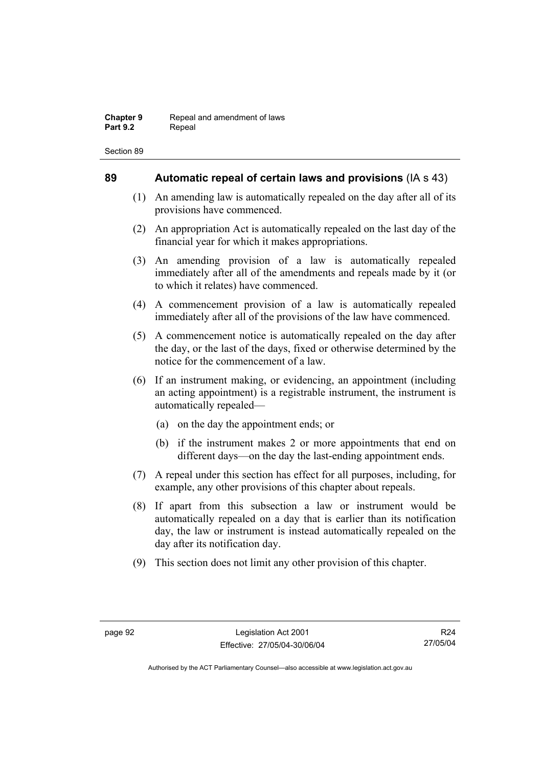### **89 Automatic repeal of certain laws and provisions** (IA s 43)

- (1) An amending law is automatically repealed on the day after all of its provisions have commenced.
- (2) An appropriation Act is automatically repealed on the last day of the financial year for which it makes appropriations.
- (3) An amending provision of a law is automatically repealed immediately after all of the amendments and repeals made by it (or to which it relates) have commenced.
- (4) A commencement provision of a law is automatically repealed immediately after all of the provisions of the law have commenced.
- (5) A commencement notice is automatically repealed on the day after the day, or the last of the days, fixed or otherwise determined by the notice for the commencement of a law.
- (6) If an instrument making, or evidencing, an appointment (including an acting appointment) is a registrable instrument, the instrument is automatically repealed—
	- (a) on the day the appointment ends; or
	- (b) if the instrument makes 2 or more appointments that end on different days—on the day the last-ending appointment ends.
- (7) A repeal under this section has effect for all purposes, including, for example, any other provisions of this chapter about repeals.
- (8) If apart from this subsection a law or instrument would be automatically repealed on a day that is earlier than its notification day, the law or instrument is instead automatically repealed on the day after its notification day.
- (9) This section does not limit any other provision of this chapter.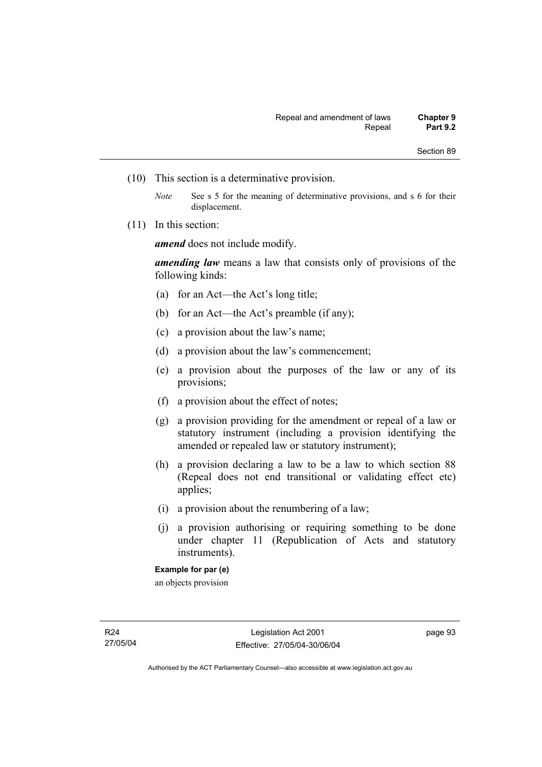- (10) This section is a determinative provision.
	- *Note* See s 5 for the meaning of determinative provisions, and s 6 for their displacement.
- (11) In this section:

*amend* does not include modify.

*amending law* means a law that consists only of provisions of the following kinds:

- (a) for an Act—the Act's long title;
- (b) for an Act—the Act's preamble (if any);
- (c) a provision about the law's name;
- (d) a provision about the law's commencement;
- (e) a provision about the purposes of the law or any of its provisions;
- (f) a provision about the effect of notes;
- (g) a provision providing for the amendment or repeal of a law or statutory instrument (including a provision identifying the amended or repealed law or statutory instrument);
- (h) a provision declaring a law to be a law to which section 88 (Repeal does not end transitional or validating effect etc) applies;
- (i) a provision about the renumbering of a law;
- (j) a provision authorising or requiring something to be done under chapter 11 (Republication of Acts and statutory instruments).

an objects provision

page 93

**Example for par (e)**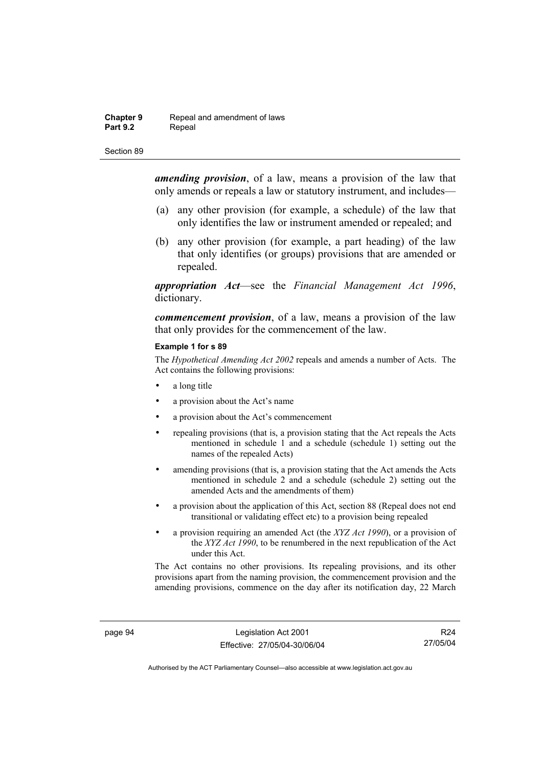### **Chapter 9 Repeal and amendment of laws**<br>**Part 9.2 Repeal** Repeal

Section 89

*amending provision*, of a law, means a provision of the law that only amends or repeals a law or statutory instrument, and includes—

- (a) any other provision (for example, a schedule) of the law that only identifies the law or instrument amended or repealed; and
- (b) any other provision (for example, a part heading) of the law that only identifies (or groups) provisions that are amended or repealed.

*appropriation Act*—see the *Financial Management Act 1996*, dictionary.

*commencement provision*, of a law, means a provision of the law that only provides for the commencement of the law.

#### **Example 1 for s 89**

The *Hypothetical Amending Act 2002* repeals and amends a number of Acts. The Act contains the following provisions:

- a long title
- a provision about the Act's name
- a provision about the Act's commencement
- repealing provisions (that is, a provision stating that the Act repeals the Acts mentioned in schedule 1 and a schedule (schedule 1) setting out the names of the repealed Acts)
- amending provisions (that is, a provision stating that the Act amends the Acts mentioned in schedule 2 and a schedule (schedule 2) setting out the amended Acts and the amendments of them)
- a provision about the application of this Act, section 88 (Repeal does not end transitional or validating effect etc) to a provision being repealed
- a provision requiring an amended Act (the *XYZ Act 1990*), or a provision of the *XYZ Act 1990*, to be renumbered in the next republication of the Act under this Act.

The Act contains no other provisions. Its repealing provisions, and its other provisions apart from the naming provision, the commencement provision and the amending provisions, commence on the day after its notification day, 22 March

page 94 Legislation Act 2001 Effective: 27/05/04-30/06/04

R24 27/05/04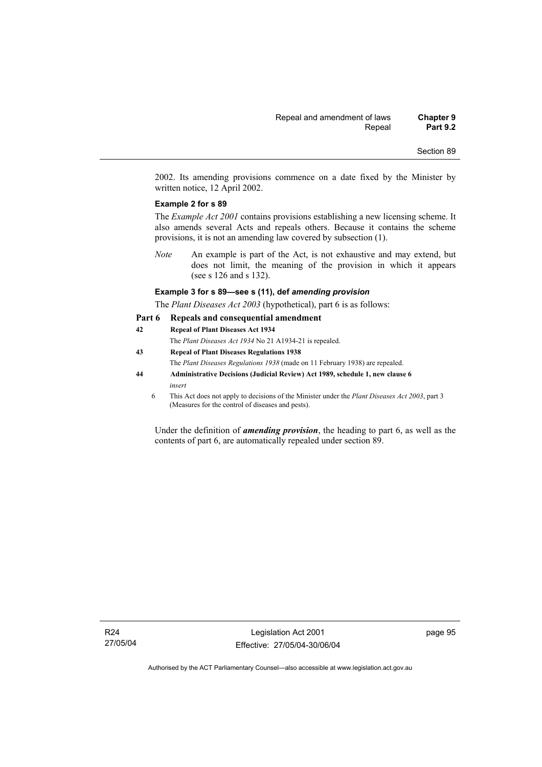2002. Its amending provisions commence on a date fixed by the Minister by written notice, 12 April 2002.

### **Example 2 for s 89**

The *Example Act 2001* contains provisions establishing a new licensing scheme. It also amends several Acts and repeals others. Because it contains the scheme provisions, it is not an amending law covered by subsection (1).

*Note* An example is part of the Act, is not exhaustive and may extend, but does not limit, the meaning of the provision in which it appears (see s 126 and s 132).

#### **Example 3 for s 89—see s (11), def** *amending provision*

The *Plant Diseases Act 2003* (hypothetical), part 6 is as follows:

#### **Part 6 Repeals and consequential amendment**

**42 Repeal of Plant Diseases Act 1934** The *Plant Diseases Act 1934* No 21 A1934-21 is repealed. **43 Repeal of Plant Diseases Regulations 1938** The *Plant Diseases Regulations 1938* (made on 11 February 1938) are repealed. **44 Administrative Decisions (Judicial Review) Act 1989, schedule 1, new clause 6**  *insert*  6 This Act does not apply to decisions of the Minister under the *Plant Diseases Act 2003*, part 3 (Measures for the control of diseases and pests).

Under the definition of *amending provision*, the heading to part 6, as well as the contents of part 6, are automatically repealed under section 89.

page 95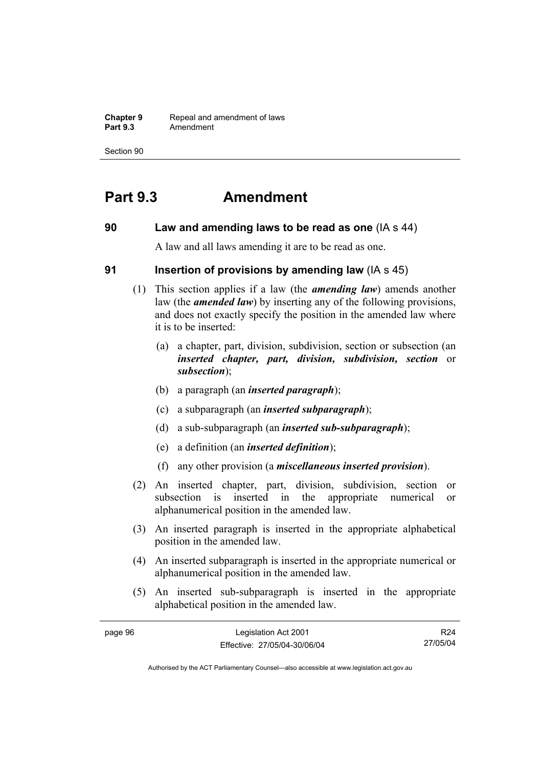**Chapter 9 Repeal and amendment of laws**<br>**Part 9.3 Amendment Part 9.3** Amendment

Section 90

# **Part 9.3 Amendment**

## **90 Law and amending laws to be read as one** (IA s 44)

A law and all laws amending it are to be read as one.

## **91 Insertion of provisions by amending law** (IA s 45)

- (1) This section applies if a law (the *amending law*) amends another law (the *amended law*) by inserting any of the following provisions, and does not exactly specify the position in the amended law where it is to be inserted:
	- (a) a chapter, part, division, subdivision, section or subsection (an *inserted chapter, part, division, subdivision, section* or *subsection*);
	- (b) a paragraph (an *inserted paragraph*);
	- (c) a subparagraph (an *inserted subparagraph*);
	- (d) a sub-subparagraph (an *inserted sub-subparagraph*);
	- (e) a definition (an *inserted definition*);
	- (f) any other provision (a *miscellaneous inserted provision*).
- (2) An inserted chapter, part, division, subdivision, section or subsection is inserted in the appropriate numerical or alphanumerical position in the amended law.
- (3) An inserted paragraph is inserted in the appropriate alphabetical position in the amended law.
- (4) An inserted subparagraph is inserted in the appropriate numerical or alphanumerical position in the amended law.
- (5) An inserted sub-subparagraph is inserted in the appropriate alphabetical position in the amended law.

| page 96 | Legislation Act 2001         | R <sub>24</sub> |
|---------|------------------------------|-----------------|
|         | Effective: 27/05/04-30/06/04 | 27/05/04        |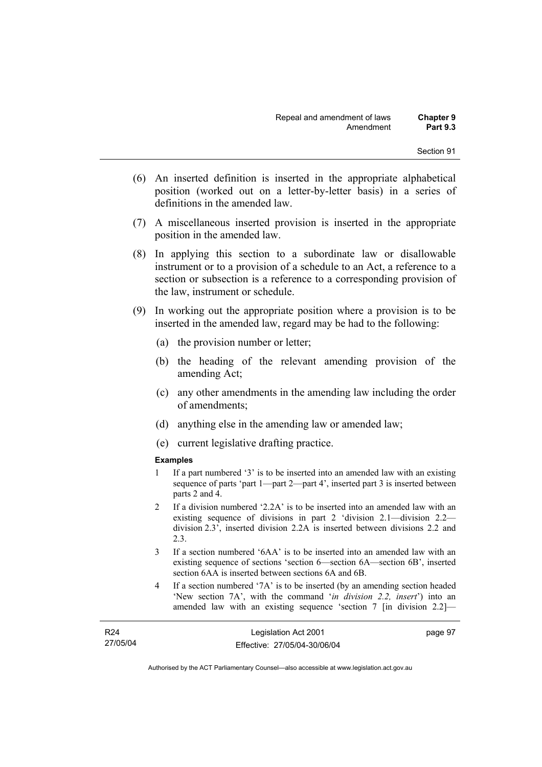- (6) An inserted definition is inserted in the appropriate alphabetical position (worked out on a letter-by-letter basis) in a series of definitions in the amended law.
- (7) A miscellaneous inserted provision is inserted in the appropriate position in the amended law.
- (8) In applying this section to a subordinate law or disallowable instrument or to a provision of a schedule to an Act, a reference to a section or subsection is a reference to a corresponding provision of the law, instrument or schedule.
- (9) In working out the appropriate position where a provision is to be inserted in the amended law, regard may be had to the following:
	- (a) the provision number or letter;
	- (b) the heading of the relevant amending provision of the amending Act;
	- (c) any other amendments in the amending law including the order of amendments;
	- (d) anything else in the amending law or amended law;
	- (e) current legislative drafting practice.

## **Examples**

- 1 If a part numbered '3' is to be inserted into an amended law with an existing sequence of parts 'part 1—part 2—part 4', inserted part 3 is inserted between parts 2 and 4.
- 2 If a division numbered '2.2A' is to be inserted into an amended law with an existing sequence of divisions in part 2 'division 2.1—division 2.2 division 2.3', inserted division 2.2A is inserted between divisions 2.2 and 2.3.
- 3 If a section numbered '6AA' is to be inserted into an amended law with an existing sequence of sections 'section 6—section 6A—section 6B', inserted section 6AA is inserted between sections 6A and 6B.
- 4 If a section numbered '7A' is to be inserted (by an amending section headed 'New section 7A', with the command '*in division 2.2, insert*') into an amended law with an existing sequence 'section 7 [in division 2.2]—

| R <sub>24</sub> | Legislation Act 2001         | page 97 |
|-----------------|------------------------------|---------|
| 27/05/04        | Effective: 27/05/04-30/06/04 |         |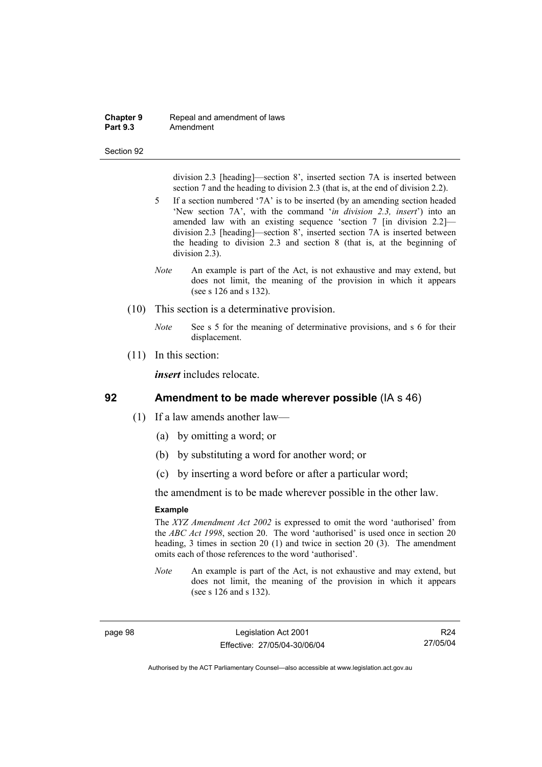### **Chapter 9 Repeal and amendment of laws**<br>**Part 9.3 Amendment Part 9.3** Amendment

#### Section 92

division 2.3 [heading]—section 8', inserted section 7A is inserted between section 7 and the heading to division 2.3 (that is, at the end of division 2.2).

- 5 If a section numbered '7A' is to be inserted (by an amending section headed 'New section 7A', with the command '*in division 2.3, insert*') into an amended law with an existing sequence 'section 7 [in division 2.2] division 2.3 [heading]—section 8', inserted section 7A is inserted between the heading to division 2.3 and section 8 (that is, at the beginning of division 2.3).
- *Note* An example is part of the Act, is not exhaustive and may extend, but does not limit, the meaning of the provision in which it appears (see s 126 and s 132).
- (10) This section is a determinative provision.
	- *Note* See s 5 for the meaning of determinative provisions, and s 6 for their displacement.
- (11) In this section:

*insert* includes relocate.

# **92 Amendment to be made wherever possible** (IA s 46)

- (1) If a law amends another law—
	- (a) by omitting a word; or
	- (b) by substituting a word for another word; or
	- (c) by inserting a word before or after a particular word;

the amendment is to be made wherever possible in the other law.

#### **Example**

The *XYZ Amendment Act 2002* is expressed to omit the word 'authorised' from the *ABC Act 1998*, section 20. The word 'authorised' is used once in section 20 heading, 3 times in section 20 (1) and twice in section 20 (3). The amendment omits each of those references to the word 'authorised'.

*Note* An example is part of the Act, is not exhaustive and may extend, but does not limit, the meaning of the provision in which it appears (see s 126 and s 132).

page 98 Legislation Act 2001 Effective: 27/05/04-30/06/04

R24 27/05/04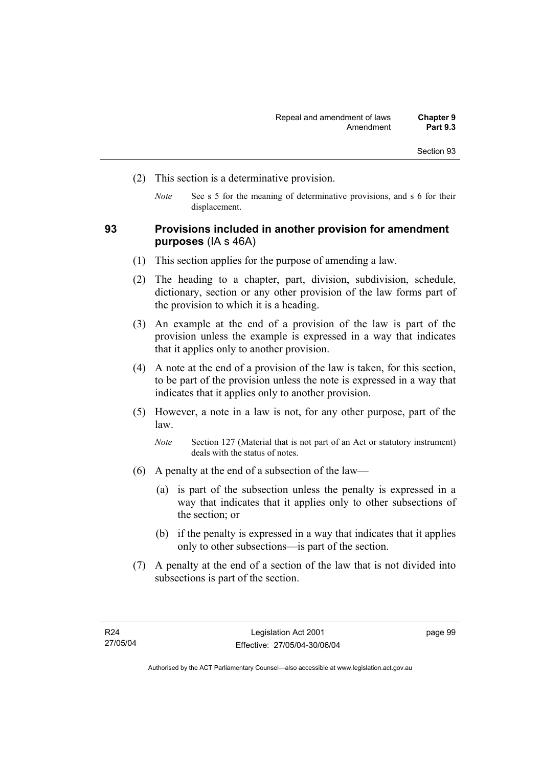- (2) This section is a determinative provision.
	- *Note* See s 5 for the meaning of determinative provisions, and s 6 for their displacement.

## **93 Provisions included in another provision for amendment purposes** (IA s 46A)

- (1) This section applies for the purpose of amending a law.
- (2) The heading to a chapter, part, division, subdivision, schedule, dictionary, section or any other provision of the law forms part of the provision to which it is a heading.
- (3) An example at the end of a provision of the law is part of the provision unless the example is expressed in a way that indicates that it applies only to another provision.
- (4) A note at the end of a provision of the law is taken, for this section, to be part of the provision unless the note is expressed in a way that indicates that it applies only to another provision.
- (5) However, a note in a law is not, for any other purpose, part of the law.

- (6) A penalty at the end of a subsection of the law—
	- (a) is part of the subsection unless the penalty is expressed in a way that indicates that it applies only to other subsections of the section; or
	- (b) if the penalty is expressed in a way that indicates that it applies only to other subsections—is part of the section.
- (7) A penalty at the end of a section of the law that is not divided into subsections is part of the section.

page 99

*Note* Section 127 (Material that is not part of an Act or statutory instrument) deals with the status of notes.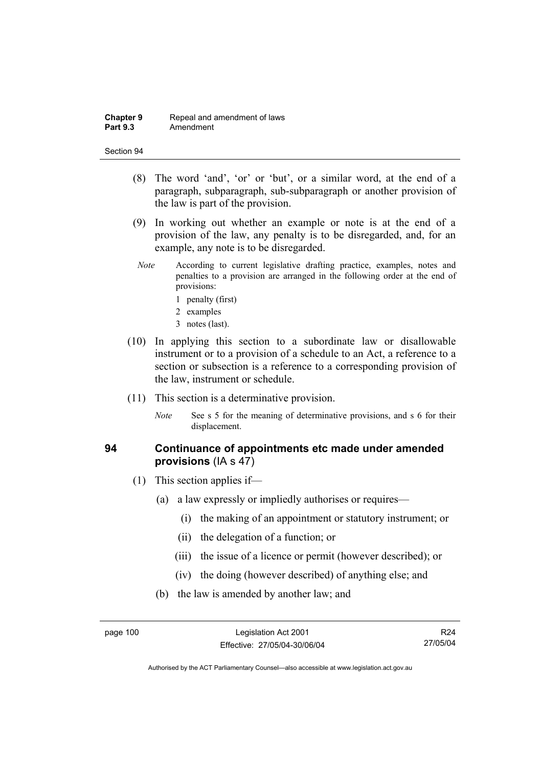### **Chapter 9 Repeal and amendment of laws**<br>**Part 9.3 Amendment Part 9.3** Amendment

#### Section 94

- (8) The word 'and', 'or' or 'but', or a similar word, at the end of a paragraph, subparagraph, sub-subparagraph or another provision of the law is part of the provision.
- (9) In working out whether an example or note is at the end of a provision of the law, any penalty is to be disregarded, and, for an example, any note is to be disregarded.
- *Note* According to current legislative drafting practice, examples, notes and penalties to a provision are arranged in the following order at the end of provisions:
	- 1 penalty (first)
	- 2 examples
	- 3 notes (last).
- (10) In applying this section to a subordinate law or disallowable instrument or to a provision of a schedule to an Act, a reference to a section or subsection is a reference to a corresponding provision of the law, instrument or schedule.
- (11) This section is a determinative provision.
	- *Note* See s 5 for the meaning of determinative provisions, and s 6 for their displacement.

## **94 Continuance of appointments etc made under amended provisions** (IA s 47)

- (1) This section applies if—
	- (a) a law expressly or impliedly authorises or requires—
		- (i) the making of an appointment or statutory instrument; or
		- (ii) the delegation of a function; or
		- (iii) the issue of a licence or permit (however described); or
		- (iv) the doing (however described) of anything else; and
	- (b) the law is amended by another law; and

R24 27/05/04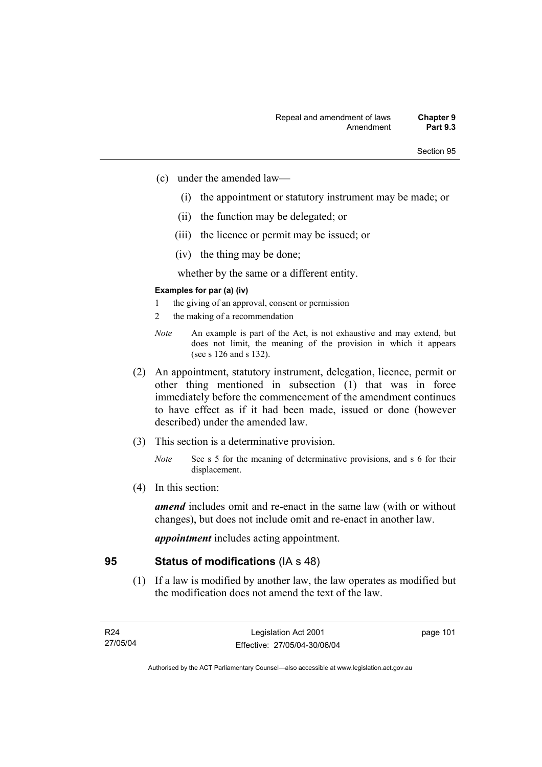- (c) under the amended law—
	- (i) the appointment or statutory instrument may be made; or
	- (ii) the function may be delegated; or
	- (iii) the licence or permit may be issued; or
	- (iv) the thing may be done;

whether by the same or a different entity.

## **Examples for par (a) (iv)**

- 1 the giving of an approval, consent or permission
- 2 the making of a recommendation
- *Note* An example is part of the Act, is not exhaustive and may extend, but does not limit, the meaning of the provision in which it appears (see s 126 and s 132).
- (2) An appointment, statutory instrument, delegation, licence, permit or other thing mentioned in subsection (1) that was in force immediately before the commencement of the amendment continues to have effect as if it had been made, issued or done (however described) under the amended law.
- (3) This section is a determinative provision.
	- *Note* See s 5 for the meaning of determinative provisions, and s 6 for their displacement.
- (4) In this section:

*amend* includes omit and re-enact in the same law (with or without changes), but does not include omit and re-enact in another law.

*appointment* includes acting appointment.

## **95 Status of modifications** (IA s 48)

 (1) If a law is modified by another law, the law operates as modified but the modification does not amend the text of the law.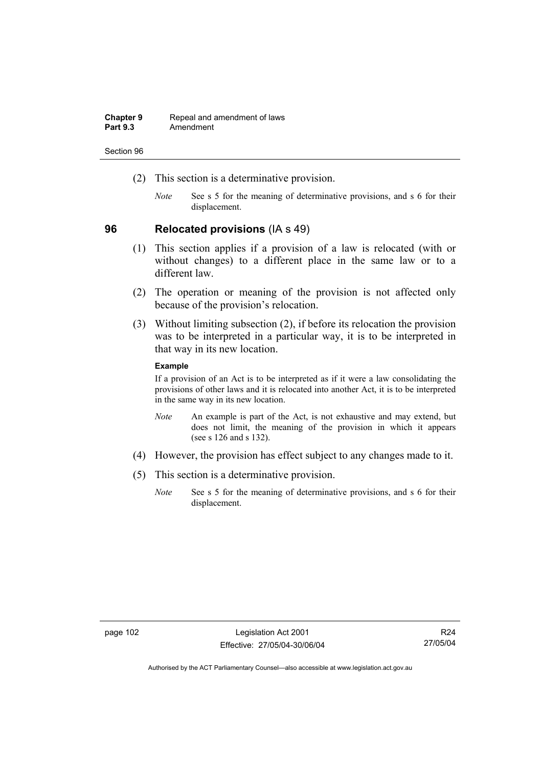| <b>Chapter 9</b> | Repeal and amendment of laws |
|------------------|------------------------------|
| <b>Part 9.3</b>  | Amendment                    |

- (2) This section is a determinative provision.
	- *Note* See s 5 for the meaning of determinative provisions, and s 6 for their displacement.

## **96 Relocated provisions** (IA s 49)

- (1) This section applies if a provision of a law is relocated (with or without changes) to a different place in the same law or to a different law.
- (2) The operation or meaning of the provision is not affected only because of the provision's relocation.
- (3) Without limiting subsection (2), if before its relocation the provision was to be interpreted in a particular way, it is to be interpreted in that way in its new location.

## **Example**

If a provision of an Act is to be interpreted as if it were a law consolidating the provisions of other laws and it is relocated into another Act, it is to be interpreted in the same way in its new location.

- *Note* An example is part of the Act, is not exhaustive and may extend, but does not limit, the meaning of the provision in which it appears (see s 126 and s 132).
- (4) However, the provision has effect subject to any changes made to it.
- (5) This section is a determinative provision.
	- *Note* See s 5 for the meaning of determinative provisions, and s 6 for their displacement.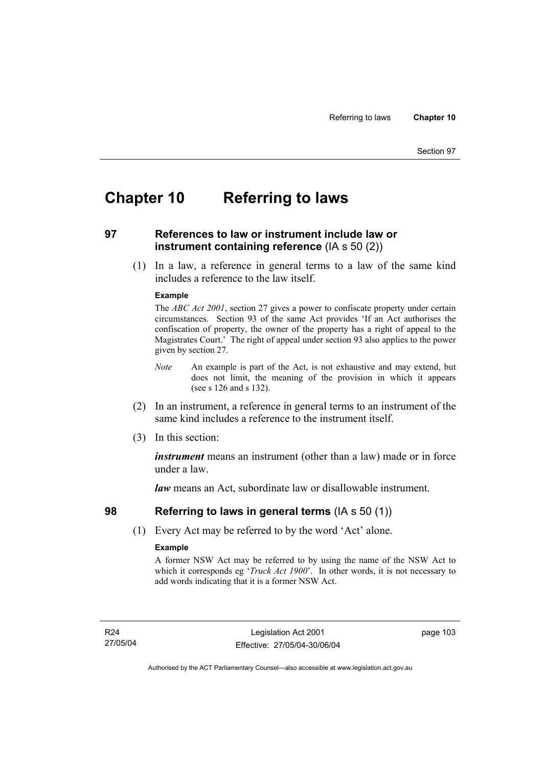# **Chapter 10 Referring to laws**

# **97 References to law or instrument include law or instrument containing reference** (IA s 50 (2))

 (1) In a law, a reference in general terms to a law of the same kind includes a reference to the law itself.

## **Example**

The *ABC Act 2001*, section 27 gives a power to confiscate property under certain circumstances. Section 93 of the same Act provides 'If an Act authorises the confiscation of property, the owner of the property has a right of appeal to the Magistrates Court.' The right of appeal under section 93 also applies to the power given by section 27.

- *Note* An example is part of the Act, is not exhaustive and may extend, but does not limit, the meaning of the provision in which it appears (see s 126 and s 132).
- (2) In an instrument, a reference in general terms to an instrument of the same kind includes a reference to the instrument itself.
- (3) In this section:

*instrument* means an instrument (other than a law) made or in force under a law.

*law* means an Act, subordinate law or disallowable instrument.

# **98 Referring to laws in general terms** (IA s 50 (1))

(1) Every Act may be referred to by the word 'Act' alone.

## **Example**

A former NSW Act may be referred to by using the name of the NSW Act to which it corresponds eg '*Truck Act 1900*'. In other words, it is not necessary to add words indicating that it is a former NSW Act.

R24 27/05/04 page 103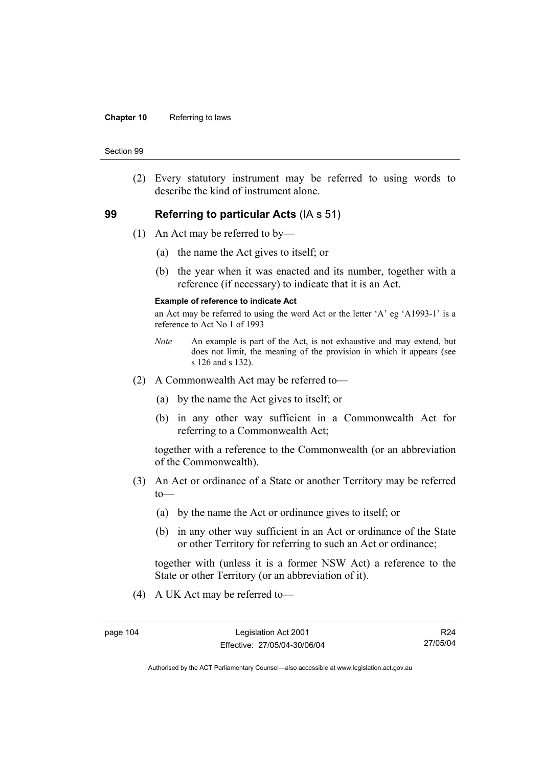### **Chapter 10** Referring to laws

#### Section 99

 (2) Every statutory instrument may be referred to using words to describe the kind of instrument alone.

## **99 Referring to particular Acts** (IA s 51)

- (1) An Act may be referred to by—
	- (a) the name the Act gives to itself; or
	- (b) the year when it was enacted and its number, together with a reference (if necessary) to indicate that it is an Act.

## **Example of reference to indicate Act**

an Act may be referred to using the word Act or the letter 'A' eg 'A1993-1' is a reference to Act No 1 of 1993

- *Note* An example is part of the Act, is not exhaustive and may extend, but does not limit, the meaning of the provision in which it appears (see s 126 and s 132).
- (2) A Commonwealth Act may be referred to—
	- (a) by the name the Act gives to itself; or
	- (b) in any other way sufficient in a Commonwealth Act for referring to a Commonwealth Act;

together with a reference to the Commonwealth (or an abbreviation of the Commonwealth).

- (3) An Act or ordinance of a State or another Territory may be referred  $to$ —
	- (a) by the name the Act or ordinance gives to itself; or
	- (b) in any other way sufficient in an Act or ordinance of the State or other Territory for referring to such an Act or ordinance;

together with (unless it is a former NSW Act) a reference to the State or other Territory (or an abbreviation of it).

(4) A UK Act may be referred to—

R24 27/05/04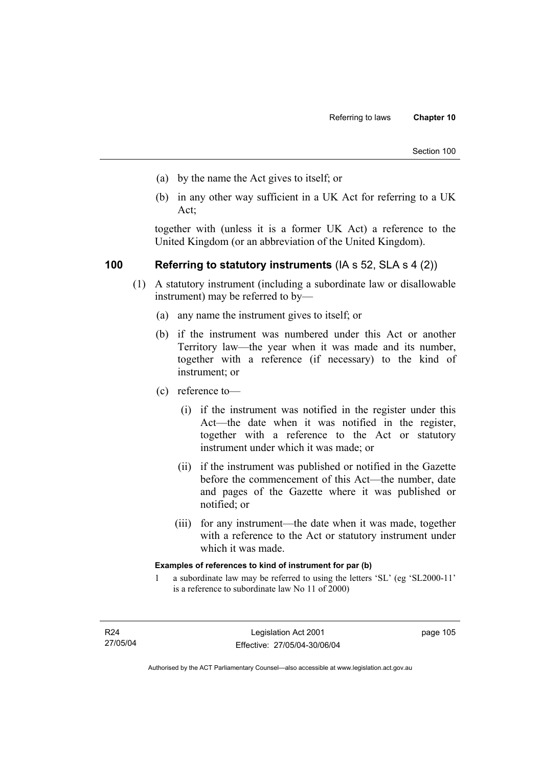- (a) by the name the Act gives to itself; or
- (b) in any other way sufficient in a UK Act for referring to a UK Act;

together with (unless it is a former UK Act) a reference to the United Kingdom (or an abbreviation of the United Kingdom).

# **100 Referring to statutory instruments** (IA s 52, SLA s 4 (2))

- (1) A statutory instrument (including a subordinate law or disallowable instrument) may be referred to by—
	- (a) any name the instrument gives to itself; or
	- (b) if the instrument was numbered under this Act or another Territory law—the year when it was made and its number, together with a reference (if necessary) to the kind of instrument; or
	- (c) reference to—
		- (i) if the instrument was notified in the register under this Act—the date when it was notified in the register, together with a reference to the Act or statutory instrument under which it was made; or
		- (ii) if the instrument was published or notified in the Gazette before the commencement of this Act—the number, date and pages of the Gazette where it was published or notified; or
		- (iii) for any instrument—the date when it was made, together with a reference to the Act or statutory instrument under which it was made.

## **Examples of references to kind of instrument for par (b)**

1 a subordinate law may be referred to using the letters 'SL' (eg 'SL2000-11' is a reference to subordinate law No 11 of 2000)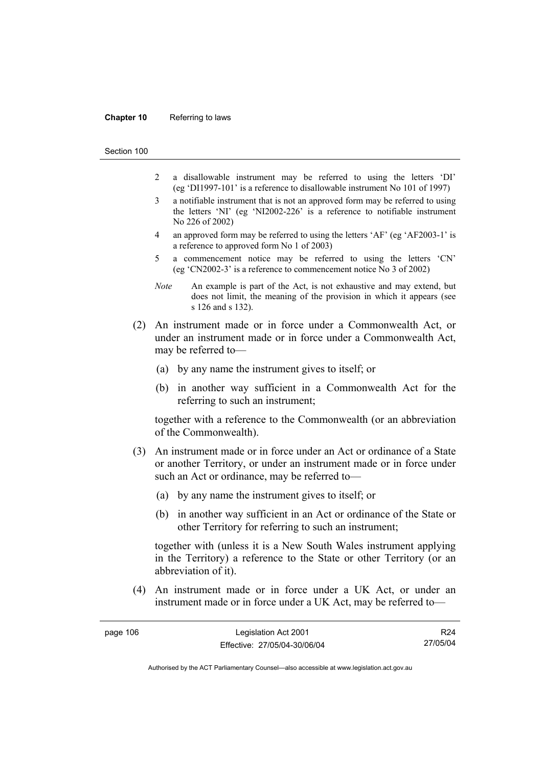#### **Chapter 10** Referring to laws

Section 100

- 2 a disallowable instrument may be referred to using the letters 'DI' (eg 'DI1997-101' is a reference to disallowable instrument No 101 of 1997)
- 3 a notifiable instrument that is not an approved form may be referred to using the letters 'NI' (eg 'NI2002-226' is a reference to notifiable instrument No 226 of 2002)
- 4 an approved form may be referred to using the letters 'AF' (eg 'AF2003-1' is a reference to approved form No 1 of 2003)
- 5 a commencement notice may be referred to using the letters 'CN' (eg 'CN2002-3' is a reference to commencement notice No 3 of 2002)
- *Note* An example is part of the Act, is not exhaustive and may extend, but does not limit, the meaning of the provision in which it appears (see s 126 and s 132).
- (2) An instrument made or in force under a Commonwealth Act, or under an instrument made or in force under a Commonwealth Act, may be referred to—
	- (a) by any name the instrument gives to itself; or
	- (b) in another way sufficient in a Commonwealth Act for the referring to such an instrument;

together with a reference to the Commonwealth (or an abbreviation of the Commonwealth).

- (3) An instrument made or in force under an Act or ordinance of a State or another Territory, or under an instrument made or in force under such an Act or ordinance, may be referred to—
	- (a) by any name the instrument gives to itself; or
	- (b) in another way sufficient in an Act or ordinance of the State or other Territory for referring to such an instrument;

together with (unless it is a New South Wales instrument applying in the Territory) a reference to the State or other Territory (or an abbreviation of it).

 (4) An instrument made or in force under a UK Act, or under an instrument made or in force under a UK Act, may be referred to—

| page 106 | Legislation Act 2001         | R <sub>24</sub> |
|----------|------------------------------|-----------------|
|          | Effective: 27/05/04-30/06/04 | 27/05/04        |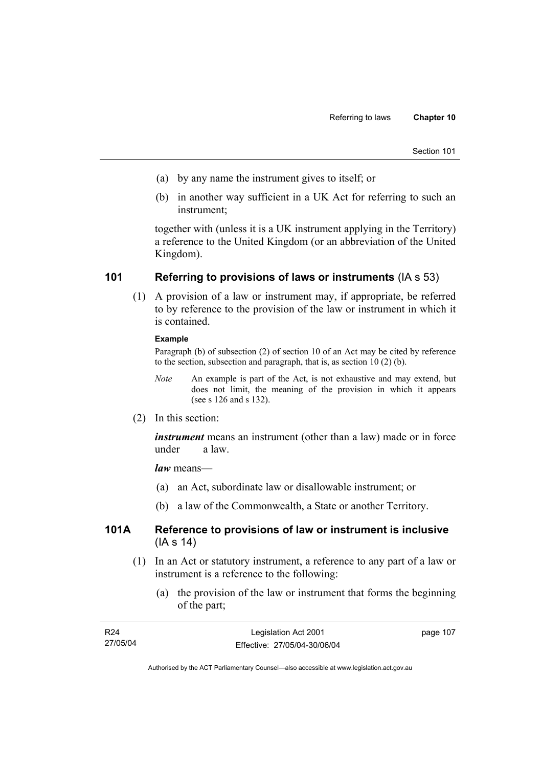| Section 101 |  |
|-------------|--|
|             |  |

- (a) by any name the instrument gives to itself; or
- (b) in another way sufficient in a UK Act for referring to such an instrument;

together with (unless it is a UK instrument applying in the Territory) a reference to the United Kingdom (or an abbreviation of the United Kingdom).

# **101 Referring to provisions of laws or instruments** (IA s 53)

 (1) A provision of a law or instrument may, if appropriate, be referred to by reference to the provision of the law or instrument in which it is contained.

## **Example**

Paragraph (b) of subsection (2) of section 10 of an Act may be cited by reference to the section, subsection and paragraph, that is, as section 10 (2) (b).

- *Note* An example is part of the Act, is not exhaustive and may extend, but does not limit, the meaning of the provision in which it appears (see s 126 and s 132).
- (2) In this section:

*instrument* means an instrument (other than a law) made or in force under a law.

*law* means—

- (a) an Act, subordinate law or disallowable instrument; or
- (b) a law of the Commonwealth, a State or another Territory.

## **101A Reference to provisions of law or instrument is inclusive**  (IA s 14)

- (1) In an Act or statutory instrument, a reference to any part of a law or instrument is a reference to the following:
	- (a) the provision of the law or instrument that forms the beginning of the part;

| R24      | Legislation Act 2001         | page 107 |
|----------|------------------------------|----------|
| 27/05/04 | Effective: 27/05/04-30/06/04 |          |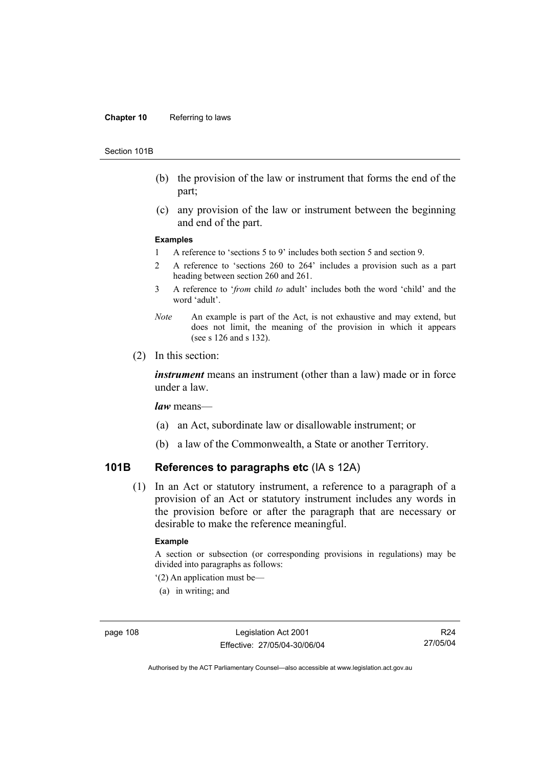#### **Chapter 10** Referring to laws

#### Section 101B

- (b) the provision of the law or instrument that forms the end of the part;
- (c) any provision of the law or instrument between the beginning and end of the part.

#### **Examples**

- 1 A reference to 'sections 5 to 9' includes both section 5 and section 9.
- 2 A reference to 'sections 260 to 264' includes a provision such as a part heading between section 260 and 261.
- 3 A reference to '*from* child *to* adult' includes both the word 'child' and the word 'adult'.
- *Note* An example is part of the Act, is not exhaustive and may extend, but does not limit, the meaning of the provision in which it appears (see s 126 and s 132).
- (2) In this section:

*instrument* means an instrument (other than a law) made or in force under a law.

*law* means—

- (a) an Act, subordinate law or disallowable instrument; or
- (b) a law of the Commonwealth, a State or another Territory.

## **101B References to paragraphs etc** (IA s 12A)

 (1) In an Act or statutory instrument, a reference to a paragraph of a provision of an Act or statutory instrument includes any words in the provision before or after the paragraph that are necessary or desirable to make the reference meaningful.

### **Example**

A section or subsection (or corresponding provisions in regulations) may be divided into paragraphs as follows:

- '(2) An application must be—
- (a) in writing; and

R24 27/05/04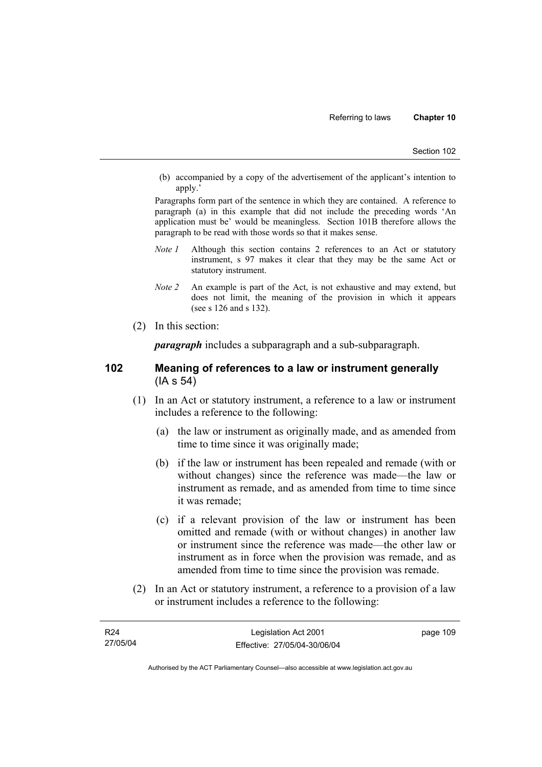(b) accompanied by a copy of the advertisement of the applicant's intention to apply.'

Paragraphs form part of the sentence in which they are contained. A reference to paragraph (a) in this example that did not include the preceding words 'An application must be' would be meaningless. Section 101B therefore allows the paragraph to be read with those words so that it makes sense.

- *Note 1* Although this section contains 2 references to an Act or statutory instrument, s 97 makes it clear that they may be the same Act or statutory instrument.
- *Note 2* An example is part of the Act, is not exhaustive and may extend, but does not limit, the meaning of the provision in which it appears (see s 126 and s 132).
- (2) In this section:

*paragraph* includes a subparagraph and a sub-subparagraph.

## **102 Meaning of references to a law or instrument generally**  (IA s 54)

- (1) In an Act or statutory instrument, a reference to a law or instrument includes a reference to the following:
	- (a) the law or instrument as originally made, and as amended from time to time since it was originally made;
	- (b) if the law or instrument has been repealed and remade (with or without changes) since the reference was made—the law or instrument as remade, and as amended from time to time since it was remade;
	- (c) if a relevant provision of the law or instrument has been omitted and remade (with or without changes) in another law or instrument since the reference was made—the other law or instrument as in force when the provision was remade, and as amended from time to time since the provision was remade.
- (2) In an Act or statutory instrument, a reference to a provision of a law or instrument includes a reference to the following:

| R24      | Legislation Act 2001         | page 109 |
|----------|------------------------------|----------|
| 27/05/04 | Effective: 27/05/04-30/06/04 |          |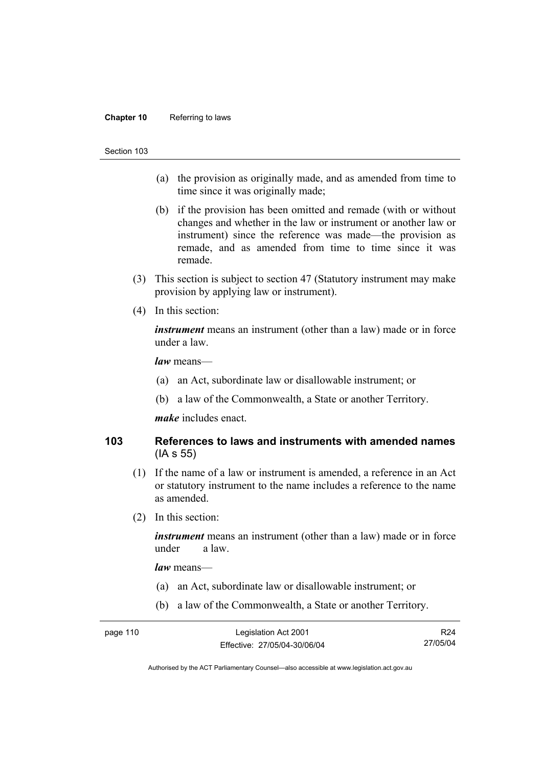### **Chapter 10** Referring to laws

#### Section 103

- (a) the provision as originally made, and as amended from time to time since it was originally made;
- (b) if the provision has been omitted and remade (with or without changes and whether in the law or instrument or another law or instrument) since the reference was made—the provision as remade, and as amended from time to time since it was remade.
- (3) This section is subject to section 47 (Statutory instrument may make provision by applying law or instrument).
- (4) In this section:

*instrument* means an instrument (other than a law) made or in force under a law.

*law* means—

- (a) an Act, subordinate law or disallowable instrument; or
- (b) a law of the Commonwealth, a State or another Territory.

*make* includes enact.

## **103 References to laws and instruments with amended names**  (IA s 55)

- (1) If the name of a law or instrument is amended, a reference in an Act or statutory instrument to the name includes a reference to the name as amended.
- (2) In this section:

*instrument* means an instrument (other than a law) made or in force under a law.

*law* means—

- (a) an Act, subordinate law or disallowable instrument; or
- (b) a law of the Commonwealth, a State or another Territory.

| page 110 | Legislation Act 2001         | R <sub>24</sub> |
|----------|------------------------------|-----------------|
|          | Effective: 27/05/04-30/06/04 | 27/05/04        |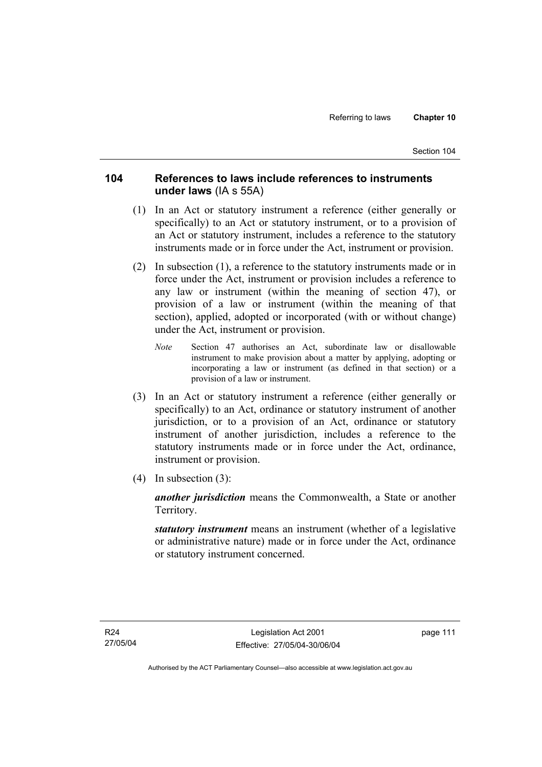# **104 References to laws include references to instruments under laws** (IA s 55A)

- (1) In an Act or statutory instrument a reference (either generally or specifically) to an Act or statutory instrument, or to a provision of an Act or statutory instrument, includes a reference to the statutory instruments made or in force under the Act, instrument or provision.
- (2) In subsection (1), a reference to the statutory instruments made or in force under the Act, instrument or provision includes a reference to any law or instrument (within the meaning of section 47), or provision of a law or instrument (within the meaning of that section), applied, adopted or incorporated (with or without change) under the Act, instrument or provision.
	- *Note* Section 47 authorises an Act, subordinate law or disallowable instrument to make provision about a matter by applying, adopting or incorporating a law or instrument (as defined in that section) or a provision of a law or instrument.
- (3) In an Act or statutory instrument a reference (either generally or specifically) to an Act, ordinance or statutory instrument of another jurisdiction, or to a provision of an Act, ordinance or statutory instrument of another jurisdiction, includes a reference to the statutory instruments made or in force under the Act, ordinance, instrument or provision.
- (4) In subsection (3):

*another jurisdiction* means the Commonwealth, a State or another Territory.

*statutory instrument* means an instrument (whether of a legislative or administrative nature) made or in force under the Act, ordinance or statutory instrument concerned.

page 111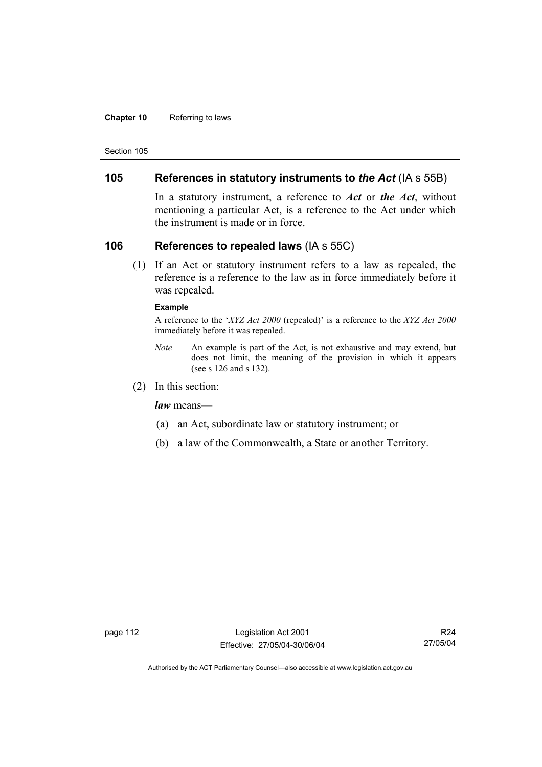### **Chapter 10** Referring to laws

Section 105

## **105 References in statutory instruments to** *the Act* (IA s 55B)

In a statutory instrument, a reference to *Act* or *the Act*, without mentioning a particular Act, is a reference to the Act under which the instrument is made or in force.

## **106 References to repealed laws** (IA s 55C)

 (1) If an Act or statutory instrument refers to a law as repealed, the reference is a reference to the law as in force immediately before it was repealed.

## **Example**

A reference to the '*XYZ Act 2000* (repealed)' is a reference to the *XYZ Act 2000* immediately before it was repealed.

- *Note* An example is part of the Act, is not exhaustive and may extend, but does not limit, the meaning of the provision in which it appears (see s 126 and s 132).
- (2) In this section:

*law* means—

- (a) an Act, subordinate law or statutory instrument; or
- (b) a law of the Commonwealth, a State or another Territory.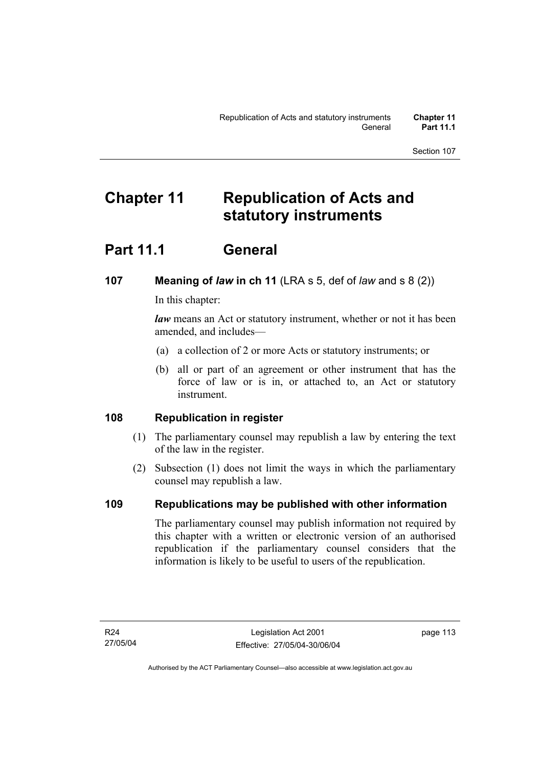# **Chapter 11 Republication of Acts and statutory instruments**

# **Part 11.1 General**

# **107 Meaning of** *law* **in ch 11** (LRA s 5, def of *law* and s 8 (2))

In this chapter:

*law* means an Act or statutory instrument, whether or not it has been amended, and includes—

- (a) a collection of 2 or more Acts or statutory instruments; or
- (b) all or part of an agreement or other instrument that has the force of law or is in, or attached to, an Act or statutory instrument.

# **108 Republication in register**

- (1) The parliamentary counsel may republish a law by entering the text of the law in the register.
- (2) Subsection (1) does not limit the ways in which the parliamentary counsel may republish a law.

# **109 Republications may be published with other information**

The parliamentary counsel may publish information not required by this chapter with a written or electronic version of an authorised republication if the parliamentary counsel considers that the information is likely to be useful to users of the republication.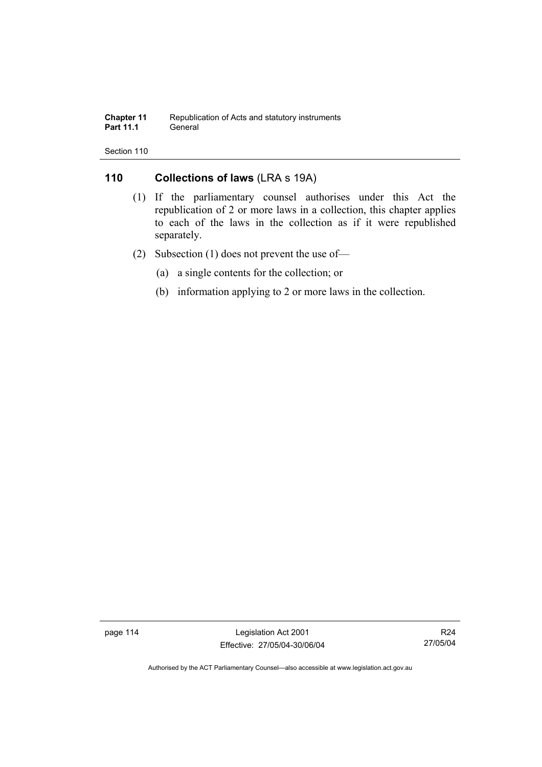### **Chapter 11** Republication of Acts and statutory instruments<br>**Part 11.1** General **Part 11.1**

Section 110

# **110 Collections of laws** (LRA s 19A)

- (1) If the parliamentary counsel authorises under this Act the republication of 2 or more laws in a collection, this chapter applies to each of the laws in the collection as if it were republished separately.
- (2) Subsection (1) does not prevent the use of—
	- (a) a single contents for the collection; or
	- (b) information applying to 2 or more laws in the collection.

page 114 Legislation Act 2001 Effective: 27/05/04-30/06/04

R24 27/05/04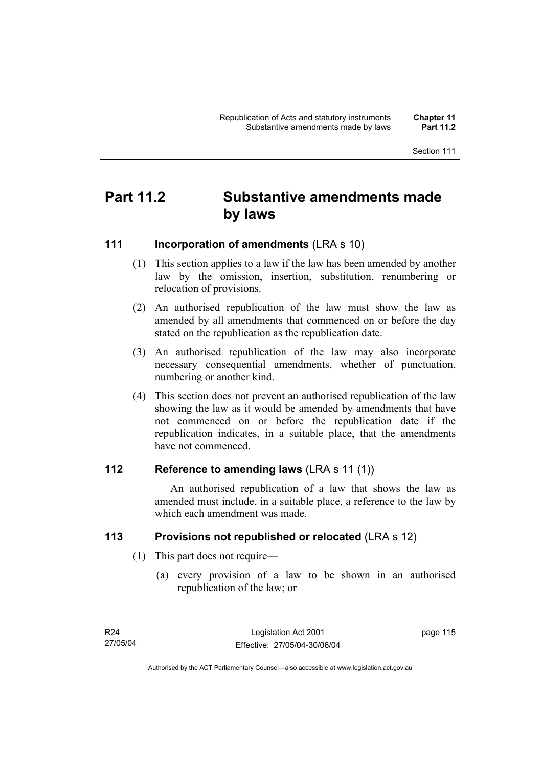# **Part 11.2 Substantive amendments made by laws**

# **111 Incorporation of amendments** (LRA s 10)

- (1) This section applies to a law if the law has been amended by another law by the omission, insertion, substitution, renumbering or relocation of provisions.
- (2) An authorised republication of the law must show the law as amended by all amendments that commenced on or before the day stated on the republication as the republication date.
- (3) An authorised republication of the law may also incorporate necessary consequential amendments, whether of punctuation, numbering or another kind.
- (4) This section does not prevent an authorised republication of the law showing the law as it would be amended by amendments that have not commenced on or before the republication date if the republication indicates, in a suitable place, that the amendments have not commenced.

# **112 Reference to amending laws** (LRA s 11 (1))

 An authorised republication of a law that shows the law as amended must include, in a suitable place, a reference to the law by which each amendment was made.

# **113 Provisions not republished or relocated** (LRA s 12)

- (1) This part does not require—
	- (a) every provision of a law to be shown in an authorised republication of the law; or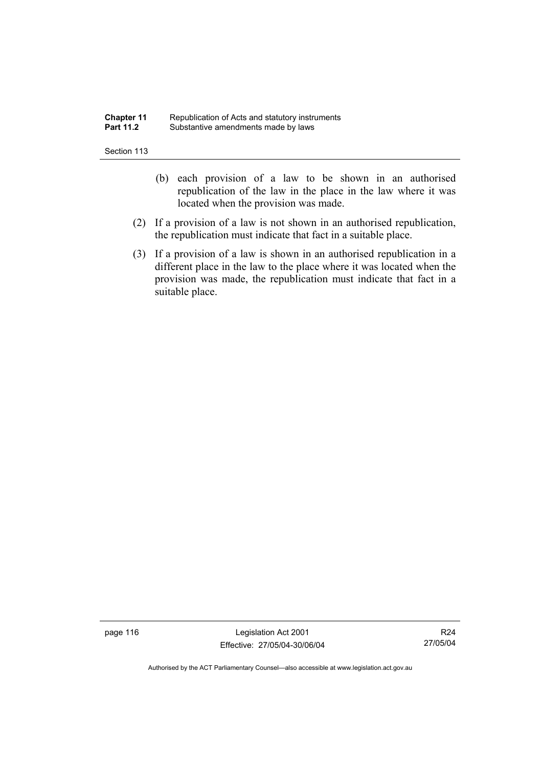### **Chapter 11** Republication of Acts and statutory instruments<br>**Part 11.2** Substantive amendments made by laws Substantive amendments made by laws

Section 113

- (b) each provision of a law to be shown in an authorised republication of the law in the place in the law where it was located when the provision was made.
- (2) If a provision of a law is not shown in an authorised republication, the republication must indicate that fact in a suitable place.
- (3) If a provision of a law is shown in an authorised republication in a different place in the law to the place where it was located when the provision was made, the republication must indicate that fact in a suitable place.

page 116 Legislation Act 2001 Effective: 27/05/04-30/06/04

R24 27/05/04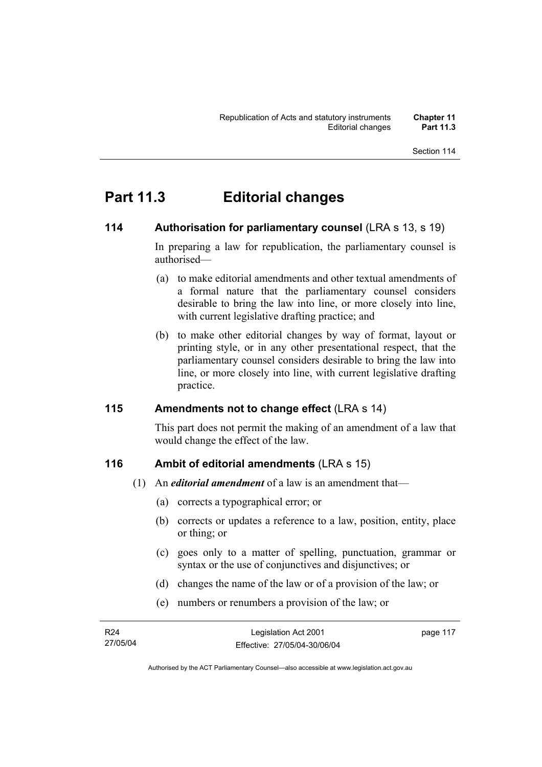# **Part 11.3 Editorial changes**

## **114** Authorisation for parliamentary counsel (LRA s 13, s 19)

In preparing a law for republication, the parliamentary counsel is authorised—

- (a) to make editorial amendments and other textual amendments of a formal nature that the parliamentary counsel considers desirable to bring the law into line, or more closely into line, with current legislative drafting practice; and
- (b) to make other editorial changes by way of format, layout or printing style, or in any other presentational respect, that the parliamentary counsel considers desirable to bring the law into line, or more closely into line, with current legislative drafting practice.

## **115 Amendments not to change effect** (LRA s 14)

This part does not permit the making of an amendment of a law that would change the effect of the law.

# **116 Ambit of editorial amendments** (LRA s 15)

- (1) An *editorial amendment* of a law is an amendment that—
	- (a) corrects a typographical error; or
	- (b) corrects or updates a reference to a law, position, entity, place or thing; or
	- (c) goes only to a matter of spelling, punctuation, grammar or syntax or the use of conjunctives and disjunctives; or
	- (d) changes the name of the law or of a provision of the law; or
	- (e) numbers or renumbers a provision of the law; or

| R24      | Legislation Act 2001         | page 117 |
|----------|------------------------------|----------|
| 27/05/04 | Effective: 27/05/04-30/06/04 |          |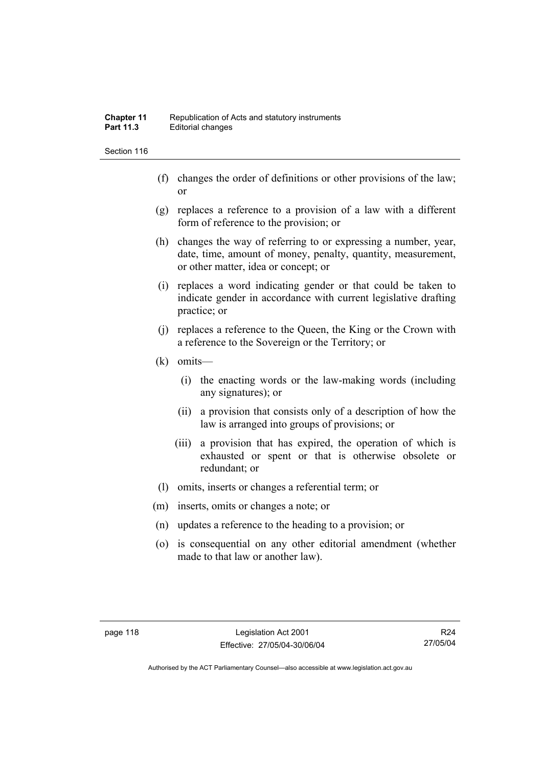- (f) changes the order of definitions or other provisions of the law; or
- (g) replaces a reference to a provision of a law with a different form of reference to the provision; or
- (h) changes the way of referring to or expressing a number, year, date, time, amount of money, penalty, quantity, measurement, or other matter, idea or concept; or
- (i) replaces a word indicating gender or that could be taken to indicate gender in accordance with current legislative drafting practice; or
- (j) replaces a reference to the Queen, the King or the Crown with a reference to the Sovereign or the Territory; or
- (k) omits—
	- (i) the enacting words or the law-making words (including any signatures); or
	- (ii) a provision that consists only of a description of how the law is arranged into groups of provisions; or
	- (iii) a provision that has expired, the operation of which is exhausted or spent or that is otherwise obsolete or redundant; or
- (l) omits, inserts or changes a referential term; or
- (m) inserts, omits or changes a note; or
- (n) updates a reference to the heading to a provision; or
- (o) is consequential on any other editorial amendment (whether made to that law or another law).

R24 27/05/04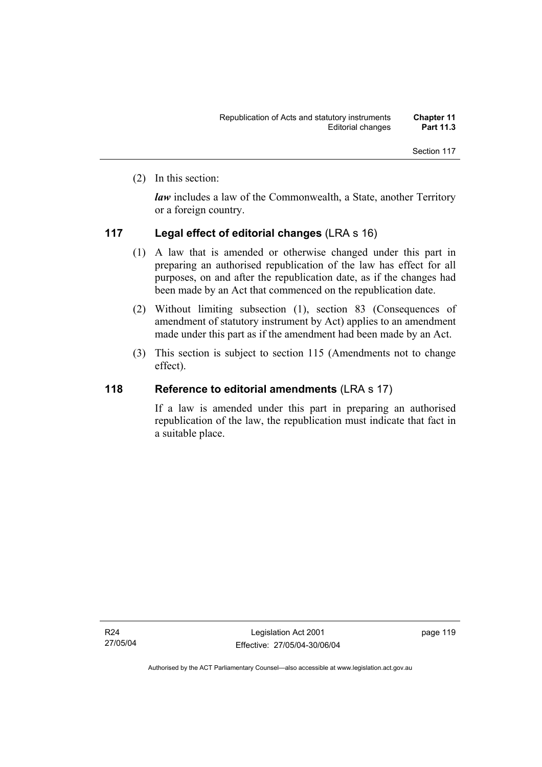(2) In this section:

*law* includes a law of the Commonwealth, a State, another Territory or a foreign country.

## **117 Legal effect of editorial changes** (LRA s 16)

- (1) A law that is amended or otherwise changed under this part in preparing an authorised republication of the law has effect for all purposes, on and after the republication date, as if the changes had been made by an Act that commenced on the republication date.
- (2) Without limiting subsection (1), section 83 (Consequences of amendment of statutory instrument by Act) applies to an amendment made under this part as if the amendment had been made by an Act.
- (3) This section is subject to section 115 (Amendments not to change effect).

## **118 Reference to editorial amendments** (LRA s 17)

If a law is amended under this part in preparing an authorised republication of the law, the republication must indicate that fact in a suitable place.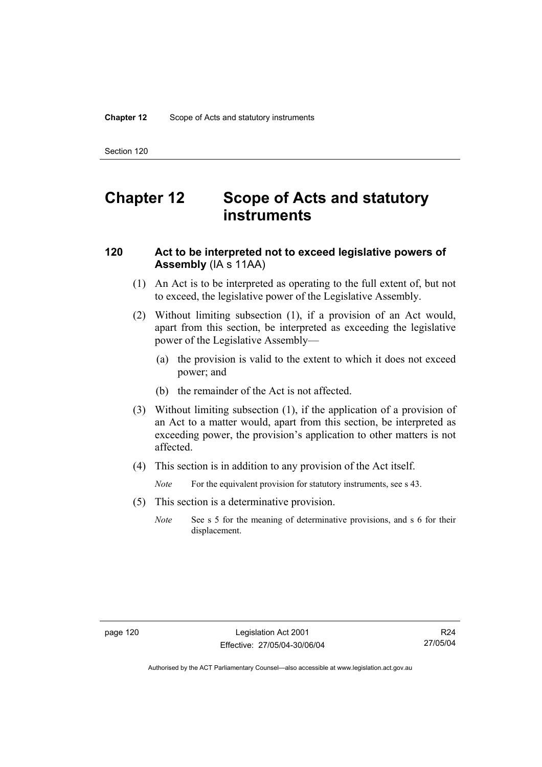# **Chapter 12 Scope of Acts and statutory instruments**

# **120 Act to be interpreted not to exceed legislative powers of Assembly** (IA s 11AA)

- (1) An Act is to be interpreted as operating to the full extent of, but not to exceed, the legislative power of the Legislative Assembly.
- (2) Without limiting subsection (1), if a provision of an Act would, apart from this section, be interpreted as exceeding the legislative power of the Legislative Assembly—
	- (a) the provision is valid to the extent to which it does not exceed power; and
	- (b) the remainder of the Act is not affected.
- (3) Without limiting subsection (1), if the application of a provision of an Act to a matter would, apart from this section, be interpreted as exceeding power, the provision's application to other matters is not affected.
- (4) This section is in addition to any provision of the Act itself.

*Note* For the equivalent provision for statutory instruments, see s 43.

- (5) This section is a determinative provision.
	- *Note* See s 5 for the meaning of determinative provisions, and s 6 for their displacement.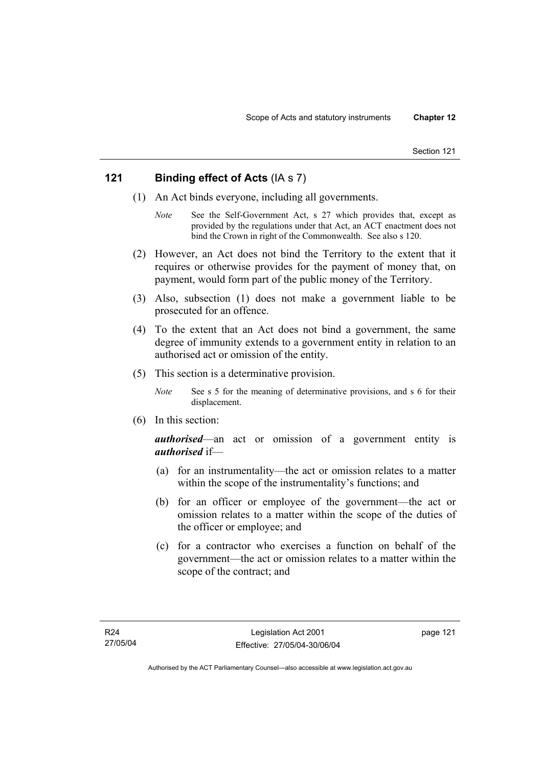# **121 Binding effect of Acts** (IA s 7)

- (1) An Act binds everyone, including all governments.
	- *Note* See the Self-Government Act, s 27 which provides that, except as provided by the regulations under that Act, an ACT enactment does not bind the Crown in right of the Commonwealth. See also s 120.
- (2) However, an Act does not bind the Territory to the extent that it requires or otherwise provides for the payment of money that, on payment, would form part of the public money of the Territory.
- (3) Also, subsection (1) does not make a government liable to be prosecuted for an offence.
- (4) To the extent that an Act does not bind a government, the same degree of immunity extends to a government entity in relation to an authorised act or omission of the entity.
- (5) This section is a determinative provision.
	- *Note* See s 5 for the meaning of determinative provisions, and s 6 for their displacement.
- (6) In this section:

*authorised*—an act or omission of a government entity is *authorised* if—

- (a) for an instrumentality—the act or omission relates to a matter within the scope of the instrumentality's functions; and
- (b) for an officer or employee of the government—the act or omission relates to a matter within the scope of the duties of the officer or employee; and
- (c) for a contractor who exercises a function on behalf of the government—the act or omission relates to a matter within the scope of the contract; and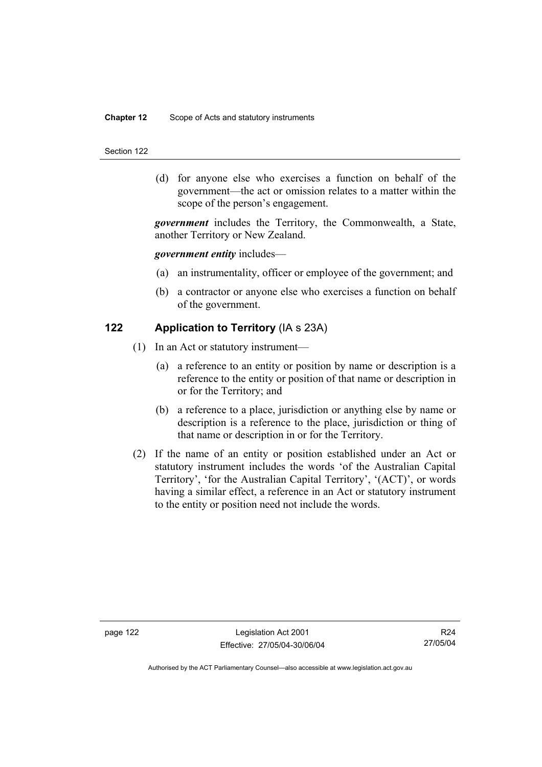## **Chapter 12** Scope of Acts and statutory instruments

#### Section 122

 (d) for anyone else who exercises a function on behalf of the government—the act or omission relates to a matter within the scope of the person's engagement.

*government* includes the Territory, the Commonwealth, a State, another Territory or New Zealand.

## *government entity* includes—

- (a) an instrumentality, officer or employee of the government; and
- (b) a contractor or anyone else who exercises a function on behalf of the government.

## **122 Application to Territory** (IA s 23A)

- (1) In an Act or statutory instrument—
	- (a) a reference to an entity or position by name or description is a reference to the entity or position of that name or description in or for the Territory; and
	- (b) a reference to a place, jurisdiction or anything else by name or description is a reference to the place, jurisdiction or thing of that name or description in or for the Territory.
- (2) If the name of an entity or position established under an Act or statutory instrument includes the words 'of the Australian Capital Territory', 'for the Australian Capital Territory', '(ACT)', or words having a similar effect, a reference in an Act or statutory instrument to the entity or position need not include the words.

R24 27/05/04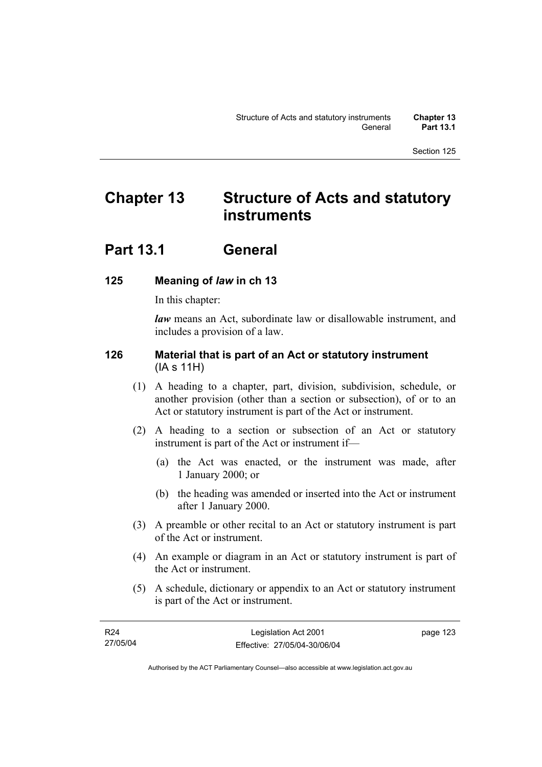# **Chapter 13 Structure of Acts and statutory instruments**

# **Part 13.1 General**

# **125 Meaning of** *law* **in ch 13**

In this chapter:

*law* means an Act, subordinate law or disallowable instrument, and includes a provision of a law.

# **126 Material that is part of an Act or statutory instrument**  (IA s 11H)

- (1) A heading to a chapter, part, division, subdivision, schedule, or another provision (other than a section or subsection), of or to an Act or statutory instrument is part of the Act or instrument.
- (2) A heading to a section or subsection of an Act or statutory instrument is part of the Act or instrument if—
	- (a) the Act was enacted, or the instrument was made, after 1 January 2000; or
	- (b) the heading was amended or inserted into the Act or instrument after 1 January 2000.
- (3) A preamble or other recital to an Act or statutory instrument is part of the Act or instrument.
- (4) An example or diagram in an Act or statutory instrument is part of the Act or instrument.
- (5) A schedule, dictionary or appendix to an Act or statutory instrument is part of the Act or instrument.

| R24      | Legislation Act 2001         | page 123 |
|----------|------------------------------|----------|
| 27/05/04 | Effective: 27/05/04-30/06/04 |          |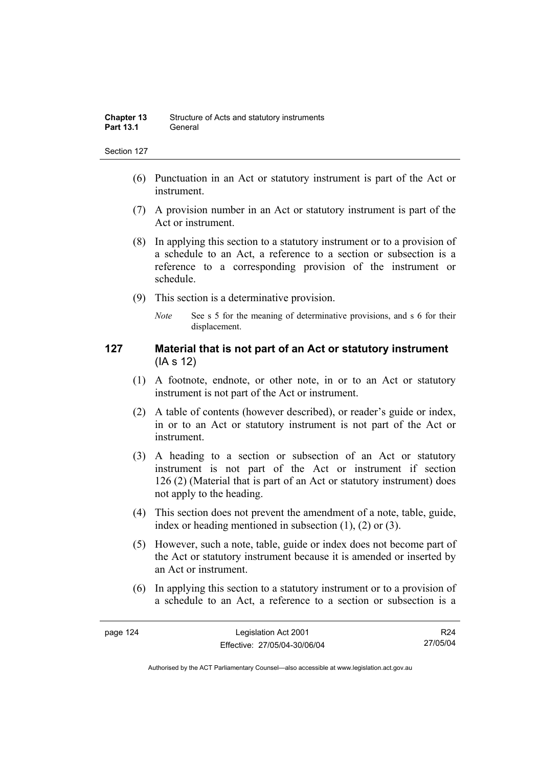- (6) Punctuation in an Act or statutory instrument is part of the Act or instrument.
- (7) A provision number in an Act or statutory instrument is part of the Act or instrument.
- (8) In applying this section to a statutory instrument or to a provision of a schedule to an Act, a reference to a section or subsection is a reference to a corresponding provision of the instrument or schedule.
- (9) This section is a determinative provision.
	- *Note* See s 5 for the meaning of determinative provisions, and s 6 for their displacement.

# **127 Material that is not part of an Act or statutory instrument**  (IA s 12)

- (1) A footnote, endnote, or other note, in or to an Act or statutory instrument is not part of the Act or instrument.
- (2) A table of contents (however described), or reader's guide or index, in or to an Act or statutory instrument is not part of the Act or instrument.
- (3) A heading to a section or subsection of an Act or statutory instrument is not part of the Act or instrument if section 126 (2) (Material that is part of an Act or statutory instrument) does not apply to the heading.
- (4) This section does not prevent the amendment of a note, table, guide, index or heading mentioned in subsection (1), (2) or (3).
- (5) However, such a note, table, guide or index does not become part of the Act or statutory instrument because it is amended or inserted by an Act or instrument.
- (6) In applying this section to a statutory instrument or to a provision of a schedule to an Act, a reference to a section or subsection is a

R24 27/05/04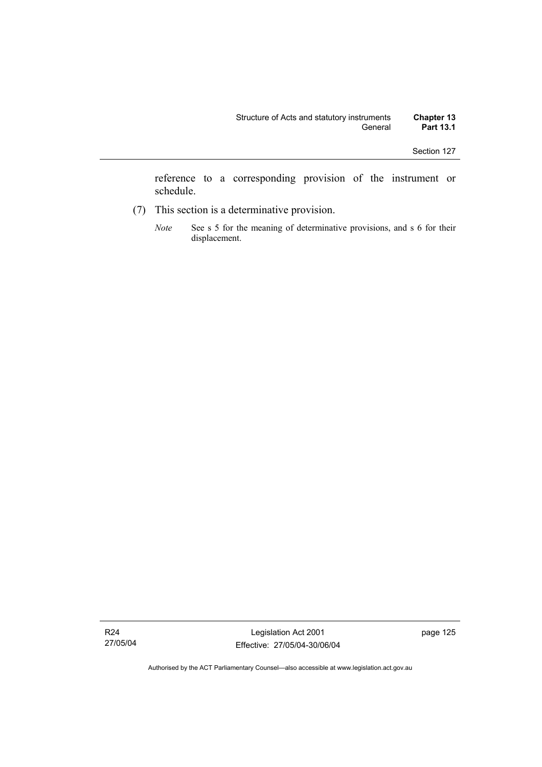reference to a corresponding provision of the instrument or schedule.

- (7) This section is a determinative provision.
	- *Note* See s 5 for the meaning of determinative provisions, and s 6 for their displacement.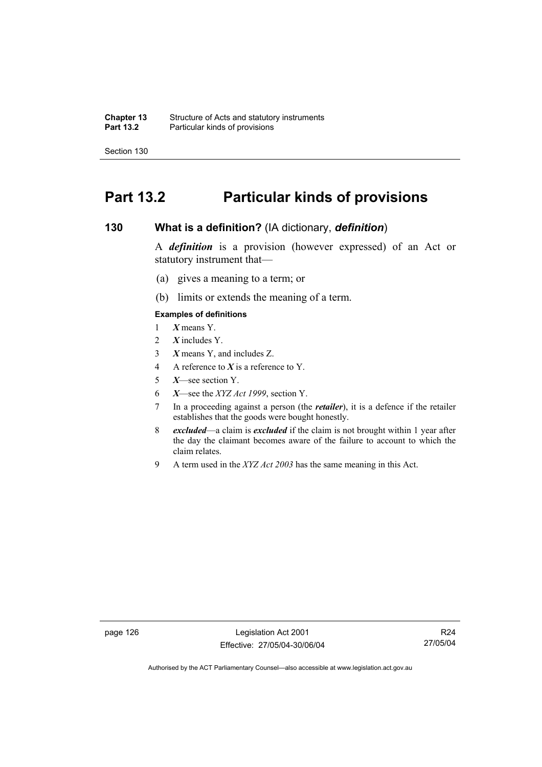**Chapter 13** Structure of Acts and statutory instruments<br>**Part 13.2** Particular kinds of provisions Particular kinds of provisions

Section 130

# **Part 13.2 Particular kinds of provisions**

## **130 What is a definition?** (IA dictionary, *definition*)

A *definition* is a provision (however expressed) of an Act or statutory instrument that—

- (a) gives a meaning to a term; or
- (b) limits or extends the meaning of a term.

## **Examples of definitions**

- 1 *X* means Y.
- 2 *X* includes Y.
- 3 *X* means Y, and includes Z.
- 4 A reference to *X* is a reference to Y.
- 5 *X*—see section Y.
- 6 *X*—see the *XYZ Act 1999*, section Y.
- 7 In a proceeding against a person (the *retailer*), it is a defence if the retailer establishes that the goods were bought honestly.
- 8 *excluded*—a claim is *excluded* if the claim is not brought within 1 year after the day the claimant becomes aware of the failure to account to which the claim relates.
- 9 A term used in the *XYZ Act 2003* has the same meaning in this Act.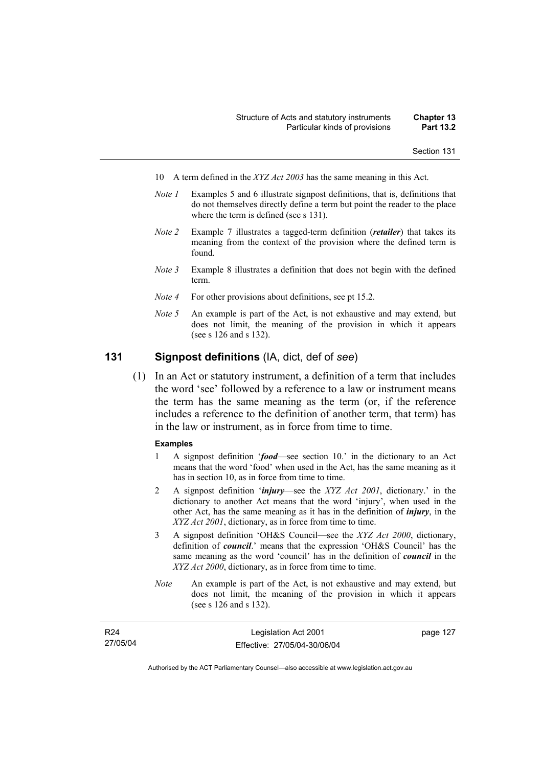- 10 A term defined in the *XYZ Act 2003* has the same meaning in this Act.
- *Note 1* Examples 5 and 6 illustrate signpost definitions, that is, definitions that do not themselves directly define a term but point the reader to the place where the term is defined (see s 131).
- *Note 2* Example 7 illustrates a tagged-term definition (*retailer*) that takes its meaning from the context of the provision where the defined term is found.
- *Note 3* Example 8 illustrates a definition that does not begin with the defined term.
- *Note 4* For other provisions about definitions, see pt 15.2.
- *Note 5* An example is part of the Act, is not exhaustive and may extend, but does not limit, the meaning of the provision in which it appears (see s 126 and s 132).

## **131 Signpost definitions** (IA, dict, def of *see*)

 (1) In an Act or statutory instrument, a definition of a term that includes the word 'see' followed by a reference to a law or instrument means the term has the same meaning as the term (or, if the reference includes a reference to the definition of another term, that term) has in the law or instrument, as in force from time to time.

#### **Examples**

- 1 A signpost definition '*food*—see section 10.' in the dictionary to an Act means that the word 'food' when used in the Act, has the same meaning as it has in section 10, as in force from time to time.
- 2 A signpost definition '*injury*—see the *XYZ Act 2001*, dictionary.' in the dictionary to another Act means that the word 'injury', when used in the other Act, has the same meaning as it has in the definition of *injury*, in the *XYZ Act 2001*, dictionary, as in force from time to time.
- 3 A signpost definition 'OH&S Council—see the *XYZ Act 2000*, dictionary, definition of *council*.' means that the expression 'OH&S Council' has the same meaning as the word 'council' has in the definition of *council* in the *XYZ Act 2000*, dictionary, as in force from time to time.
- *Note* An example is part of the Act, is not exhaustive and may extend, but does not limit, the meaning of the provision in which it appears (see s 126 and s 132).

| R <sub>24</sub> | Legislation Act 2001         | page 127 |
|-----------------|------------------------------|----------|
| 27/05/04        | Effective: 27/05/04-30/06/04 |          |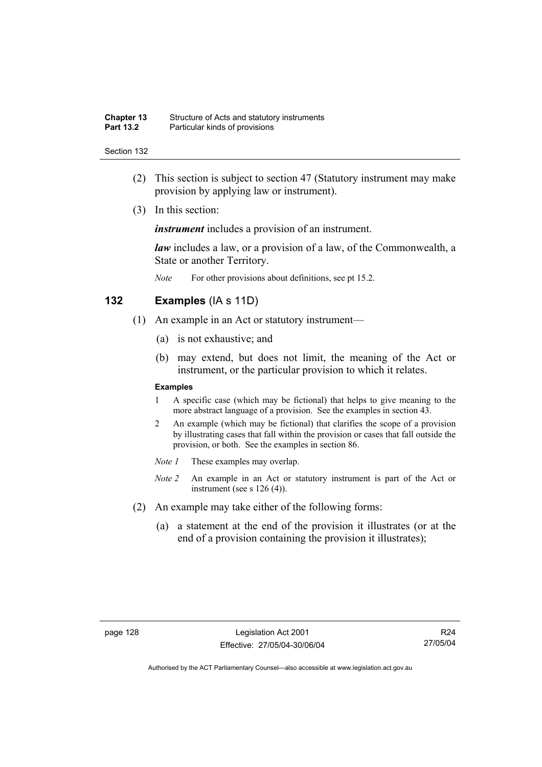| <b>Chapter 13</b> | Structure of Acts and statutory instruments |
|-------------------|---------------------------------------------|
| <b>Part 13.2</b>  | Particular kinds of provisions              |

- (2) This section is subject to section 47 (Statutory instrument may make provision by applying law or instrument).
- (3) In this section:

*instrument* includes a provision of an instrument.

*law* includes a law, or a provision of a law, of the Commonwealth, a State or another Territory.

*Note* For other provisions about definitions, see pt 15.2.

## **132 Examples** (IA s 11D)

- (1) An example in an Act or statutory instrument—
	- (a) is not exhaustive; and
	- (b) may extend, but does not limit, the meaning of the Act or instrument, or the particular provision to which it relates.

### **Examples**

- 1 A specific case (which may be fictional) that helps to give meaning to the more abstract language of a provision. See the examples in section 43.
- 2 An example (which may be fictional) that clarifies the scope of a provision by illustrating cases that fall within the provision or cases that fall outside the provision, or both. See the examples in section 86.
- *Note 1* These examples may overlap.
- *Note 2* An example in an Act or statutory instrument is part of the Act or instrument (see s 126 (4)).
- (2) An example may take either of the following forms:
	- (a) a statement at the end of the provision it illustrates (or at the end of a provision containing the provision it illustrates);

R24 27/05/04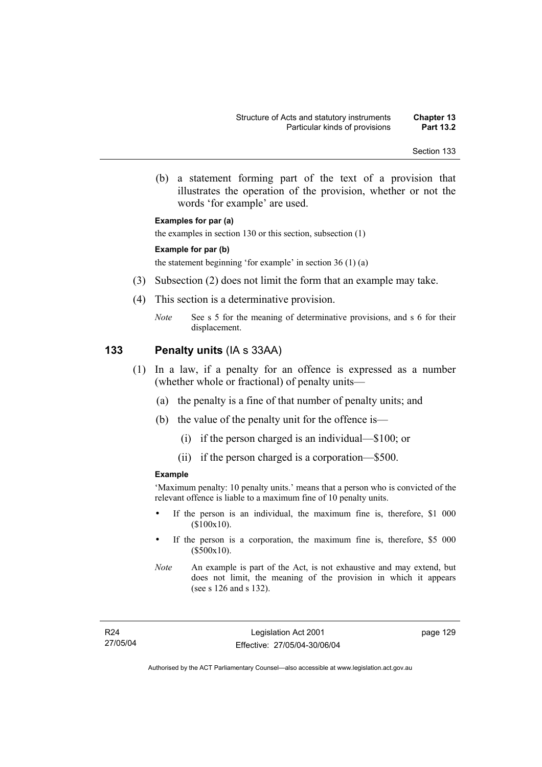(b) a statement forming part of the text of a provision that illustrates the operation of the provision, whether or not the words 'for example' are used.

#### **Examples for par (a)**

the examples in section 130 or this section, subsection (1)

#### **Example for par (b)**

the statement beginning 'for example' in section 36 (1) (a)

- (3) Subsection (2) does not limit the form that an example may take.
- (4) This section is a determinative provision.
	- *Note* See s 5 for the meaning of determinative provisions, and s 6 for their displacement.

### **133 Penalty units** (IA s 33AA)

- (1) In a law, if a penalty for an offence is expressed as a number (whether whole or fractional) of penalty units—
	- (a) the penalty is a fine of that number of penalty units; and
	- (b) the value of the penalty unit for the offence is—
		- (i) if the person charged is an individual—\$100; or
		- (ii) if the person charged is a corporation—\$500.

#### **Example**

'Maximum penalty: 10 penalty units.' means that a person who is convicted of the relevant offence is liable to a maximum fine of 10 penalty units.

- If the person is an individual, the maximum fine is, therefore, \$1 000 (\$100x10).
- If the person is a corporation, the maximum fine is, therefore, \$5 000 (\$500x10).

page 129

*Note* An example is part of the Act, is not exhaustive and may extend, but does not limit, the meaning of the provision in which it appears (see s 126 and s 132).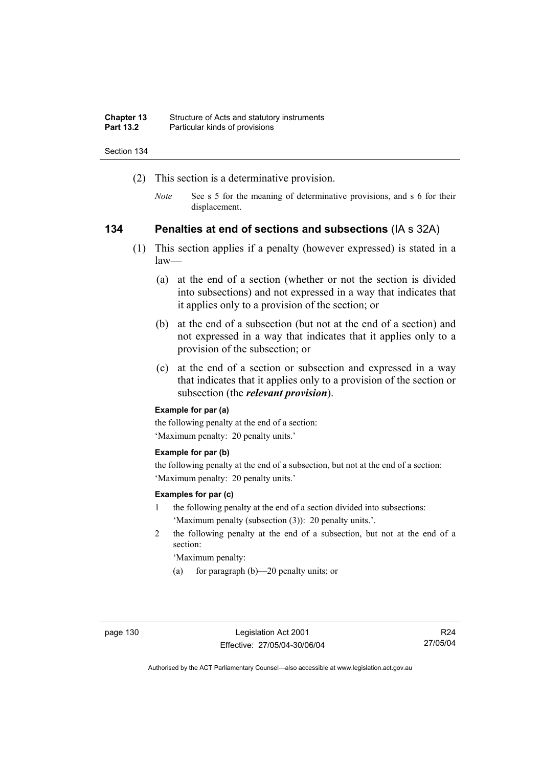| <b>Chapter 13</b> | Structure of Acts and statutory instruments |
|-------------------|---------------------------------------------|
| <b>Part 13.2</b>  | Particular kinds of provisions              |

- (2) This section is a determinative provision.
	- *Note* See s 5 for the meaning of determinative provisions, and s 6 for their displacement.

### **134 Penalties at end of sections and subsections** (IA s 32A)

- (1) This section applies if a penalty (however expressed) is stated in a law—
	- (a) at the end of a section (whether or not the section is divided into subsections) and not expressed in a way that indicates that it applies only to a provision of the section; or
	- (b) at the end of a subsection (but not at the end of a section) and not expressed in a way that indicates that it applies only to a provision of the subsection; or
	- (c) at the end of a section or subsection and expressed in a way that indicates that it applies only to a provision of the section or subsection (the *relevant provision*).

#### **Example for par (a)**

the following penalty at the end of a section: 'Maximum penalty: 20 penalty units.'

#### **Example for par (b)**

the following penalty at the end of a subsection, but not at the end of a section: 'Maximum penalty: 20 penalty units.'

#### **Examples for par (c)**

- 1 the following penalty at the end of a section divided into subsections: 'Maximum penalty (subsection (3)): 20 penalty units.'.
- 2 the following penalty at the end of a subsection, but not at the end of a section:

'Maximum penalty:

(a) for paragraph (b)—20 penalty units; or

R24 27/05/04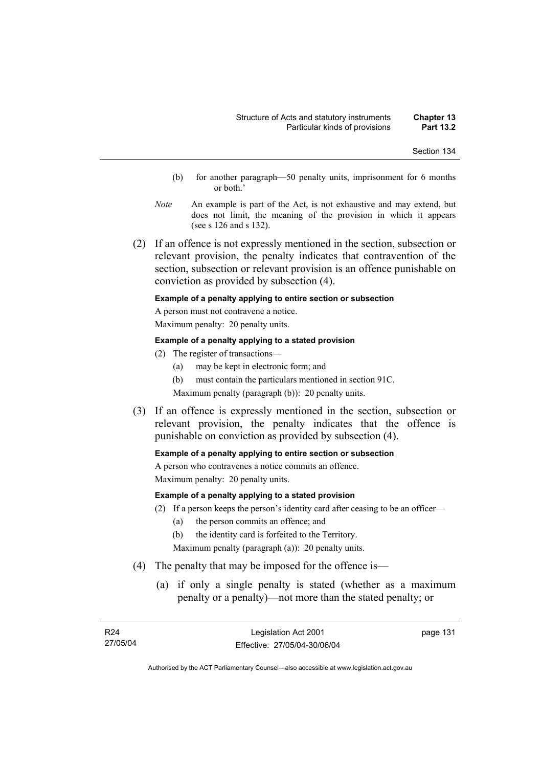- (b) for another paragraph—50 penalty units, imprisonment for 6 months or both.'
- *Note* An example is part of the Act, is not exhaustive and may extend, but does not limit, the meaning of the provision in which it appears (see s 126 and s 132).
- (2) If an offence is not expressly mentioned in the section, subsection or relevant provision, the penalty indicates that contravention of the section, subsection or relevant provision is an offence punishable on conviction as provided by subsection (4).

#### **Example of a penalty applying to entire section or subsection**

A person must not contravene a notice. Maximum penalty: 20 penalty units.

#### **Example of a penalty applying to a stated provision**

- (2) The register of transactions—
	- (a) may be kept in electronic form; and
	- (b) must contain the particulars mentioned in section 91C.

Maximum penalty (paragraph (b)): 20 penalty units.

 (3) If an offence is expressly mentioned in the section, subsection or relevant provision, the penalty indicates that the offence is punishable on conviction as provided by subsection (4).

#### **Example of a penalty applying to entire section or subsection**

A person who contravenes a notice commits an offence. Maximum penalty: 20 penalty units.

#### **Example of a penalty applying to a stated provision**

- (2) If a person keeps the person's identity card after ceasing to be an officer—
	- (a) the person commits an offence; and
	- (b) the identity card is forfeited to the Territory.

Maximum penalty (paragraph (a)): 20 penalty units.

- (4) The penalty that may be imposed for the offence is—
	- (a) if only a single penalty is stated (whether as a maximum penalty or a penalty)—not more than the stated penalty; or

page 131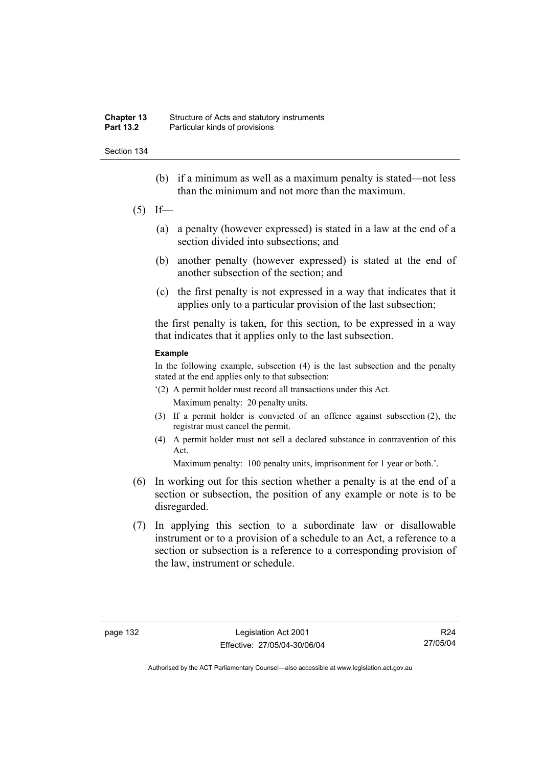- (b) if a minimum as well as a maximum penalty is stated—not less than the minimum and not more than the maximum.
- $(5)$  If—
	- (a) a penalty (however expressed) is stated in a law at the end of a section divided into subsections; and
	- (b) another penalty (however expressed) is stated at the end of another subsection of the section; and
	- (c) the first penalty is not expressed in a way that indicates that it applies only to a particular provision of the last subsection;

the first penalty is taken, for this section, to be expressed in a way that indicates that it applies only to the last subsection.

#### **Example**

In the following example, subsection (4) is the last subsection and the penalty stated at the end applies only to that subsection:

- '(2) A permit holder must record all transactions under this Act. Maximum penalty: 20 penalty units.
- (3) If a permit holder is convicted of an offence against subsection (2), the registrar must cancel the permit.
- (4) A permit holder must not sell a declared substance in contravention of this Act.

Maximum penalty: 100 penalty units, imprisonment for 1 year or both.'.

- (6) In working out for this section whether a penalty is at the end of a section or subsection, the position of any example or note is to be disregarded.
- (7) In applying this section to a subordinate law or disallowable instrument or to a provision of a schedule to an Act, a reference to a section or subsection is a reference to a corresponding provision of the law, instrument or schedule.

R24 27/05/04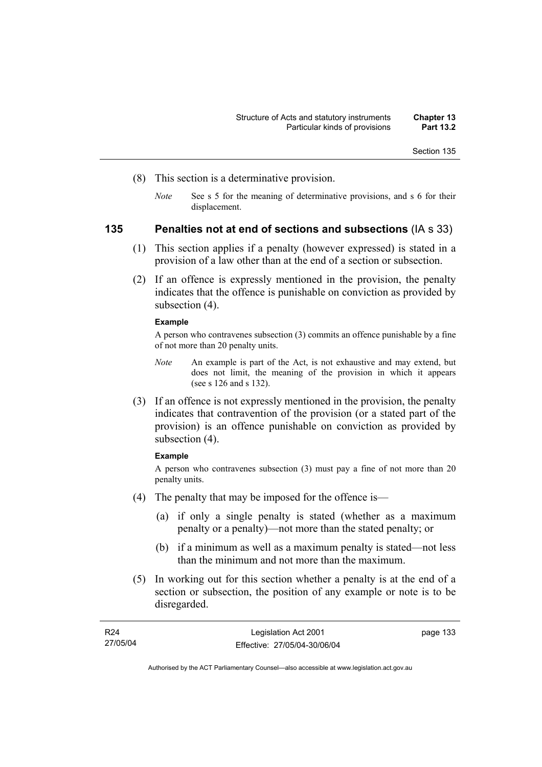- (8) This section is a determinative provision.
	- *Note* See s 5 for the meaning of determinative provisions, and s 6 for their displacement.

# **135 Penalties not at end of sections and subsections** (IA s 33)

- (1) This section applies if a penalty (however expressed) is stated in a provision of a law other than at the end of a section or subsection.
- (2) If an offence is expressly mentioned in the provision, the penalty indicates that the offence is punishable on conviction as provided by subsection  $(4)$ .

#### **Example**

A person who contravenes subsection (3) commits an offence punishable by a fine of not more than 20 penalty units.

- *Note* An example is part of the Act, is not exhaustive and may extend, but does not limit, the meaning of the provision in which it appears (see s 126 and s 132).
- (3) If an offence is not expressly mentioned in the provision, the penalty indicates that contravention of the provision (or a stated part of the provision) is an offence punishable on conviction as provided by subsection (4).

#### **Example**

A person who contravenes subsection (3) must pay a fine of not more than 20 penalty units.

- (4) The penalty that may be imposed for the offence is—
	- (a) if only a single penalty is stated (whether as a maximum penalty or a penalty)—not more than the stated penalty; or
	- (b) if a minimum as well as a maximum penalty is stated—not less than the minimum and not more than the maximum.
- (5) In working out for this section whether a penalty is at the end of a section or subsection, the position of any example or note is to be disregarded.

| R24      | Legislation Act 2001         | page 133 |
|----------|------------------------------|----------|
| 27/05/04 | Effective: 27/05/04-30/06/04 |          |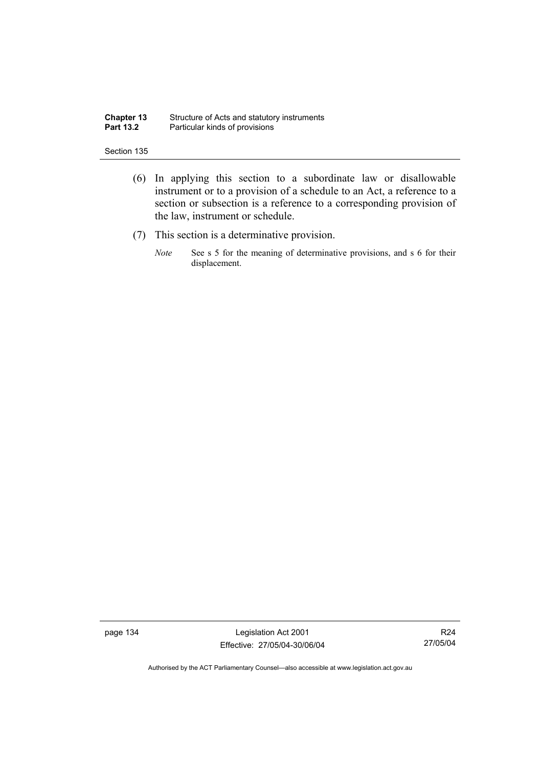#### **Chapter 13** Structure of Acts and statutory instruments **Part 13.2** Particular kinds of provisions

#### Section 135

- (6) In applying this section to a subordinate law or disallowable instrument or to a provision of a schedule to an Act, a reference to a section or subsection is a reference to a corresponding provision of the law, instrument or schedule.
- (7) This section is a determinative provision.
	- *Note* See s 5 for the meaning of determinative provisions, and s 6 for their displacement.

page 134 Legislation Act 2001 Effective: 27/05/04-30/06/04

R24 27/05/04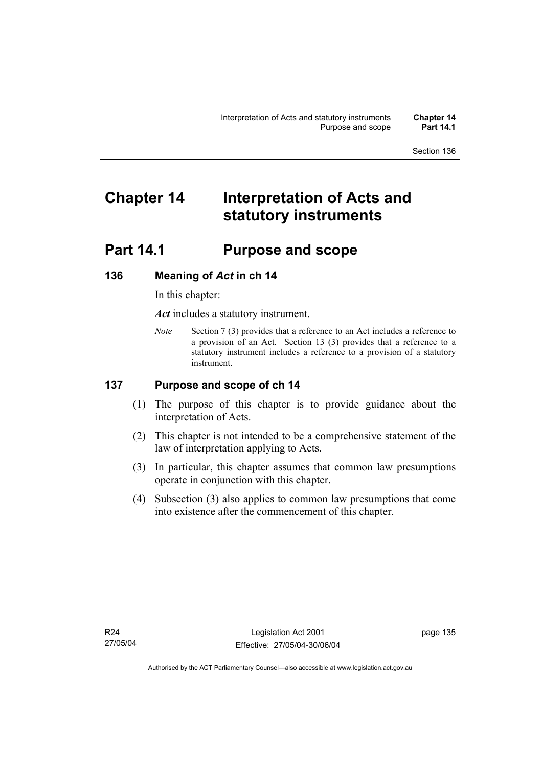# **Chapter 14 Interpretation of Acts and statutory instruments**

# **Part 14.1 Purpose and scope**

# **136 Meaning of** *Act* **in ch 14**

In this chapter:

*Act* includes a statutory instrument.

*Note* Section 7 (3) provides that a reference to an Act includes a reference to a provision of an Act. Section 13 (3) provides that a reference to a statutory instrument includes a reference to a provision of a statutory instrument.

# **137 Purpose and scope of ch 14**

- (1) The purpose of this chapter is to provide guidance about the interpretation of Acts.
- (2) This chapter is not intended to be a comprehensive statement of the law of interpretation applying to Acts.
- (3) In particular, this chapter assumes that common law presumptions operate in conjunction with this chapter.
- (4) Subsection (3) also applies to common law presumptions that come into existence after the commencement of this chapter.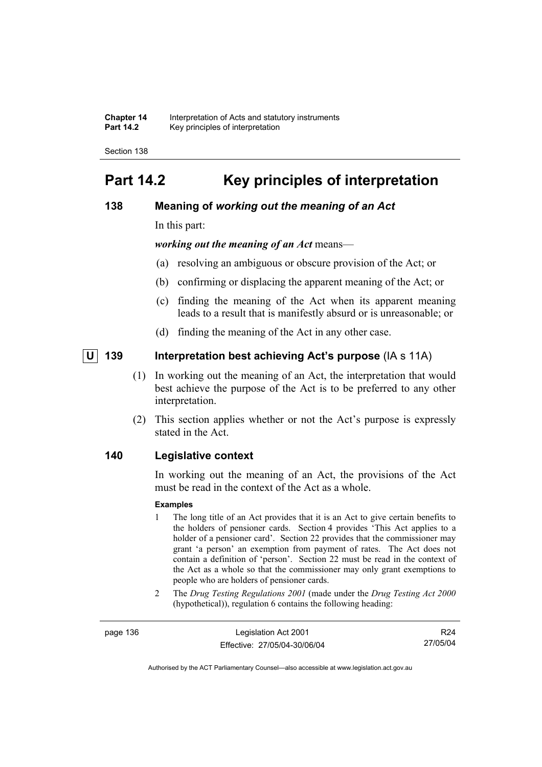**Chapter 14** Interpretation of Acts and statutory instruments<br>**Part 14.2** Key principles of interpretation **Part 14.2** Key principles of interpretation

Section 138

# **Part 14.2 Key principles of interpretation**

# **138 Meaning of** *working out the meaning of an Act*

In this part:

*working out the meaning of an Act* means—

- (a) resolving an ambiguous or obscure provision of the Act; or
- (b) confirming or displacing the apparent meaning of the Act; or
- (c) finding the meaning of the Act when its apparent meaning leads to a result that is manifestly absurd or is unreasonable; or
- (d) finding the meaning of the Act in any other case.

# *U* 139 Interpretation best achieving Act's purpose (IA s 11A)

- (1) In working out the meaning of an Act, the interpretation that would best achieve the purpose of the Act is to be preferred to any other interpretation.
- (2) This section applies whether or not the Act's purpose is expressly stated in the Act.

### **140 Legislative context**

In working out the meaning of an Act, the provisions of the Act must be read in the context of the Act as a whole.

#### **Examples**

- 1 The long title of an Act provides that it is an Act to give certain benefits to the holders of pensioner cards. Section 4 provides 'This Act applies to a holder of a pensioner card'. Section 22 provides that the commissioner may grant 'a person' an exemption from payment of rates. The Act does not contain a definition of 'person'. Section 22 must be read in the context of the Act as a whole so that the commissioner may only grant exemptions to people who are holders of pensioner cards.
- 2 The *Drug Testing Regulations 2001* (made under the *Drug Testing Act 2000* (hypothetical)), regulation 6 contains the following heading:

page 136 Legislation Act 2001 Effective: 27/05/04-30/06/04

R24 27/05/04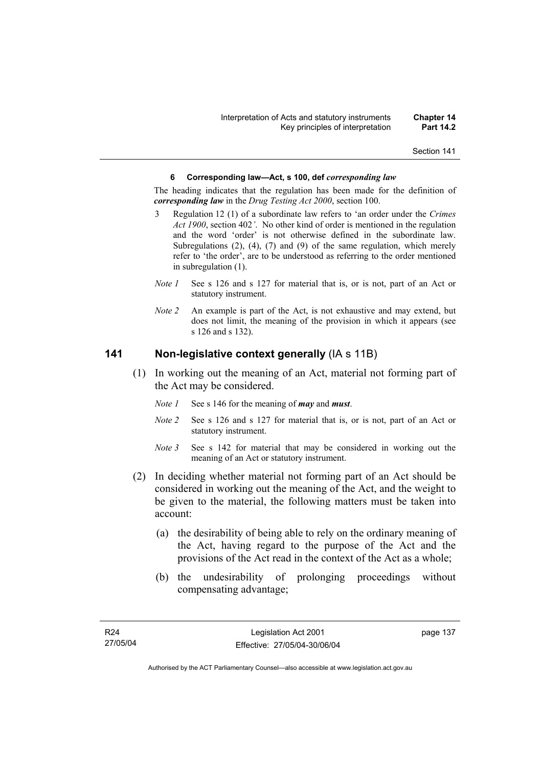#### **6 Corresponding law—Act, s 100, def** *corresponding law*

The heading indicates that the regulation has been made for the definition of *corresponding law* in the *Drug Testing Act 2000*, section 100.

- 3 Regulation 12 (1) of a subordinate law refers to 'an order under the *Crimes Act 1900*, section 402*'*. No other kind of order is mentioned in the regulation and the word 'order' is not otherwise defined in the subordinate law. Subregulations (2), (4), (7) and (9) of the same regulation, which merely refer to 'the order', are to be understood as referring to the order mentioned in subregulation (1).
- *Note 1* See s 126 and s 127 for material that is, or is not, part of an Act or statutory instrument.
- *Note 2* An example is part of the Act, is not exhaustive and may extend, but does not limit, the meaning of the provision in which it appears (see s 126 and s 132).

# **141 Non-legislative context generally** (IA s 11B)

- (1) In working out the meaning of an Act, material not forming part of the Act may be considered.
	- *Note 1* See s 146 for the meaning of *may* and *must*.
	- *Note 2* See s 126 and s 127 for material that is, or is not, part of an Act or statutory instrument.
	- *Note* 3 See s 142 for material that may be considered in working out the meaning of an Act or statutory instrument.
- (2) In deciding whether material not forming part of an Act should be considered in working out the meaning of the Act, and the weight to be given to the material, the following matters must be taken into account:
	- (a) the desirability of being able to rely on the ordinary meaning of the Act, having regard to the purpose of the Act and the provisions of the Act read in the context of the Act as a whole;
	- (b) the undesirability of prolonging proceedings without compensating advantage;

page 137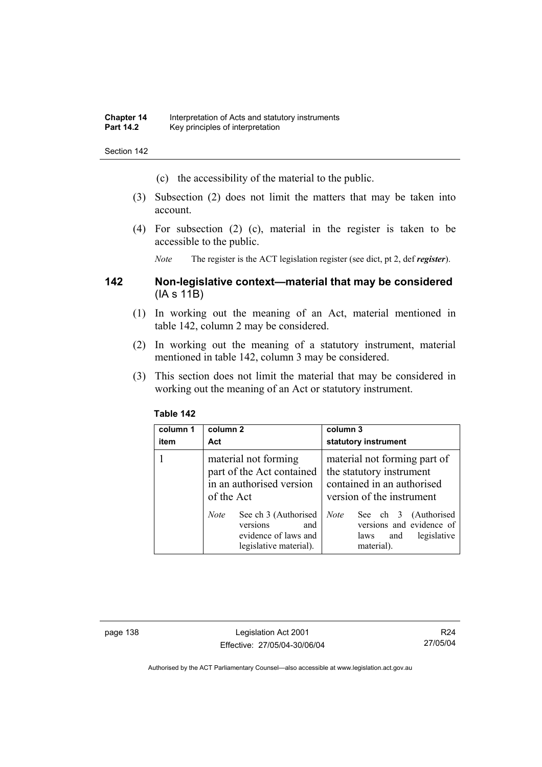- (c) the accessibility of the material to the public.
- (3) Subsection (2) does not limit the matters that may be taken into account.
- (4) For subsection (2) (c), material in the register is taken to be accessible to the public.

*Note* The register is the ACT legislation register (see dict, pt 2, def *register*).

# **142 Non-legislative context—material that may be considered**  (IA s 11B)

- (1) In working out the meaning of an Act, material mentioned in table 142, column 2 may be considered.
- (2) In working out the meaning of a statutory instrument, material mentioned in table 142, column 3 may be considered.
- (3) This section does not limit the material that may be considered in working out the meaning of an Act or statutory instrument.

| column 1<br>item | column 2<br>Act                                                                                          | column 3<br>statutory instrument                                                                                    |
|------------------|----------------------------------------------------------------------------------------------------------|---------------------------------------------------------------------------------------------------------------------|
|                  | material not forming<br>part of the Act contained<br>in an authorised version<br>of the Act              | material not forming part of<br>the statutory instrument<br>contained in an authorised<br>version of the instrument |
|                  | See ch 3 (Authorised<br><b>Note</b><br>versions<br>and<br>evidence of laws and<br>legislative material). | <b>Note</b><br>See ch 3 (Authorised<br>versions and evidence of<br>legislative<br>and<br>laws<br>material).         |

## **Table 142**

page 138 Legislation Act 2001 Effective: 27/05/04-30/06/04

R24 27/05/04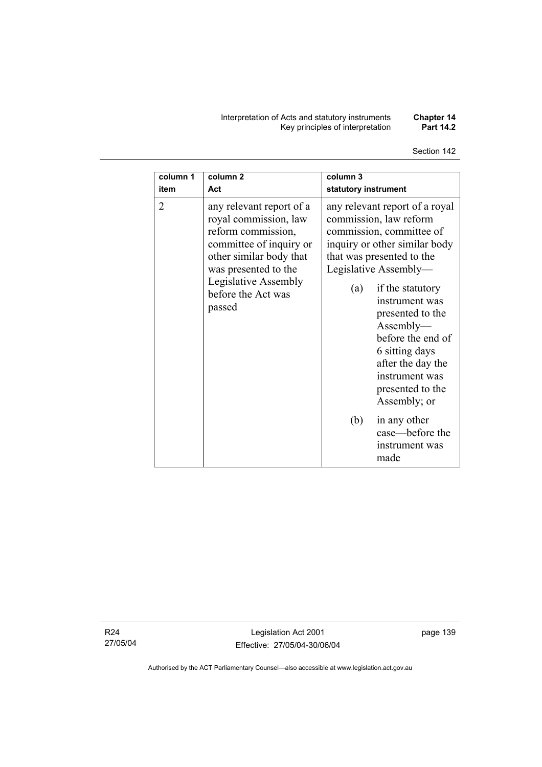#### Interpretation of Acts and statutory instruments **Chapter 14**  Key principles of interpretation **Part 14.2**

# Section 142

| column 1<br>item | column <sub>2</sub><br>Act                                                                                                                                                                                    | column 3<br>statutory instrument                                                                                                                                                                                                                                                                                                                                                     |
|------------------|---------------------------------------------------------------------------------------------------------------------------------------------------------------------------------------------------------------|--------------------------------------------------------------------------------------------------------------------------------------------------------------------------------------------------------------------------------------------------------------------------------------------------------------------------------------------------------------------------------------|
| $\overline{2}$   | any relevant report of a<br>royal commission, law<br>reform commission,<br>committee of inquiry or<br>other similar body that<br>was presented to the<br>Legislative Assembly<br>before the Act was<br>passed | any relevant report of a royal<br>commission, law reform<br>commission, committee of<br>inquiry or other similar body<br>that was presented to the<br>Legislative Assembly-<br>if the statutory<br>(a)<br>instrument was<br>presented to the<br>$\Lambda$ ssembly—<br>before the end of<br>6 sitting days<br>after the day the<br>instrument was<br>presented to the<br>Assembly; or |
|                  |                                                                                                                                                                                                               | (b)<br>in any other<br>case—before the<br>instrument was<br>made                                                                                                                                                                                                                                                                                                                     |

R24 27/05/04

Legislation Act 2001 Effective: 27/05/04-30/06/04 page 139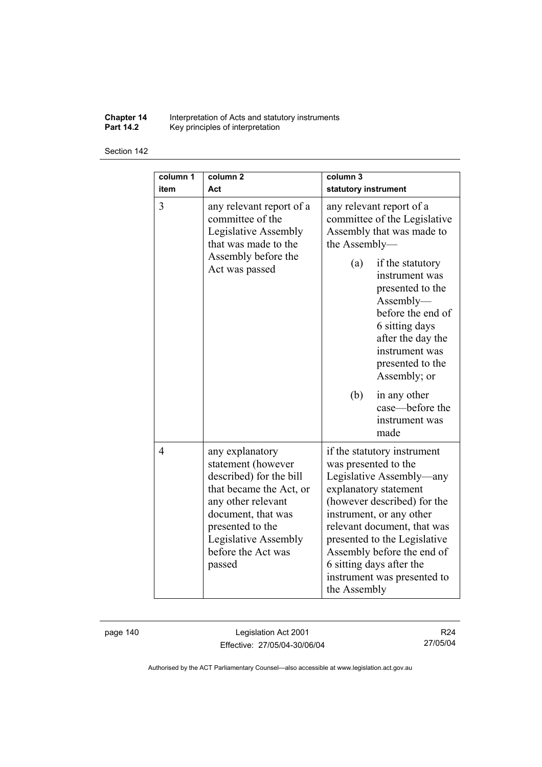**Chapter 14** Interpretation of Acts and statutory instruments

**Part 14.2** Key principles of interpretation

#### Section 142

| column 1<br>item | column <sub>2</sub><br>Act                                                                                                                                                                                          | column 3<br>statutory instrument                                                                                                                                                                                                                                                                                                            |
|------------------|---------------------------------------------------------------------------------------------------------------------------------------------------------------------------------------------------------------------|---------------------------------------------------------------------------------------------------------------------------------------------------------------------------------------------------------------------------------------------------------------------------------------------------------------------------------------------|
| 3                | any relevant report of a<br>committee of the<br>Legislative Assembly<br>that was made to the<br>Assembly before the                                                                                                 | any relevant report of a<br>committee of the Legislative<br>Assembly that was made to<br>the Assembly-                                                                                                                                                                                                                                      |
|                  | Act was passed                                                                                                                                                                                                      | if the statutory<br>(a)<br>instrument was<br>presented to the<br>Assently—<br>before the end of<br>6 sitting days<br>after the day the<br>instrument was<br>presented to the<br>Assembly; or                                                                                                                                                |
|                  |                                                                                                                                                                                                                     | (b)<br>in any other<br>case—before the<br>instrument was<br>made                                                                                                                                                                                                                                                                            |
| $\overline{4}$   | any explanatory<br>statement (however<br>described) for the bill<br>that became the Act, or<br>any other relevant<br>document, that was<br>presented to the<br>Legislative Assembly<br>before the Act was<br>passed | if the statutory instrument<br>was presented to the<br>Legislative Assembly—any<br>explanatory statement<br>(however described) for the<br>instrument, or any other<br>relevant document, that was<br>presented to the Legislative<br>Assembly before the end of<br>6 sitting days after the<br>instrument was presented to<br>the Assembly |

page 140 Legislation Act 2001 Effective: 27/05/04-30/06/04

R24 27/05/04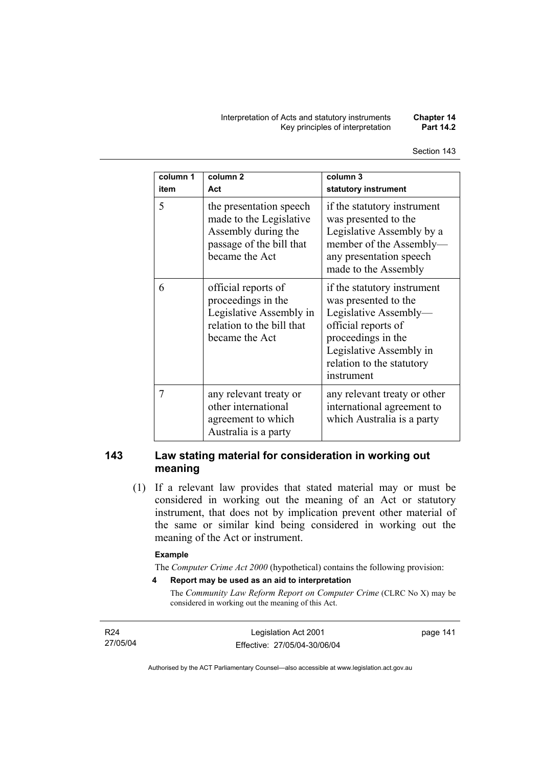| column 1<br>item | column <sub>2</sub><br>Act                                                                                              | column 3<br>statutory instrument                                                                                                                                                                |
|------------------|-------------------------------------------------------------------------------------------------------------------------|-------------------------------------------------------------------------------------------------------------------------------------------------------------------------------------------------|
| 5                | the presentation speech<br>made to the Legislative<br>Assembly during the<br>passage of the bill that<br>became the Act | if the statutory instrument<br>was presented to the<br>Legislative Assembly by a<br>member of the Assembly-<br>any presentation speech<br>made to the Assembly                                  |
| 6                | official reports of<br>proceedings in the<br>Legislative Assembly in<br>relation to the bill that<br>became the Act     | if the statutory instrument<br>was presented to the<br>Legislative Assembly-<br>official reports of<br>proceedings in the<br>Legislative Assembly in<br>relation to the statutory<br>instrument |
| 7                | any relevant treaty or<br>other international<br>agreement to which<br>Australia is a party                             | any relevant treaty or other<br>international agreement to<br>which Australia is a party                                                                                                        |

# **143 Law stating material for consideration in working out meaning**

 (1) If a relevant law provides that stated material may or must be considered in working out the meaning of an Act or statutory instrument, that does not by implication prevent other material of the same or similar kind being considered in working out the meaning of the Act or instrument.

#### **Example**

The *Computer Crime Act 2000* (hypothetical) contains the following provision:

**4 Report may be used as an aid to interpretation** 

The *Community Law Reform Report on Computer Crime* (CLRC No X) may be considered in working out the meaning of this Act.

R24 27/05/04

Legislation Act 2001 Effective: 27/05/04-30/06/04 page 141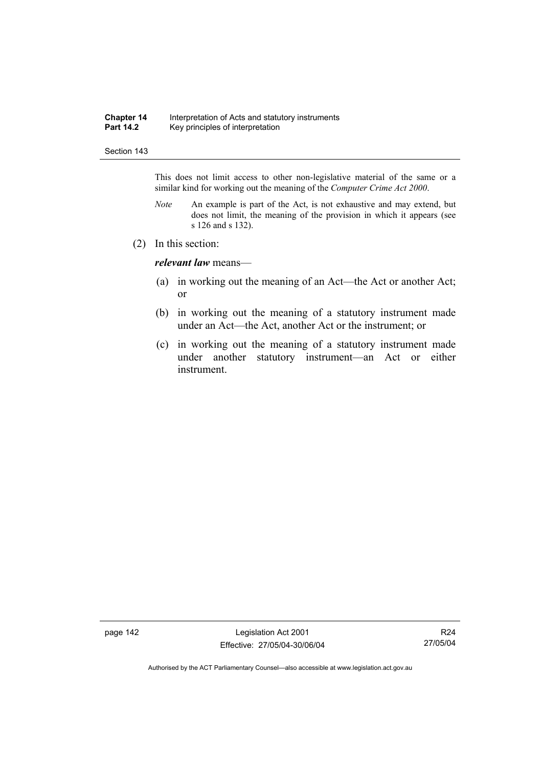#### **Chapter 14** Interpretation of Acts and statutory instruments<br>**Part 14.2** Key principles of interpretation Key principles of interpretation

#### Section 143

This does not limit access to other non-legislative material of the same or a similar kind for working out the meaning of the *Computer Crime Act 2000*.

- *Note* An example is part of the Act, is not exhaustive and may extend, but does not limit, the meaning of the provision in which it appears (see s 126 and s 132).
- (2) In this section:

*relevant law* means—

- (a) in working out the meaning of an Act—the Act or another Act; or
- (b) in working out the meaning of a statutory instrument made under an Act—the Act, another Act or the instrument; or
- (c) in working out the meaning of a statutory instrument made under another statutory instrument—an Act or either instrument.

page 142 Legislation Act 2001 Effective: 27/05/04-30/06/04

R24 27/05/04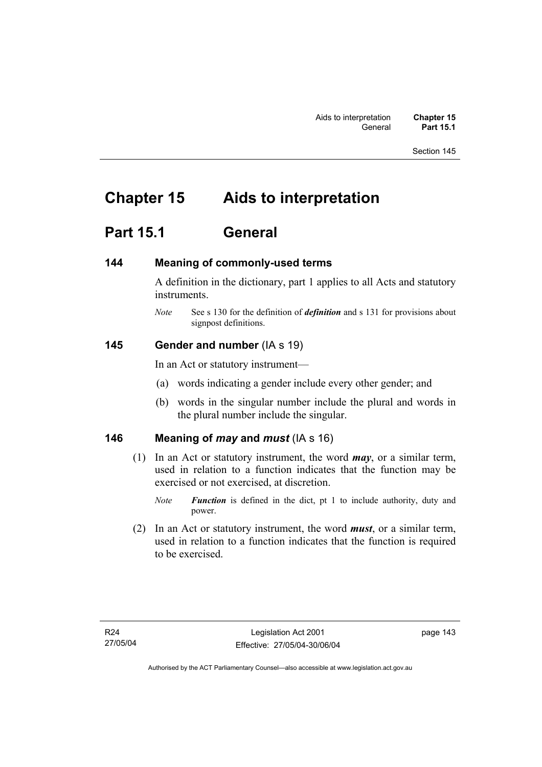# **Chapter 15 Aids to interpretation**

# **Part 15.1 General**

# **144 Meaning of commonly-used terms**

A definition in the dictionary, part 1 applies to all Acts and statutory instruments.

*Note* See s 130 for the definition of *definition* and s 131 for provisions about signpost definitions.

### **145 Gender and number** (IA s 19)

In an Act or statutory instrument—

- (a) words indicating a gender include every other gender; and
- (b) words in the singular number include the plural and words in the plural number include the singular.

# **146 Meaning of** *may* **and** *must* (IA s 16)

 (1) In an Act or statutory instrument, the word *may*, or a similar term, used in relation to a function indicates that the function may be exercised or not exercised, at discretion.

 (2) In an Act or statutory instrument, the word *must*, or a similar term, used in relation to a function indicates that the function is required to be exercised.

*Note Function* is defined in the dict, pt 1 to include authority, duty and power.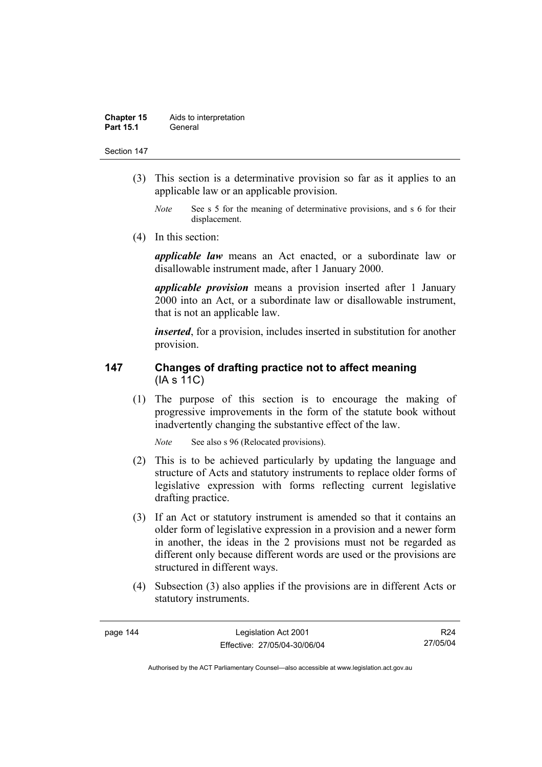#### **Chapter 15** Aids to interpretation **Part 15.1** General

#### Section 147

- (3) This section is a determinative provision so far as it applies to an applicable law or an applicable provision.
	- *Note* See s 5 for the meaning of determinative provisions, and s 6 for their displacement.
- (4) In this section:

*applicable law* means an Act enacted, or a subordinate law or disallowable instrument made, after 1 January 2000.

*applicable provision* means a provision inserted after 1 January 2000 into an Act, or a subordinate law or disallowable instrument, that is not an applicable law.

*inserted*, for a provision, includes inserted in substitution for another provision.

# **147 Changes of drafting practice not to affect meaning**  (IA s 11C)

 (1) The purpose of this section is to encourage the making of progressive improvements in the form of the statute book without inadvertently changing the substantive effect of the law.

*Note* See also s 96 (Relocated provisions).

- (2) This is to be achieved particularly by updating the language and structure of Acts and statutory instruments to replace older forms of legislative expression with forms reflecting current legislative drafting practice.
- (3) If an Act or statutory instrument is amended so that it contains an older form of legislative expression in a provision and a newer form in another, the ideas in the 2 provisions must not be regarded as different only because different words are used or the provisions are structured in different ways.
- (4) Subsection (3) also applies if the provisions are in different Acts or statutory instruments.

R24 27/05/04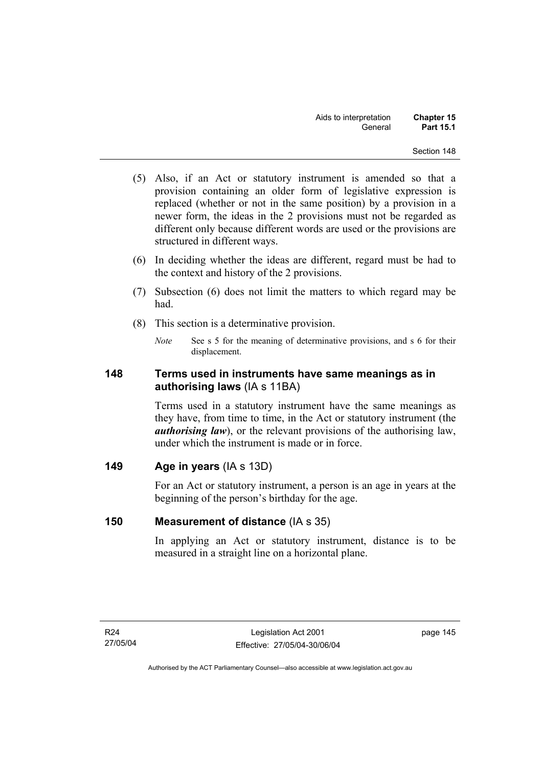- (5) Also, if an Act or statutory instrument is amended so that a provision containing an older form of legislative expression is replaced (whether or not in the same position) by a provision in a newer form, the ideas in the 2 provisions must not be regarded as different only because different words are used or the provisions are structured in different ways.
- (6) In deciding whether the ideas are different, regard must be had to the context and history of the 2 provisions.
- (7) Subsection (6) does not limit the matters to which regard may be had.
- (8) This section is a determinative provision.
	- *Note* See s 5 for the meaning of determinative provisions, and s 6 for their displacement.

# **148 Terms used in instruments have same meanings as in authorising laws** (IA s 11BA)

Terms used in a statutory instrument have the same meanings as they have, from time to time, in the Act or statutory instrument (the *authorising law*), or the relevant provisions of the authorising law, under which the instrument is made or in force.

# **149 Age in years** (IA s 13D)

For an Act or statutory instrument, a person is an age in years at the beginning of the person's birthday for the age.

# **150 Measurement of distance** (IA s 35)

In applying an Act or statutory instrument, distance is to be measured in a straight line on a horizontal plane.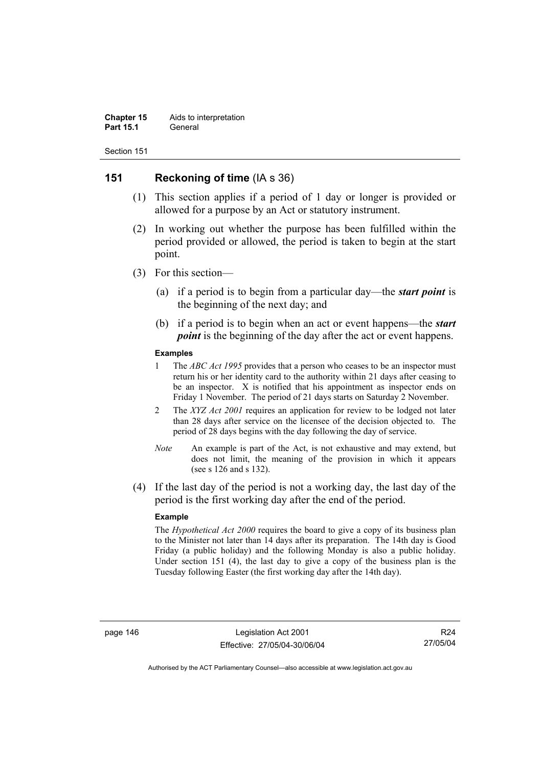#### **Chapter 15** Aids to interpretation **Part 15.1** General

Section 151

# **151 Reckoning of time** (IA s 36)

- (1) This section applies if a period of 1 day or longer is provided or allowed for a purpose by an Act or statutory instrument.
- (2) In working out whether the purpose has been fulfilled within the period provided or allowed, the period is taken to begin at the start point.
- (3) For this section—
	- (a) if a period is to begin from a particular day—the *start point* is the beginning of the next day; and
	- (b) if a period is to begin when an act or event happens—the *start point* is the beginning of the day after the act or event happens.

#### **Examples**

- 1 The *ABC Act 1995* provides that a person who ceases to be an inspector must return his or her identity card to the authority within 21 days after ceasing to be an inspector. X is notified that his appointment as inspector ends on Friday 1 November. The period of 21 days starts on Saturday 2 November.
- 2 The *XYZ Act 2001* requires an application for review to be lodged not later than 28 days after service on the licensee of the decision objected to. The period of 28 days begins with the day following the day of service.
- *Note* An example is part of the Act, is not exhaustive and may extend, but does not limit, the meaning of the provision in which it appears (see s 126 and s 132).
- (4) If the last day of the period is not a working day, the last day of the period is the first working day after the end of the period.

#### **Example**

The *Hypothetical Act 2000* requires the board to give a copy of its business plan to the Minister not later than 14 days after its preparation. The 14th day is Good Friday (a public holiday) and the following Monday is also a public holiday. Under section 151 (4), the last day to give a copy of the business plan is the Tuesday following Easter (the first working day after the 14th day).

R24 27/05/04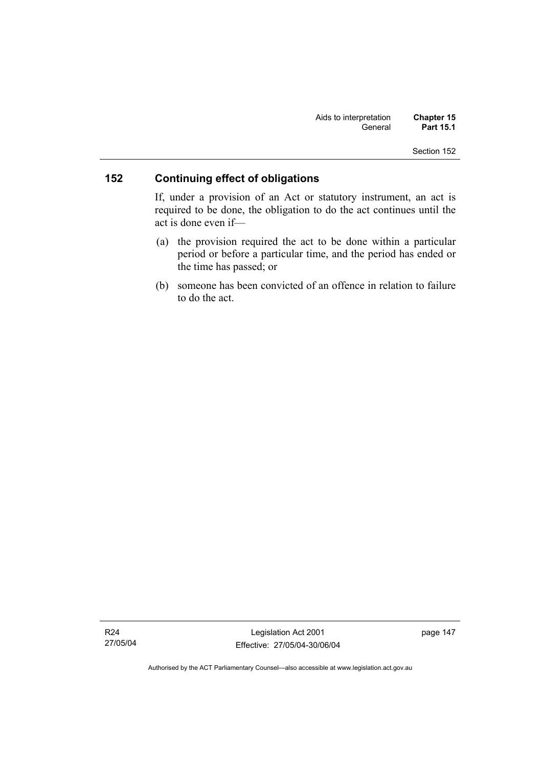# **152 Continuing effect of obligations**

If, under a provision of an Act or statutory instrument, an act is required to be done, the obligation to do the act continues until the act is done even if—

- (a) the provision required the act to be done within a particular period or before a particular time, and the period has ended or the time has passed; or
- (b) someone has been convicted of an offence in relation to failure to do the act.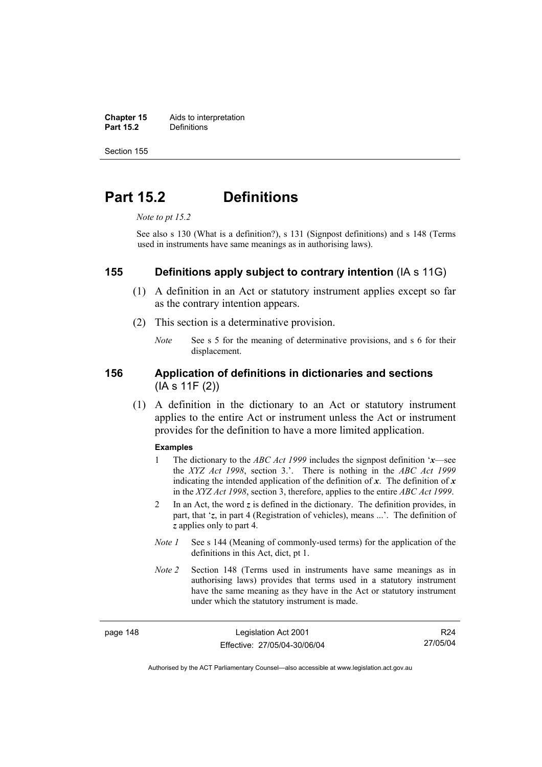**Chapter 15** Aids to interpretation<br>**Part 15.2** Definitions **Part 15.2** Definitions

Section 155

# **Part 15.2 Definitions**

*Note to pt 15.2* 

See also s 130 (What is a definition?), s 131 (Signpost definitions) and s 148 (Terms used in instruments have same meanings as in authorising laws).

### **155 Definitions apply subject to contrary intention** (IA s 11G)

- (1) A definition in an Act or statutory instrument applies except so far as the contrary intention appears.
- (2) This section is a determinative provision.
	- *Note* See s 5 for the meaning of determinative provisions, and s 6 for their displacement.

# **156 Application of definitions in dictionaries and sections**  (IA s 11F (2))

 (1) A definition in the dictionary to an Act or statutory instrument applies to the entire Act or instrument unless the Act or instrument provides for the definition to have a more limited application.

#### **Examples**

- 1 The dictionary to the *ABC Act 1999* includes the signpost definition '*x*—see the *XYZ Act 1998*, section 3.'. There is nothing in the *ABC Act 1999* indicating the intended application of the definition of  $x$ . The definition of  $x$ in the *XYZ Act 1998*, section 3, therefore, applies to the entire *ABC Act 1999*.
- 2 In an Act, the word *z* is defined in the dictionary. The definition provides, in part, that '*z*, in part 4 (Registration of vehicles), means ...'. The definition of *z* applies only to part 4.
- *Note 1* See s 144 (Meaning of commonly-used terms) for the application of the definitions in this Act, dict, pt 1.
- *Note 2* Section 148 (Terms used in instruments have same meanings as in authorising laws) provides that terms used in a statutory instrument have the same meaning as they have in the Act or statutory instrument under which the statutory instrument is made.

page 148 Legislation Act 2001 Effective: 27/05/04-30/06/04

R24 27/05/04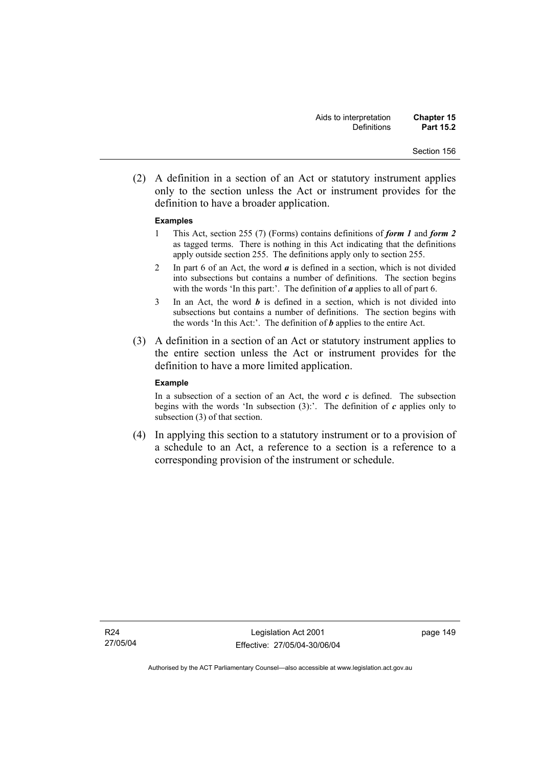(2) A definition in a section of an Act or statutory instrument applies only to the section unless the Act or instrument provides for the definition to have a broader application.

#### **Examples**

- 1 This Act, section 255 (7) (Forms) contains definitions of *form 1* and *form 2* as tagged terms. There is nothing in this Act indicating that the definitions apply outside section 255. The definitions apply only to section 255.
- 2 In part 6 of an Act, the word *a* is defined in a section, which is not divided into subsections but contains a number of definitions. The section begins with the words 'In this part:'. The definition of *a* applies to all of part 6.
- 3 In an Act, the word *b* is defined in a section, which is not divided into subsections but contains a number of definitions. The section begins with the words 'In this Act:'. The definition of *b* applies to the entire Act.
- (3) A definition in a section of an Act or statutory instrument applies to the entire section unless the Act or instrument provides for the definition to have a more limited application.

#### **Example**

In a subsection of a section of an Act, the word  $c$  is defined. The subsection begins with the words 'In subsection  $(3)$ :'. The definition of  $c$  applies only to subsection (3) of that section.

 (4) In applying this section to a statutory instrument or to a provision of a schedule to an Act, a reference to a section is a reference to a corresponding provision of the instrument or schedule.

page 149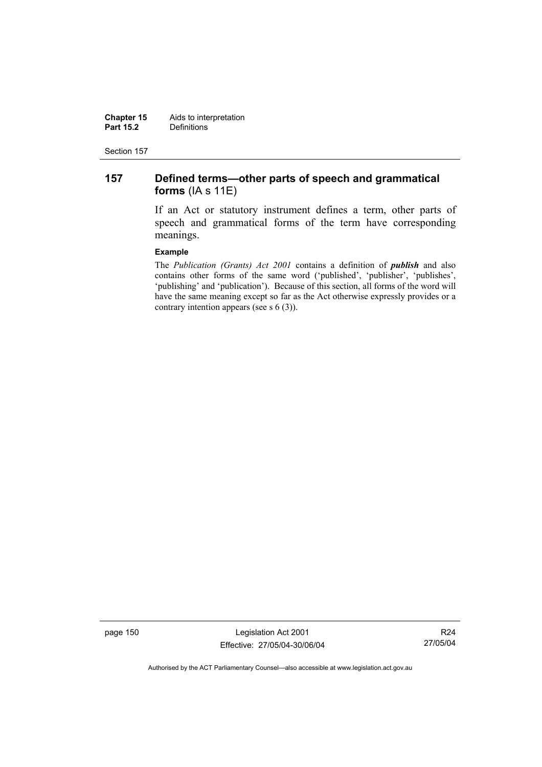**Chapter 15** Aids to interpretation<br>**Part 15.2** Definitions **Definitions** 

Section 157

# **157 Defined terms—other parts of speech and grammatical forms** (IA s 11E)

If an Act or statutory instrument defines a term, other parts of speech and grammatical forms of the term have corresponding meanings.

#### **Example**

The *Publication (Grants) Act 2001* contains a definition of *publish* and also contains other forms of the same word ('published', 'publisher', 'publishes', 'publishing' and 'publication'). Because of this section, all forms of the word will have the same meaning except so far as the Act otherwise expressly provides or a contrary intention appears (see s 6 (3)).

page 150 Legislation Act 2001 Effective: 27/05/04-30/06/04

R24 27/05/04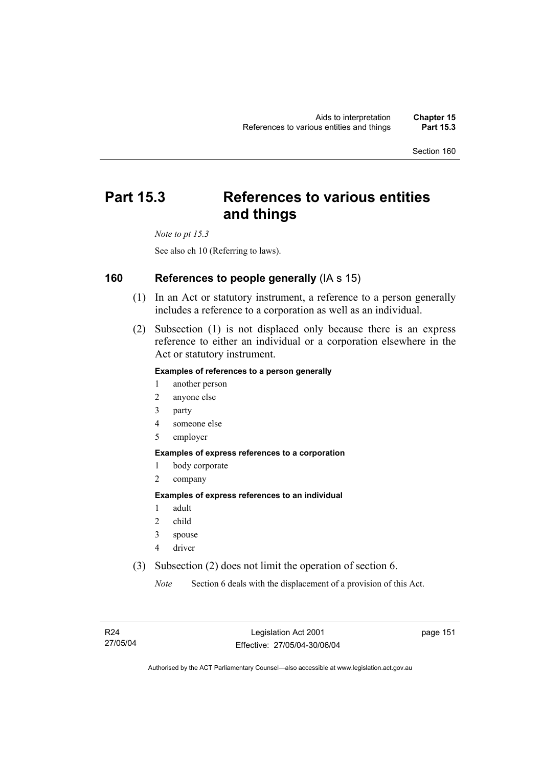# **Part 15.3 References to various entities and things**

*Note to pt 15.3* 

See also ch 10 (Referring to laws).

# **160 References to people generally** (IA s 15)

- (1) In an Act or statutory instrument, a reference to a person generally includes a reference to a corporation as well as an individual.
- (2) Subsection (1) is not displaced only because there is an express reference to either an individual or a corporation elsewhere in the Act or statutory instrument.

#### **Examples of references to a person generally**

- 1 another person
- 2 anyone else
- 3 party
- 4 someone else
- 5 employer

#### **Examples of express references to a corporation**

- 1 body corporate
- 2 company

#### **Examples of express references to an individual**

- 1 adult
- 2 child
- 3 spouse
- 4 driver
- (3) Subsection (2) does not limit the operation of section 6.

*Note* Section 6 deals with the displacement of a provision of this Act.

page 151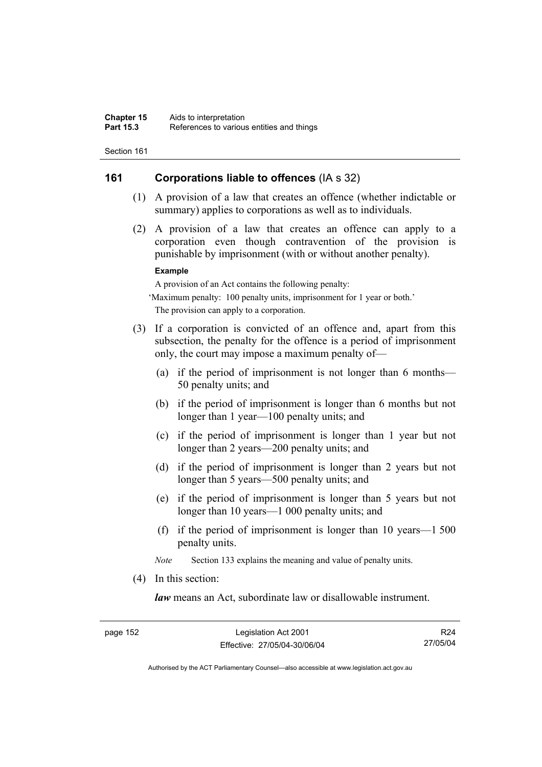# **161 Corporations liable to offences** (IA s 32)

- (1) A provision of a law that creates an offence (whether indictable or summary) applies to corporations as well as to individuals.
- (2) A provision of a law that creates an offence can apply to a corporation even though contravention of the provision is punishable by imprisonment (with or without another penalty).

#### **Example**

A provision of an Act contains the following penalty:

'Maximum penalty: 100 penalty units, imprisonment for 1 year or both.' The provision can apply to a corporation.

- (3) If a corporation is convicted of an offence and, apart from this subsection, the penalty for the offence is a period of imprisonment only, the court may impose a maximum penalty of—
	- (a) if the period of imprisonment is not longer than 6 months— 50 penalty units; and
	- (b) if the period of imprisonment is longer than 6 months but not longer than 1 year—100 penalty units; and
	- (c) if the period of imprisonment is longer than 1 year but not longer than 2 years—200 penalty units; and
	- (d) if the period of imprisonment is longer than 2 years but not longer than 5 years—500 penalty units; and
	- (e) if the period of imprisonment is longer than 5 years but not longer than 10 years—1 000 penalty units; and
	- (f) if the period of imprisonment is longer than 10 years—1 500 penalty units.

*Note* Section 133 explains the meaning and value of penalty units.

(4) In this section:

*law* means an Act, subordinate law or disallowable instrument.

R24 27/05/04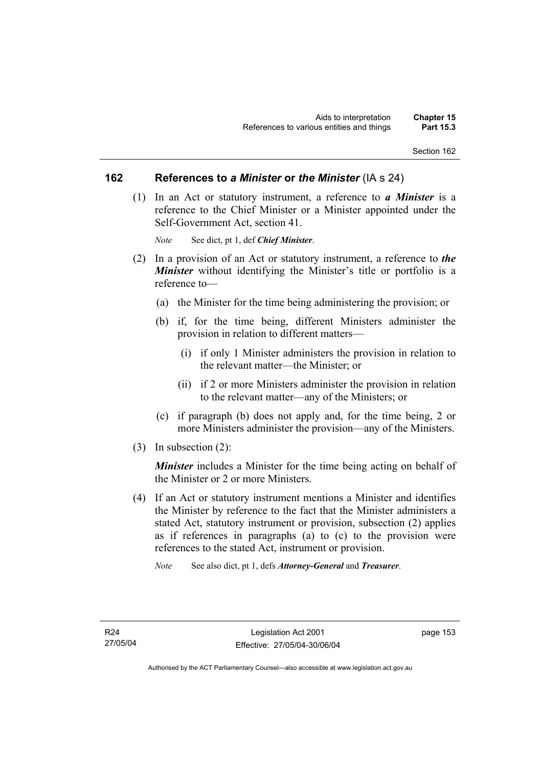### **162 References to** *a Minister* **or** *the Minister* (IA s 24)

 (1) In an Act or statutory instrument, a reference to *a Minister* is a reference to the Chief Minister or a Minister appointed under the Self-Government Act, section 41.

*Note* See dict, pt 1, def *Chief Minister*.

- (2) In a provision of an Act or statutory instrument, a reference to *the Minister* without identifying the Minister's title or portfolio is a reference to—
	- (a) the Minister for the time being administering the provision; or
	- (b) if, for the time being, different Ministers administer the provision in relation to different matters—
		- (i) if only 1 Minister administers the provision in relation to the relevant matter—the Minister; or
		- (ii) if 2 or more Ministers administer the provision in relation to the relevant matter—any of the Ministers; or
	- (c) if paragraph (b) does not apply and, for the time being, 2 or more Ministers administer the provision—any of the Ministers.
- (3) In subsection (2):

*Minister* includes a Minister for the time being acting on behalf of the Minister or 2 or more Ministers.

- (4) If an Act or statutory instrument mentions a Minister and identifies the Minister by reference to the fact that the Minister administers a stated Act, statutory instrument or provision, subsection (2) applies as if references in paragraphs (a) to (c) to the provision were references to the stated Act, instrument or provision.
	- *Note* See also dict, pt 1, defs *Attorney-General* and *Treasurer*.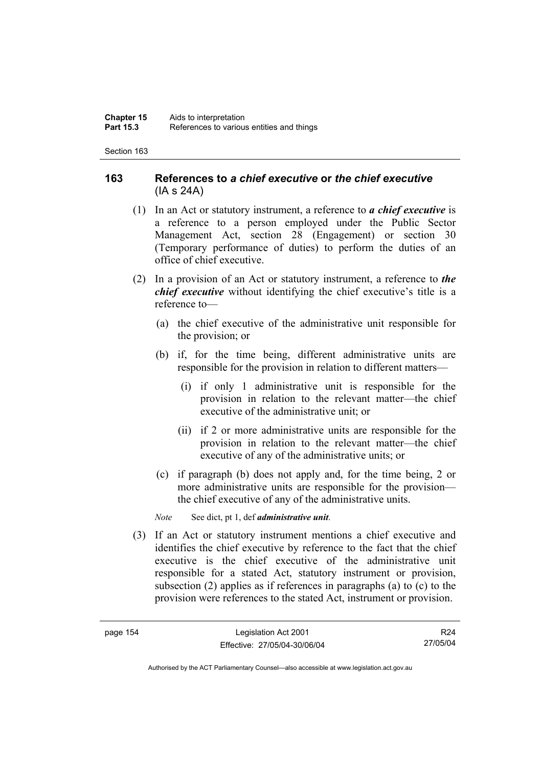# **163 References to** *a chief executive* **or** *the chief executive* (IA s 24A)

- (1) In an Act or statutory instrument, a reference to *a chief executive* is a reference to a person employed under the Public Sector Management Act, section 28 (Engagement) or section 30 (Temporary performance of duties) to perform the duties of an office of chief executive.
- (2) In a provision of an Act or statutory instrument, a reference to *the chief executive* without identifying the chief executive's title is a reference to—
	- (a) the chief executive of the administrative unit responsible for the provision; or
	- (b) if, for the time being, different administrative units are responsible for the provision in relation to different matters—
		- (i) if only 1 administrative unit is responsible for the provision in relation to the relevant matter—the chief executive of the administrative unit; or
		- (ii) if 2 or more administrative units are responsible for the provision in relation to the relevant matter—the chief executive of any of the administrative units; or
	- (c) if paragraph (b) does not apply and, for the time being, 2 or more administrative units are responsible for the provision the chief executive of any of the administrative units.

*Note* See dict, pt 1, def *administrative unit*.

 (3) If an Act or statutory instrument mentions a chief executive and identifies the chief executive by reference to the fact that the chief executive is the chief executive of the administrative unit responsible for a stated Act, statutory instrument or provision, subsection (2) applies as if references in paragraphs (a) to (c) to the provision were references to the stated Act, instrument or provision.

R24 27/05/04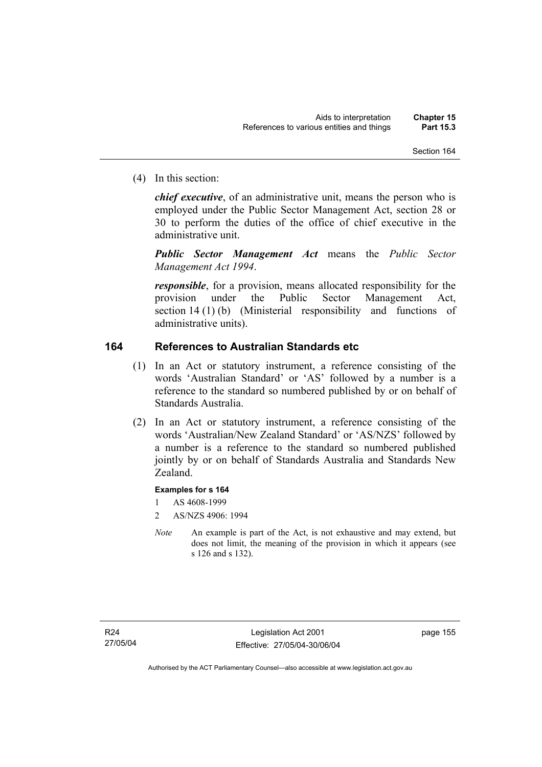(4) In this section:

*chief executive*, of an administrative unit, means the person who is employed under the Public Sector Management Act, section 28 or 30 to perform the duties of the office of chief executive in the administrative unit.

*Public Sector Management Act* means the *Public Sector Management Act 1994*.

*responsible*, for a provision, means allocated responsibility for the provision under the Public Sector Management Act, section 14 (1) (b) (Ministerial responsibility and functions of administrative units).

# **164 References to Australian Standards etc**

- (1) In an Act or statutory instrument, a reference consisting of the words 'Australian Standard' or 'AS' followed by a number is a reference to the standard so numbered published by or on behalf of Standards Australia.
- (2) In an Act or statutory instrument, a reference consisting of the words 'Australian/New Zealand Standard' or 'AS/NZS' followed by a number is a reference to the standard so numbered published jointly by or on behalf of Standards Australia and Standards New Zealand.

### **Examples for s 164**

- 1 AS 4608-1999
- 2 AS/NZS 4906: 1994
- *Note* An example is part of the Act, is not exhaustive and may extend, but does not limit, the meaning of the provision in which it appears (see s 126 and s 132).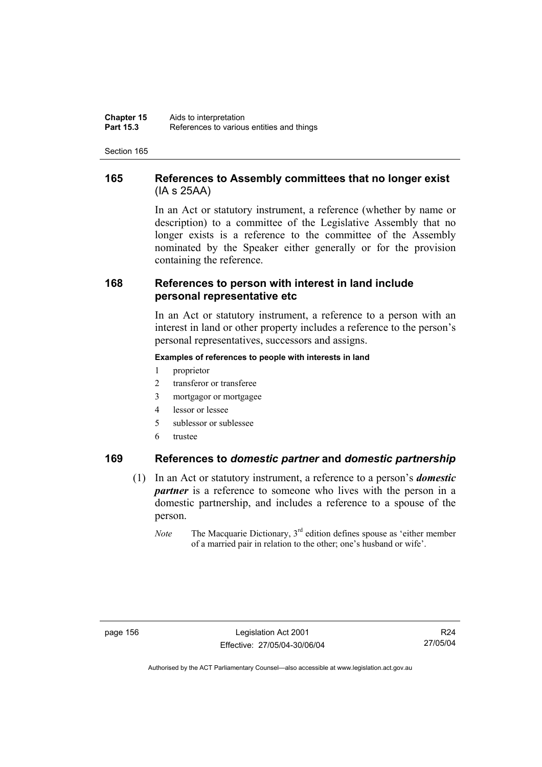**Chapter 15** Aids to interpretation<br>**Part 15.3** References to various **Part 15.3** References to various entities and things

Section 165

# **165 References to Assembly committees that no longer exist**  (IA s 25AA)

In an Act or statutory instrument, a reference (whether by name or description) to a committee of the Legislative Assembly that no longer exists is a reference to the committee of the Assembly nominated by the Speaker either generally or for the provision containing the reference.

# **168 References to person with interest in land include personal representative etc**

In an Act or statutory instrument, a reference to a person with an interest in land or other property includes a reference to the person's personal representatives, successors and assigns.

#### **Examples of references to people with interests in land**

- 1 proprietor
- 2 transferor or transferee
- 3 mortgagor or mortgagee
- 4 lessor or lessee
- 5 sublessor or sublessee
- 6 trustee

# **169 References to** *domestic partner* **and** *domestic partnership*

- (1) In an Act or statutory instrument, a reference to a person's *domestic partner* is a reference to someone who lives with the person in a domestic partnership, and includes a reference to a spouse of the person.
	- *Note* The Macquarie Dictionary, 3<sup>rd</sup> edition defines spouse as 'either member of a married pair in relation to the other; one's husband or wife'.

R24 27/05/04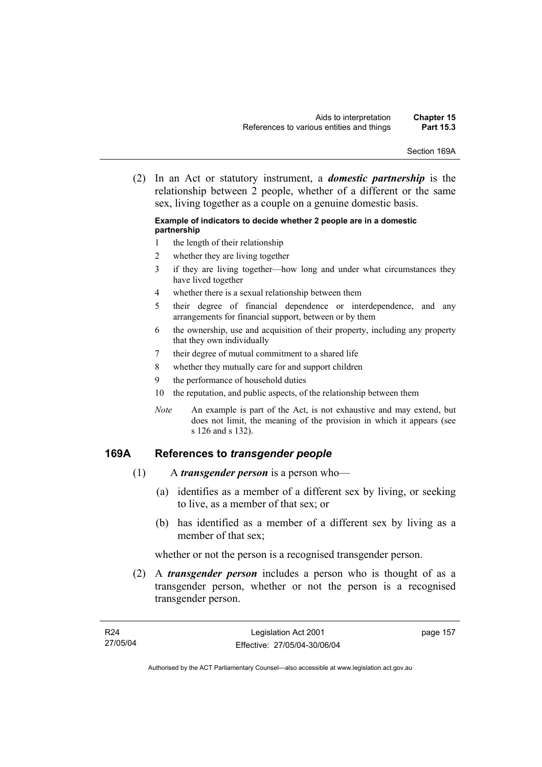Section 169A

 (2) In an Act or statutory instrument, a *domestic partnership* is the relationship between 2 people, whether of a different or the same sex, living together as a couple on a genuine domestic basis.

#### **Example of indicators to decide whether 2 people are in a domestic partnership**

- 1 the length of their relationship
- 2 whether they are living together
- 3 if they are living together—how long and under what circumstances they have lived together
- 4 whether there is a sexual relationship between them
- 5 their degree of financial dependence or interdependence, and any arrangements for financial support, between or by them
- 6 the ownership, use and acquisition of their property, including any property that they own individually
- 7 their degree of mutual commitment to a shared life
- 8 whether they mutually care for and support children
- 9 the performance of household duties
- 10 the reputation, and public aspects, of the relationship between them
- *Note* An example is part of the Act, is not exhaustive and may extend, but does not limit, the meaning of the provision in which it appears (see s 126 and s 132).

# **169A References to** *transgender people*

- (1) A *transgender person* is a person who—
	- (a) identifies as a member of a different sex by living, or seeking to live, as a member of that sex; or
	- (b) has identified as a member of a different sex by living as a member of that sex;

whether or not the person is a recognised transgender person.

 (2) A *transgender person* includes a person who is thought of as a transgender person, whether or not the person is a recognised transgender person.

page 157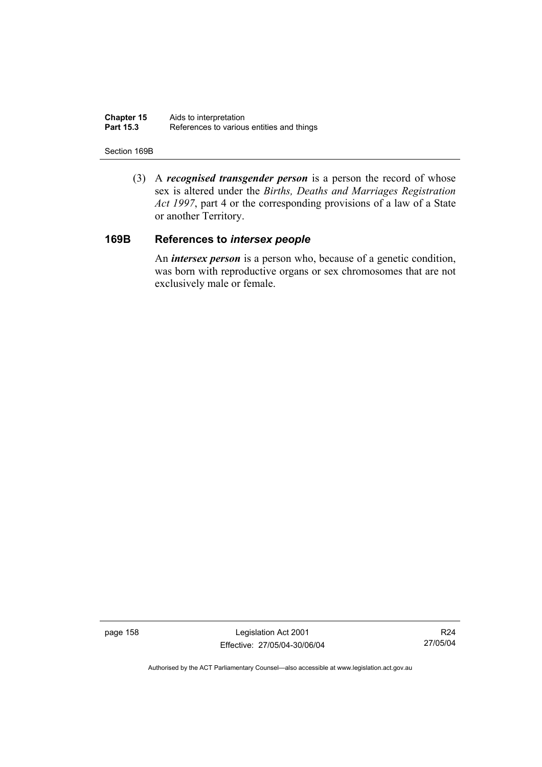**Chapter 15** Aids to interpretation<br>**Part 15.3** References to various References to various entities and things

#### Section 169B

 (3) A *recognised transgender person* is a person the record of whose sex is altered under the *Births, Deaths and Marriages Registration Act 1997*, part 4 or the corresponding provisions of a law of a State or another Territory.

# **169B References to** *intersex people*

 An *intersex person* is a person who, because of a genetic condition, was born with reproductive organs or sex chromosomes that are not exclusively male or female.

page 158 Legislation Act 2001 Effective: 27/05/04-30/06/04

R24 27/05/04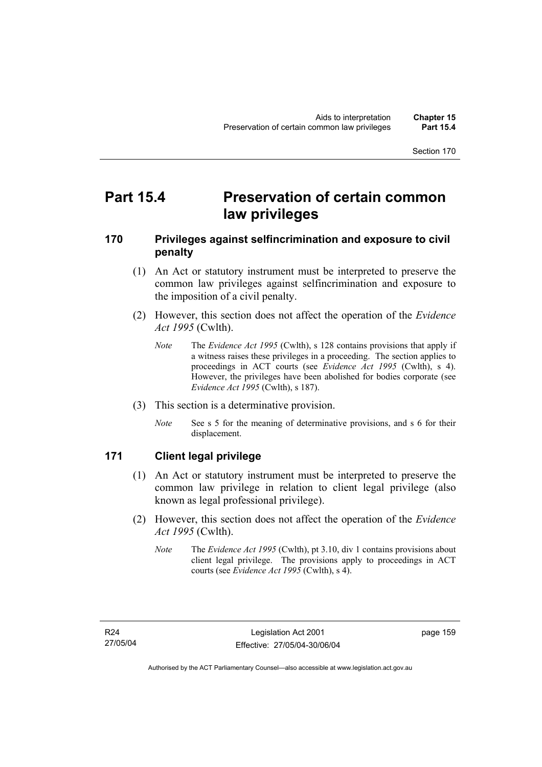# **Part 15.4 Preservation of certain common law privileges**

# **170 Privileges against selfincrimination and exposure to civil penalty**

- (1) An Act or statutory instrument must be interpreted to preserve the common law privileges against selfincrimination and exposure to the imposition of a civil penalty.
- (2) However, this section does not affect the operation of the *Evidence Act 1995* (Cwlth).
	- *Note* The *Evidence Act 1995* (Cwlth), s 128 contains provisions that apply if a witness raises these privileges in a proceeding. The section applies to proceedings in ACT courts (see *Evidence Act 1995* (Cwlth), s 4). However, the privileges have been abolished for bodies corporate (see *Evidence Act 1995* (Cwlth), s 187).
- (3) This section is a determinative provision.
	- *Note* See s 5 for the meaning of determinative provisions, and s 6 for their displacement.

# **171 Client legal privilege**

- (1) An Act or statutory instrument must be interpreted to preserve the common law privilege in relation to client legal privilege (also known as legal professional privilege).
- (2) However, this section does not affect the operation of the *Evidence Act 1995* (Cwlth).
	- *Note* The *Evidence Act 1995* (Cwlth), pt 3.10, div 1 contains provisions about client legal privilege. The provisions apply to proceedings in ACT courts (see *Evidence Act 1995* (Cwlth), s 4).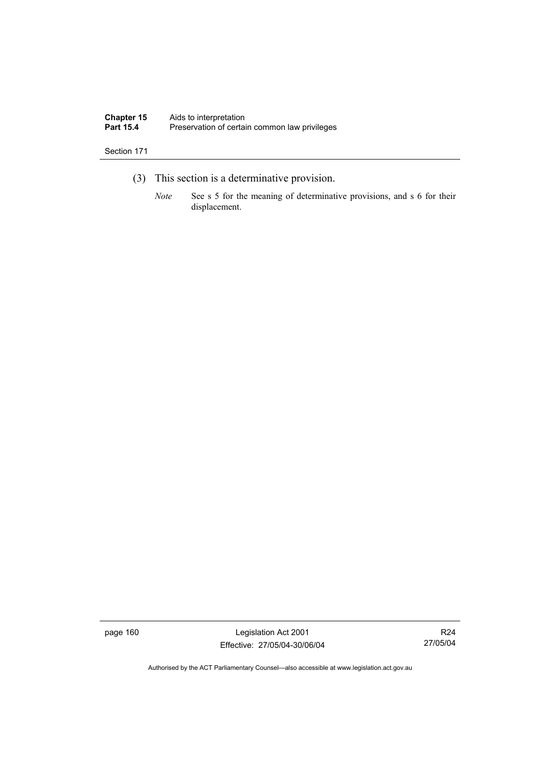#### **Chapter 15** Aids to interpretation Part 15.4 **Preservation of certain common law privileges**

#### Section 171

- (3) This section is a determinative provision.
	- *Note* See s 5 for the meaning of determinative provisions, and s 6 for their displacement.

page 160 Legislation Act 2001 Effective: 27/05/04-30/06/04

R24 27/05/04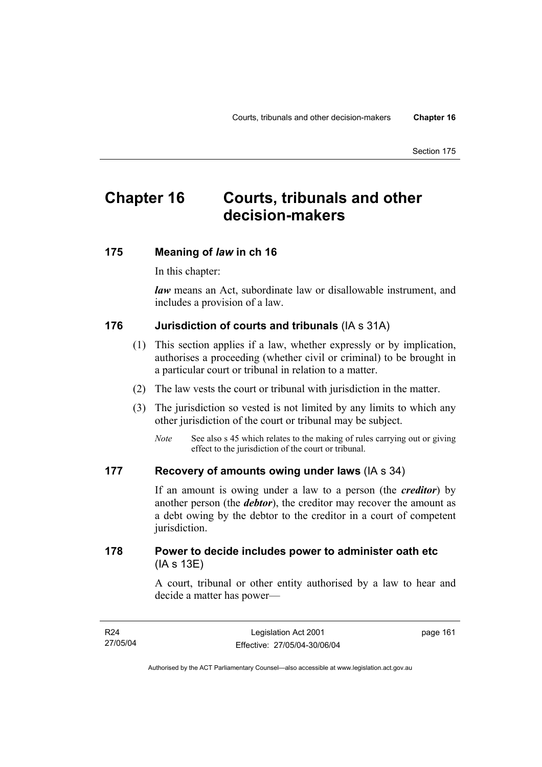# **Chapter 16 Courts, tribunals and other decision-makers**

# **175 Meaning of** *law* **in ch 16**

In this chapter:

*law* means an Act, subordinate law or disallowable instrument, and includes a provision of a law.

# **176 Jurisdiction of courts and tribunals** (IA s 31A)

- (1) This section applies if a law, whether expressly or by implication, authorises a proceeding (whether civil or criminal) to be brought in a particular court or tribunal in relation to a matter.
- (2) The law vests the court or tribunal with jurisdiction in the matter.
- (3) The jurisdiction so vested is not limited by any limits to which any other jurisdiction of the court or tribunal may be subject.
	- *Note* See also s 45 which relates to the making of rules carrying out or giving effect to the jurisdiction of the court or tribunal.

# **177 Recovery of amounts owing under laws** (IA s 34)

If an amount is owing under a law to a person (the *creditor*) by another person (the *debtor*), the creditor may recover the amount as a debt owing by the debtor to the creditor in a court of competent jurisdiction.

# **178 Power to decide includes power to administer oath etc**  (IA s 13E)

A court, tribunal or other entity authorised by a law to hear and decide a matter has power—

| R24      | Legislation Act 2001         | page 161 |
|----------|------------------------------|----------|
| 27/05/04 | Effective: 27/05/04-30/06/04 |          |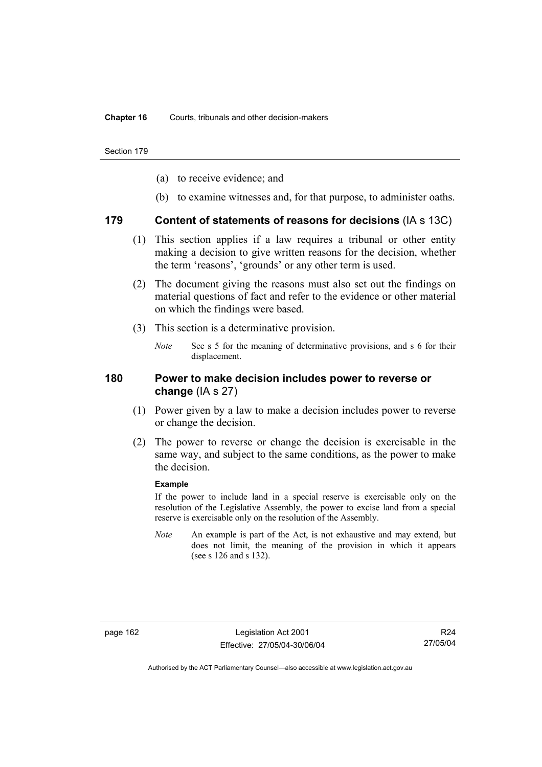- (a) to receive evidence; and
- (b) to examine witnesses and, for that purpose, to administer oaths.

### **179 Content of statements of reasons for decisions** (IA s 13C)

- (1) This section applies if a law requires a tribunal or other entity making a decision to give written reasons for the decision, whether the term 'reasons', 'grounds' or any other term is used.
- (2) The document giving the reasons must also set out the findings on material questions of fact and refer to the evidence or other material on which the findings were based.
- (3) This section is a determinative provision.
	- *Note* See s 5 for the meaning of determinative provisions, and s 6 for their displacement.

### **180 Power to make decision includes power to reverse or change** (IA s 27)

- (1) Power given by a law to make a decision includes power to reverse or change the decision.
- (2) The power to reverse or change the decision is exercisable in the same way, and subject to the same conditions, as the power to make the decision.

#### **Example**

If the power to include land in a special reserve is exercisable only on the resolution of the Legislative Assembly, the power to excise land from a special reserve is exercisable only on the resolution of the Assembly.

*Note* An example is part of the Act, is not exhaustive and may extend, but does not limit, the meaning of the provision in which it appears (see s 126 and s 132).

R24 27/05/04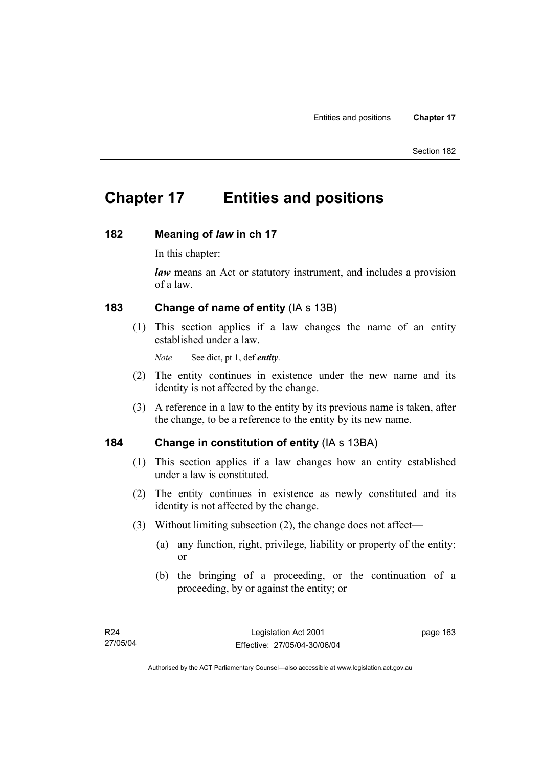# **Chapter 17 Entities and positions**

### **182 Meaning of** *law* **in ch 17**

In this chapter:

*law* means an Act or statutory instrument, and includes a provision of a law.

# **183 Change of name of entity** (IA s 13B)

 (1) This section applies if a law changes the name of an entity established under a law.

*Note* See dict, pt 1, def *entity*.

- (2) The entity continues in existence under the new name and its identity is not affected by the change.
- (3) A reference in a law to the entity by its previous name is taken, after the change, to be a reference to the entity by its new name.

# **184 Change in constitution of entity** (IA s 13BA)

- (1) This section applies if a law changes how an entity established under a law is constituted.
- (2) The entity continues in existence as newly constituted and its identity is not affected by the change.
- (3) Without limiting subsection (2), the change does not affect—
	- (a) any function, right, privilege, liability or property of the entity; or
	- (b) the bringing of a proceeding, or the continuation of a proceeding, by or against the entity; or

page 163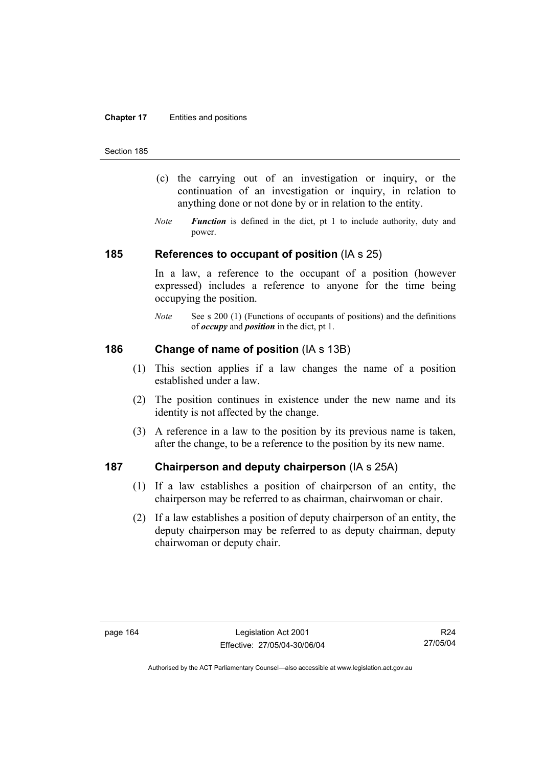#### **Chapter 17** Entities and positions

#### Section 185

- (c) the carrying out of an investigation or inquiry, or the continuation of an investigation or inquiry, in relation to anything done or not done by or in relation to the entity.
- *Note Function* is defined in the dict, pt 1 to include authority, duty and power.

### **185 References to occupant of position** (IA s 25)

In a law, a reference to the occupant of a position (however expressed) includes a reference to anyone for the time being occupying the position.

*Note* See s 200 (1) (Functions of occupants of positions) and the definitions of *occupy* and *position* in the dict, pt 1.

# **186 Change of name of position** (IA s 13B)

- (1) This section applies if a law changes the name of a position established under a law.
- (2) The position continues in existence under the new name and its identity is not affected by the change.
- (3) A reference in a law to the position by its previous name is taken, after the change, to be a reference to the position by its new name.

# **187 Chairperson and deputy chairperson** (IA s 25A)

- (1) If a law establishes a position of chairperson of an entity, the chairperson may be referred to as chairman, chairwoman or chair.
- (2) If a law establishes a position of deputy chairperson of an entity, the deputy chairperson may be referred to as deputy chairman, deputy chairwoman or deputy chair.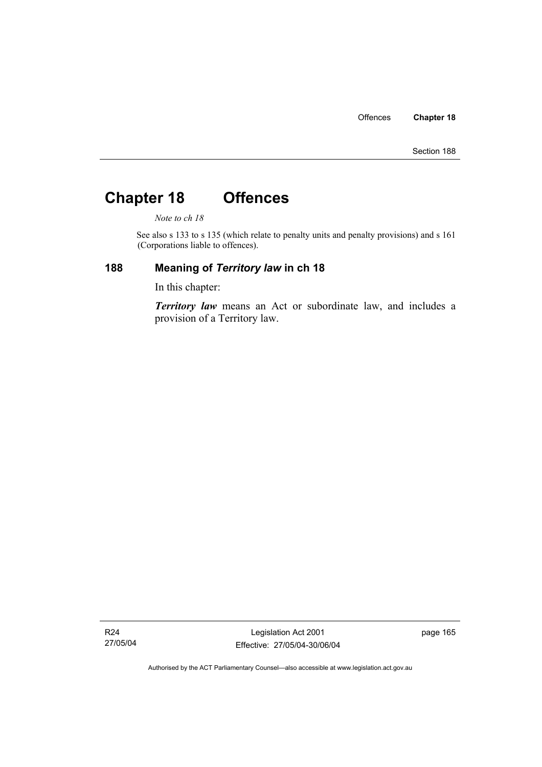# **Chapter 18 Offences**

*Note to ch 18* 

See also s 133 to s 135 (which relate to penalty units and penalty provisions) and s 161 (Corporations liable to offences).

# **188 Meaning of** *Territory law* **in ch 18**

In this chapter:

*Territory law* means an Act or subordinate law, and includes a provision of a Territory law.

R24 27/05/04

Legislation Act 2001 Effective: 27/05/04-30/06/04 page 165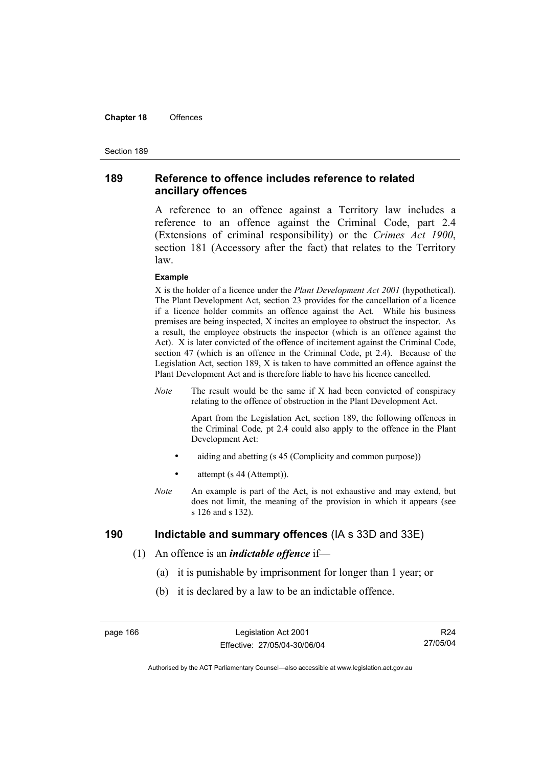#### **Chapter 18** Offences

#### Section 189

### **189 Reference to offence includes reference to related ancillary offences**

A reference to an offence against a Territory law includes a reference to an offence against the Criminal Code, part 2.4 (Extensions of criminal responsibility) or the *Crimes Act 1900*, section 181 (Accessory after the fact) that relates to the Territory law.

#### **Example**

X is the holder of a licence under the *Plant Development Act 2001* (hypothetical). The Plant Development Act, section 23 provides for the cancellation of a licence if a licence holder commits an offence against the Act. While his business premises are being inspected, X incites an employee to obstruct the inspector. As a result, the employee obstructs the inspector (which is an offence against the Act). X is later convicted of the offence of incitement against the Criminal Code, section 47 (which is an offence in the Criminal Code, pt 2.4). Because of the Legislation Act, section 189, X is taken to have committed an offence against the Plant Development Act and is therefore liable to have his licence cancelled.

*Note* The result would be the same if X had been convicted of conspiracy relating to the offence of obstruction in the Plant Development Act.

> Apart from the Legislation Act, section 189, the following offences in the Criminal Code*,* pt 2.4 could also apply to the offence in the Plant Development Act:

- aiding and abetting (s 45 (Complicity and common purpose))
- attempt (s 44 (Attempt)).
- *Note* An example is part of the Act, is not exhaustive and may extend, but does not limit, the meaning of the provision in which it appears (see s 126 and s 132).

## **190 Indictable and summary offences** (IA s 33D and 33E)

- (1) An offence is an *indictable offence* if—
	- (a) it is punishable by imprisonment for longer than 1 year; or
	- (b) it is declared by a law to be an indictable offence.

R24 27/05/04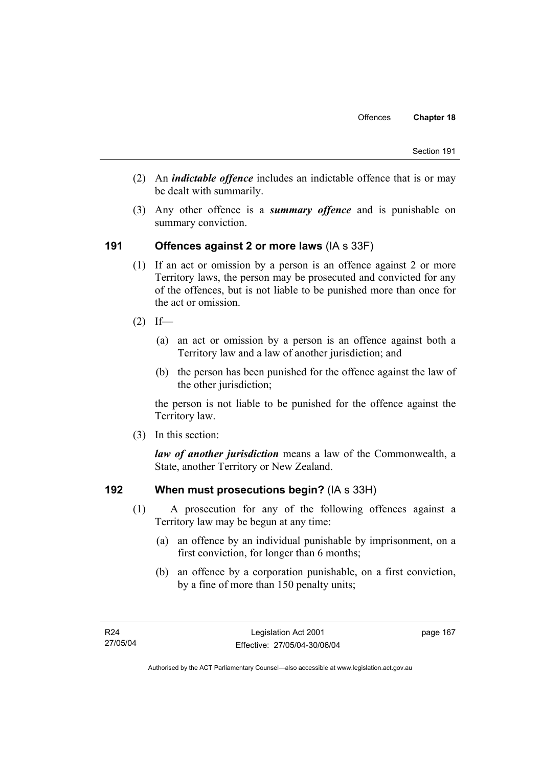- (2) An *indictable offence* includes an indictable offence that is or may be dealt with summarily.
- (3) Any other offence is a *summary offence* and is punishable on summary conviction.

# **191 Offences against 2 or more laws** (IA s 33F)

- (1) If an act or omission by a person is an offence against 2 or more Territory laws, the person may be prosecuted and convicted for any of the offences, but is not liable to be punished more than once for the act or omission.
- $(2)$  If—
	- (a) an act or omission by a person is an offence against both a Territory law and a law of another jurisdiction; and
	- (b) the person has been punished for the offence against the law of the other jurisdiction:

the person is not liable to be punished for the offence against the Territory law.

(3) In this section:

*law of another jurisdiction* means a law of the Commonwealth, a State, another Territory or New Zealand.

### **192 When must prosecutions begin?** (IA s 33H)

- (1) A prosecution for any of the following offences against a Territory law may be begun at any time:
	- (a) an offence by an individual punishable by imprisonment, on a first conviction, for longer than 6 months;
	- (b) an offence by a corporation punishable, on a first conviction, by a fine of more than 150 penalty units;

page 167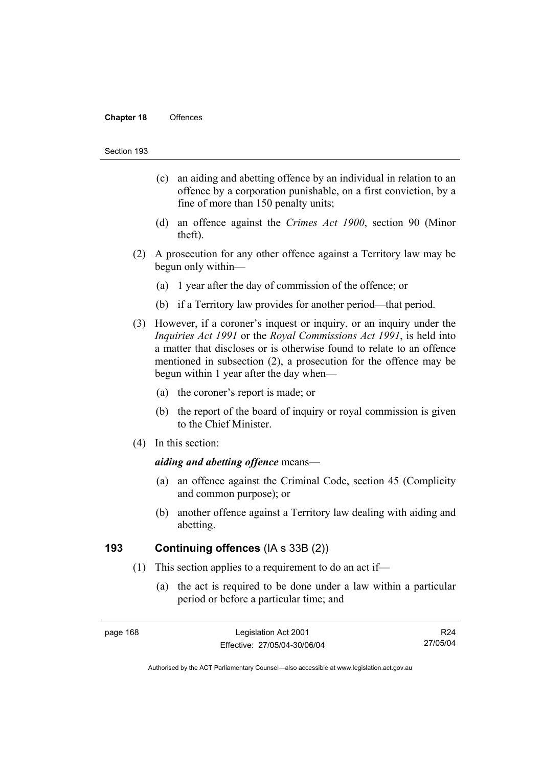#### **Chapter 18** Offences

#### Section 193

- (c) an aiding and abetting offence by an individual in relation to an offence by a corporation punishable, on a first conviction, by a fine of more than 150 penalty units;
- (d) an offence against the *Crimes Act 1900*, section 90 (Minor theft).
- (2) A prosecution for any other offence against a Territory law may be begun only within—
	- (a) 1 year after the day of commission of the offence; or
	- (b) if a Territory law provides for another period—that period.
- (3) However, if a coroner's inquest or inquiry, or an inquiry under the *Inquiries Act 1991* or the *Royal Commissions Act 1991*, is held into a matter that discloses or is otherwise found to relate to an offence mentioned in subsection (2), a prosecution for the offence may be begun within 1 year after the day when—
	- (a) the coroner's report is made; or
	- (b) the report of the board of inquiry or royal commission is given to the Chief Minister.
- (4) In this section:

#### *aiding and abetting offence* means—

- (a) an offence against the Criminal Code, section 45 (Complicity and common purpose); or
- (b) another offence against a Territory law dealing with aiding and abetting.

### **193 Continuing offences** (IA s 33B (2))

- (1) This section applies to a requirement to do an act if—
	- (a) the act is required to be done under a law within a particular period or before a particular time; and

R24 27/05/04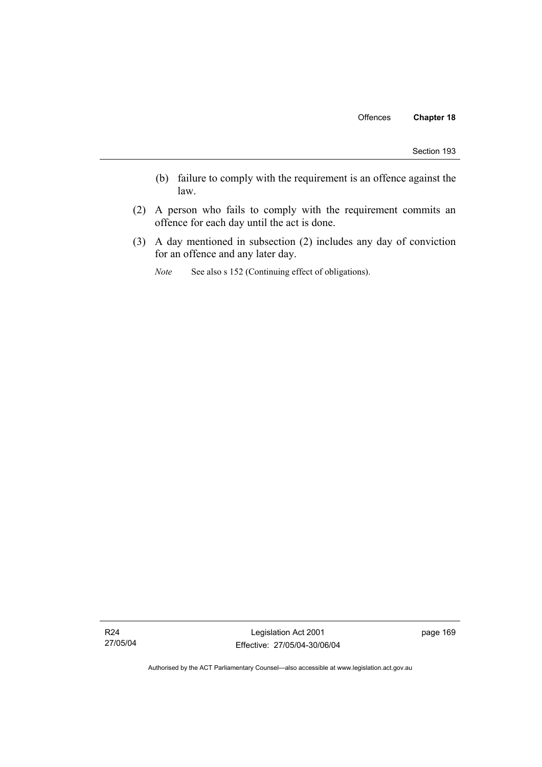- (b) failure to comply with the requirement is an offence against the law.
- (2) A person who fails to comply with the requirement commits an offence for each day until the act is done.
- (3) A day mentioned in subsection (2) includes any day of conviction for an offence and any later day.
	- *Note* See also s 152 (Continuing effect of obligations).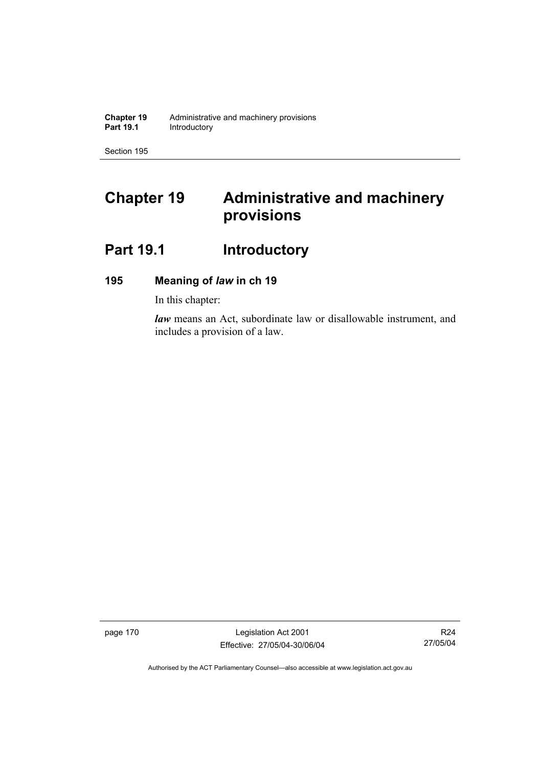**Chapter 19** Administrative and machinery provisions<br>**Part 19.1 Introductory Introductory** 

Section 195

# **Chapter 19 Administrative and machinery provisions**

# Part 19.1 **Introductory**

# **195 Meaning of** *law* **in ch 19**

In this chapter:

*law* means an Act, subordinate law or disallowable instrument, and includes a provision of a law.

page 170 Legislation Act 2001 Effective: 27/05/04-30/06/04

R24 27/05/04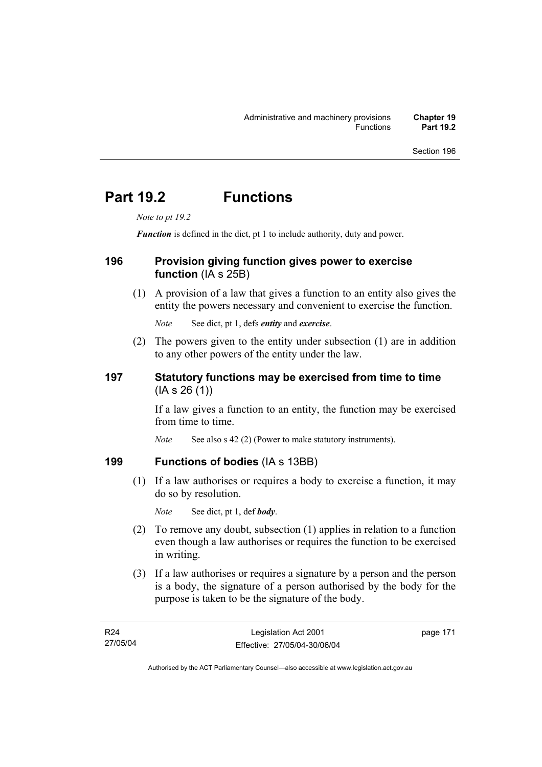# **Part 19.2 Functions**

*Note to pt 19.2* 

*Function* is defined in the dict, pt 1 to include authority, duty and power.

# **196 Provision giving function gives power to exercise function** (IA s 25B)

 (1) A provision of a law that gives a function to an entity also gives the entity the powers necessary and convenient to exercise the function.

*Note* See dict, pt 1, defs *entity* and *exercise*.

 (2) The powers given to the entity under subsection (1) are in addition to any other powers of the entity under the law.

# **197 Statutory functions may be exercised from time to time**  (IA s 26 (1))

If a law gives a function to an entity, the function may be exercised from time to time.

*Note* See also s 42 (2) (Power to make statutory instruments).

# **199 Functions of bodies** (IA s 13BB)

 (1) If a law authorises or requires a body to exercise a function, it may do so by resolution.

*Note* See dict, pt 1, def *body*.

- (2) To remove any doubt, subsection (1) applies in relation to a function even though a law authorises or requires the function to be exercised in writing.
- (3) If a law authorises or requires a signature by a person and the person is a body, the signature of a person authorised by the body for the purpose is taken to be the signature of the body.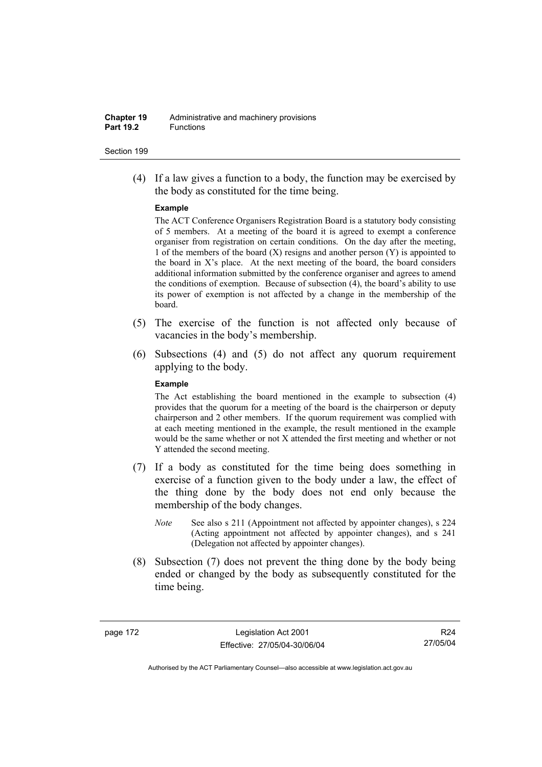#### **Chapter 19** Administrative and machinery provisions **Part 19.2** Functions

#### Section 199

 (4) If a law gives a function to a body, the function may be exercised by the body as constituted for the time being.

#### **Example**

The ACT Conference Organisers Registration Board is a statutory body consisting of 5 members. At a meeting of the board it is agreed to exempt a conference organiser from registration on certain conditions. On the day after the meeting, 1 of the members of the board  $(X)$  resigns and another person  $(Y)$  is appointed to the board in  $X$ 's place. At the next meeting of the board, the board considers additional information submitted by the conference organiser and agrees to amend the conditions of exemption. Because of subsection (4), the board's ability to use its power of exemption is not affected by a change in the membership of the board.

- (5) The exercise of the function is not affected only because of vacancies in the body's membership.
- (6) Subsections (4) and (5) do not affect any quorum requirement applying to the body.

#### **Example**

The Act establishing the board mentioned in the example to subsection (4) provides that the quorum for a meeting of the board is the chairperson or deputy chairperson and 2 other members. If the quorum requirement was complied with at each meeting mentioned in the example, the result mentioned in the example would be the same whether or not X attended the first meeting and whether or not Y attended the second meeting.

- (7) If a body as constituted for the time being does something in exercise of a function given to the body under a law, the effect of the thing done by the body does not end only because the membership of the body changes.
	- *Note* See also s 211 (Appointment not affected by appointer changes), s 224 (Acting appointment not affected by appointer changes), and s 241 (Delegation not affected by appointer changes).
- (8) Subsection (7) does not prevent the thing done by the body being ended or changed by the body as subsequently constituted for the time being.

page 172 Legislation Act 2001 Effective: 27/05/04-30/06/04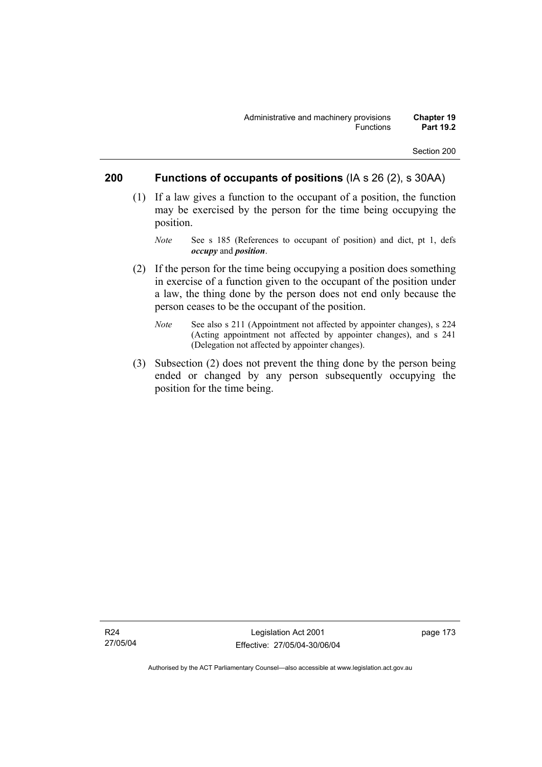# **200 Functions of occupants of positions** (IA s 26 (2), s 30AA)

- (1) If a law gives a function to the occupant of a position, the function may be exercised by the person for the time being occupying the position.
	- *Note* See s 185 (References to occupant of position) and dict, pt 1, defs *occupy* and *position*.
- (2) If the person for the time being occupying a position does something in exercise of a function given to the occupant of the position under a law, the thing done by the person does not end only because the person ceases to be the occupant of the position.
	- *Note* See also s 211 (Appointment not affected by appointer changes), s 224 (Acting appointment not affected by appointer changes), and s 241 (Delegation not affected by appointer changes).
- (3) Subsection (2) does not prevent the thing done by the person being ended or changed by any person subsequently occupying the position for the time being.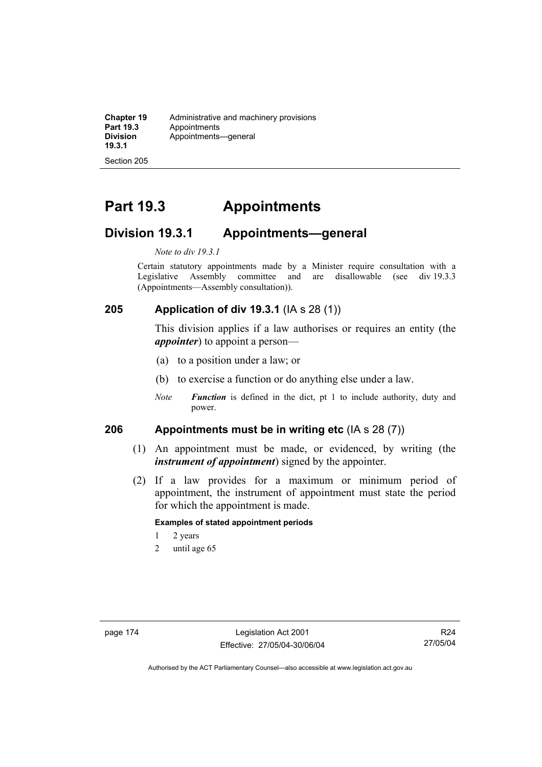**Chapter 19** Administrative and machinery provisions<br>**Part 19.3** Appointments **Part 19.3** Appointments **Division 19.3.1**  Appointments—general

Section 205

# **Part 19.3 Appointments**

# **Division 19.3.1 Appointments—general**

#### *Note to div 19.3.1*

Certain statutory appointments made by a Minister require consultation with a Legislative Assembly committee and are disallowable (see div 19.3.3) (Appointments—Assembly consultation)).

### **205 Application of div 19.3.1** (IA s 28 (1))

This division applies if a law authorises or requires an entity (the *appointer*) to appoint a person—

- (a) to a position under a law; or
- (b) to exercise a function or do anything else under a law.
- *Note Function* is defined in the dict, pt 1 to include authority, duty and power.

### **206 Appointments must be in writing etc** (IA s 28 (7))

- (1) An appointment must be made, or evidenced, by writing (the *instrument of appointment*) signed by the appointer.
- (2) If a law provides for a maximum or minimum period of appointment, the instrument of appointment must state the period for which the appointment is made.

#### **Examples of stated appointment periods**

- 1 2 years
- 2 until age 65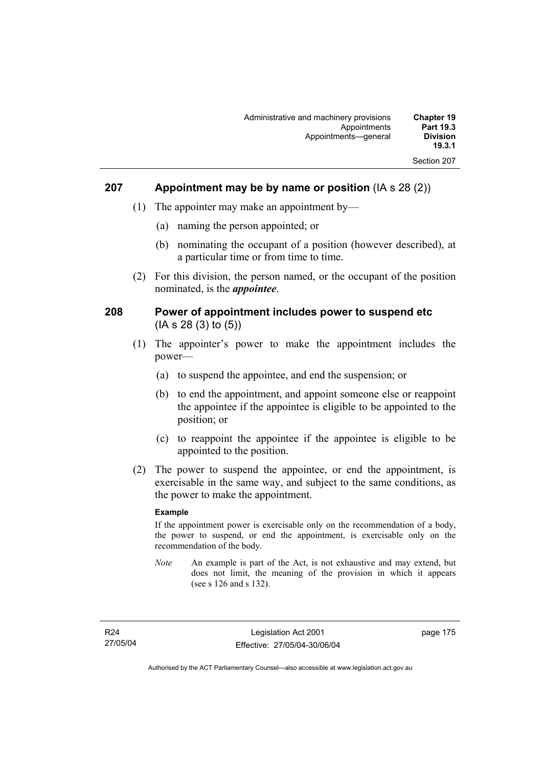| <b>Chapter 19</b><br><b>Part 19.3</b><br><b>Division</b><br>19.3.1 | Administrative and machinery provisions<br>Appointments<br>Appointments-qeneral |
|--------------------------------------------------------------------|---------------------------------------------------------------------------------|
| Section 207                                                        |                                                                                 |

### **207 Appointment may be by name or position** (IA s 28 (2))

- (1) The appointer may make an appointment by—
	- (a) naming the person appointed; or
	- (b) nominating the occupant of a position (however described), at a particular time or from time to time.
- (2) For this division, the person named, or the occupant of the position nominated, is the *appointee*.

### **208 Power of appointment includes power to suspend etc**  (IA s 28 (3) to (5))

- (1) The appointer's power to make the appointment includes the power—
	- (a) to suspend the appointee, and end the suspension; or
	- (b) to end the appointment, and appoint someone else or reappoint the appointee if the appointee is eligible to be appointed to the position; or
	- (c) to reappoint the appointee if the appointee is eligible to be appointed to the position.
- (2) The power to suspend the appointee, or end the appointment, is exercisable in the same way, and subject to the same conditions, as the power to make the appointment.

#### **Example**

If the appointment power is exercisable only on the recommendation of a body, the power to suspend, or end the appointment, is exercisable only on the recommendation of the body.

*Note* An example is part of the Act, is not exhaustive and may extend, but does not limit, the meaning of the provision in which it appears (see s 126 and s 132).

page 175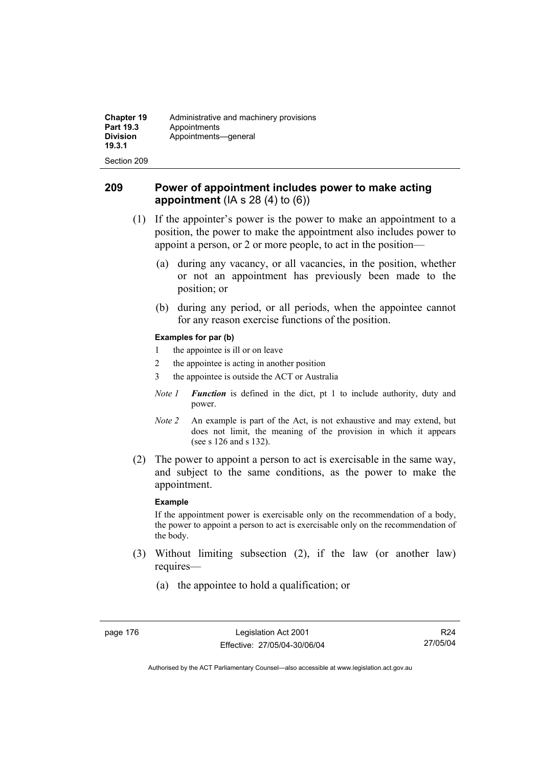| <b>Chapter 19</b><br><b>Part 19.3</b><br><b>Division</b><br>19.3.1 | Administrative and machinery provisions<br>Appointments<br>Appointments-qeneral |
|--------------------------------------------------------------------|---------------------------------------------------------------------------------|
| Section 209                                                        |                                                                                 |

# **209 Power of appointment includes power to make acting appointment** (IA s 28 (4) to (6))

- (1) If the appointer's power is the power to make an appointment to a position, the power to make the appointment also includes power to appoint a person, or 2 or more people, to act in the position—
	- (a) during any vacancy, or all vacancies, in the position, whether or not an appointment has previously been made to the position; or
	- (b) during any period, or all periods, when the appointee cannot for any reason exercise functions of the position.

#### **Examples for par (b)**

- 1 the appointee is ill or on leave
- 2 the appointee is acting in another position
- 3 the appointee is outside the ACT or Australia
- *Note 1 Function* is defined in the dict, pt 1 to include authority, duty and power.
- *Note 2* An example is part of the Act, is not exhaustive and may extend, but does not limit, the meaning of the provision in which it appears (see s 126 and s 132).
- (2) The power to appoint a person to act is exercisable in the same way, and subject to the same conditions, as the power to make the appointment.

#### **Example**

If the appointment power is exercisable only on the recommendation of a body, the power to appoint a person to act is exercisable only on the recommendation of the body.

- (3) Without limiting subsection (2), if the law (or another law) requires—
	- (a) the appointee to hold a qualification; or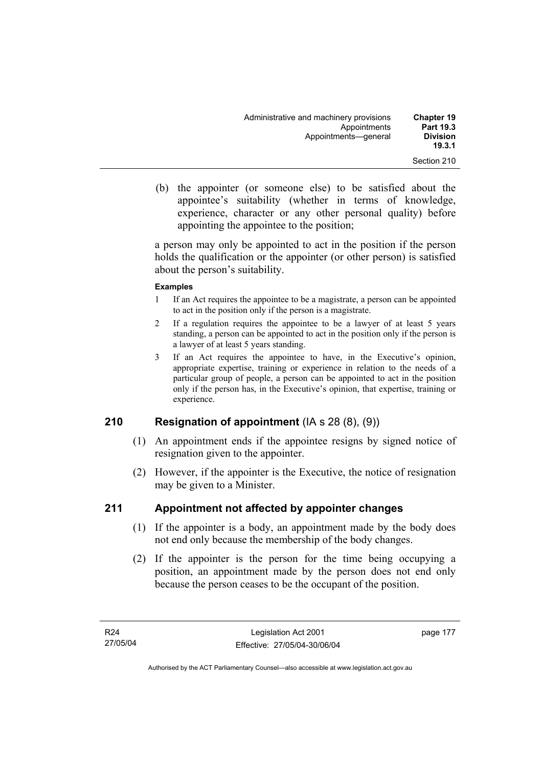| <b>Chapter 19</b><br><b>Part 19.3</b><br><b>Division</b><br>19.3.1 | Administrative and machinery provisions<br>Appointments<br>Appointments-qeneral |
|--------------------------------------------------------------------|---------------------------------------------------------------------------------|
| Section 210                                                        |                                                                                 |

 (b) the appointer (or someone else) to be satisfied about the appointee's suitability (whether in terms of knowledge, experience, character or any other personal quality) before appointing the appointee to the position;

a person may only be appointed to act in the position if the person holds the qualification or the appointer (or other person) is satisfied about the person's suitability.

#### **Examples**

- 1 If an Act requires the appointee to be a magistrate, a person can be appointed to act in the position only if the person is a magistrate.
- 2 If a regulation requires the appointee to be a lawyer of at least 5 years standing, a person can be appointed to act in the position only if the person is a lawyer of at least 5 years standing.
- 3 If an Act requires the appointee to have, in the Executive's opinion, appropriate expertise, training or experience in relation to the needs of a particular group of people, a person can be appointed to act in the position only if the person has, in the Executive's opinion, that expertise, training or experience.

# **210 Resignation of appointment** (IA s 28 (8), (9))

- (1) An appointment ends if the appointee resigns by signed notice of resignation given to the appointer.
- (2) However, if the appointer is the Executive, the notice of resignation may be given to a Minister.

# **211 Appointment not affected by appointer changes**

- (1) If the appointer is a body, an appointment made by the body does not end only because the membership of the body changes.
- (2) If the appointer is the person for the time being occupying a position, an appointment made by the person does not end only because the person ceases to be the occupant of the position.

page 177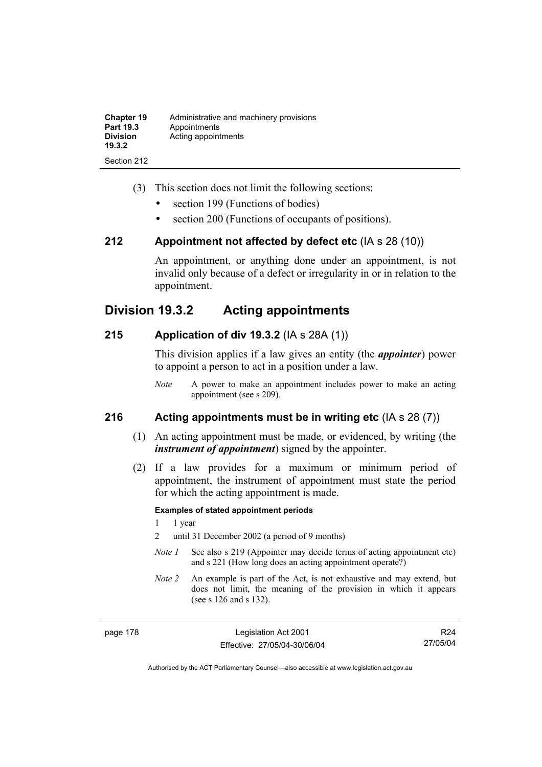| <b>Chapter 19</b><br>Part 19.3<br><b>Division</b><br>19.3.2 | Administrative and machinery provisions<br>Appointments<br>Acting appointments |
|-------------------------------------------------------------|--------------------------------------------------------------------------------|
| Section 212                                                 |                                                                                |

- (3) This section does not limit the following sections:
	- section 199 (Functions of bodies)
	- section 200 (Functions of occupants of positions).

### **212 Appointment not affected by defect etc** (IA s 28 (10))

An appointment, or anything done under an appointment, is not invalid only because of a defect or irregularity in or in relation to the appointment.

# **Division 19.3.2 Acting appointments**

### **215 Application of div 19.3.2** (IA s 28A (1))

This division applies if a law gives an entity (the *appointer*) power to appoint a person to act in a position under a law.

*Note* A power to make an appointment includes power to make an acting appointment (see s 209).

### **216 Acting appointments must be in writing etc** (IA s 28 (7))

- (1) An acting appointment must be made, or evidenced, by writing (the *instrument of appointment*) signed by the appointer.
- (2) If a law provides for a maximum or minimum period of appointment, the instrument of appointment must state the period for which the acting appointment is made.

#### **Examples of stated appointment periods**

- 1 1 year
- 2 until 31 December 2002 (a period of 9 months)
- *Note 1* See also s 219 (Appointer may decide terms of acting appointment etc) and s 221 (How long does an acting appointment operate?)
- *Note 2* An example is part of the Act, is not exhaustive and may extend, but does not limit, the meaning of the provision in which it appears (see s 126 and s 132).

page 178 Legislation Act 2001 Effective: 27/05/04-30/06/04

R24 27/05/04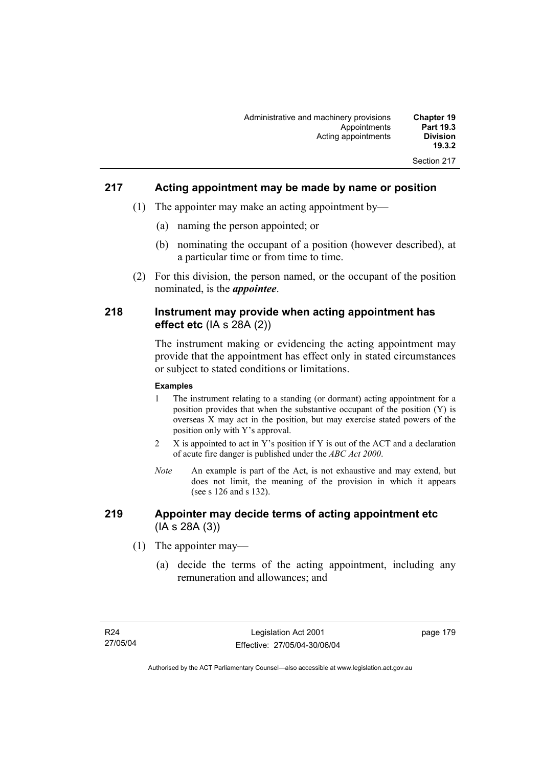| <b>Chapter 19</b><br><b>Part 19.3</b> | Administrative and machinery provisions<br>Appointments |
|---------------------------------------|---------------------------------------------------------|
| <b>Division</b><br>19.3.2             | Acting appointments                                     |
| Section 217                           |                                                         |

# **217 Acting appointment may be made by name or position**

- (1) The appointer may make an acting appointment by—
	- (a) naming the person appointed; or
	- (b) nominating the occupant of a position (however described), at a particular time or from time to time.
- (2) For this division, the person named, or the occupant of the position nominated, is the *appointee*.

## **218 Instrument may provide when acting appointment has effect etc** (IA s 28A (2))

The instrument making or evidencing the acting appointment may provide that the appointment has effect only in stated circumstances or subject to stated conditions or limitations.

#### **Examples**

- 1 The instrument relating to a standing (or dormant) acting appointment for a position provides that when the substantive occupant of the position (Y) is overseas X may act in the position, but may exercise stated powers of the position only with Y's approval.
- 2 X is appointed to act in Y's position if Y is out of the ACT and a declaration of acute fire danger is published under the *ABC Act 2000*.
- *Note* An example is part of the Act, is not exhaustive and may extend, but does not limit, the meaning of the provision in which it appears (see s 126 and s 132).

# **219 Appointer may decide terms of acting appointment etc**  (IA s 28A (3))

- (1) The appointer may—
	- (a) decide the terms of the acting appointment, including any remuneration and allowances; and

page 179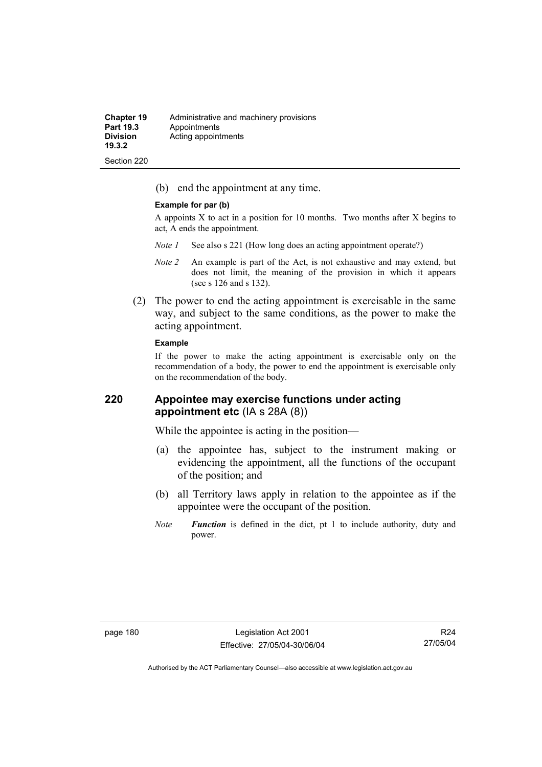| <b>Chapter 19</b>         | Administrative and machinery provisions |
|---------------------------|-----------------------------------------|
| <b>Part 19.3</b>          | Appointments                            |
| <b>Division</b><br>19.3.2 | Acting appointments                     |

(b) end the appointment at any time.

#### **Example for par (b)**

Section 220

A appoints  $X$  to act in a position for 10 months. Two months after  $X$  begins to act, A ends the appointment.

- *Note 1* See also s 221 (How long does an acting appointment operate?)
- *Note 2* An example is part of the Act, is not exhaustive and may extend, but does not limit, the meaning of the provision in which it appears (see s 126 and s 132).
- (2) The power to end the acting appointment is exercisable in the same way, and subject to the same conditions, as the power to make the acting appointment.

#### **Example**

If the power to make the acting appointment is exercisable only on the recommendation of a body, the power to end the appointment is exercisable only on the recommendation of the body.

# **220 Appointee may exercise functions under acting appointment etc** (IA s 28A (8))

While the appointee is acting in the position—

- (a) the appointee has, subject to the instrument making or evidencing the appointment, all the functions of the occupant of the position; and
- (b) all Territory laws apply in relation to the appointee as if the appointee were the occupant of the position.
- *Note Function* is defined in the dict, pt 1 to include authority, duty and power.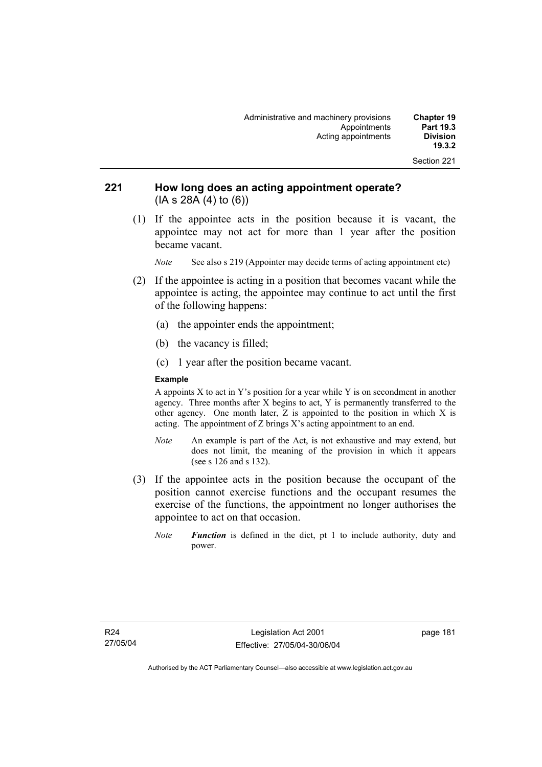| Administrative and machinery provisions<br><b>Chapter 19</b><br><b>Part 19.3</b><br>Appointments |  |
|--------------------------------------------------------------------------------------------------|--|
| <b>Division</b><br>Acting appointments                                                           |  |
| 19.3.2                                                                                           |  |

# **221 How long does an acting appointment operate?**  (IA s 28A (4) to (6))

 (1) If the appointee acts in the position because it is vacant, the appointee may not act for more than 1 year after the position became vacant.

*Note* See also s 219 (Appointer may decide terms of acting appointment etc)

- (2) If the appointee is acting in a position that becomes vacant while the appointee is acting, the appointee may continue to act until the first of the following happens:
	- (a) the appointer ends the appointment;
	- (b) the vacancy is filled;
	- (c) 1 year after the position became vacant.

#### **Example**

A appoints  $X$  to act in  $Y$ 's position for a year while  $Y$  is on secondment in another agency. Three months after X begins to act, Y is permanently transferred to the other agency. One month later, Z is appointed to the position in which X is acting. The appointment of Z brings X's acting appointment to an end.

- *Note* An example is part of the Act, is not exhaustive and may extend, but does not limit, the meaning of the provision in which it appears (see s 126 and s 132).
- (3) If the appointee acts in the position because the occupant of the position cannot exercise functions and the occupant resumes the exercise of the functions, the appointment no longer authorises the appointee to act on that occasion.
	- *Note Function* is defined in the dict, pt 1 to include authority, duty and power.

page 181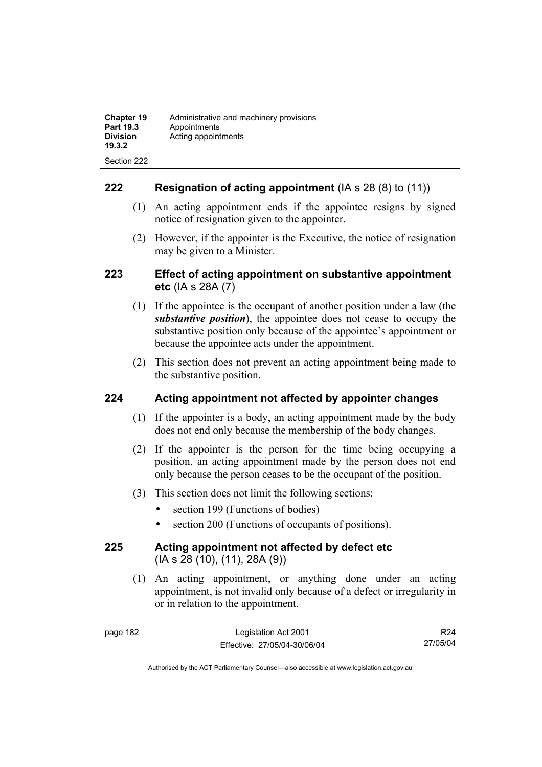| <b>Chapter 19</b><br>Part 19.3<br><b>Division</b><br>19.3.2 | Administrative and machinery provisions<br>Appointments<br>Acting appointments |
|-------------------------------------------------------------|--------------------------------------------------------------------------------|
| Section 222                                                 |                                                                                |

## **222 Resignation of acting appointment** (IA s 28 (8) to (11))

- (1) An acting appointment ends if the appointee resigns by signed notice of resignation given to the appointer.
- (2) However, if the appointer is the Executive, the notice of resignation may be given to a Minister.

# **223 Effect of acting appointment on substantive appointment etc** (IA s 28A (7)

- (1) If the appointee is the occupant of another position under a law (the *substantive position*), the appointee does not cease to occupy the substantive position only because of the appointee's appointment or because the appointee acts under the appointment.
- (2) This section does not prevent an acting appointment being made to the substantive position.

# **224 Acting appointment not affected by appointer changes**

- (1) If the appointer is a body, an acting appointment made by the body does not end only because the membership of the body changes.
- (2) If the appointer is the person for the time being occupying a position, an acting appointment made by the person does not end only because the person ceases to be the occupant of the position.
- (3) This section does not limit the following sections:
	- section 199 (Functions of bodies)
	- section 200 (Functions of occupants of positions).

# **225 Acting appointment not affected by defect etc**  (IA s 28 (10), (11), 28A (9))

 (1) An acting appointment, or anything done under an acting appointment, is not invalid only because of a defect or irregularity in or in relation to the appointment.

R24 27/05/04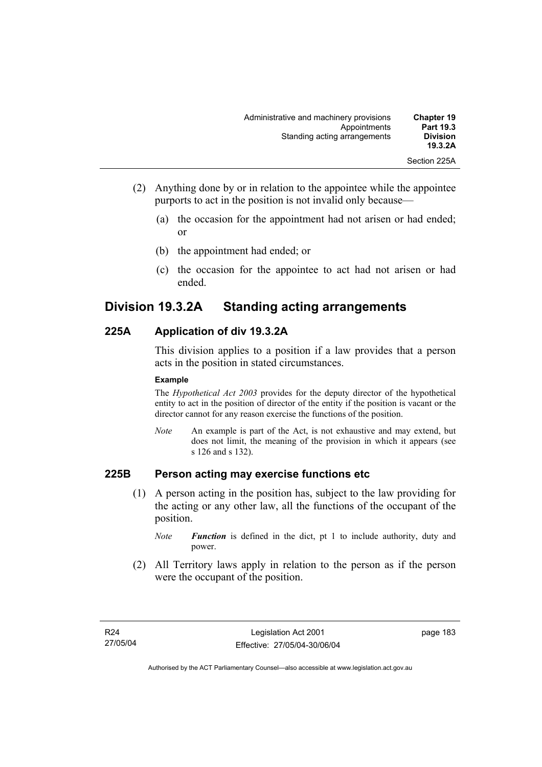| <b>Chapter 19</b><br><b>Part 19.3</b> | Administrative and machinery provisions<br>Appointments |
|---------------------------------------|---------------------------------------------------------|
| <b>Division</b><br>19.3.2A            | Standing acting arrangements                            |
| Section 225A                          |                                                         |

- (2) Anything done by or in relation to the appointee while the appointee purports to act in the position is not invalid only because—
	- (a) the occasion for the appointment had not arisen or had ended; or
	- (b) the appointment had ended; or
	- (c) the occasion for the appointee to act had not arisen or had ended.

# **Division 19.3.2A Standing acting arrangements**

# **225A Application of div 19.3.2A**

This division applies to a position if a law provides that a person acts in the position in stated circumstances.

#### **Example**

The *Hypothetical Act 2003* provides for the deputy director of the hypothetical entity to act in the position of director of the entity if the position is vacant or the director cannot for any reason exercise the functions of the position.

*Note* An example is part of the Act, is not exhaustive and may extend, but does not limit, the meaning of the provision in which it appears (see s 126 and s 132).

### **225B Person acting may exercise functions etc**

- (1) A person acting in the position has, subject to the law providing for the acting or any other law, all the functions of the occupant of the position.
	- *Note Function* is defined in the dict, pt 1 to include authority, duty and power.
- (2) All Territory laws apply in relation to the person as if the person were the occupant of the position.

page 183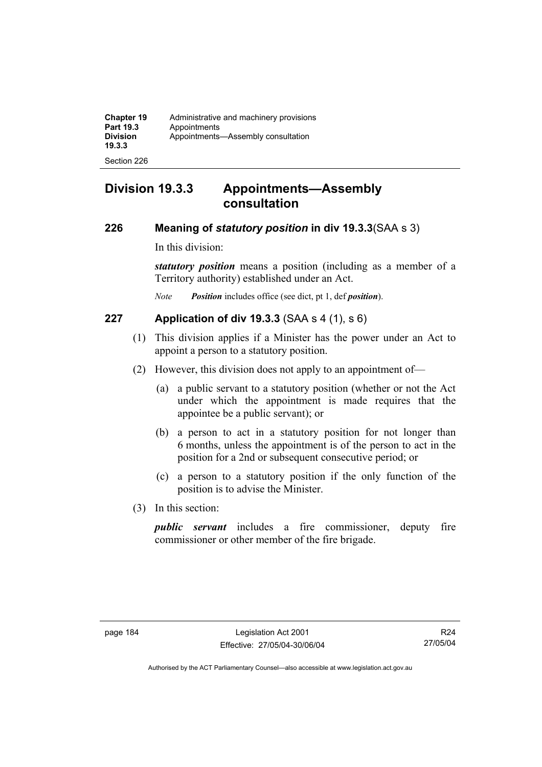| <b>Chapter 19</b><br><b>Part 19.3</b><br><b>Division</b><br>19.3.3 | Administrative and machinery provisions<br>Appointments<br>Appointments-Assembly consultation |
|--------------------------------------------------------------------|-----------------------------------------------------------------------------------------------|
| Section 226                                                        |                                                                                               |

# **Division 19.3.3 Appointments—Assembly consultation**

# **226 Meaning of** *statutory position* **in div 19.3.3**(SAA s 3)

In this division:

*statutory position* means a position (including as a member of a Territory authority) established under an Act.

*Note Position* includes office (see dict, pt 1, def *position*).

# **227 Application of div 19.3.3** (SAA s 4 (1), s 6)

- (1) This division applies if a Minister has the power under an Act to appoint a person to a statutory position.
- (2) However, this division does not apply to an appointment of—
	- (a) a public servant to a statutory position (whether or not the Act under which the appointment is made requires that the appointee be a public servant); or
	- (b) a person to act in a statutory position for not longer than 6 months, unless the appointment is of the person to act in the position for a 2nd or subsequent consecutive period; or
	- (c) a person to a statutory position if the only function of the position is to advise the Minister.
- (3) In this section:

*public servant* includes a fire commissioner, deputy fire commissioner or other member of the fire brigade.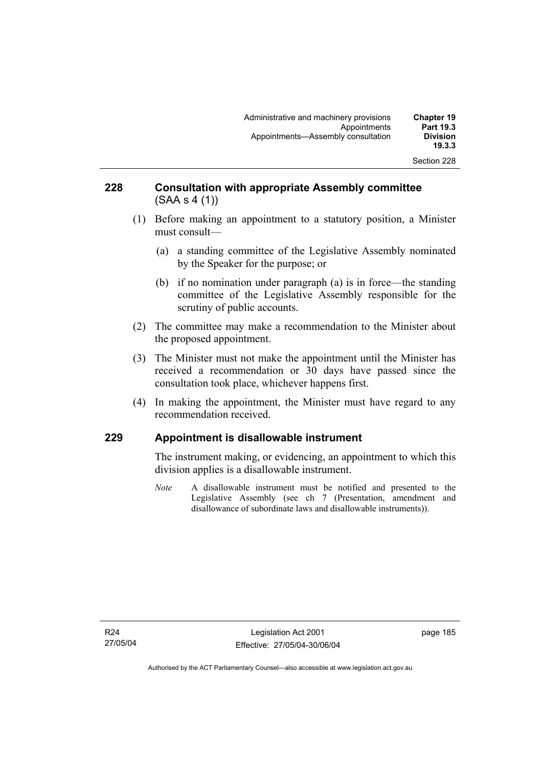## **228 Consultation with appropriate Assembly committee**  (SAA s 4 (1))

- (1) Before making an appointment to a statutory position, a Minister must consult—
	- (a) a standing committee of the Legislative Assembly nominated by the Speaker for the purpose; or
	- (b) if no nomination under paragraph (a) is in force—the standing committee of the Legislative Assembly responsible for the scrutiny of public accounts.
- (2) The committee may make a recommendation to the Minister about the proposed appointment.
- (3) The Minister must not make the appointment until the Minister has received a recommendation or 30 days have passed since the consultation took place, whichever happens first.
- (4) In making the appointment, the Minister must have regard to any recommendation received.

# **229 Appointment is disallowable instrument**

The instrument making, or evidencing, an appointment to which this division applies is a disallowable instrument.

*Note* A disallowable instrument must be notified and presented to the Legislative Assembly (see ch 7 (Presentation, amendment and disallowance of subordinate laws and disallowable instruments)).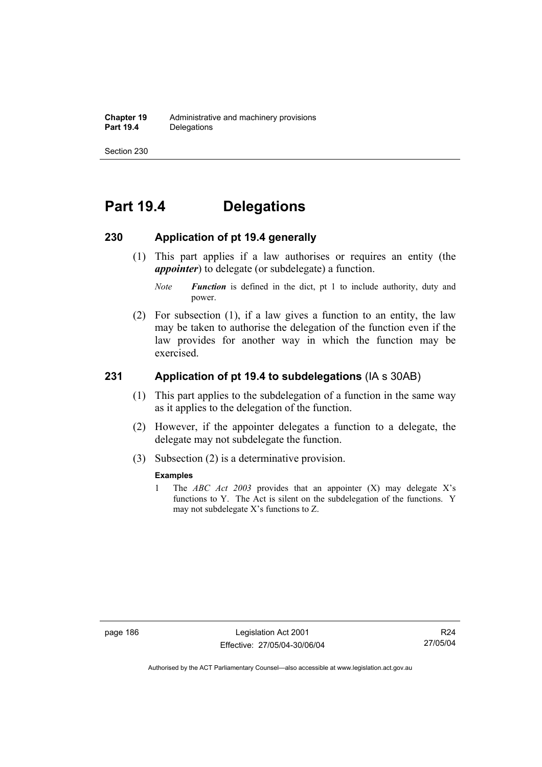# **Part 19.4 Delegations**

### **230 Application of pt 19.4 generally**

- (1) This part applies if a law authorises or requires an entity (the *appointer*) to delegate (or subdelegate) a function.
	- *Note Function* is defined in the dict, pt 1 to include authority, duty and power.
- (2) For subsection (1), if a law gives a function to an entity, the law may be taken to authorise the delegation of the function even if the law provides for another way in which the function may be exercised.

# **231 Application of pt 19.4 to subdelegations** (IA s 30AB)

- (1) This part applies to the subdelegation of a function in the same way as it applies to the delegation of the function.
- (2) However, if the appointer delegates a function to a delegate, the delegate may not subdelegate the function.
- (3) Subsection (2) is a determinative provision.

#### **Examples**

1 The *ABC Act 2003* provides that an appointer (X) may delegate X's functions to Y. The Act is silent on the subdelegation of the functions. Y may not subdelegate X's functions to Z.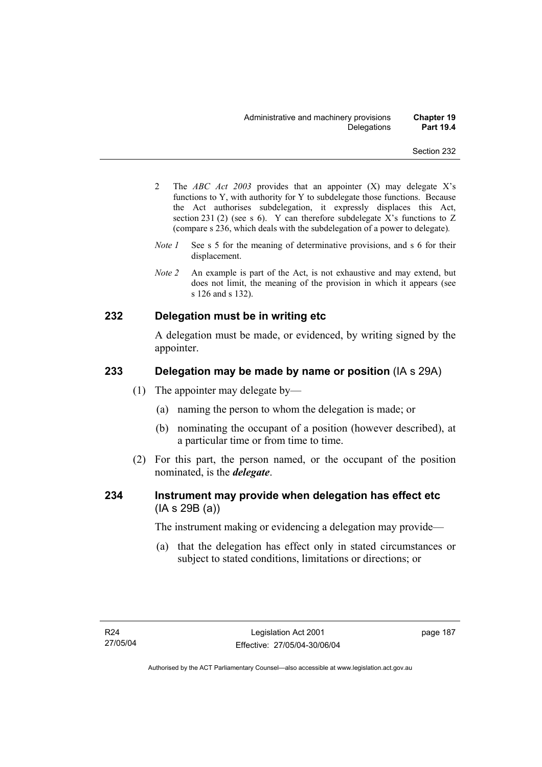- 2 The *ABC Act 2003* provides that an appointer (X) may delegate X's functions to Y, with authority for Y to subdelegate those functions. Because the Act authorises subdelegation, it expressly displaces this Act, section 231 (2) (see s 6). Y can therefore subdelegate X's functions to  $Z$ (compare s 236, which deals with the subdelegation of a power to delegate)*.*
- *Note 1* See s 5 for the meaning of determinative provisions, and s 6 for their displacement.
- *Note 2* An example is part of the Act, is not exhaustive and may extend, but does not limit, the meaning of the provision in which it appears (see s 126 and s 132).

### **232 Delegation must be in writing etc**

A delegation must be made, or evidenced, by writing signed by the appointer.

### **233 Delegation may be made by name or position** (IA s 29A)

- (1) The appointer may delegate by—
	- (a) naming the person to whom the delegation is made; or
	- (b) nominating the occupant of a position (however described), at a particular time or from time to time.
- (2) For this part, the person named, or the occupant of the position nominated, is the *delegate*.

# **234 Instrument may provide when delegation has effect etc**  (IA s 29B (a))

The instrument making or evidencing a delegation may provide—

 (a) that the delegation has effect only in stated circumstances or subject to stated conditions, limitations or directions; or

page 187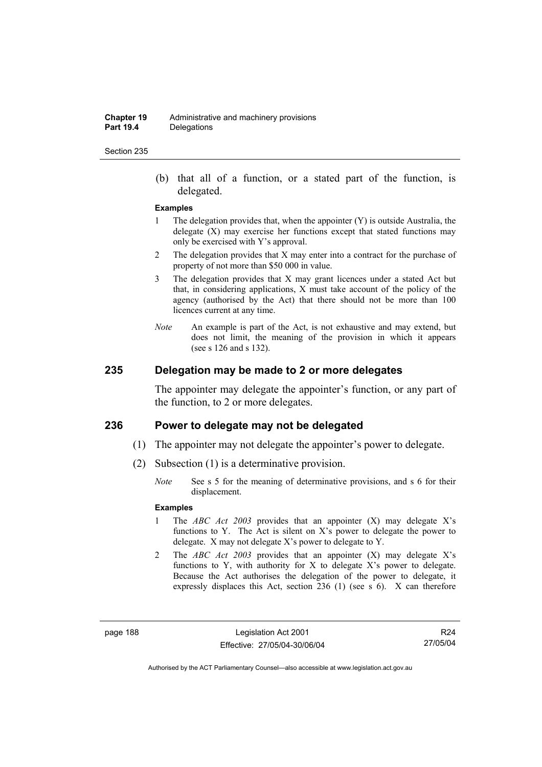#### **Chapter 19** Administrative and machinery provisions<br>**Part 19.4** Delegations **Delegations**

#### Section 235

 (b) that all of a function, or a stated part of the function, is delegated.

#### **Examples**

- 1 The delegation provides that, when the appointer (Y) is outside Australia, the delegate  $(X)$  may exercise her functions except that stated functions may only be exercised with Y's approval.
- 2 The delegation provides that X may enter into a contract for the purchase of property of not more than \$50 000 in value.
- 3 The delegation provides that X may grant licences under a stated Act but that, in considering applications, X must take account of the policy of the agency (authorised by the Act) that there should not be more than 100 licences current at any time.
- *Note* An example is part of the Act, is not exhaustive and may extend, but does not limit, the meaning of the provision in which it appears (see s 126 and s 132).

## **235 Delegation may be made to 2 or more delegates**

The appointer may delegate the appointer's function, or any part of the function, to 2 or more delegates.

#### **236 Power to delegate may not be delegated**

- (1) The appointer may not delegate the appointer's power to delegate.
- (2) Subsection (1) is a determinative provision.
	- *Note* See s 5 for the meaning of determinative provisions, and s 6 for their displacement.

#### **Examples**

- 1 The *ABC Act 2003* provides that an appointer (X) may delegate X's functions to Y. The Act is silent on X's power to delegate the power to delegate. X may not delegate X's power to delegate to Y.
- 2 The *ABC Act 2003* provides that an appointer (X) may delegate X's functions to Y, with authority for X to delegate X's power to delegate. Because the Act authorises the delegation of the power to delegate, it expressly displaces this Act, section 236 (1) (see s 6). X can therefore

page 188 Legislation Act 2001 Effective: 27/05/04-30/06/04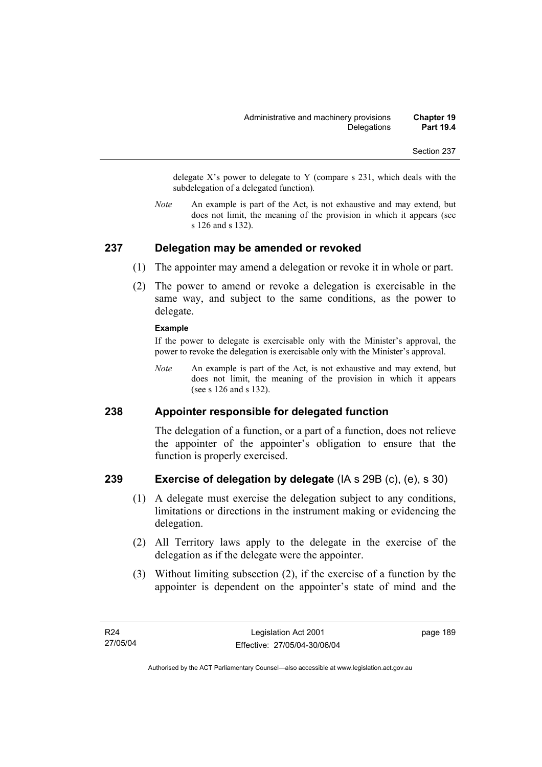delegate  $X$ 's power to delegate to Y (compare s 231, which deals with the subdelegation of a delegated function)*.* 

*Note* An example is part of the Act, is not exhaustive and may extend, but does not limit, the meaning of the provision in which it appears (see s 126 and s 132).

### **237 Delegation may be amended or revoked**

- (1) The appointer may amend a delegation or revoke it in whole or part.
- (2) The power to amend or revoke a delegation is exercisable in the same way, and subject to the same conditions, as the power to delegate.

#### **Example**

If the power to delegate is exercisable only with the Minister's approval, the power to revoke the delegation is exercisable only with the Minister's approval.

*Note* An example is part of the Act, is not exhaustive and may extend, but does not limit, the meaning of the provision in which it appears (see s 126 and s 132).

### **238 Appointer responsible for delegated function**

The delegation of a function, or a part of a function, does not relieve the appointer of the appointer's obligation to ensure that the function is properly exercised.

## **239 Exercise of delegation by delegate** (IA s 29B (c), (e), s 30)

- (1) A delegate must exercise the delegation subject to any conditions, limitations or directions in the instrument making or evidencing the delegation.
- (2) All Territory laws apply to the delegate in the exercise of the delegation as if the delegate were the appointer.
- (3) Without limiting subsection (2), if the exercise of a function by the appointer is dependent on the appointer's state of mind and the

page 189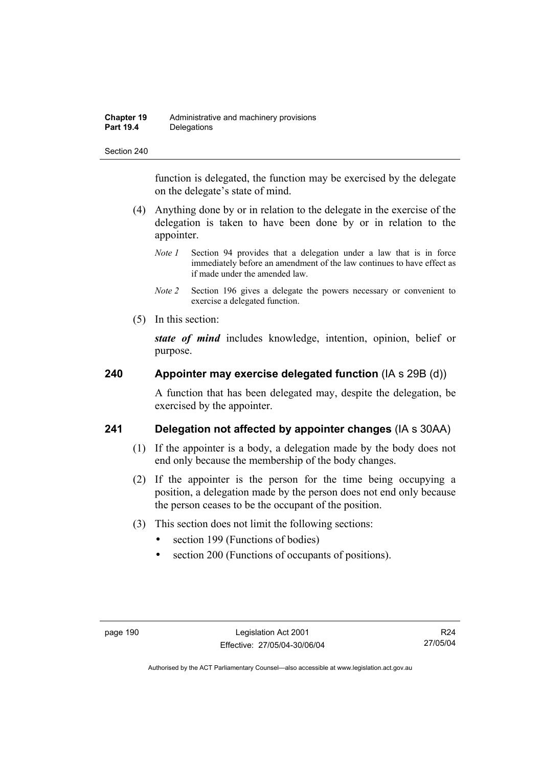| <b>Chapter 19</b> | Administrative and machinery provisions |
|-------------------|-----------------------------------------|
| <b>Part 19.4</b>  | Delegations                             |

function is delegated, the function may be exercised by the delegate on the delegate's state of mind.

- (4) Anything done by or in relation to the delegate in the exercise of the delegation is taken to have been done by or in relation to the appointer.
	- *Note 1* Section 94 provides that a delegation under a law that is in force immediately before an amendment of the law continues to have effect as if made under the amended law.
	- *Note 2* Section 196 gives a delegate the powers necessary or convenient to exercise a delegated function.
- (5) In this section:

*state of mind* includes knowledge, intention, opinion, belief or purpose.

### **240 Appointer may exercise delegated function** (IA s 29B (d))

A function that has been delegated may, despite the delegation, be exercised by the appointer.

### **241 Delegation not affected by appointer changes** (IA s 30AA)

- (1) If the appointer is a body, a delegation made by the body does not end only because the membership of the body changes.
- (2) If the appointer is the person for the time being occupying a position, a delegation made by the person does not end only because the person ceases to be the occupant of the position.
- (3) This section does not limit the following sections:
	- section 199 (Functions of bodies)
	- section 200 (Functions of occupants of positions).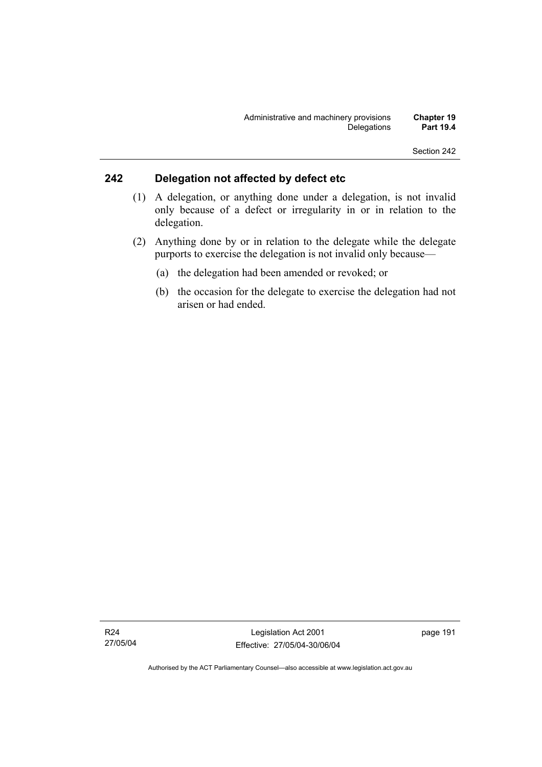# **242 Delegation not affected by defect etc**

- (1) A delegation, or anything done under a delegation, is not invalid only because of a defect or irregularity in or in relation to the delegation.
- (2) Anything done by or in relation to the delegate while the delegate purports to exercise the delegation is not invalid only because—
	- (a) the delegation had been amended or revoked; or
	- (b) the occasion for the delegate to exercise the delegation had not arisen or had ended.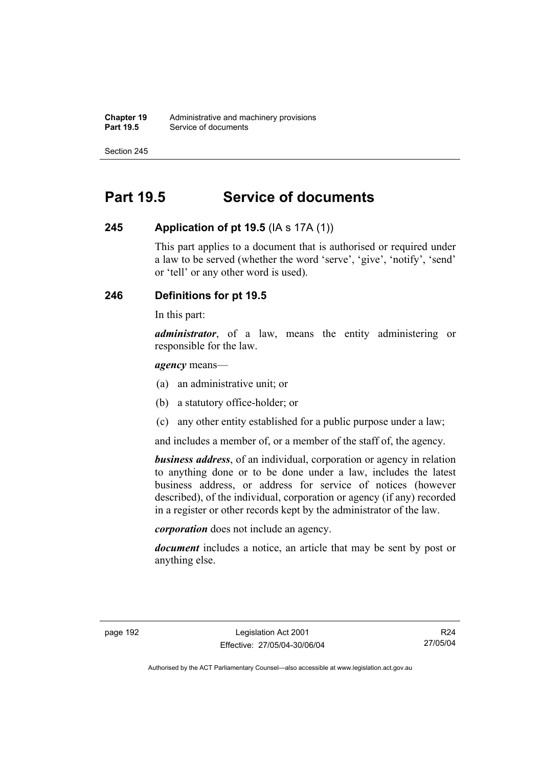**Chapter 19** Administrative and machinery provisions<br>**Part 19.5** Service of documents **Service of documents** 

Section 245

# **Part 19.5 Service of documents**

# **245 Application of pt 19.5** (IA s 17A (1))

This part applies to a document that is authorised or required under a law to be served (whether the word 'serve', 'give', 'notify', 'send' or 'tell' or any other word is used).

# **246 Definitions for pt 19.5**

In this part:

*administrator*, of a law, means the entity administering or responsible for the law.

*agency* means—

- (a) an administrative unit; or
- (b) a statutory office-holder; or
- (c) any other entity established for a public purpose under a law;

and includes a member of, or a member of the staff of, the agency.

*business address*, of an individual, corporation or agency in relation to anything done or to be done under a law, includes the latest business address, or address for service of notices (however described), of the individual, corporation or agency (if any) recorded in a register or other records kept by the administrator of the law.

*corporation* does not include an agency.

*document* includes a notice, an article that may be sent by post or anything else.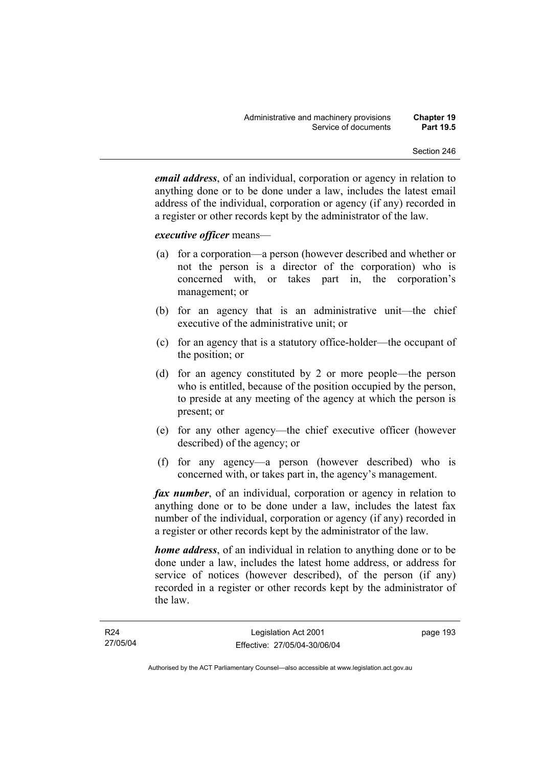*email address*, of an individual, corporation or agency in relation to anything done or to be done under a law, includes the latest email address of the individual, corporation or agency (if any) recorded in a register or other records kept by the administrator of the law.

#### *executive officer* means—

- (a) for a corporation—a person (however described and whether or not the person is a director of the corporation) who is concerned with, or takes part in, the corporation's management; or
- (b) for an agency that is an administrative unit—the chief executive of the administrative unit; or
- (c) for an agency that is a statutory office-holder—the occupant of the position; or
- (d) for an agency constituted by 2 or more people—the person who is entitled, because of the position occupied by the person, to preside at any meeting of the agency at which the person is present; or
- (e) for any other agency—the chief executive officer (however described) of the agency; or
- (f) for any agency—a person (however described) who is concerned with, or takes part in, the agency's management.

*fax number*, of an individual, corporation or agency in relation to anything done or to be done under a law, includes the latest fax number of the individual, corporation or agency (if any) recorded in a register or other records kept by the administrator of the law.

*home address*, of an individual in relation to anything done or to be done under a law, includes the latest home address, or address for service of notices (however described), of the person (if any) recorded in a register or other records kept by the administrator of the law.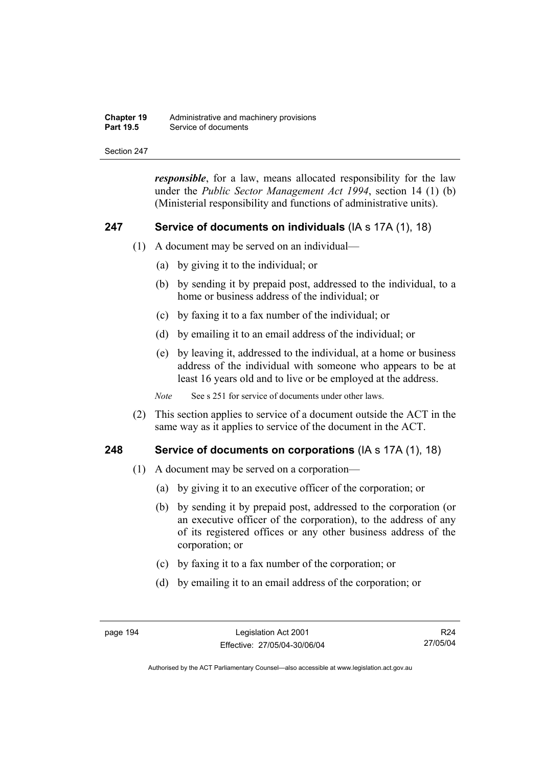| <b>Chapter 19</b> | Administrative and machinery provisions |
|-------------------|-----------------------------------------|
| <b>Part 19.5</b>  | Service of documents                    |

*responsible*, for a law, means allocated responsibility for the law under the *Public Sector Management Act 1994*, section 14 (1) (b) (Ministerial responsibility and functions of administrative units).

#### **247 Service of documents on individuals** (IA s 17A (1), 18)

- (1) A document may be served on an individual—
	- (a) by giving it to the individual; or
	- (b) by sending it by prepaid post, addressed to the individual, to a home or business address of the individual; or
	- (c) by faxing it to a fax number of the individual; or
	- (d) by emailing it to an email address of the individual; or
	- (e) by leaving it, addressed to the individual, at a home or business address of the individual with someone who appears to be at least 16 years old and to live or be employed at the address.

*Note* See s 251 for service of documents under other laws.

 (2) This section applies to service of a document outside the ACT in the same way as it applies to service of the document in the ACT.

#### **248 Service of documents on corporations** (IA s 17A (1), 18)

- (1) A document may be served on a corporation—
	- (a) by giving it to an executive officer of the corporation; or
	- (b) by sending it by prepaid post, addressed to the corporation (or an executive officer of the corporation), to the address of any of its registered offices or any other business address of the corporation; or
	- (c) by faxing it to a fax number of the corporation; or
	- (d) by emailing it to an email address of the corporation; or

R24 27/05/04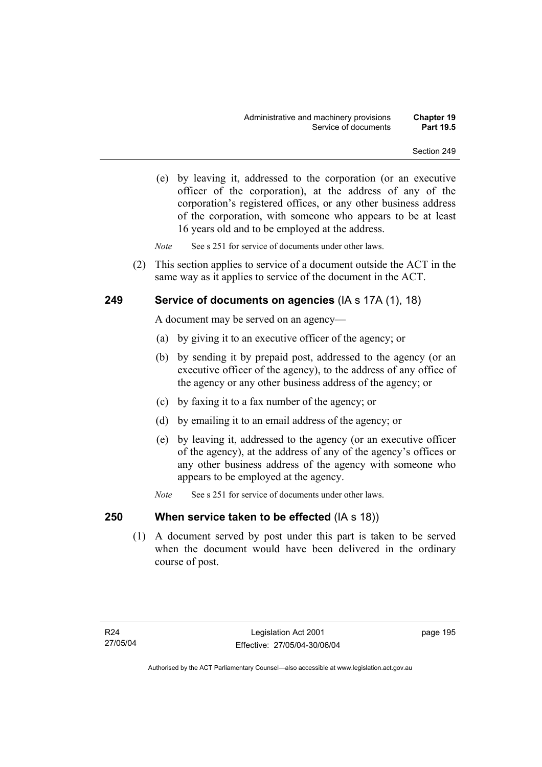(e) by leaving it, addressed to the corporation (or an executive officer of the corporation), at the address of any of the corporation's registered offices, or any other business address of the corporation, with someone who appears to be at least 16 years old and to be employed at the address.

*Note* See s 251 for service of documents under other laws.

 (2) This section applies to service of a document outside the ACT in the same way as it applies to service of the document in the ACT.

# **249 Service of documents on agencies** (IA s 17A (1), 18)

A document may be served on an agency—

- (a) by giving it to an executive officer of the agency; or
- (b) by sending it by prepaid post, addressed to the agency (or an executive officer of the agency), to the address of any office of the agency or any other business address of the agency; or
- (c) by faxing it to a fax number of the agency; or
- (d) by emailing it to an email address of the agency; or
- (e) by leaving it, addressed to the agency (or an executive officer of the agency), at the address of any of the agency's offices or any other business address of the agency with someone who appears to be employed at the agency.
- *Note* See s 251 for service of documents under other laws.

# **250 When service taken to be effected** (IA s 18))

 (1) A document served by post under this part is taken to be served when the document would have been delivered in the ordinary course of post.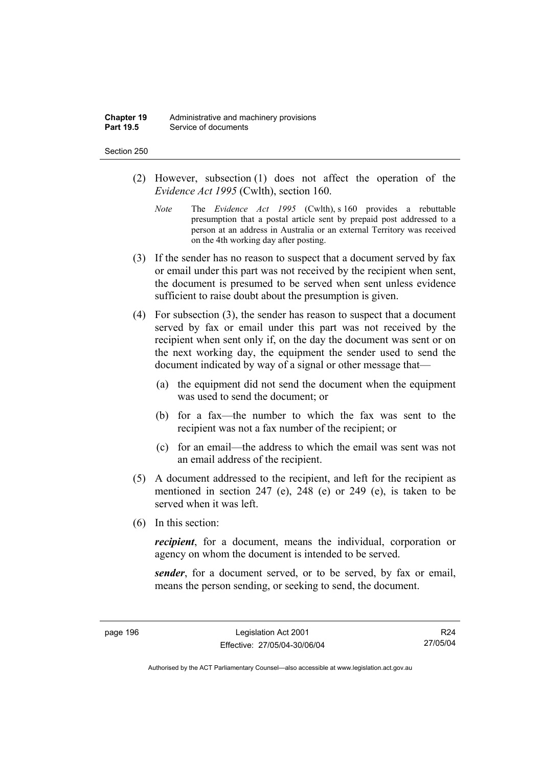#### **Chapter 19** Administrative and machinery provisions<br>**Part 19.5** Service of documents **Service of documents**

#### Section 250

- (2) However, subsection (1) does not affect the operation of the *Evidence Act 1995* (Cwlth), section 160.
	- *Note* The *Evidence Act 1995* (Cwlth), s 160 provides a rebuttable presumption that a postal article sent by prepaid post addressed to a person at an address in Australia or an external Territory was received on the 4th working day after posting.
- (3) If the sender has no reason to suspect that a document served by fax or email under this part was not received by the recipient when sent, the document is presumed to be served when sent unless evidence sufficient to raise doubt about the presumption is given.
- (4) For subsection (3), the sender has reason to suspect that a document served by fax or email under this part was not received by the recipient when sent only if, on the day the document was sent or on the next working day, the equipment the sender used to send the document indicated by way of a signal or other message that—
	- (a) the equipment did not send the document when the equipment was used to send the document; or
	- (b) for a fax—the number to which the fax was sent to the recipient was not a fax number of the recipient; or
	- (c) for an email—the address to which the email was sent was not an email address of the recipient.
- (5) A document addressed to the recipient, and left for the recipient as mentioned in section 247 (e), 248 (e) or 249 (e), is taken to be served when it was left.
- (6) In this section:

*recipient*, for a document, means the individual, corporation or agency on whom the document is intended to be served.

*sender*, for a document served, or to be served, by fax or email, means the person sending, or seeking to send, the document.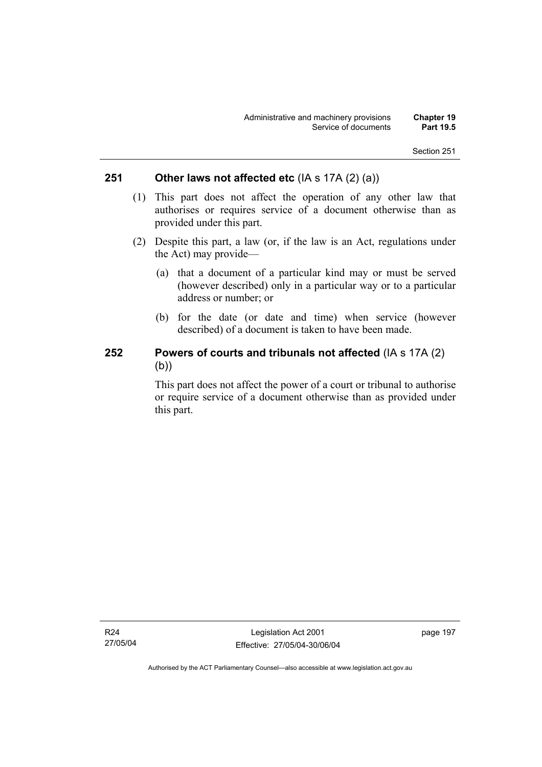# **251 Other laws not affected etc** (IA s 17A (2) (a))

- (1) This part does not affect the operation of any other law that authorises or requires service of a document otherwise than as provided under this part.
- (2) Despite this part, a law (or, if the law is an Act, regulations under the Act) may provide—
	- (a) that a document of a particular kind may or must be served (however described) only in a particular way or to a particular address or number; or
	- (b) for the date (or date and time) when service (however described) of a document is taken to have been made.

# **252 Powers of courts and tribunals not affected** (IA s 17A (2) (b))

This part does not affect the power of a court or tribunal to authorise or require service of a document otherwise than as provided under this part.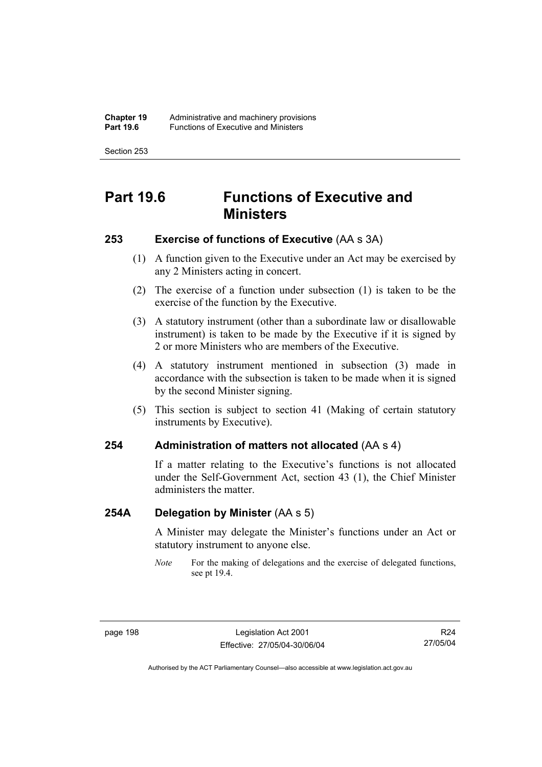# **Part 19.6 Functions of Executive and Ministers**

# **253 Exercise of functions of Executive** (AA s 3A)

- (1) A function given to the Executive under an Act may be exercised by any 2 Ministers acting in concert.
- (2) The exercise of a function under subsection (1) is taken to be the exercise of the function by the Executive.
- (3) A statutory instrument (other than a subordinate law or disallowable instrument) is taken to be made by the Executive if it is signed by 2 or more Ministers who are members of the Executive.
- (4) A statutory instrument mentioned in subsection (3) made in accordance with the subsection is taken to be made when it is signed by the second Minister signing.
- (5) This section is subject to section 41 (Making of certain statutory instruments by Executive).

### **254 Administration of matters not allocated** (AA s 4)

If a matter relating to the Executive's functions is not allocated under the Self-Government Act, section 43 (1), the Chief Minister administers the matter.

# **254A Delegation by Minister** (AA s 5)

A Minister may delegate the Minister's functions under an Act or statutory instrument to anyone else.

*Note* For the making of delegations and the exercise of delegated functions, see pt 19.4.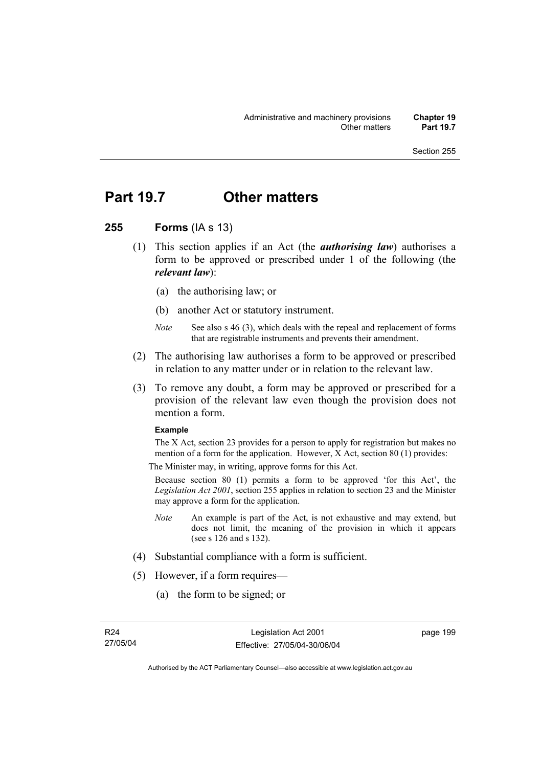# **Part 19.7 Other matters**

# **255 Forms** (IA s 13)

- (1) This section applies if an Act (the *authorising law*) authorises a form to be approved or prescribed under 1 of the following (the *relevant law*):
	- (a) the authorising law; or
	- (b) another Act or statutory instrument.
	- *Note* See also s 46 (3), which deals with the repeal and replacement of forms that are registrable instruments and prevents their amendment.
- (2) The authorising law authorises a form to be approved or prescribed in relation to any matter under or in relation to the relevant law.
- (3) To remove any doubt, a form may be approved or prescribed for a provision of the relevant law even though the provision does not mention a form.

#### **Example**

The X Act, section 23 provides for a person to apply for registration but makes no mention of a form for the application. However, X Act, section 80 (1) provides:

The Minister may, in writing, approve forms for this Act.

Because section 80 (1) permits a form to be approved 'for this Act', the *Legislation Act 2001*, section 255 applies in relation to section 23 and the Minister may approve a form for the application.

- *Note* An example is part of the Act, is not exhaustive and may extend, but does not limit, the meaning of the provision in which it appears (see s 126 and s 132).
- (4) Substantial compliance with a form is sufficient.
- (5) However, if a form requires—
	- (a) the form to be signed; or

page 199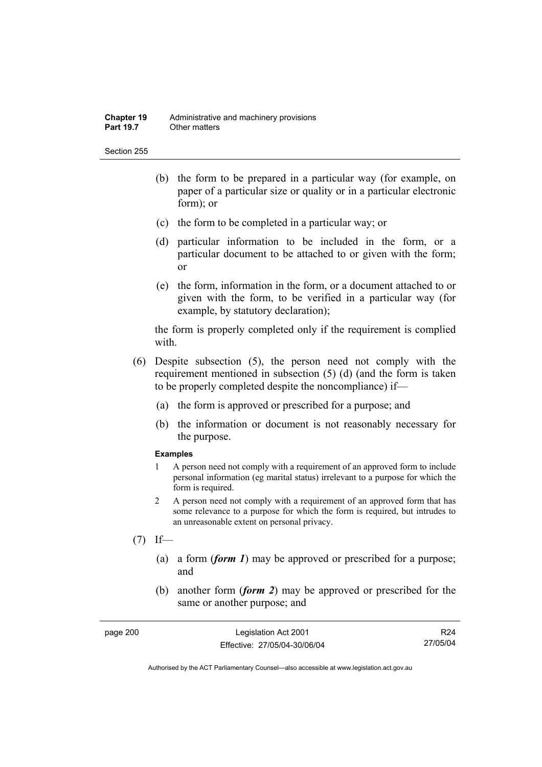- (b) the form to be prepared in a particular way (for example, on paper of a particular size or quality or in a particular electronic form); or
- (c) the form to be completed in a particular way; or
- (d) particular information to be included in the form, or a particular document to be attached to or given with the form; or
- (e) the form, information in the form, or a document attached to or given with the form, to be verified in a particular way (for example, by statutory declaration);

the form is properly completed only if the requirement is complied with.

- (6) Despite subsection (5), the person need not comply with the requirement mentioned in subsection (5) (d) (and the form is taken to be properly completed despite the noncompliance) if—
	- (a) the form is approved or prescribed for a purpose; and
	- (b) the information or document is not reasonably necessary for the purpose.

#### **Examples**

- 1 A person need not comply with a requirement of an approved form to include personal information (eg marital status) irrelevant to a purpose for which the form is required.
- 2 A person need not comply with a requirement of an approved form that has some relevance to a purpose for which the form is required, but intrudes to an unreasonable extent on personal privacy.
- $(7)$  If—
	- (a) a form (*form 1*) may be approved or prescribed for a purpose; and
	- (b) another form (*form 2*) may be approved or prescribed for the same or another purpose; and

| page 200 | Legislation Act 2001         | R24      |
|----------|------------------------------|----------|
|          | Effective: 27/05/04-30/06/04 | 27/05/04 |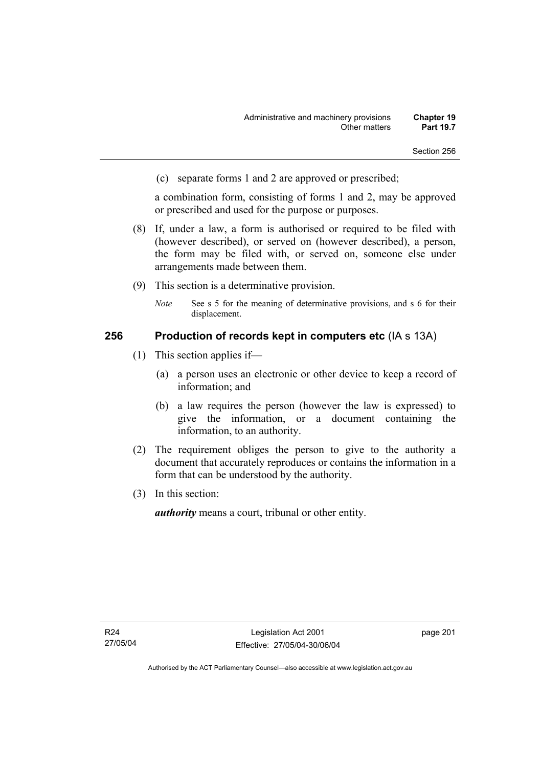(c) separate forms 1 and 2 are approved or prescribed;

a combination form, consisting of forms 1 and 2, may be approved or prescribed and used for the purpose or purposes.

- (8) If, under a law, a form is authorised or required to be filed with (however described), or served on (however described), a person, the form may be filed with, or served on, someone else under arrangements made between them.
- (9) This section is a determinative provision.
	- *Note* See s 5 for the meaning of determinative provisions, and s 6 for their displacement.

### **256 Production of records kept in computers etc** (IA s 13A)

- (1) This section applies if—
	- (a) a person uses an electronic or other device to keep a record of information; and
	- (b) a law requires the person (however the law is expressed) to give the information, or a document containing the information, to an authority.
- (2) The requirement obliges the person to give to the authority a document that accurately reproduces or contains the information in a form that can be understood by the authority.
- (3) In this section:

*authority* means a court, tribunal or other entity.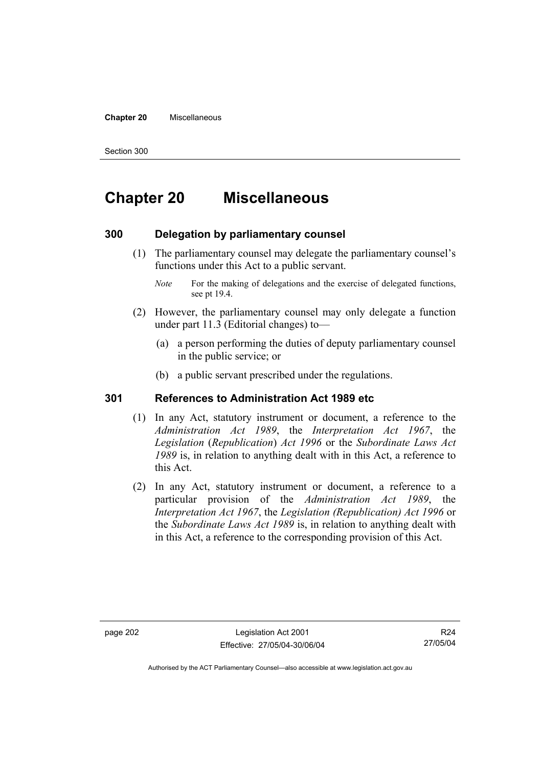#### **Chapter 20** Miscellaneous

Section 300

# **Chapter 20 Miscellaneous**

### **300 Delegation by parliamentary counsel**

- (1) The parliamentary counsel may delegate the parliamentary counsel's functions under this Act to a public servant.
	- *Note* For the making of delegations and the exercise of delegated functions, see pt 19.4.
- (2) However, the parliamentary counsel may only delegate a function under part 11.3 (Editorial changes) to—
	- (a) a person performing the duties of deputy parliamentary counsel in the public service; or
	- (b) a public servant prescribed under the regulations.

# **301 References to Administration Act 1989 etc**

- (1) In any Act, statutory instrument or document, a reference to the *Administration Act 1989*, the *Interpretation Act 1967*, the *Legislation* (*Republication*) *Act 1996* or the *Subordinate Laws Act 1989* is, in relation to anything dealt with in this Act, a reference to this Act.
- (2) In any Act, statutory instrument or document, a reference to a particular provision of the *Administration Act 1989*, the *Interpretation Act 1967*, the *Legislation (Republication) Act 1996* or the *Subordinate Laws Act 1989* is, in relation to anything dealt with in this Act, a reference to the corresponding provision of this Act.

R24 27/05/04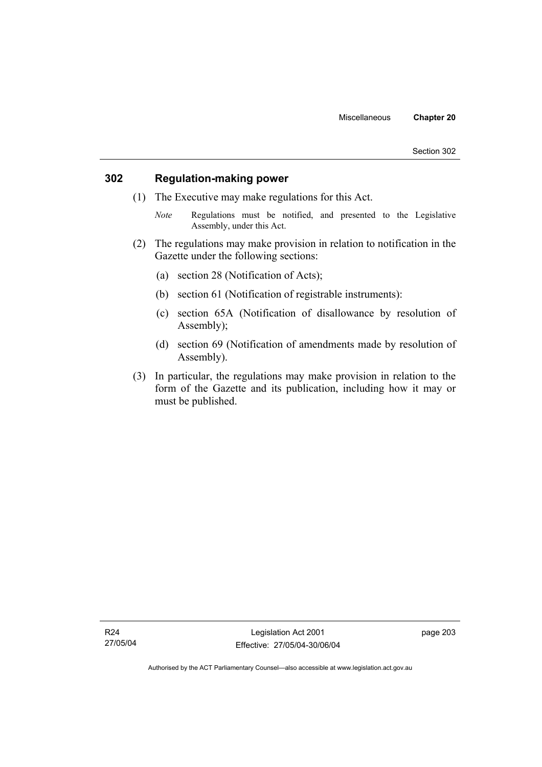# **302 Regulation-making power**

- (1) The Executive may make regulations for this Act.
	- *Note* Regulations must be notified, and presented to the Legislative Assembly, under this Act.
- (2) The regulations may make provision in relation to notification in the Gazette under the following sections:
	- (a) section 28 (Notification of Acts);
	- (b) section 61 (Notification of registrable instruments):
	- (c) section 65A (Notification of disallowance by resolution of Assembly);
	- (d) section 69 (Notification of amendments made by resolution of Assembly).
- (3) In particular, the regulations may make provision in relation to the form of the Gazette and its publication, including how it may or must be published.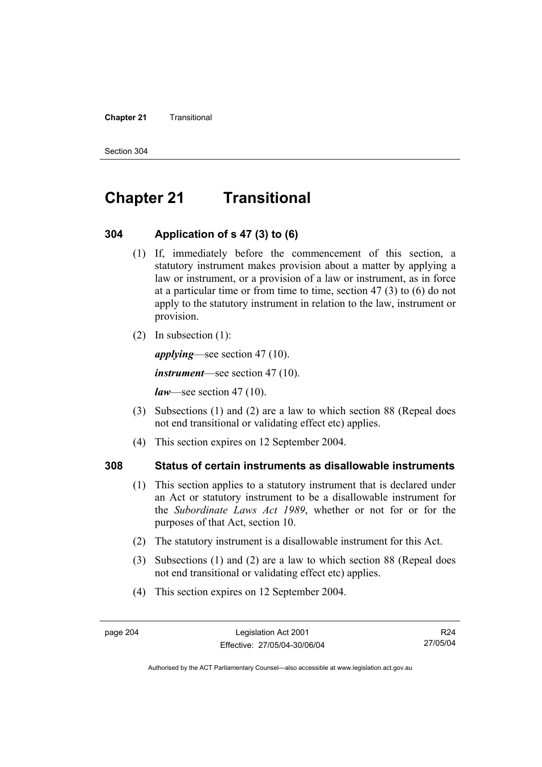#### **Chapter 21 Transitional**

Section 304

# **Chapter 21 Transitional**

### **304 Application of s 47 (3) to (6)**

- (1) If, immediately before the commencement of this section, a statutory instrument makes provision about a matter by applying a law or instrument, or a provision of a law or instrument, as in force at a particular time or from time to time, section 47 (3) to (6) do not apply to the statutory instrument in relation to the law, instrument or provision.
- (2) In subsection (1):

*applying*—see section 47 (10).

*instrument*—see section 47 (10).

*law*—see section 47 (10).

- (3) Subsections (1) and (2) are a law to which section 88 (Repeal does not end transitional or validating effect etc) applies.
- (4) This section expires on 12 September 2004.

# **308 Status of certain instruments as disallowable instruments**

- (1) This section applies to a statutory instrument that is declared under an Act or statutory instrument to be a disallowable instrument for the *Subordinate Laws Act 1989*, whether or not for or for the purposes of that Act, section 10.
- (2) The statutory instrument is a disallowable instrument for this Act.
- (3) Subsections (1) and (2) are a law to which section 88 (Repeal does not end transitional or validating effect etc) applies.
- (4) This section expires on 12 September 2004.

R24 27/05/04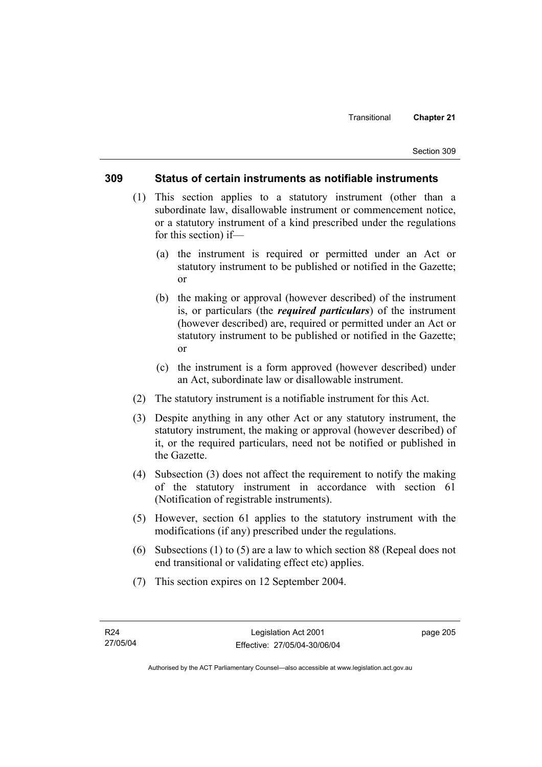### **309 Status of certain instruments as notifiable instruments**

- (1) This section applies to a statutory instrument (other than a subordinate law, disallowable instrument or commencement notice, or a statutory instrument of a kind prescribed under the regulations for this section) if—
	- (a) the instrument is required or permitted under an Act or statutory instrument to be published or notified in the Gazette; or
	- (b) the making or approval (however described) of the instrument is, or particulars (the *required particulars*) of the instrument (however described) are, required or permitted under an Act or statutory instrument to be published or notified in the Gazette; or
	- (c) the instrument is a form approved (however described) under an Act, subordinate law or disallowable instrument.
- (2) The statutory instrument is a notifiable instrument for this Act.
- (3) Despite anything in any other Act or any statutory instrument, the statutory instrument, the making or approval (however described) of it, or the required particulars, need not be notified or published in the Gazette.
- (4) Subsection (3) does not affect the requirement to notify the making of the statutory instrument in accordance with section 61 (Notification of registrable instruments).
- (5) However, section 61 applies to the statutory instrument with the modifications (if any) prescribed under the regulations.
- (6) Subsections (1) to (5) are a law to which section 88 (Repeal does not end transitional or validating effect etc) applies.
- (7) This section expires on 12 September 2004.

page 205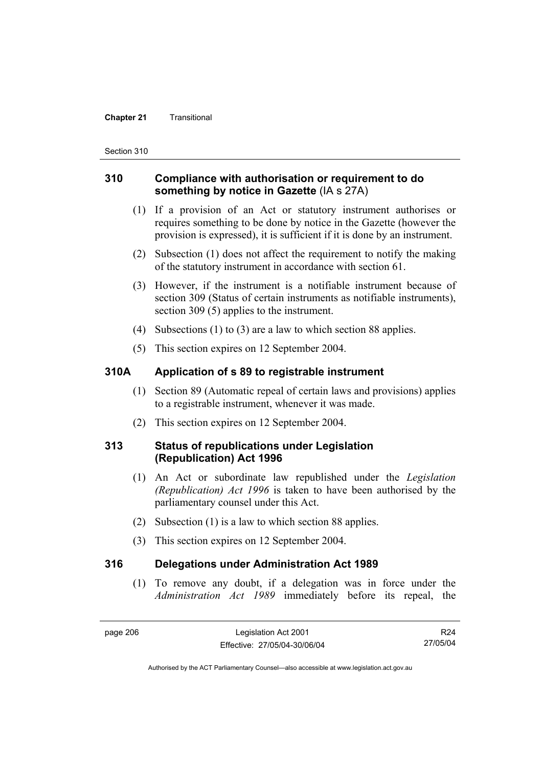#### **Chapter 21 Transitional**

Section 310

# **310 Compliance with authorisation or requirement to do something by notice in Gazette** (IA s 27A)

- (1) If a provision of an Act or statutory instrument authorises or requires something to be done by notice in the Gazette (however the provision is expressed), it is sufficient if it is done by an instrument.
- (2) Subsection (1) does not affect the requirement to notify the making of the statutory instrument in accordance with section 61.
- (3) However, if the instrument is a notifiable instrument because of section 309 (Status of certain instruments as notifiable instruments), section 309 (5) applies to the instrument.
- (4) Subsections (1) to (3) are a law to which section 88 applies.
- (5) This section expires on 12 September 2004.

## **310A Application of s 89 to registrable instrument**

- (1) Section 89 (Automatic repeal of certain laws and provisions) applies to a registrable instrument, whenever it was made.
- (2) This section expires on 12 September 2004.

## **313 Status of republications under Legislation (Republication) Act 1996**

- (1) An Act or subordinate law republished under the *Legislation (Republication) Act 1996* is taken to have been authorised by the parliamentary counsel under this Act.
- (2) Subsection (1) is a law to which section 88 applies.
- (3) This section expires on 12 September 2004.

### **316 Delegations under Administration Act 1989**

 (1) To remove any doubt, if a delegation was in force under the *Administration Act 1989* immediately before its repeal, the

R24 27/05/04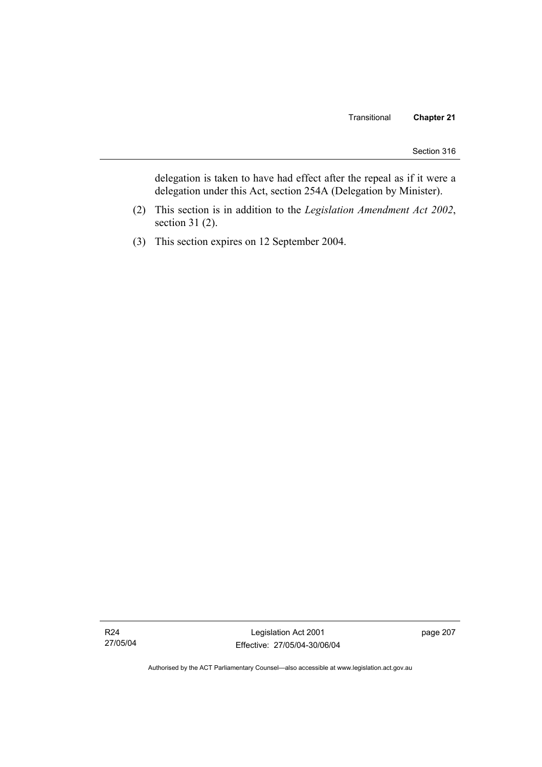delegation is taken to have had effect after the repeal as if it were a delegation under this Act, section 254A (Delegation by Minister).

- (2) This section is in addition to the *Legislation Amendment Act 2002*, section 31 (2).
- (3) This section expires on 12 September 2004.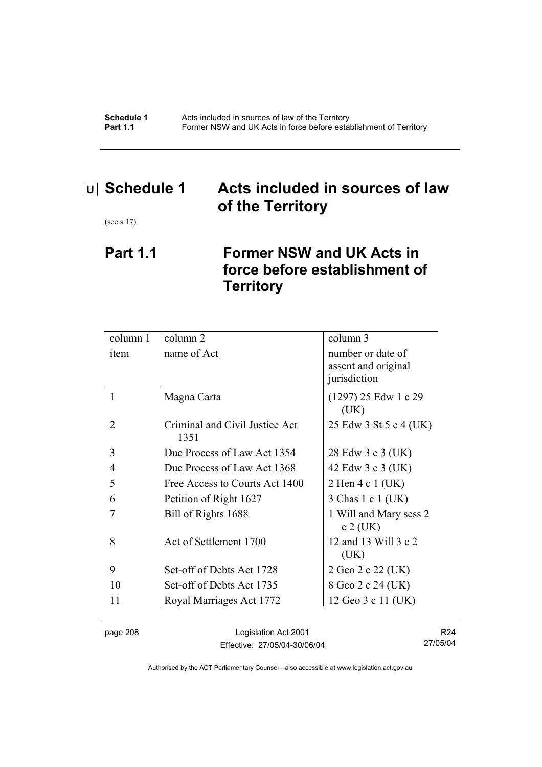**Schedule 1** Acts included in sources of law of the Territory **Part 1.1 Former NSW and UK Acts in force before establishment of Territory** 

# **U Schedule 1 Acts included in sources of law of the Territory**

(see s 17)

# **Part 1.1 Former NSW and UK Acts in force before establishment of Territory**

| column 1              | column 2                               | column 3                                                 |
|-----------------------|----------------------------------------|----------------------------------------------------------|
| item                  | name of Act                            | number or date of<br>assent and original<br>jurisdiction |
|                       | Magna Carta                            | $(1297)$ 25 Edw 1 c 29<br>(UK)                           |
| $\mathcal{D}_{\cdot}$ | Criminal and Civil Justice Act<br>1351 | 25 Edw 3 St 5 c 4 (UK)                                   |
| 3                     | Due Process of Law Act 1354            | 28 Edw 3 c 3 (UK)                                        |
| 4                     | Due Process of Law Act 1368            | 42 Edw 3 c 3 (UK)                                        |
| 5                     | Free Access to Courts Act 1400         | 2 Hen 4 c 1 (UK)                                         |
| 6                     | Petition of Right 1627                 | 3 Chas 1 c 1 (UK)                                        |
|                       | Bill of Rights 1688                    | 1 Will and Mary sess 2<br>$c2$ (UK)                      |
| 8                     | Act of Settlement 1700                 | 12 and 13 Will 3 c 2<br>(UK)                             |
| 9                     | Set-off of Debts Act 1728              | 2 Geo 2 c 22 (UK)                                        |
| 10                    | Set-off of Debts Act 1735              | 8 Geo 2 c 24 (UK)                                        |
| 11                    | Royal Marriages Act 1772               | 12 Geo 3 c 11 (UK)                                       |
|                       |                                        |                                                          |

page 208 Legislation Act 2001 Effective: 27/05/04-30/06/04

R24 27/05/04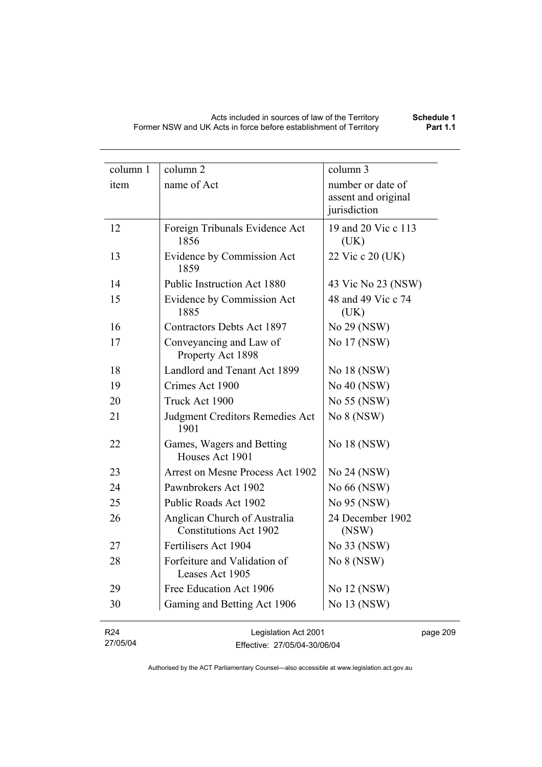| column 1                    | column 2                                                      | column 3                                                 |
|-----------------------------|---------------------------------------------------------------|----------------------------------------------------------|
| item                        | name of Act                                                   | number or date of<br>assent and original<br>jurisdiction |
| 12                          | Foreign Tribunals Evidence Act<br>1856                        | 19 and 20 Vic c 113<br>(UK)                              |
| 13                          | Evidence by Commission Act<br>1859                            | 22 Vic c 20 (UK)                                         |
| 14                          | Public Instruction Act 1880                                   | 43 Vic No 23 (NSW)                                       |
| 15                          | Evidence by Commission Act<br>1885                            | 48 and 49 Vic c 74<br>(UK)                               |
| 16                          | Contractors Debts Act 1897                                    | No 29 (NSW)                                              |
| 17                          | Conveyancing and Law of<br>Property Act 1898                  | No 17 (NSW)                                              |
| 18                          | Landlord and Tenant Act 1899                                  | No 18 (NSW)                                              |
| 19                          | Crimes Act 1900                                               | No 40 (NSW)                                              |
| 20                          | Truck Act 1900                                                | No 55 (NSW)                                              |
| 21                          | <b>Judgment Creditors Remedies Act</b><br>1901                | No 8 (NSW)                                               |
| 22                          | Games, Wagers and Betting<br>Houses Act 1901                  | No 18 (NSW)                                              |
| 23                          | Arrest on Mesne Process Act 1902                              | No 24 (NSW)                                              |
| 24                          | Pawnbrokers Act 1902                                          | No 66 (NSW)                                              |
| 25                          | Public Roads Act 1902                                         | No 95 (NSW)                                              |
| 26                          | Anglican Church of Australia<br><b>Constitutions Act 1902</b> | 24 December 1902<br>(NSW)                                |
| 27                          | Fertilisers Act 1904                                          | No 33 (NSW)                                              |
| 28                          | Forfeiture and Validation of<br>Leases Act 1905               | No 8 (NSW)                                               |
| 29                          | Free Education Act 1906                                       | No 12 (NSW)                                              |
| 30                          | Gaming and Betting Act 1906                                   | No 13 (NSW)                                              |
| R <sub>24</sub><br>27/05/04 | Legislation Act 2001<br>Fffective: 27/05/04-30/06/04          |                                                          |

Effective: 27/05/04-30/06/04

pg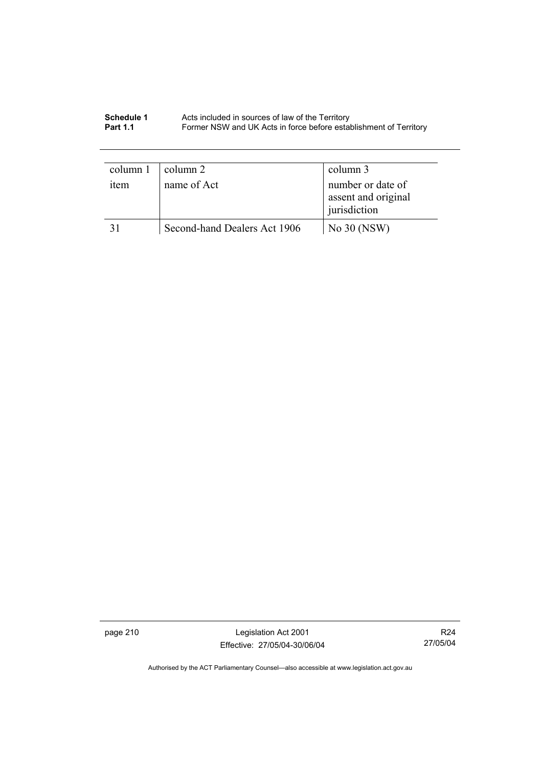#### **Schedule 1** Acts included in sources of law of the Territory **Part 1.1 Former NSW and UK Acts in force before establishment of Territory**

| column 1         | column 2                     | column 3                                                 |
|------------------|------------------------------|----------------------------------------------------------|
| <sub>1</sub> tem | name of Act                  | number or date of<br>assent and original<br>jurisdiction |
|                  | Second-hand Dealers Act 1906 | No $30$ (NSW)                                            |

page 210 Legislation Act 2001 Effective: 27/05/04-30/06/04

R24 27/05/04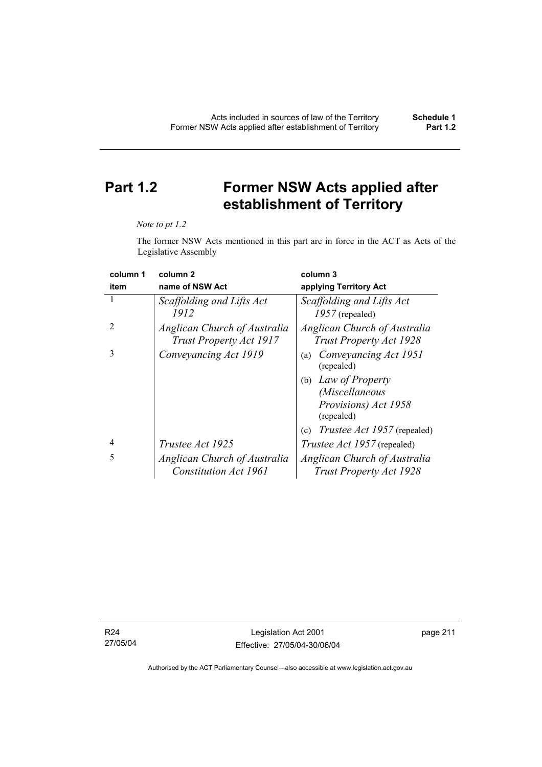# **Part 1.2 Former NSW Acts applied after establishment of Territory**

#### *Note to pt 1.2*

The former NSW Acts mentioned in this part are in force in the ACT as Acts of the Legislative Assembly

| column 1       | column <sub>2</sub>                                     | column 3                                                       |
|----------------|---------------------------------------------------------|----------------------------------------------------------------|
| item           | name of NSW Act                                         | applying Territory Act                                         |
| 1              | Scaffolding and Lifts Act<br>1912                       | Scaffolding and Lifts Act<br>$1957$ (repealed)                 |
| $\overline{2}$ | Anglican Church of Australia<br>Trust Property Act 1917 | Anglican Church of Australia<br><b>Trust Property Act 1928</b> |
| 3              | Conveyancing Act 1919                                   | Conveyancing Act 1951<br>(a)<br>(repealed)                     |
|                |                                                         | (b) Law of Property                                            |
|                |                                                         | (Miscellaneous                                                 |
|                |                                                         | Provisions) Act 1958<br>(repealed)                             |
|                |                                                         | <i>Trustee Act 1957</i> (repealed)<br>(c)                      |
| 4              | Trustee Act 1925                                        | <i>Trustee Act 1957</i> (repealed)                             |
| 5              | Anglican Church of Australia                            | Anglican Church of Australia                                   |
|                | <b>Constitution Act 1961</b>                            | <b>Trust Property Act 1928</b>                                 |

R24 27/05/04 page 211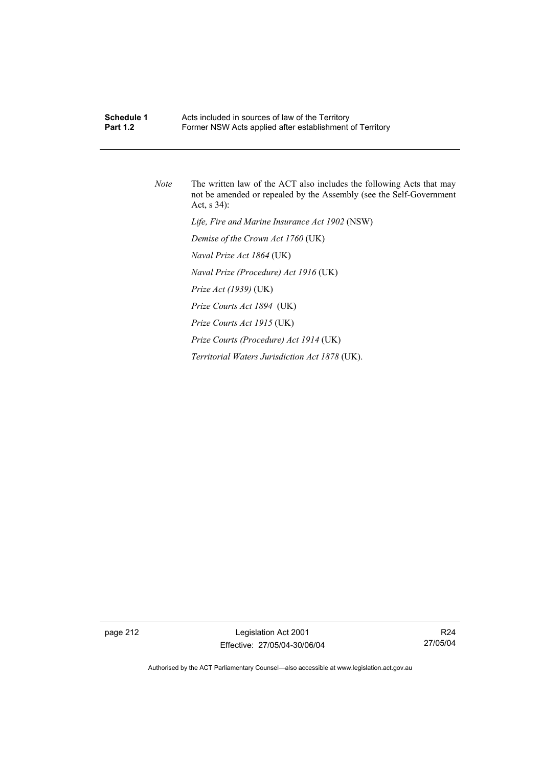# **Schedule 1 Acts included in sources of law of the Territory<br><b>Part 1.2 E**ormer NSW Acts applied after establishment Former NSW Acts applied after establishment of Territory *Note* The written law of the ACT also includes the following Acts that may not be amended or repealed by the Assembly (see the Self-Government Act, s 34):  *Life, Fire and Marine Insurance Act 1902* (NSW)  *Demise of the Crown Act 1760* (UK)  *Naval Prize Act 1864* (UK)  *Naval Prize (Procedure) Act 1916* (UK)  *Prize Act (1939)* (UK)  *Prize Courts Act 1894* (UK)  *Prize Courts Act 1915* (UK)  *Prize Courts (Procedure) Act 1914* (UK)  *Territorial Waters Jurisdiction Act 1878* (UK).

page 212 Legislation Act 2001 Effective: 27/05/04-30/06/04

R24 27/05/04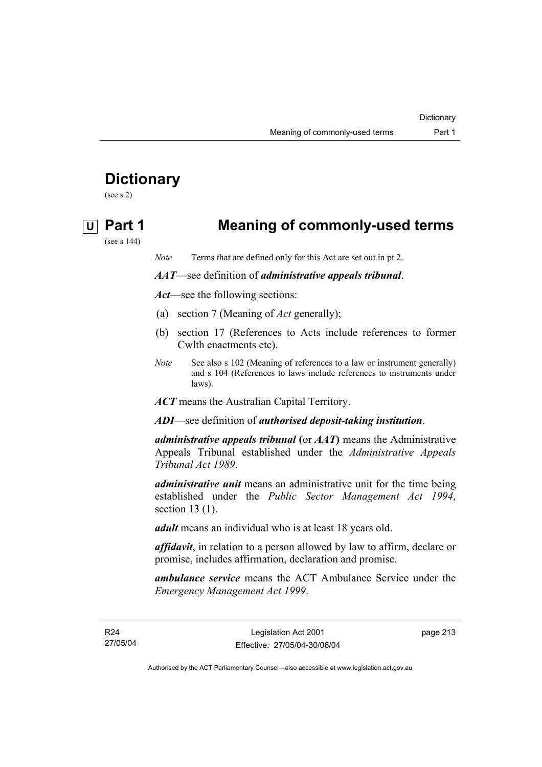# **Dictionary**

(see s 2)

# **U Part 1 Meaning of commonly-used terms**

(see s 144)

*Note* Terms that are defined only for this Act are set out in pt 2.

### *AAT*—see definition of *administrative appeals tribunal*.

*Act*—see the following sections:

- (a) section 7 (Meaning of *Act* generally);
- (b) section 17 (References to Acts include references to former Cwlth enactments etc).
- *Note* See also s 102 (Meaning of references to a law or instrument generally) and s 104 (References to laws include references to instruments under laws).

*ACT* means the Australian Capital Territory.

*ADI*—see definition of *authorised deposit-taking institution*.

*administrative appeals tribunal* **(**or *AAT***)** means the Administrative Appeals Tribunal established under the *Administrative Appeals Tribunal Act 1989*.

*administrative unit* means an administrative unit for the time being established under the *Public Sector Management Act 1994*, section 13 (1).

*adult* means an individual who is at least 18 years old.

*affidavit*, in relation to a person allowed by law to affirm, declare or promise, includes affirmation, declaration and promise.

*ambulance service* means the ACT Ambulance Service under the *Emergency Management Act 1999*.

R24 27/05/04 page 213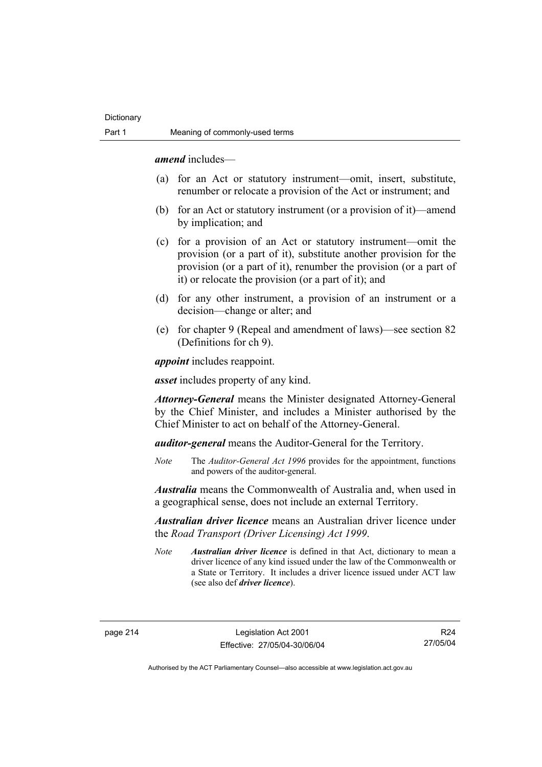*amend* includes—

- (a) for an Act or statutory instrument—omit, insert, substitute, renumber or relocate a provision of the Act or instrument; and
- (b) for an Act or statutory instrument (or a provision of it)—amend by implication; and
- (c) for a provision of an Act or statutory instrument—omit the provision (or a part of it), substitute another provision for the provision (or a part of it), renumber the provision (or a part of it) or relocate the provision (or a part of it); and
- (d) for any other instrument, a provision of an instrument or a decision—change or alter; and
- (e) for chapter 9 (Repeal and amendment of laws)—see section 82 (Definitions for ch 9).

*appoint* includes reappoint.

*asset* includes property of any kind.

*Attorney-General* means the Minister designated Attorney-General by the Chief Minister, and includes a Minister authorised by the Chief Minister to act on behalf of the Attorney-General.

*auditor-general* means the Auditor-General for the Territory.

*Note* The *Auditor-General Act 1996* provides for the appointment, functions and powers of the auditor-general.

*Australia* means the Commonwealth of Australia and, when used in a geographical sense, does not include an external Territory.

*Australian driver licence* means an Australian driver licence under the *Road Transport (Driver Licensing) Act 1999*.

*Note Australian driver licence* is defined in that Act, dictionary to mean a driver licence of any kind issued under the law of the Commonwealth or a State or Territory. It includes a driver licence issued under ACT law (see also def *driver licence*).

R24 27/05/04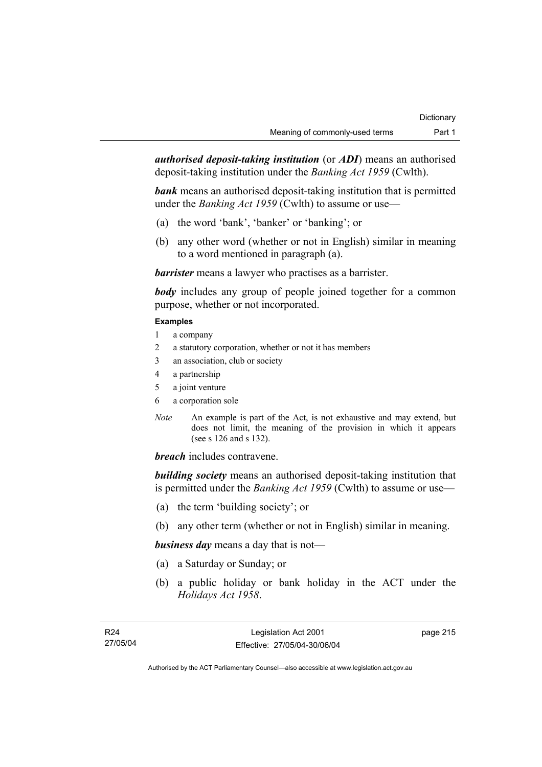*authorised deposit-taking institution* (or *ADI*) means an authorised deposit-taking institution under the *Banking Act 1959* (Cwlth).

*bank* means an authorised deposit-taking institution that is permitted under the *Banking Act 1959* (Cwlth) to assume or use—

- (a) the word 'bank', 'banker' or 'banking'; or
- (b) any other word (whether or not in English) similar in meaning to a word mentioned in paragraph (a).

*barrister* means a lawyer who practises as a barrister.

*body* includes any group of people joined together for a common purpose, whether or not incorporated.

### **Examples**

- 1 a company
- 2 a statutory corporation, whether or not it has members
- 3 an association, club or society
- 4 a partnership
- 5 a joint venture
- 6 a corporation sole
- *Note* An example is part of the Act, is not exhaustive and may extend, but does not limit, the meaning of the provision in which it appears (see s 126 and s 132).

*breach* includes contravene.

*building society* means an authorised deposit-taking institution that is permitted under the *Banking Act 1959* (Cwlth) to assume or use—

- (a) the term 'building society'; or
- (b) any other term (whether or not in English) similar in meaning.

*business day* means a day that is not—

- (a) a Saturday or Sunday; or
- (b) a public holiday or bank holiday in the ACT under the *Holidays Act 1958*.

page 215

Authorised by the ACT Parliamentary Counsel—also accessible at www.legislation.act.gov.au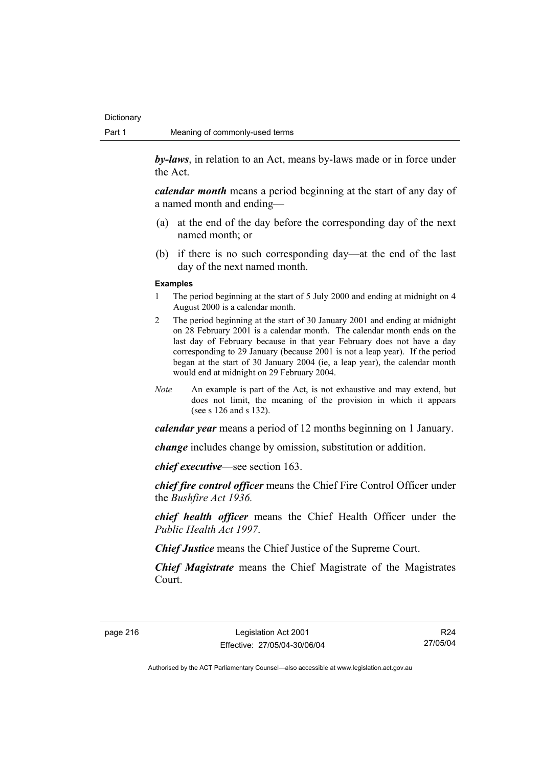*by-laws*, in relation to an Act, means by-laws made or in force under the Act.

*calendar month* means a period beginning at the start of any day of a named month and ending—

- (a) at the end of the day before the corresponding day of the next named month; or
- (b) if there is no such corresponding day—at the end of the last day of the next named month.

#### **Examples**

- 1 The period beginning at the start of 5 July 2000 and ending at midnight on 4 August 2000 is a calendar month.
- 2 The period beginning at the start of 30 January 2001 and ending at midnight on 28 February 2001 is a calendar month. The calendar month ends on the last day of February because in that year February does not have a day corresponding to 29 January (because 2001 is not a leap year). If the period began at the start of 30 January 2004 (ie, a leap year), the calendar month would end at midnight on 29 February 2004.
- *Note* An example is part of the Act, is not exhaustive and may extend, but does not limit, the meaning of the provision in which it appears (see s 126 and s 132).

*calendar year* means a period of 12 months beginning on 1 January.

*change* includes change by omission, substitution or addition.

*chief executive*—see section 163.

*chief fire control officer* means the Chief Fire Control Officer under the *Bushfire Act 1936.* 

*chief health officer* means the Chief Health Officer under the *Public Health Act 1997*.

*Chief Justice* means the Chief Justice of the Supreme Court.

*Chief Magistrate* means the Chief Magistrate of the Magistrates Court.

R24 27/05/04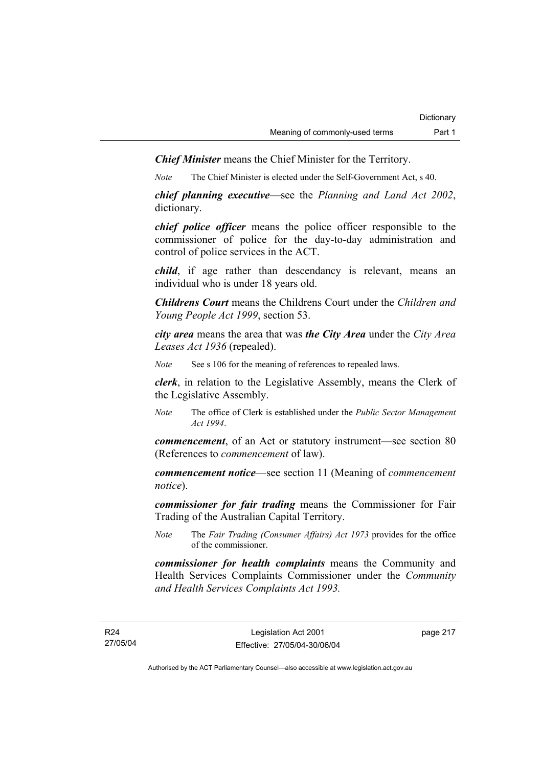*Chief Minister* means the Chief Minister for the Territory.

*Note* The Chief Minister is elected under the Self-Government Act, s 40.

*chief planning executive*—see the *Planning and Land Act 2002*, dictionary.

*chief police officer* means the police officer responsible to the commissioner of police for the day-to-day administration and control of police services in the ACT.

*child*, if age rather than descendancy is relevant, means an individual who is under 18 years old.

*Childrens Court* means the Childrens Court under the *Children and Young People Act 1999*, section 53.

*city area* means the area that was *the City Area* under the *City Area Leases Act 1936* (repealed).

*Note* See s 106 for the meaning of references to repealed laws.

*clerk*, in relation to the Legislative Assembly, means the Clerk of the Legislative Assembly.

*Note* The office of Clerk is established under the *Public Sector Management Act 1994*.

*commencement*, of an Act or statutory instrument—see section 80 (References to *commencement* of law).

*commencement notice*—see section 11 (Meaning of *commencement notice*).

*commissioner for fair trading* means the Commissioner for Fair Trading of the Australian Capital Territory.

*Note* The *Fair Trading (Consumer Affairs) Act 1973* provides for the office of the commissioner.

*commissioner for health complaints* means the Community and Health Services Complaints Commissioner under the *Community and Health Services Complaints Act 1993.* 

page 217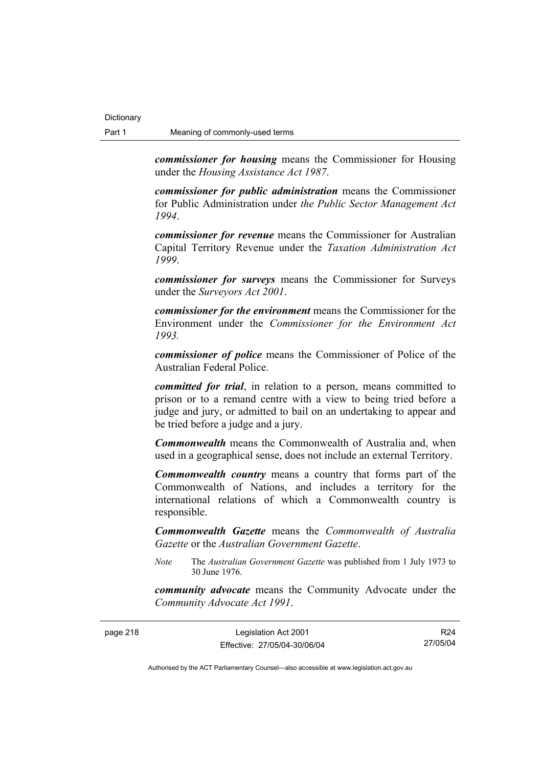page 218

*commissioner for housing* means the Commissioner for Housing under the *Housing Assistance Act 1987*.

*commissioner for public administration* means the Commissioner for Public Administration under *the Public Sector Management Act 1994*.

*commissioner for revenue* means the Commissioner for Australian Capital Territory Revenue under the *Taxation Administration Act 1999*.

*commissioner for surveys* means the Commissioner for Surveys under the *Surveyors Act 2001*.

*commissioner for the environment* means the Commissioner for the Environment under the *Commissioner for the Environment Act 1993.* 

*commissioner of police* means the Commissioner of Police of the Australian Federal Police.

*committed for trial*, in relation to a person, means committed to prison or to a remand centre with a view to being tried before a judge and jury, or admitted to bail on an undertaking to appear and be tried before a judge and a jury.

*Commonwealth* means the Commonwealth of Australia and, when used in a geographical sense, does not include an external Territory.

*Commonwealth country* means a country that forms part of the Commonwealth of Nations, and includes a territory for the international relations of which a Commonwealth country is responsible.

*Commonwealth Gazette* means the *Commonwealth of Australia Gazette* or the *Australian Government Gazette*.

*Note* The *Australian Government Gazette* was published from 1 July 1973 to 30 June 1976.

*community advocate* means the Community Advocate under the *Community Advocate Act 1991*.

| Legislation Act 2001         | R <sub>24</sub> |
|------------------------------|-----------------|
| Effective: 27/05/04-30/06/04 | 27/05/04        |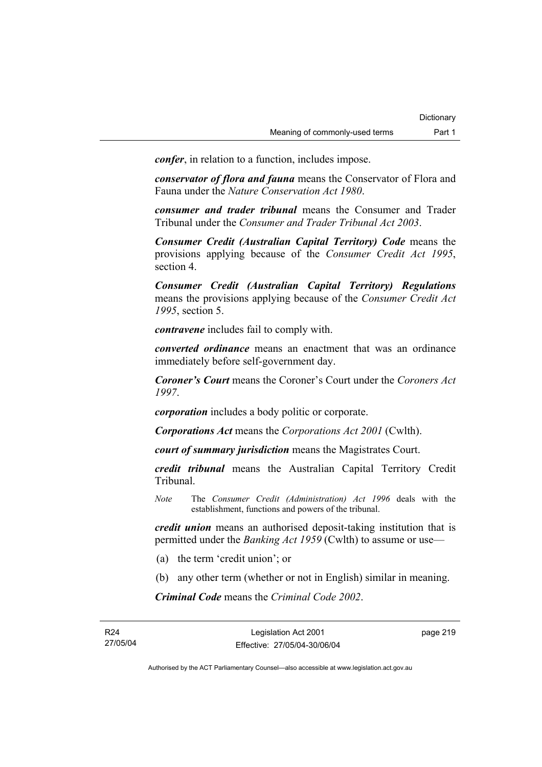*confer*, in relation to a function, includes impose.

*conservator of flora and fauna* means the Conservator of Flora and Fauna under the *Nature Conservation Act 1980*.

*consumer and trader tribunal* means the Consumer and Trader Tribunal under the *Consumer and Trader Tribunal Act 2003*.

*Consumer Credit (Australian Capital Territory) Code* means the provisions applying because of the *Consumer Credit Act 1995*, section 4.

*Consumer Credit (Australian Capital Territory) Regulations* means the provisions applying because of the *Consumer Credit Act 1995*, section 5.

*contravene* includes fail to comply with.

*converted ordinance* means an enactment that was an ordinance immediately before self-government day.

*Coroner's Court* means the Coroner's Court under the *Coroners Act 1997*.

*corporation* includes a body politic or corporate.

*Corporations Act* means the *Corporations Act 2001* (Cwlth).

*court of summary jurisdiction* means the Magistrates Court.

*credit tribunal* means the Australian Capital Territory Credit Tribunal.

*Note* The *Consumer Credit (Administration) Act 1996* deals with the establishment, functions and powers of the tribunal.

*credit union* means an authorised deposit-taking institution that is permitted under the *Banking Act 1959* (Cwlth) to assume or use—

- (a) the term 'credit union'; or
- (b) any other term (whether or not in English) similar in meaning.

*Criminal Code* means the *Criminal Code 2002*.

page 219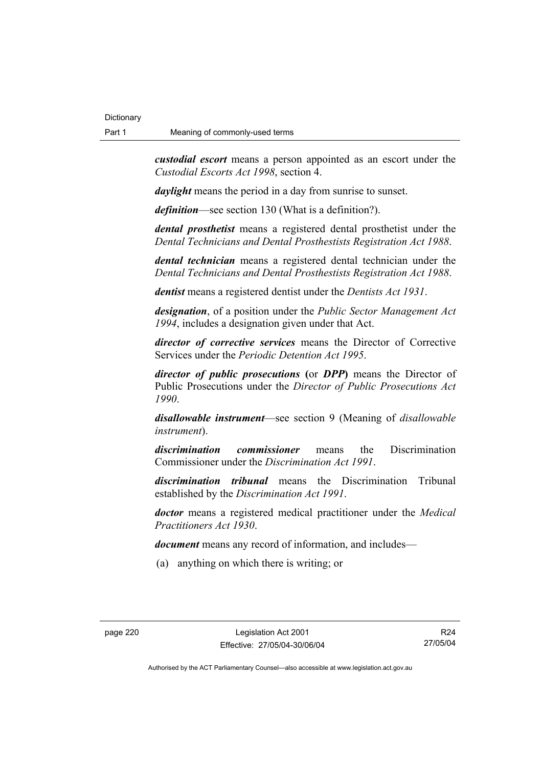*custodial escort* means a person appointed as an escort under the *Custodial Escorts Act 1998*, section 4.

*daylight* means the period in a day from sunrise to sunset.

*definition*—see section 130 (What is a definition?).

*dental prosthetist* means a registered dental prosthetist under the *Dental Technicians and Dental Prosthestists Registration Act 1988*.

*dental technician* means a registered dental technician under the *Dental Technicians and Dental Prosthestists Registration Act 1988*.

*dentist* means a registered dentist under the *Dentists Act 1931*.

*designation*, of a position under the *Public Sector Management Act 1994*, includes a designation given under that Act.

*director of corrective services* means the Director of Corrective Services under the *Periodic Detention Act 1995*.

*director of public prosecutions* **(**or *DPP***)** means the Director of Public Prosecutions under the *Director of Public Prosecutions Act 1990*.

*disallowable instrument*—see section 9 (Meaning of *disallowable instrument*).

*discrimination commissioner* means the Discrimination Commissioner under the *Discrimination Act 1991*.

*discrimination tribunal* means the Discrimination Tribunal established by the *Discrimination Act 1991*.

*doctor* means a registered medical practitioner under the *Medical Practitioners Act 1930*.

*document* means any record of information, and includes—

(a) anything on which there is writing; or

R24 27/05/04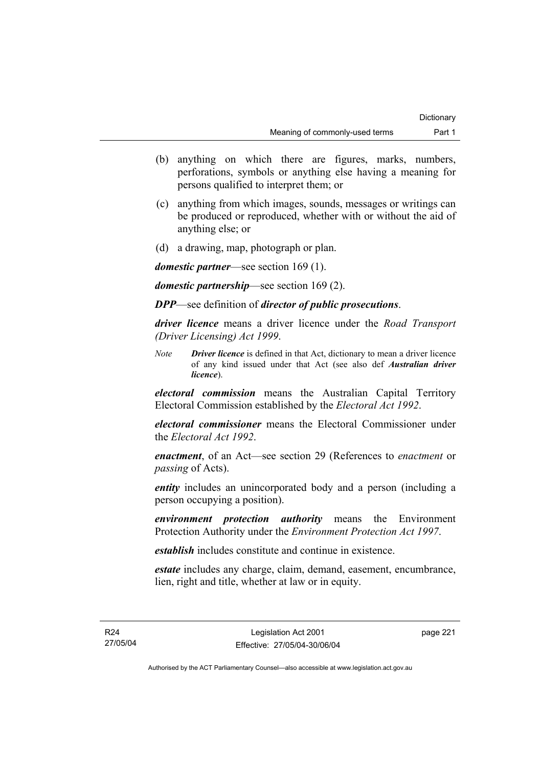- (b) anything on which there are figures, marks, numbers, perforations, symbols or anything else having a meaning for persons qualified to interpret them; or
- (c) anything from which images, sounds, messages or writings can be produced or reproduced, whether with or without the aid of anything else; or
- (d) a drawing, map, photograph or plan.

*domestic partner*—see section 169 (1).

*domestic partnership*—see section 169 (2).

*DPP*—see definition of *director of public prosecutions*.

*driver licence* means a driver licence under the *Road Transport (Driver Licensing) Act 1999*.

*Note Driver licence* is defined in that Act, dictionary to mean a driver licence of any kind issued under that Act (see also def *Australian driver licence*).

*electoral commission* means the Australian Capital Territory Electoral Commission established by the *Electoral Act 1992*.

*electoral commissioner* means the Electoral Commissioner under the *Electoral Act 1992*.

*enactment*, of an Act—see section 29 (References to *enactment* or *passing* of Acts).

*entity* includes an unincorporated body and a person (including a person occupying a position).

*environment protection authority* means the Environment Protection Authority under the *Environment Protection Act 1997*.

*establish* includes constitute and continue in existence.

*estate* includes any charge, claim, demand, easement, encumbrance, lien, right and title, whether at law or in equity.

page 221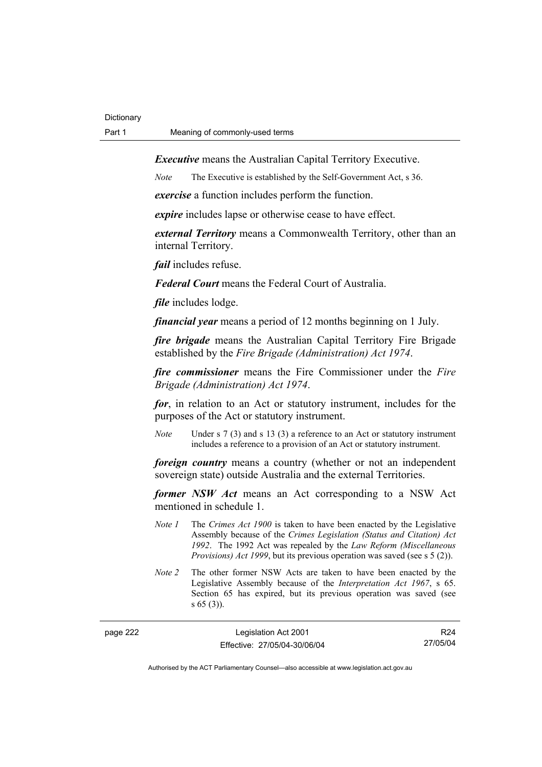*Executive* means the Australian Capital Territory Executive.

*Note* The Executive is established by the Self-Government Act, s 36.

*exercise* a function includes perform the function.

*expire* includes lapse or otherwise cease to have effect.

*external Territory* means a Commonwealth Territory, other than an internal Territory.

*fail* includes refuse.

*Federal Court* means the Federal Court of Australia.

*file* includes lodge.

*financial year* means a period of 12 months beginning on 1 July.

*fire brigade* means the Australian Capital Territory Fire Brigade established by the *Fire Brigade (Administration) Act 1974*.

*fire commissioner* means the Fire Commissioner under the *Fire Brigade (Administration) Act 1974*.

*for*, in relation to an Act or statutory instrument, includes for the purposes of the Act or statutory instrument.

*Note* Under s 7 (3) and s 13 (3) a reference to an Act or statutory instrument includes a reference to a provision of an Act or statutory instrument.

*foreign country* means a country (whether or not an independent sovereign state) outside Australia and the external Territories.

*former NSW Act* means an Act corresponding to a NSW Act mentioned in schedule 1.

- *Note 1* The *Crimes Act 1900* is taken to have been enacted by the Legislative Assembly because of the *Crimes Legislation (Status and Citation) Act 1992*. The 1992 Act was repealed by the *Law Reform (Miscellaneous Provisions) Act 1999*, but its previous operation was saved (see s 5 (2)).
- *Note 2* The other former NSW Acts are taken to have been enacted by the Legislative Assembly because of the *Interpretation Act 1967*, s 65. Section 65 has expired, but its previous operation was saved (see s 65 (3)).

| page 222 | Legislation Act 2001         | R <sub>24</sub> |
|----------|------------------------------|-----------------|
|          | Effective: 27/05/04-30/06/04 | 27/05/04        |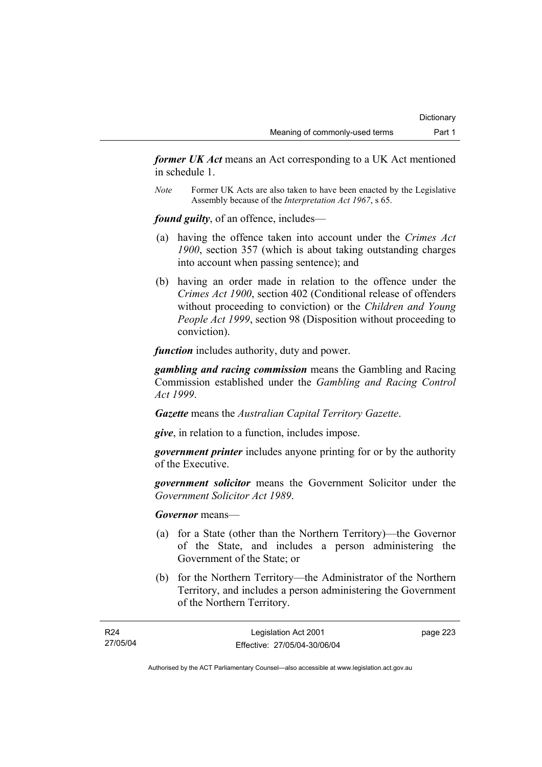*former UK Act* means an Act corresponding to a UK Act mentioned in schedule 1.

*Note* Former UK Acts are also taken to have been enacted by the Legislative Assembly because of the *Interpretation Act 1967*, s 65.

*found guilty*, of an offence, includes—

- (a) having the offence taken into account under the *Crimes Act 1900*, section 357 (which is about taking outstanding charges into account when passing sentence); and
- (b) having an order made in relation to the offence under the *Crimes Act 1900*, section 402 (Conditional release of offenders without proceeding to conviction) or the *Children and Young People Act 1999*, section 98 (Disposition without proceeding to conviction).

*function* includes authority, duty and power.

*gambling and racing commission* means the Gambling and Racing Commission established under the *Gambling and Racing Control Act 1999*.

*Gazette* means the *Australian Capital Territory Gazette*.

*give*, in relation to a function, includes impose.

*government printer* includes anyone printing for or by the authority of the Executive.

*government solicitor* means the Government Solicitor under the *Government Solicitor Act 1989*.

*Governor* means—

- (a) for a State (other than the Northern Territory)—the Governor of the State, and includes a person administering the Government of the State; or
- (b) for the Northern Territory—the Administrator of the Northern Territory, and includes a person administering the Government of the Northern Territory.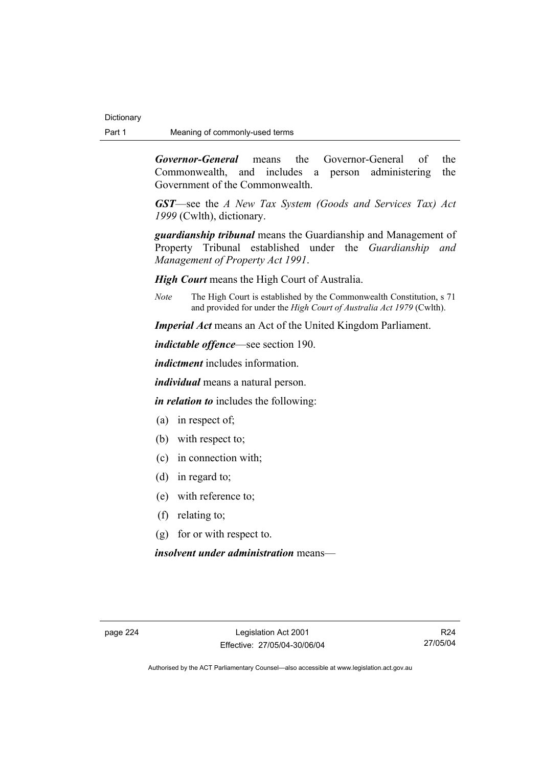*Governor-General* means the Governor-General of the Commonwealth, and includes a person administering the Government of the Commonwealth.

*GST*—see the *A New Tax System (Goods and Services Tax) Act 1999* (Cwlth), dictionary.

*guardianship tribunal* means the Guardianship and Management of Property Tribunal established under the *Guardianship and Management of Property Act 1991*.

*High Court* means the High Court of Australia.

*Note* The High Court is established by the Commonwealth Constitution, s 71 and provided for under the *High Court of Australia Act 1979* (Cwlth).

*Imperial Act* means an Act of the United Kingdom Parliament.

*indictable offence*—see section 190.

*indictment* includes information.

*individual* means a natural person.

*in relation to* includes the following:

- (a) in respect of;
- (b) with respect to;
- (c) in connection with;
- (d) in regard to;
- (e) with reference to;
- (f) relating to;
- (g) for or with respect to.

*insolvent under administration* means—

R24 27/05/04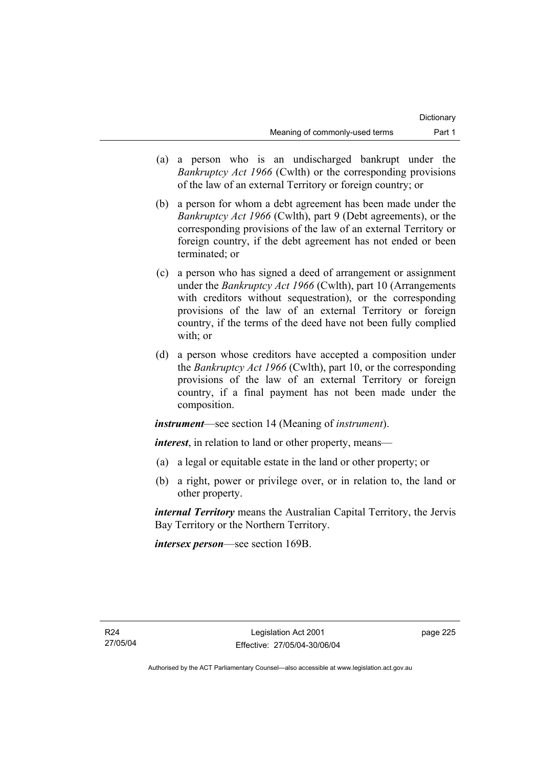- (a) a person who is an undischarged bankrupt under the *Bankruptcy Act 1966* (Cwlth) or the corresponding provisions of the law of an external Territory or foreign country; or
- (b) a person for whom a debt agreement has been made under the *Bankruptcy Act 1966* (Cwlth), part 9 (Debt agreements), or the corresponding provisions of the law of an external Territory or foreign country, if the debt agreement has not ended or been terminated; or
- (c) a person who has signed a deed of arrangement or assignment under the *Bankruptcy Act 1966* (Cwlth), part 10 (Arrangements with creditors without sequestration), or the corresponding provisions of the law of an external Territory or foreign country, if the terms of the deed have not been fully complied with: or
- (d) a person whose creditors have accepted a composition under the *Bankruptcy Act 1966* (Cwlth), part 10, or the corresponding provisions of the law of an external Territory or foreign country, if a final payment has not been made under the composition.

*instrument*—see section 14 (Meaning of *instrument*).

*interest*, in relation to land or other property, means—

- (a) a legal or equitable estate in the land or other property; or
- (b) a right, power or privilege over, or in relation to, the land or other property.

*internal Territory* means the Australian Capital Territory, the Jervis Bay Territory or the Northern Territory.

*intersex person*—see section 169B.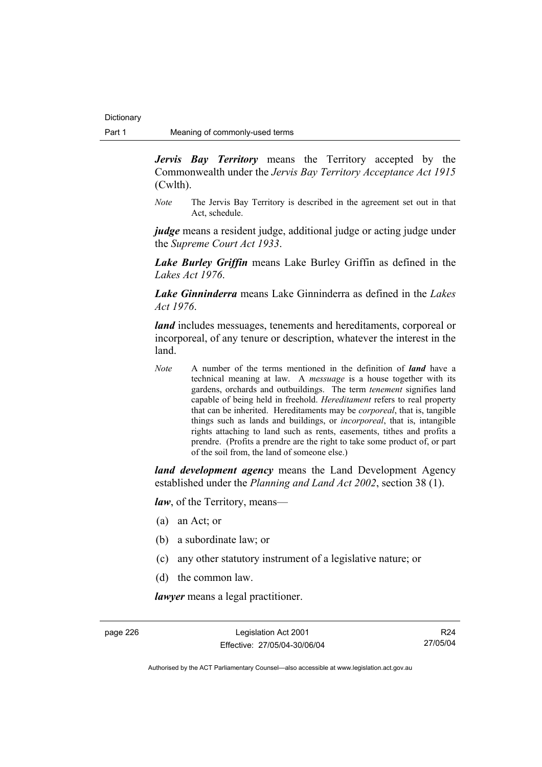*Jervis Bay Territory* means the Territory accepted by the Commonwealth under the *Jervis Bay Territory Acceptance Act 1915* (Cwlth).

*Note* The Jervis Bay Territory is described in the agreement set out in that Act, schedule.

*judge* means a resident judge, additional judge or acting judge under the *Supreme Court Act 1933*.

*Lake Burley Griffin* means Lake Burley Griffin as defined in the *Lakes Act 1976*.

*Lake Ginninderra* means Lake Ginninderra as defined in the *Lakes Act 1976*.

*land* includes messuages, tenements and hereditaments, corporeal or incorporeal, of any tenure or description, whatever the interest in the land.

*Note* A number of the terms mentioned in the definition of *land* have a technical meaning at law. A *messuage* is a house together with its gardens, orchards and outbuildings. The term *tenement* signifies land capable of being held in freehold. *Hereditament* refers to real property that can be inherited. Hereditaments may be *corporeal*, that is, tangible things such as lands and buildings, or *incorporeal*, that is, intangible rights attaching to land such as rents, easements, tithes and profits a prendre. (Profits a prendre are the right to take some product of, or part of the soil from, the land of someone else.)

*land development agency* means the Land Development Agency established under the *Planning and Land Act 2002*, section 38 (1).

*law*, of the Territory, means—

- (a) an Act; or
- (b) a subordinate law; or
- (c) any other statutory instrument of a legislative nature; or
- (d) the common law.

*lawyer* means a legal practitioner.

page 226 Legislation Act 2001 Effective: 27/05/04-30/06/04

R24 27/05/04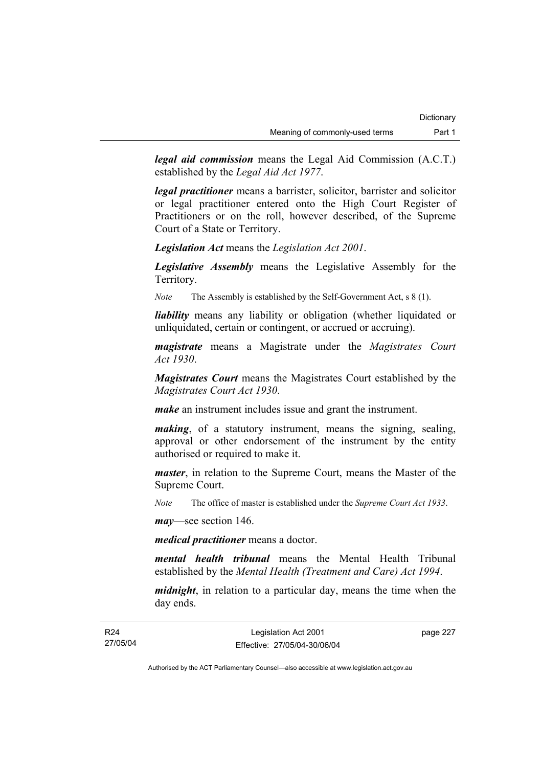*legal aid commission* means the Legal Aid Commission (A.C.T.) established by the *Legal Aid Act 1977*.

*legal practitioner* means a barrister, solicitor, barrister and solicitor or legal practitioner entered onto the High Court Register of Practitioners or on the roll, however described, of the Supreme Court of a State or Territory.

*Legislation Act* means the *Legislation Act 2001*.

*Legislative Assembly* means the Legislative Assembly for the Territory.

*Note* The Assembly is established by the Self-Government Act, s 8 (1).

*liability* means any liability or obligation (whether liquidated or unliquidated, certain or contingent, or accrued or accruing).

*magistrate* means a Magistrate under the *Magistrates Court Act 1930*.

*Magistrates Court* means the Magistrates Court established by the *Magistrates Court Act 1930*.

*make* an instrument includes issue and grant the instrument.

*making*, of a statutory instrument, means the signing, sealing, approval or other endorsement of the instrument by the entity authorised or required to make it.

*master*, in relation to the Supreme Court, means the Master of the Supreme Court.

*Note* The office of master is established under the *Supreme Court Act 1933*.

*may*—see section 146.

*medical practitioner* means a doctor.

*mental health tribunal* means the Mental Health Tribunal established by the *Mental Health (Treatment and Care) Act 1994*.

*midnight*, in relation to a particular day, means the time when the day ends.

page 227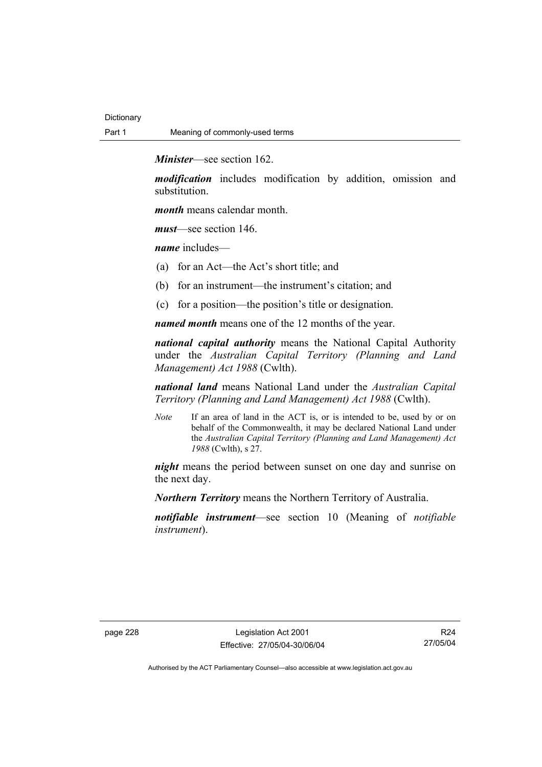*Minister*—see section 162.

*modification* includes modification by addition, omission and substitution.

*month* means calendar month.

*must*—see section 146.

*name* includes—

- (a) for an Act—the Act's short title; and
- (b) for an instrument—the instrument's citation; and
- (c) for a position—the position's title or designation.

*named month* means one of the 12 months of the year.

*national capital authority* means the National Capital Authority under the *Australian Capital Territory (Planning and Land Management) Act 1988* (Cwlth).

*national land* means National Land under the *Australian Capital Territory (Planning and Land Management) Act 1988* (Cwlth).

*Note* If an area of land in the ACT is, or is intended to be, used by or on behalf of the Commonwealth, it may be declared National Land under the *Australian Capital Territory (Planning and Land Management) Act 1988* (Cwlth), s 27.

*night* means the period between sunset on one day and sunrise on the next day.

*Northern Territory* means the Northern Territory of Australia.

*notifiable instrument*—see section 10 (Meaning of *notifiable instrument*).

R24 27/05/04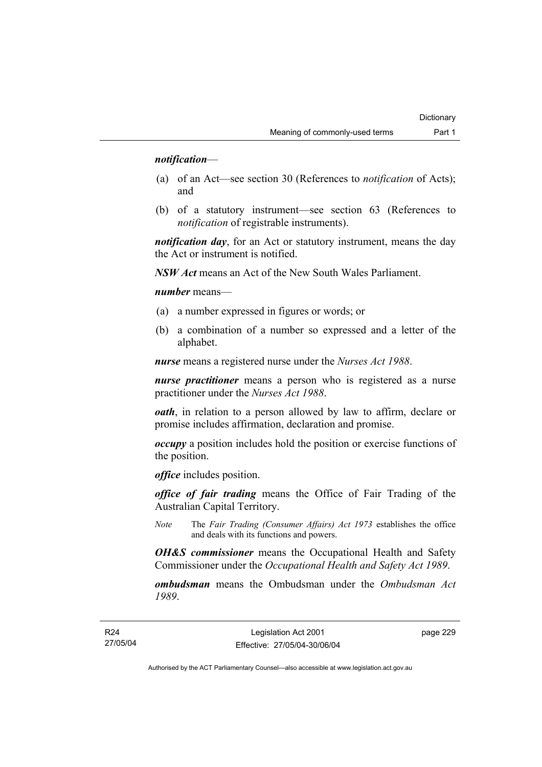### *notification*—

- (a) of an Act—see section 30 (References to *notification* of Acts); and
- (b) of a statutory instrument—see section 63 (References to *notification* of registrable instruments).

*notification day*, for an Act or statutory instrument, means the day the Act or instrument is notified.

*NSW Act* means an Act of the New South Wales Parliament.

*number* means—

- (a) a number expressed in figures or words; or
- (b) a combination of a number so expressed and a letter of the alphabet.

*nurse* means a registered nurse under the *Nurses Act 1988*.

*nurse practitioner* means a person who is registered as a nurse practitioner under the *Nurses Act 1988*.

*oath*, in relation to a person allowed by law to affirm, declare or promise includes affirmation, declaration and promise.

*occupy* a position includes hold the position or exercise functions of the position.

*office* includes position.

*office of fair trading* means the Office of Fair Trading of the Australian Capital Territory.

*Note* The *Fair Trading (Consumer Affairs) Act 1973* establishes the office and deals with its functions and powers.

*OH&S commissioner* means the Occupational Health and Safety Commissioner under the *Occupational Health and Safety Act 1989*.

*ombudsman* means the Ombudsman under the *Ombudsman Act 1989*.

page 229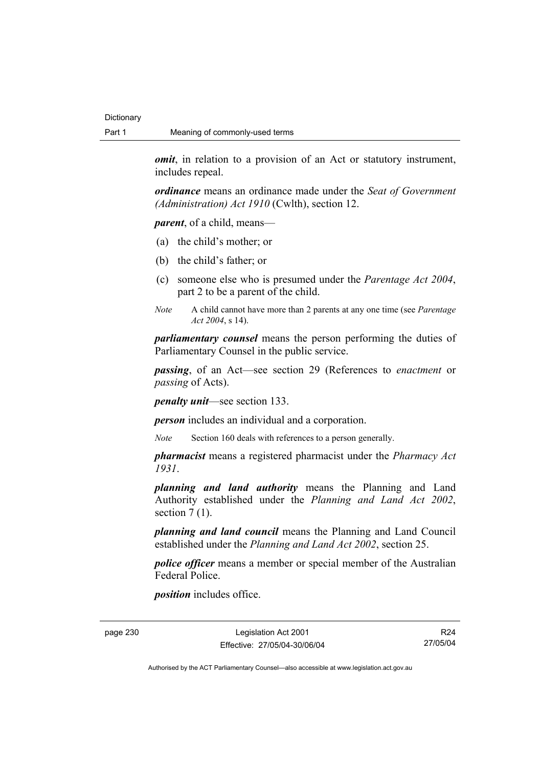*omit*, in relation to a provision of an Act or statutory instrument, includes repeal.

*ordinance* means an ordinance made under the *Seat of Government (Administration) Act 1910* (Cwlth), section 12.

*parent*, of a child, means—

- (a) the child's mother; or
- (b) the child's father; or
- (c) someone else who is presumed under the *Parentage Act 2004*, part 2 to be a parent of the child.
- *Note* A child cannot have more than 2 parents at any one time (see *Parentage Act 2004*, s 14).

*parliamentary counsel* means the person performing the duties of Parliamentary Counsel in the public service.

*passing*, of an Act—see section 29 (References to *enactment* or *passing* of Acts).

*penalty unit*—see section 133.

*person* includes an individual and a corporation.

*Note* Section 160 deals with references to a person generally.

*pharmacist* means a registered pharmacist under the *Pharmacy Act 1931*.

*planning and land authority* means the Planning and Land Authority established under the *Planning and Land Act 2002*, section  $7(1)$ .

*planning and land council* means the Planning and Land Council established under the *Planning and Land Act 2002*, section 25.

*police officer* means a member or special member of the Australian Federal Police.

*position* includes office.

page 230 Legislation Act 2001 Effective: 27/05/04-30/06/04

R24 27/05/04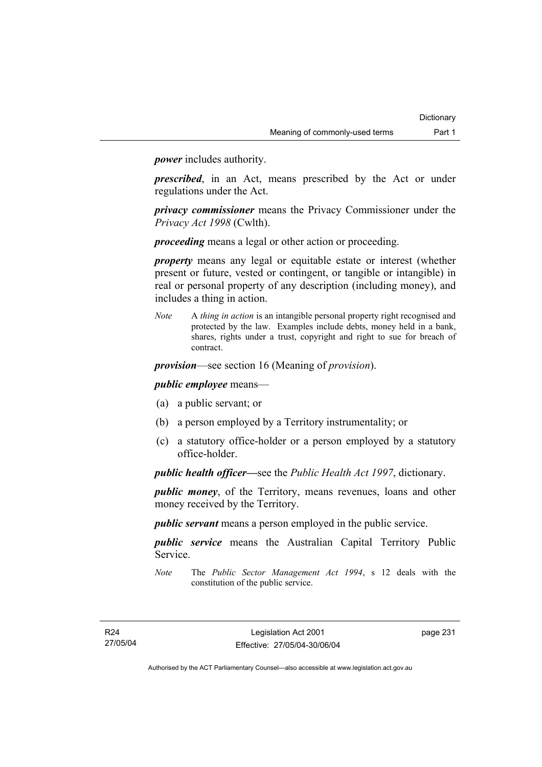*power* includes authority.

*prescribed*, in an Act, means prescribed by the Act or under regulations under the Act.

*privacy commissioner* means the Privacy Commissioner under the *Privacy Act 1998* (Cwlth).

*proceeding* means a legal or other action or proceeding.

*property* means any legal or equitable estate or interest (whether present or future, vested or contingent, or tangible or intangible) in real or personal property of any description (including money), and includes a thing in action.

*Note* A *thing in action* is an intangible personal property right recognised and protected by the law. Examples include debts, money held in a bank, shares, rights under a trust, copyright and right to sue for breach of contract.

*provision*—see section 16 (Meaning of *provision*).

*public employee* means—

- (a) a public servant; or
- (b) a person employed by a Territory instrumentality; or
- (c) a statutory office-holder or a person employed by a statutory office-holder.

*public health officer—*see the *Public Health Act 1997*, dictionary.

*public money*, of the Territory, means revenues, loans and other money received by the Territory.

*public servant* means a person employed in the public service.

*public service* means the Australian Capital Territory Public Service.

*Note* The *Public Sector Management Act 1994*, s 12 deals with the constitution of the public service.

page 231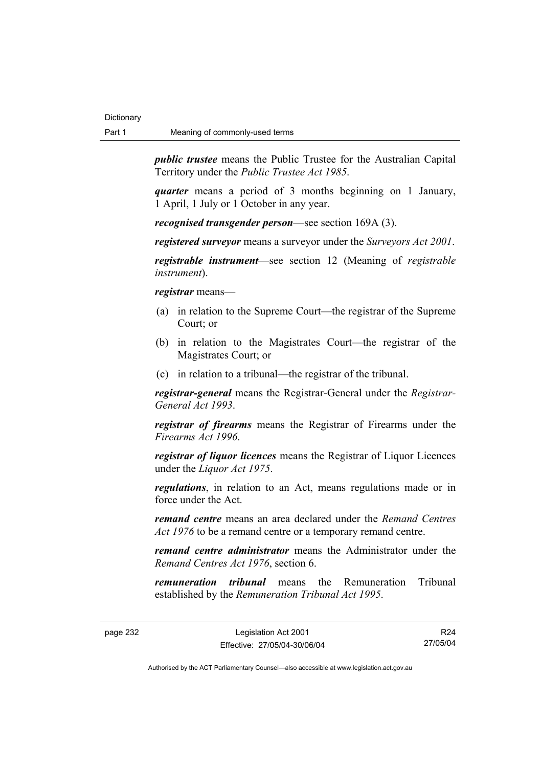*public trustee* means the Public Trustee for the Australian Capital Territory under the *Public Trustee Act 1985*.

*quarter* means a period of 3 months beginning on 1 January, 1 April, 1 July or 1 October in any year.

*recognised transgender person*—see section 169A (3).

*registered surveyor* means a surveyor under the *Surveyors Act 2001*.

*registrable instrument*—see section 12 (Meaning of *registrable instrument*).

*registrar* means—

- (a) in relation to the Supreme Court—the registrar of the Supreme Court; or
- (b) in relation to the Magistrates Court—the registrar of the Magistrates Court; or
- (c) in relation to a tribunal—the registrar of the tribunal.

*registrar-general* means the Registrar-General under the *Registrar-General Act 1993*.

*registrar of firearms* means the Registrar of Firearms under the *Firearms Act 1996*.

*registrar of liquor licences* means the Registrar of Liquor Licences under the *Liquor Act 1975*.

*regulations*, in relation to an Act, means regulations made or in force under the Act.

*remand centre* means an area declared under the *Remand Centres Act 1976* to be a remand centre or a temporary remand centre.

*remand centre administrator* means the Administrator under the *Remand Centres Act 1976*, section 6.

*remuneration tribunal* means the Remuneration Tribunal established by the *Remuneration Tribunal Act 1995*.

page 232 Legislation Act 2001 Effective: 27/05/04-30/06/04

R24 27/05/04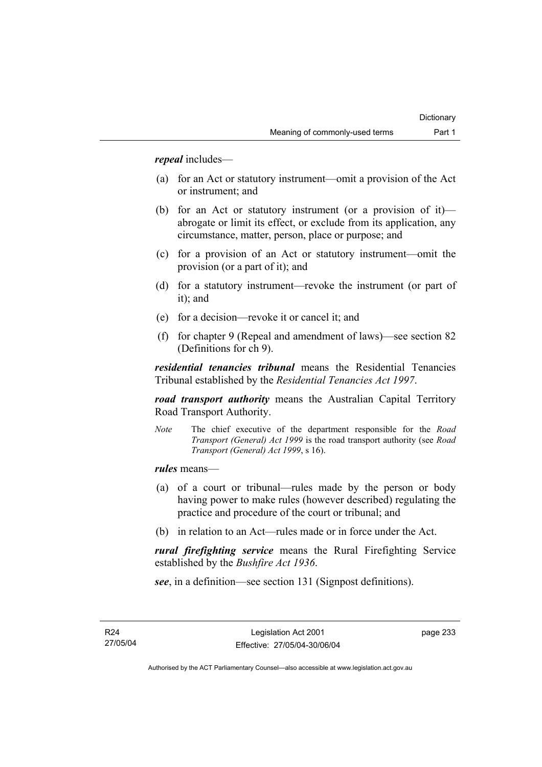*repeal* includes—

- (a) for an Act or statutory instrument—omit a provision of the Act or instrument; and
- (b) for an Act or statutory instrument (or a provision of it) abrogate or limit its effect, or exclude from its application, any circumstance, matter, person, place or purpose; and
- (c) for a provision of an Act or statutory instrument—omit the provision (or a part of it); and
- (d) for a statutory instrument—revoke the instrument (or part of it); and
- (e) for a decision—revoke it or cancel it; and
- (f) for chapter 9 (Repeal and amendment of laws)—see section 82 (Definitions for ch 9).

*residential tenancies tribunal* means the Residential Tenancies Tribunal established by the *Residential Tenancies Act 1997*.

*road transport authority* means the Australian Capital Territory Road Transport Authority.

*Note* The chief executive of the department responsible for the *Road Transport (General) Act 1999* is the road transport authority (see *Road Transport (General) Act 1999*, s 16).

*rules* means—

- (a) of a court or tribunal—rules made by the person or body having power to make rules (however described) regulating the practice and procedure of the court or tribunal; and
- (b) in relation to an Act—rules made or in force under the Act.

*rural firefighting service* means the Rural Firefighting Service established by the *Bushfire Act 1936*.

*see*, in a definition—see section 131 (Signpost definitions).

page 233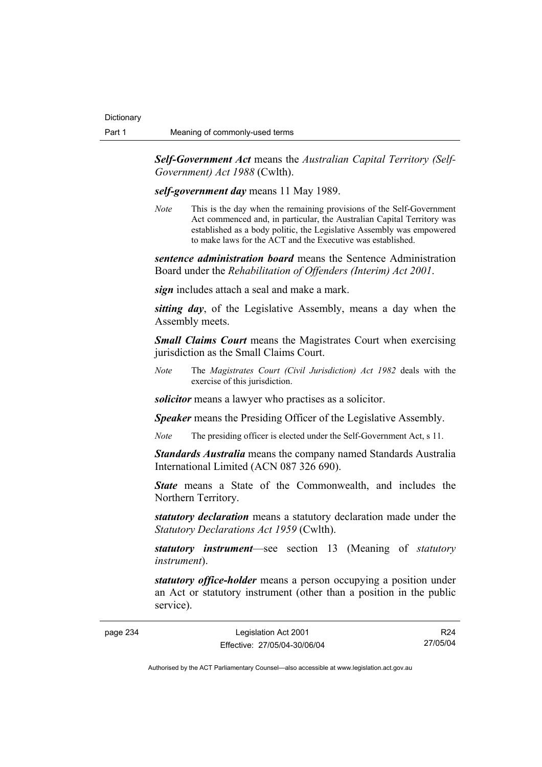*Self-Government Act* means the *Australian Capital Territory (Self-Government) Act 1988* (Cwlth).

*self-government day* means 11 May 1989.

*Note* This is the day when the remaining provisions of the Self-Government Act commenced and, in particular, the Australian Capital Territory was established as a body politic, the Legislative Assembly was empowered to make laws for the ACT and the Executive was established.

*sentence administration board* means the Sentence Administration Board under the *Rehabilitation of Offenders (Interim) Act 2001*.

*sign* includes attach a seal and make a mark.

*sitting day*, of the Legislative Assembly, means a day when the Assembly meets.

*Small Claims Court* means the Magistrates Court when exercising jurisdiction as the Small Claims Court.

*Note* The *Magistrates Court (Civil Jurisdiction) Act 1982* deals with the exercise of this jurisdiction.

*solicitor* means a lawyer who practises as a solicitor.

*Speaker* means the Presiding Officer of the Legislative Assembly.

*Note* The presiding officer is elected under the Self-Government Act, s 11.

*Standards Australia* means the company named Standards Australia International Limited (ACN 087 326 690).

*State* means a State of the Commonwealth, and includes the Northern Territory.

*statutory declaration* means a statutory declaration made under the *Statutory Declarations Act 1959* (Cwlth).

*statutory instrument*—see section 13 (Meaning of *statutory instrument*).

*statutory office-holder* means a person occupying a position under an Act or statutory instrument (other than a position in the public service).

R24 27/05/04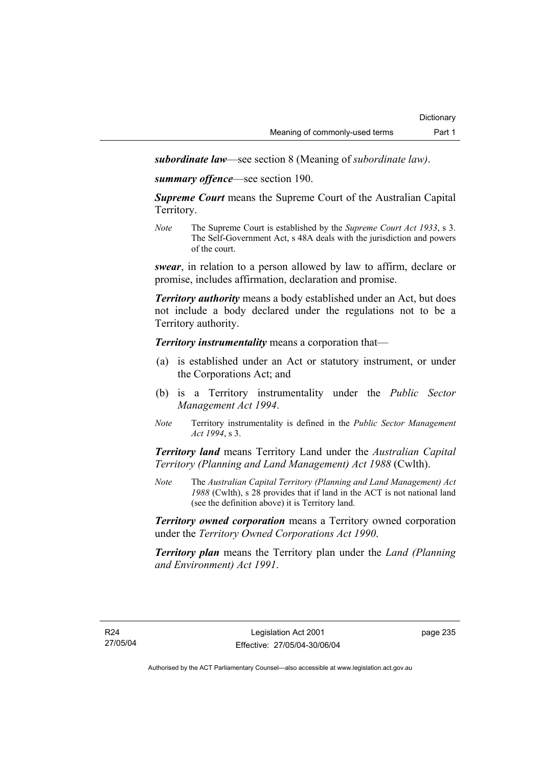*subordinate law*—see section 8 (Meaning of *subordinate law)*.

*summary offence*—see section 190.

*Supreme Court* means the Supreme Court of the Australian Capital Territory.

*Note* The Supreme Court is established by the *Supreme Court Act 1933*, s 3. The Self-Government Act, s 48A deals with the jurisdiction and powers of the court.

*swear*, in relation to a person allowed by law to affirm, declare or promise, includes affirmation, declaration and promise.

*Territory authority* means a body established under an Act, but does not include a body declared under the regulations not to be a Territory authority.

*Territory instrumentality* means a corporation that—

- (a) is established under an Act or statutory instrument, or under the Corporations Act; and
- (b) is a Territory instrumentality under the *Public Sector Management Act 1994*.
- *Note* Territory instrumentality is defined in the *Public Sector Management Act 1994*, s 3.

*Territory land* means Territory Land under the *Australian Capital Territory (Planning and Land Management) Act 1988* (Cwlth).

*Note* The *Australian Capital Territory (Planning and Land Management) Act 1988* (Cwlth), s 28 provides that if land in the ACT is not national land (see the definition above) it is Territory land.

*Territory owned corporation* means a Territory owned corporation under the *Territory Owned Corporations Act 1990*.

*Territory plan* means the Territory plan under the *Land (Planning and Environment) Act 1991*.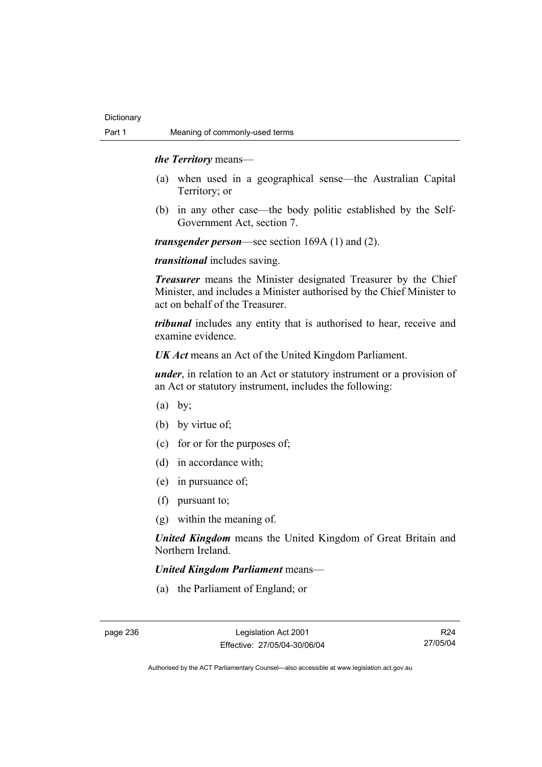### *the Territory* means—

- (a) when used in a geographical sense—the Australian Capital Territory; or
- (b) in any other case—the body politic established by the Self-Government Act, section 7.

*transgender person*—see section 169A (1) and (2).

*transitional* includes saving.

*Treasurer* means the Minister designated Treasurer by the Chief Minister, and includes a Minister authorised by the Chief Minister to act on behalf of the Treasurer.

*tribunal* includes any entity that is authorised to hear, receive and examine evidence.

*UK Act* means an Act of the United Kingdom Parliament.

*under*, in relation to an Act or statutory instrument or a provision of an Act or statutory instrument, includes the following:

- $(a)$  by:
- (b) by virtue of;
- (c) for or for the purposes of;
- (d) in accordance with;
- (e) in pursuance of;
- (f) pursuant to;
- (g) within the meaning of.

*United Kingdom* means the United Kingdom of Great Britain and Northern Ireland.

### *United Kingdom Parliament* means—

(a) the Parliament of England; or

R24 27/05/04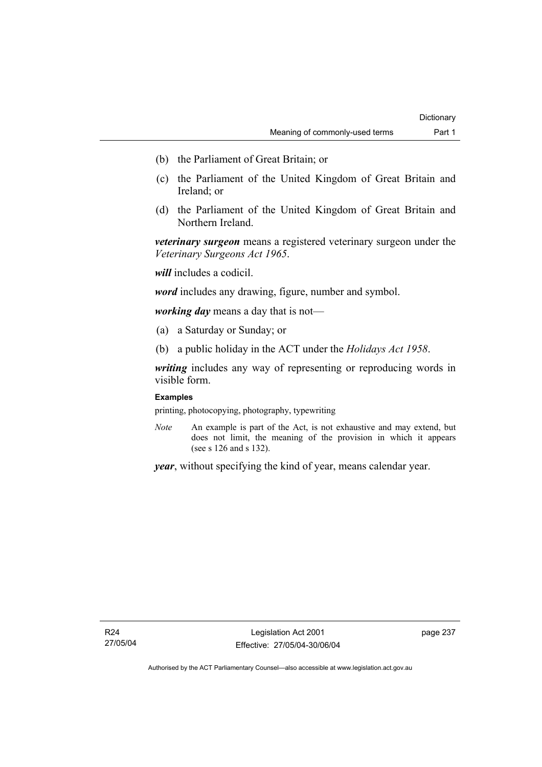- (b) the Parliament of Great Britain; or
- (c) the Parliament of the United Kingdom of Great Britain and Ireland; or
- (d) the Parliament of the United Kingdom of Great Britain and Northern Ireland.

*veterinary surgeon* means a registered veterinary surgeon under the *Veterinary Surgeons Act 1965*.

*will* includes a codicil.

*word* includes any drawing, figure, number and symbol.

*working day* means a day that is not—

- (a) a Saturday or Sunday; or
- (b) a public holiday in the ACT under the *Holidays Act 1958*.

*writing* includes any way of representing or reproducing words in visible form.

### **Examples**

printing, photocopying, photography, typewriting

*Note* An example is part of the Act, is not exhaustive and may extend, but does not limit, the meaning of the provision in which it appears (see s 126 and s 132).

*year*, without specifying the kind of year, means calendar year.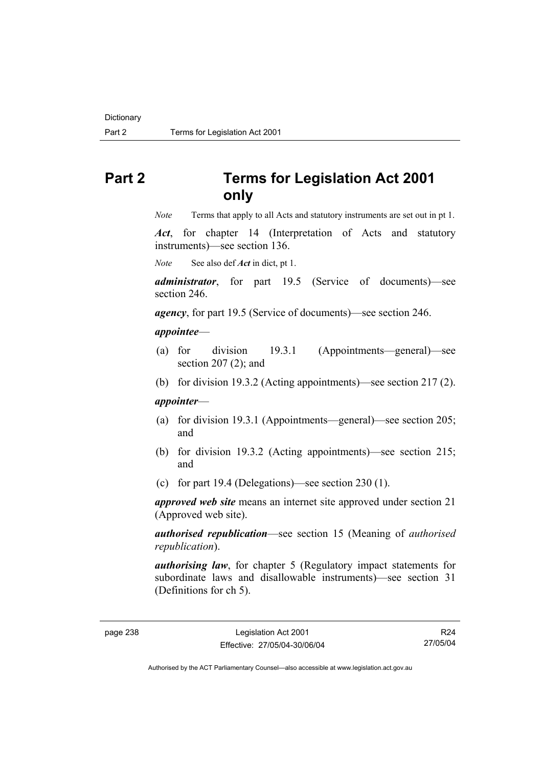# **Part 2 Terms for Legislation Act 2001 only**

*Note* Terms that apply to all Acts and statutory instruments are set out in pt 1.

*Act*, for chapter 14 (Interpretation of Acts and statutory instruments)—see section 136.

*Note* See also def *Act* in dict, pt 1.

*administrator*, for part 19.5 (Service of documents)—see section 246.

*agency*, for part 19.5 (Service of documents)—see section 246.

#### *appointee*—

- (a) for division 19.3.1 (Appointments—general)—see section 207 (2); and
- (b) for division 19.3.2 (Acting appointments)—see section 217 (2).

### *appointer*—

- (a) for division 19.3.1 (Appointments—general)—see section 205; and
- (b) for division 19.3.2 (Acting appointments)—see section 215; and
- (c) for part 19.4 (Delegations)—see section 230 (1).

*approved web site* means an internet site approved under section 21 (Approved web site).

*authorised republication*—see section 15 (Meaning of *authorised republication*).

*authorising law*, for chapter 5 (Regulatory impact statements for subordinate laws and disallowable instruments)—see section 31 (Definitions for ch 5).

R24 27/05/04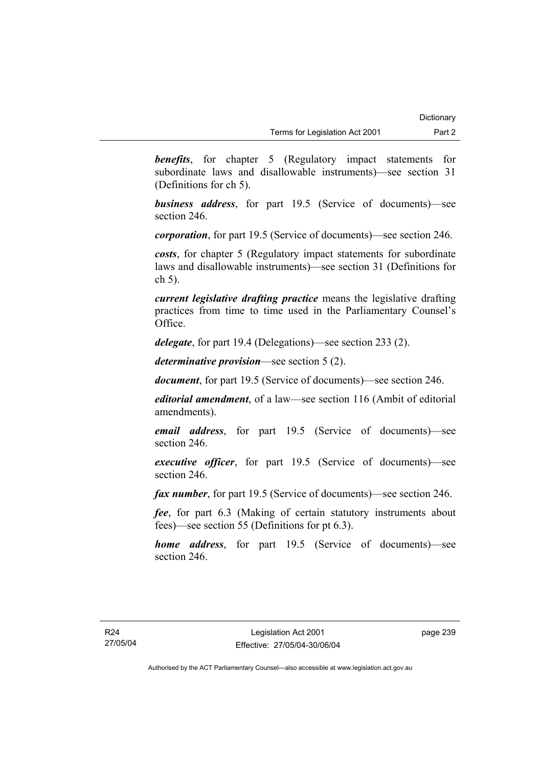**benefits**, for chapter 5 (Regulatory impact statements for subordinate laws and disallowable instruments)—see section 31 (Definitions for ch 5).

*business address*, for part 19.5 (Service of documents)—see section 246.

*corporation*, for part 19.5 (Service of documents)—see section 246.

*costs*, for chapter 5 (Regulatory impact statements for subordinate laws and disallowable instruments)—see section 31 (Definitions for ch 5).

*current legislative drafting practice* means the legislative drafting practices from time to time used in the Parliamentary Counsel's Office.

*delegate*, for part 19.4 (Delegations)—see section 233 (2).

*determinative provision*—see section 5 (2).

*document*, for part 19.5 (Service of documents)—see section 246.

*editorial amendment*, of a law—see section 116 (Ambit of editorial amendments).

*email address*, for part 19.5 (Service of documents)—see section 246.

*executive officer*, for part 19.5 (Service of documents)—see section 246.

*fax number*, for part 19.5 (Service of documents)—see section 246.

*fee*, for part 6.3 (Making of certain statutory instruments about fees)—see section 55 (Definitions for pt 6.3).

*home address*, for part 19.5 (Service of documents)—see section 246.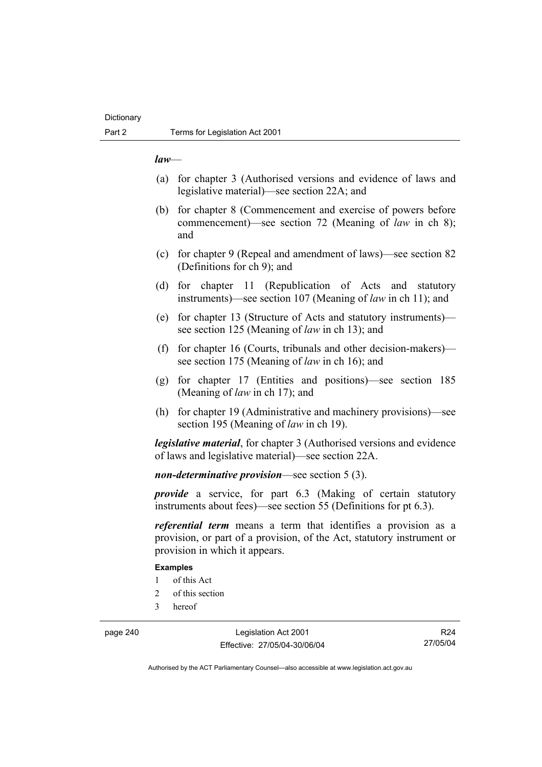#### *law*—

- (a) for chapter 3 (Authorised versions and evidence of laws and legislative material)—see section 22A; and
- (b) for chapter 8 (Commencement and exercise of powers before commencement)—see section 72 (Meaning of *law* in ch 8); and
- (c) for chapter 9 (Repeal and amendment of laws)—see section 82 (Definitions for ch 9); and
- (d) for chapter 11 (Republication of Acts and statutory instruments)—see section 107 (Meaning of *law* in ch 11); and
- (e) for chapter 13 (Structure of Acts and statutory instruments) see section 125 (Meaning of *law* in ch 13); and
- (f) for chapter 16 (Courts, tribunals and other decision-makers) see section 175 (Meaning of *law* in ch 16); and
- (g) for chapter 17 (Entities and positions)—see section 185 (Meaning of *law* in ch 17); and
- (h) for chapter 19 (Administrative and machinery provisions)—see section 195 (Meaning of *law* in ch 19).

*legislative material*, for chapter 3 (Authorised versions and evidence of laws and legislative material)—see section 22A.

*non-determinative provision*—see section 5 (3).

*provide* a service, for part 6.3 (Making of certain statutory instruments about fees)—see section 55 (Definitions for pt 6.3).

*referential term* means a term that identifies a provision as a provision, or part of a provision, of the Act, statutory instrument or provision in which it appears.

#### **Examples**

- 1 of this Act
- 2 of this section
- 3 hereof

page 240 Legislation Act 2001 Effective: 27/05/04-30/06/04

R24 27/05/04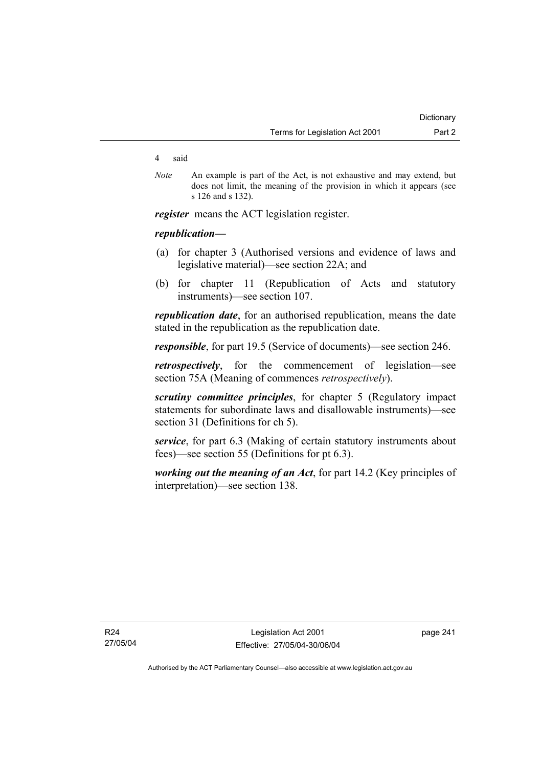#### 4 said

*Note* An example is part of the Act, is not exhaustive and may extend, but does not limit, the meaning of the provision in which it appears (see s 126 and s 132).

*register* means the ACT legislation register.

### *republication—*

- (a) for chapter 3 (Authorised versions and evidence of laws and legislative material)—see section 22A; and
- (b) for chapter 11 (Republication of Acts and statutory instruments)—see section 107.

*republication date*, for an authorised republication, means the date stated in the republication as the republication date.

*responsible*, for part 19.5 (Service of documents)—see section 246.

*retrospectively*, for the commencement of legislation—see section 75A (Meaning of commences *retrospectively*).

*scrutiny committee principles*, for chapter 5 (Regulatory impact statements for subordinate laws and disallowable instruments)—see section 31 (Definitions for ch 5).

*service*, for part 6.3 (Making of certain statutory instruments about fees)—see section 55 (Definitions for pt 6.3).

*working out the meaning of an Act*, for part 14.2 (Key principles of interpretation)—see section 138.

page 241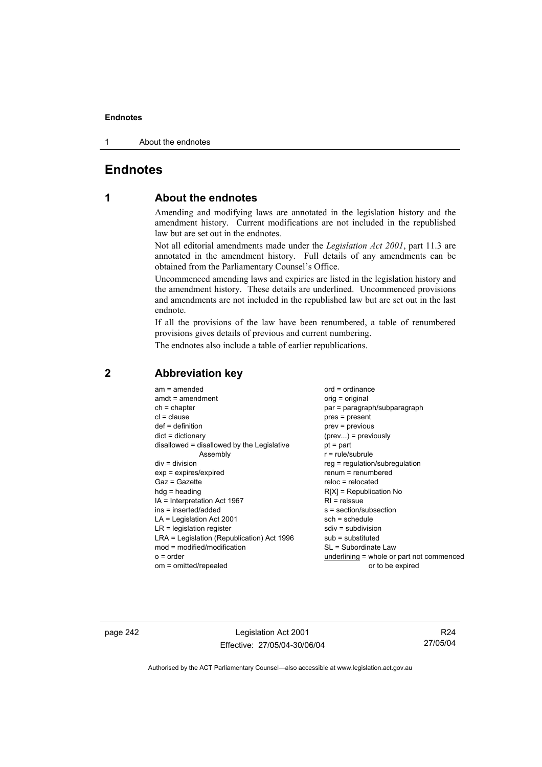1 About the endnotes

# **Endnotes**

# **1 About the endnotes**

Amending and modifying laws are annotated in the legislation history and the amendment history. Current modifications are not included in the republished law but are set out in the endnotes.

Not all editorial amendments made under the *Legislation Act 2001*, part 11.3 are annotated in the amendment history. Full details of any amendments can be obtained from the Parliamentary Counsel's Office.

Uncommenced amending laws and expiries are listed in the legislation history and the amendment history. These details are underlined. Uncommenced provisions and amendments are not included in the republished law but are set out in the last endnote.

If all the provisions of the law have been renumbered, a table of renumbered provisions gives details of previous and current numbering.

The endnotes also include a table of earlier republications.

| $am = amended$<br>$amdt = amendment$<br>$ch = chapter$<br>$cl = clause$<br>$def = definition$<br>$dict = dictionary$<br>disallowed = disallowed by the Legislative<br>Assembly<br>$div = division$<br>$exp = expires/expired$<br>$Gaz = Gazette$<br>$hda =$ heading<br>IA = Interpretation Act 1967<br>ins = inserted/added<br>$LA =$ Legislation Act 2001<br>$LR =$ legislation register<br>LRA = Legislation (Republication) Act 1996<br>mod = modified/modification<br>$o = order$ | $ord = ordinance$<br>orig = original<br>par = paragraph/subparagraph<br>$pres = present$<br>prev = previous<br>$(\text{prev})$ = previously<br>$pt = part$<br>$r = rule/subrule$<br>reg = regulation/subregulation<br>$renum = renumbered$<br>$reloc = relocated$<br>$R[X]$ = Republication No<br>$R1$ = reissue<br>$s = section/subsection$<br>$sch = schedule$<br>$sdiv = subdivision$<br>$sub =$ substituted<br>SL = Subordinate Law<br>underlining = whole or part not commenced |
|---------------------------------------------------------------------------------------------------------------------------------------------------------------------------------------------------------------------------------------------------------------------------------------------------------------------------------------------------------------------------------------------------------------------------------------------------------------------------------------|--------------------------------------------------------------------------------------------------------------------------------------------------------------------------------------------------------------------------------------------------------------------------------------------------------------------------------------------------------------------------------------------------------------------------------------------------------------------------------------|
| om = omitted/repealed                                                                                                                                                                                                                                                                                                                                                                                                                                                                 | or to be expired                                                                                                                                                                                                                                                                                                                                                                                                                                                                     |
|                                                                                                                                                                                                                                                                                                                                                                                                                                                                                       |                                                                                                                                                                                                                                                                                                                                                                                                                                                                                      |

# **2 Abbreviation key**

page 242 Legislation Act 2001 Effective: 27/05/04-30/06/04

R24 27/05/04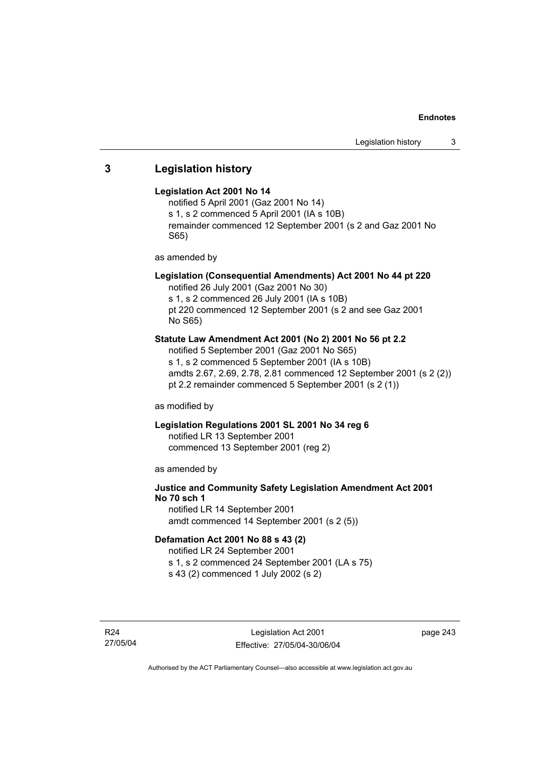# **3 Legislation history**

### **Legislation Act 2001 No 14**

notified 5 April 2001 (Gaz 2001 No 14) s 1, s 2 commenced 5 April 2001 (IA s 10B) remainder commenced 12 September 2001 (s 2 and Gaz 2001 No S65)

as amended by

### **Legislation (Consequential Amendments) Act 2001 No 44 pt 220**

notified 26 July 2001 (Gaz 2001 No 30)

s 1, s 2 commenced 26 July 2001 (IA s 10B)

pt 220 commenced 12 September 2001 (s 2 and see Gaz 2001 No S65)

### **Statute Law Amendment Act 2001 (No 2) 2001 No 56 pt 2.2**

notified 5 September 2001 (Gaz 2001 No S65) s 1, s 2 commenced 5 September 2001 (IA s 10B) amdts 2.67, 2.69, 2.78, 2.81 commenced 12 September 2001 (s 2 (2)) pt 2.2 remainder commenced 5 September 2001 (s 2 (1))

as modified by

### **Legislation Regulations 2001 SL 2001 No 34 reg 6**

notified LR 13 September 2001 commenced 13 September 2001 (reg 2)

as amended by

# **Justice and Community Safety Legislation Amendment Act 2001 No 70 sch 1**

notified LR 14 September 2001 amdt commenced 14 September 2001 (s 2 (5))

### **Defamation Act 2001 No 88 s 43 (2)**

notified LR 24 September 2001 s 1, s 2 commenced 24 September 2001 (LA s 75)

s 43 (2) commenced 1 July 2002 (s 2)

R24 27/05/04 page 243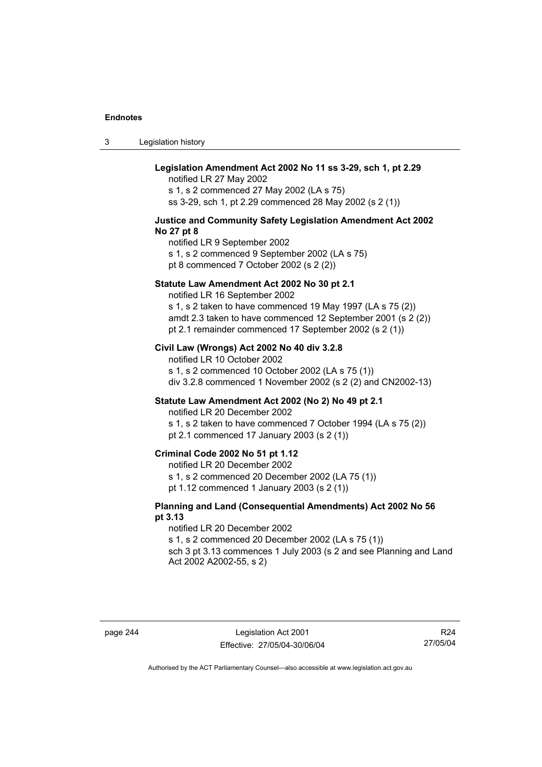3 Legislation history

### **Legislation Amendment Act 2002 No 11 ss 3-29, sch 1, pt 2.29**

notified LR 27 May 2002 s 1, s 2 commenced 27 May 2002 (LA s 75) ss 3-29, sch 1, pt 2.29 commenced 28 May 2002 (s 2 (1))

#### **Justice and Community Safety Legislation Amendment Act 2002 No 27 pt 8**

notified LR 9 September 2002 s 1, s 2 commenced 9 September 2002 (LA s 75) pt 8 commenced 7 October 2002 (s 2 (2))

#### **Statute Law Amendment Act 2002 No 30 pt 2.1**

notified LR 16 September 2002

s 1, s 2 taken to have commenced 19 May 1997 (LA s 75 (2)) amdt 2.3 taken to have commenced 12 September 2001 (s 2 (2)) pt 2.1 remainder commenced 17 September 2002 (s 2 (1))

### **Civil Law (Wrongs) Act 2002 No 40 div 3.2.8**

notified LR 10 October 2002 s 1, s 2 commenced 10 October 2002 (LA s 75 (1)) div 3.2.8 commenced 1 November 2002 (s 2 (2) and CN2002-13)

#### **Statute Law Amendment Act 2002 (No 2) No 49 pt 2.1**

notified LR 20 December 2002

s 1, s 2 taken to have commenced 7 October 1994 (LA s 75 (2)) pt 2.1 commenced 17 January 2003 (s 2 (1))

### **Criminal Code 2002 No 51 pt 1.12**

notified LR 20 December 2002

s 1, s 2 commenced 20 December 2002 (LA 75 (1))

pt 1.12 commenced 1 January 2003 (s 2 (1))

### **Planning and Land (Consequential Amendments) Act 2002 No 56 pt 3.13**

notified LR 20 December 2002

s 1, s 2 commenced 20 December 2002 (LA s 75 (1))

sch 3 pt 3.13 commences 1 July 2003 (s 2 and see Planning and Land Act 2002 A2002-55, s 2)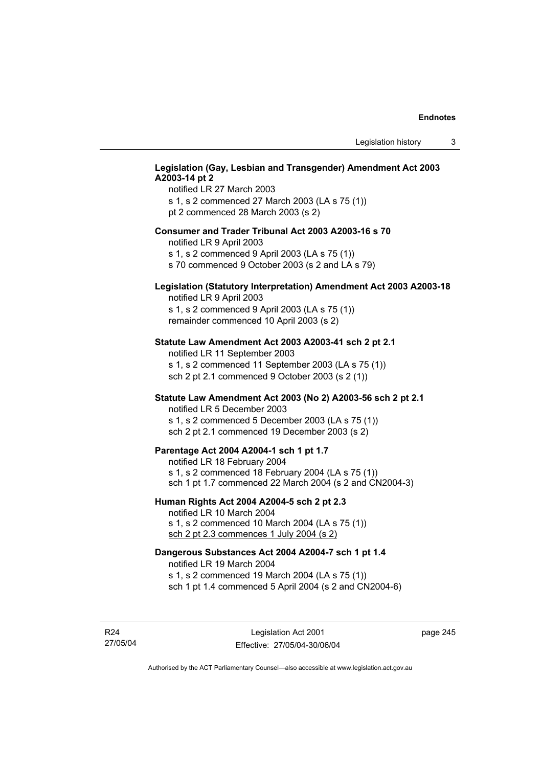### **Legislation (Gay, Lesbian and Transgender) Amendment Act 2003 A2003-14 pt 2**

notified LR 27 March 2003 s 1, s 2 commenced 27 March 2003 (LA s 75 (1)) pt 2 commenced 28 March 2003 (s 2)

### **Consumer and Trader Tribunal Act 2003 A2003-16 s 70**

notified LR 9 April 2003

s 1, s 2 commenced 9 April 2003 (LA s 75 (1))

s 70 commenced 9 October 2003 (s 2 and LA s 79)

### **Legislation (Statutory Interpretation) Amendment Act 2003 A2003-18**

notified LR 9 April 2003 s 1, s 2 commenced 9 April 2003 (LA s 75 (1)) remainder commenced 10 April 2003 (s 2)

#### **Statute Law Amendment Act 2003 A2003-41 sch 2 pt 2.1**

notified LR 11 September 2003 s 1, s 2 commenced 11 September 2003 (LA s 75 (1)) sch 2 pt 2.1 commenced 9 October 2003 (s 2 (1))

### **Statute Law Amendment Act 2003 (No 2) A2003-56 sch 2 pt 2.1**

notified LR 5 December 2003 s 1, s 2 commenced 5 December 2003 (LA s 75 (1)) sch 2 pt 2.1 commenced 19 December 2003 (s 2)

### **Parentage Act 2004 A2004-1 sch 1 pt 1.7**

notified LR 18 February 2004 s 1, s 2 commenced 18 February 2004 (LA s 75 (1)) sch 1 pt 1.7 commenced 22 March 2004 (s 2 and CN2004-3)

#### **Human Rights Act 2004 A2004-5 sch 2 pt 2.3**

notified LR 10 March 2004 s 1, s 2 commenced 10 March 2004 (LA s 75 (1)) sch 2 pt 2.3 commences 1 July 2004 (s 2)

### **Dangerous Substances Act 2004 A2004-7 sch 1 pt 1.4**

notified LR 19 March 2004 s 1, s 2 commenced 19 March 2004 (LA s 75 (1)) sch 1 pt 1.4 commenced 5 April 2004 (s 2 and CN2004-6)

R24 27/05/04 page 245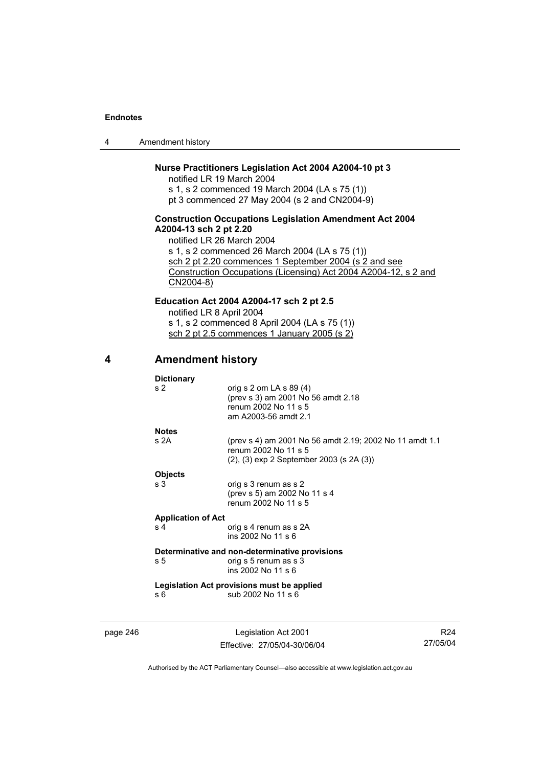4 Amendment history

### **Nurse Practitioners Legislation Act 2004 A2004-10 pt 3**

notified LR 19 March 2004 s 1, s 2 commenced 19 March 2004 (LA s 75 (1)) pt 3 commenced 27 May 2004 (s 2 and CN2004-9)

### **Construction Occupations Legislation Amendment Act 2004 A2004-13 sch 2 pt 2.20**

notified LR 26 March 2004 s 1, s 2 commenced 26 March 2004 (LA s 75 (1)) sch 2 pt 2.20 commences 1 September 2004 (s 2 and see Construction Occupations (Licensing) Act 2004 A2004-12, s 2 and CN2004-8)

**Education Act 2004 A2004-17 sch 2 pt 2.5**  notified LR 8 April 2004 s 1, s 2 commenced 8 April 2004 (LA s 75 (1)) sch 2 pt 2.5 commences 1 January 2005 (s 2)

# **4 Amendment history**

**Dictionary** 

|          | s <sub>2</sub>            | orig s 2 om LA s 89 (4)<br>(prev s 3) am 2001 No 56 amdt 2.18<br>renum 2002 No 11 s 5<br>am A2003-56 amdt 2.1                       |    |
|----------|---------------------------|-------------------------------------------------------------------------------------------------------------------------------------|----|
|          | <b>Notes</b>              |                                                                                                                                     |    |
|          | s 2A                      | (prev s 4) am 2001 No 56 amdt 2.19; 2002 No 11 amdt 1.1<br>renum 2002 No 11 s 5<br>$(2)$ , $(3)$ exp 2 September 2003 (s 2A $(3)$ ) |    |
|          | <b>Objects</b>            |                                                                                                                                     |    |
|          | s 3                       | orig s 3 renum as s 2<br>(prev s 5) am 2002 No 11 s 4<br>renum 2002 No 11 s 5                                                       |    |
|          | <b>Application of Act</b> |                                                                                                                                     |    |
|          | s <sub>4</sub>            | orig s 4 renum as s 2A<br>ins 2002 No 11 s 6                                                                                        |    |
|          |                           | Determinative and non-determinative provisions                                                                                      |    |
|          | s 5                       | orig s 5 renum as s 3<br>ins 2002 No 11 s 6                                                                                         |    |
|          |                           | Legislation Act provisions must be applied                                                                                          |    |
|          | s 6                       | sub 2002 No 11 s 6                                                                                                                  |    |
| page 246 |                           | Legislation Act 2001                                                                                                                | R2 |

Effective: 27/05/04-30/06/04

R24 27/05/04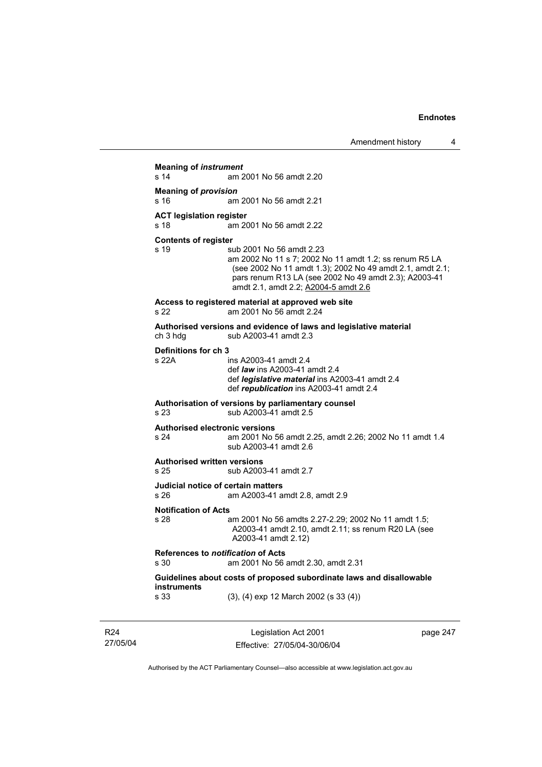```
Meaning of instrument 
s 14 am 2001 No 56 amdt 2.20 
Meaning of provision 
s 16 am 2001 No 56 amdt 2.21 
ACT legislation register 
s 18 am 2001 No 56 amdt 2.22 
Contents of register 
s 19 sub 2001 No 56 amdt 2.23 
                  am 2002 No 11 s 7; 2002 No 11 amdt 1.2; ss renum R5 LA 
                  (see 2002 No 11 amdt 1.3); 2002 No 49 amdt 2.1, amdt 2.1; 
                  pars renum R13 LA (see 2002 No 49 amdt 2.3); A2003-41 
                  amdt 2.1, amdt 2.2; A2004-5 amdt 2.6
Access to registered material at approved web site 
s 22 am 2001 No 56 amdt 2.24 
Authorised versions and evidence of laws and legislative material 
                 sub A2003-41 amdt 2.3
Definitions for ch 3 
s 22A ins A2003-41 amdt 2.4 
                  def law ins A2003-41 amdt 2.4 
                  def legislative material ins A2003-41 amdt 2.4 
                  def republication ins A2003-41 amdt 2.4 
Authorisation of versions by parliamentary counsel 
s 23 sub A2003-41 amdt 2.5 
Authorised electronic versions 
s 24 am 2001 No 56 amdt 2.25, amdt 2.26; 2002 No 11 amdt 1.4 
                  sub A2003-41 amdt 2.6 
Authorised written versions 
s 25 sub A2003-41 amdt 2.7 
Judicial notice of certain matters 
s 26 am A2003-41 amdt 2.8, amdt 2.9 
Notification of Acts 
s 28 am 2001 No 56 amdts 2.27-2.29; 2002 No 11 amdt 1.5; 
                  A2003-41 amdt 2.10, amdt 2.11; ss renum R20 LA (see 
                  A2003-41 amdt 2.12) 
References to notification of Acts 
s 30 am 2001 No 56 amdt 2.30, amdt 2.31 
Guidelines about costs of proposed subordinate laws and disallowable 
instruments 
s 33 (3), (4) exp 12 March 2002 (s 33 (4))
```
R24 27/05/04

Legislation Act 2001 Effective: 27/05/04-30/06/04 page 247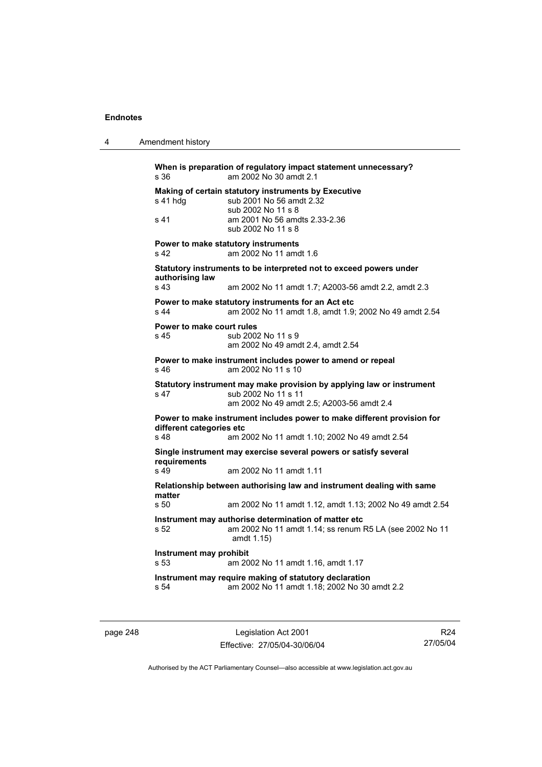4 Amendment history

**When is preparation of regulatory impact statement unnecessary?**  s 36 am 2002 No 30 amdt 2.1 **Making of certain statutory instruments by Executive**  s 41 hdg sub 2001 No 56 amdt 2.32 sub 2002 No 11 s 8 s 41 am 2001 No 56 amdts 2.33-2.36 sub 2002 No 11 s 8 **Power to make statutory instruments**  s 42 am 2002 No 11 amdt 1.6 **Statutory instruments to be interpreted not to exceed powers under authorising law**  s 43 am 2002 No 11 amdt 1.7; A2003-56 amdt 2.2, amdt 2.3 **Power to make statutory instruments for an Act etc**  s 44 am 2002 No 11 amdt 1.8, amdt 1.9; 2002 No 49 amdt 2.54 **Power to make court rules**  s 45 sub 2002 No 11 s 9 am 2002 No 49 amdt 2.4, amdt 2.54 **Power to make instrument includes power to amend or repeal**  s 46 am 2002 No 11 s 10 **Statutory instrument may make provision by applying law or instrument**  s 47 sub 2002 No 11 s 11 am 2002 No 49 amdt 2.5; A2003-56 amdt 2.4 **Power to make instrument includes power to make different provision for different categories etc**  s 48 am 2002 No 11 amdt 1.10; 2002 No 49 amdt 2.54 **Single instrument may exercise several powers or satisfy several requirements**  s 49 am 2002 No 11 amdt 1.11 **Relationship between authorising law and instrument dealing with same matter**  am 2002 No 11 amdt 1.12, amdt 1.13; 2002 No 49 amdt 2.54 **Instrument may authorise determination of matter etc**  s 52 am 2002 No 11 amdt 1.14; ss renum R5 LA (see 2002 No 11 amdt 1.15) **Instrument may prohibit**  s 53 am 2002 No 11 amdt 1.16, amdt 1.17 **Instrument may require making of statutory declaration**  s 54 am 2002 No 11 amdt 1.18; 2002 No 30 amdt 2.2

page 248 Legislation Act 2001 Effective: 27/05/04-30/06/04

R24 27/05/04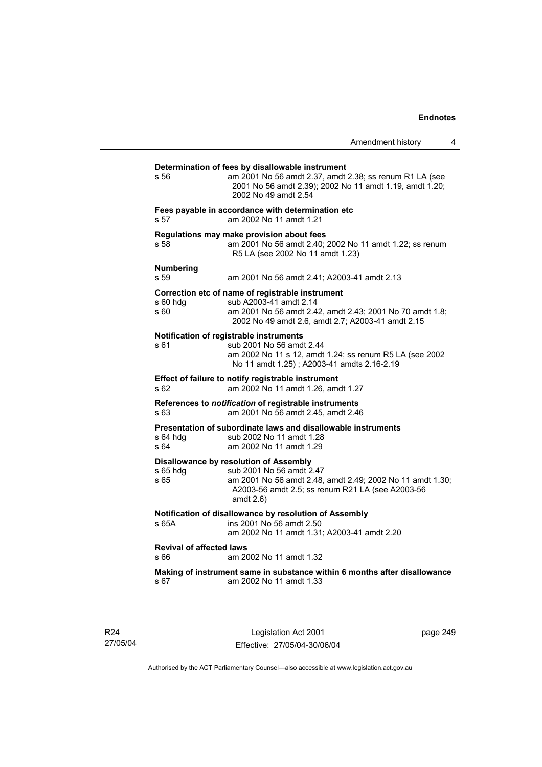| s 56                                    | Determination of fees by disallowable instrument<br>am 2001 No 56 amdt 2.37, amdt 2.38; ss renum R1 LA (see<br>2001 No 56 amdt 2.39); 2002 No 11 amdt 1.19, amdt 1.20;<br>2002 No 49 amdt 2.54      |
|-----------------------------------------|-----------------------------------------------------------------------------------------------------------------------------------------------------------------------------------------------------|
| s <sub>57</sub>                         | Fees payable in accordance with determination etc<br>am 2002 No 11 amdt 1.21                                                                                                                        |
| s 58                                    | Regulations may make provision about fees<br>am 2001 No 56 amdt 2.40; 2002 No 11 amdt 1.22; ss renum<br>R5 LA (see 2002 No 11 amdt 1.23)                                                            |
| <b>Numbering</b><br>s 59                | am 2001 No 56 amdt 2.41; A2003-41 amdt 2.13                                                                                                                                                         |
| s 60 hdg<br>s 60                        | Correction etc of name of registrable instrument<br>sub A2003-41 amdt 2.14<br>am 2001 No 56 amdt 2.42, amdt 2.43; 2001 No 70 amdt 1.8;<br>2002 No 49 amdt 2.6, amdt 2.7; A2003-41 amdt 2.15         |
| s 61                                    | Notification of registrable instruments<br>sub 2001 No 56 amdt 2.44<br>am 2002 No 11 s 12, amdt 1.24; ss renum R5 LA (see 2002<br>No 11 amdt 1.25); A2003-41 amdts 2.16-2.19                        |
| s 62                                    | Effect of failure to notify registrable instrument<br>am 2002 No 11 amdt 1.26, amdt 1.27                                                                                                            |
| s 63                                    | References to notification of registrable instruments<br>am 2001 No 56 amdt 2.45, amdt 2.46                                                                                                         |
| s 64 hdg<br>s 64                        | Presentation of subordinate laws and disallowable instruments<br>sub 2002 No 11 amdt 1.28<br>am 2002 No 11 amdt 1.29                                                                                |
| s 65 hdg<br>s 65                        | Disallowance by resolution of Assembly<br>sub 2001 No 56 amdt 2.47<br>am 2001 No 56 amdt 2.48, amdt 2.49; 2002 No 11 amdt 1.30;<br>A2003-56 amdt 2.5; ss renum R21 LA (see A2003-56<br>amdt $2.6$ ) |
| s 65A                                   | Notification of disallowance by resolution of Assembly<br>ins 2001 No 56 amdt 2.50<br>am 2002 No 11 amdt 1.31; A2003-41 amdt 2.20                                                                   |
| <b>Revival of affected laws</b><br>s 66 | am 2002 No 11 amdt 1.32                                                                                                                                                                             |
|                                         | Making of instrument same in substance within 6 months after disallowance                                                                                                                           |

R24 27/05/04

Legislation Act 2001 Effective: 27/05/04-30/06/04 page 249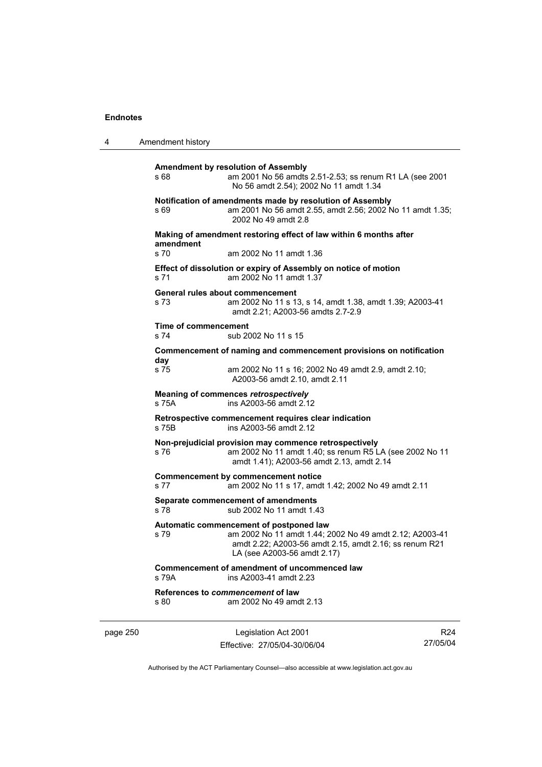| 4        | Amendment history            |                                                                                                                                                                                             |                 |
|----------|------------------------------|---------------------------------------------------------------------------------------------------------------------------------------------------------------------------------------------|-----------------|
|          | s 68                         | Amendment by resolution of Assembly<br>am 2001 No 56 amdts 2.51-2.53; ss renum R1 LA (see 2001<br>No 56 amdt 2.54); 2002 No 11 amdt 1.34                                                    |                 |
|          | s 69                         | Notification of amendments made by resolution of Assembly<br>am 2001 No 56 amdt 2.55, amdt 2.56; 2002 No 11 amdt 1.35;<br>2002 No 49 amdt 2.8                                               |                 |
|          | amendment                    | Making of amendment restoring effect of law within 6 months after                                                                                                                           |                 |
|          | s 70<br>s 71                 | am 2002 No 11 amdt 1.36<br>Effect of dissolution or expiry of Assembly on notice of motion<br>am 2002 No 11 amdt 1.37                                                                       |                 |
|          | s 73                         | General rules about commencement<br>am 2002 No 11 s 13, s 14, amdt 1.38, amdt 1.39; A2003-41<br>amdt 2.21; A2003-56 amdts 2.7-2.9                                                           |                 |
|          | Time of commencement<br>s 74 | sub 2002 No 11 s 15                                                                                                                                                                         |                 |
|          |                              | Commencement of naming and commencement provisions on notification                                                                                                                          |                 |
|          | day<br>s 75                  | am 2002 No 11 s 16; 2002 No 49 amdt 2.9, amdt 2.10;<br>A2003-56 amdt 2.10, amdt 2.11                                                                                                        |                 |
|          | s 75A                        | Meaning of commences retrospectively<br>ins A2003-56 amdt 2.12                                                                                                                              |                 |
|          | s 75B                        | Retrospective commencement requires clear indication<br>ins A2003-56 amdt 2.12                                                                                                              |                 |
|          | s 76                         | Non-prejudicial provision may commence retrospectively<br>am 2002 No 11 amdt 1.40; ss renum R5 LA (see 2002 No 11<br>amdt 1.41); A2003-56 amdt 2.13, amdt 2.14                              |                 |
|          | s 77                         | <b>Commencement by commencement notice</b><br>am 2002 No 11 s 17, amdt 1.42; 2002 No 49 amdt 2.11                                                                                           |                 |
|          | s 78                         | Separate commencement of amendments<br>sub 2002 No 11 amdt 1.43                                                                                                                             |                 |
|          | s 79                         | Automatic commencement of postponed law<br>am 2002 No 11 amdt 1.44; 2002 No 49 amdt 2.12; A2003-41<br>amdt 2.22; A2003-56 amdt 2.15, amdt 2.16; ss renum R21<br>LA (see A2003-56 amdt 2.17) |                 |
|          | s 79A                        | Commencement of amendment of uncommenced law<br>ins A2003-41 amdt 2.23                                                                                                                      |                 |
|          | s 80                         | References to commencement of law<br>am 2002 No 49 amdt 2.13                                                                                                                                |                 |
| page 250 |                              | Legislation Act 2001                                                                                                                                                                        | R <sub>24</sub> |

Authorised by the ACT Parliamentary Counsel—also accessible at www.legislation.act.gov.au

27/05/04

Effective: 27/05/04-30/06/04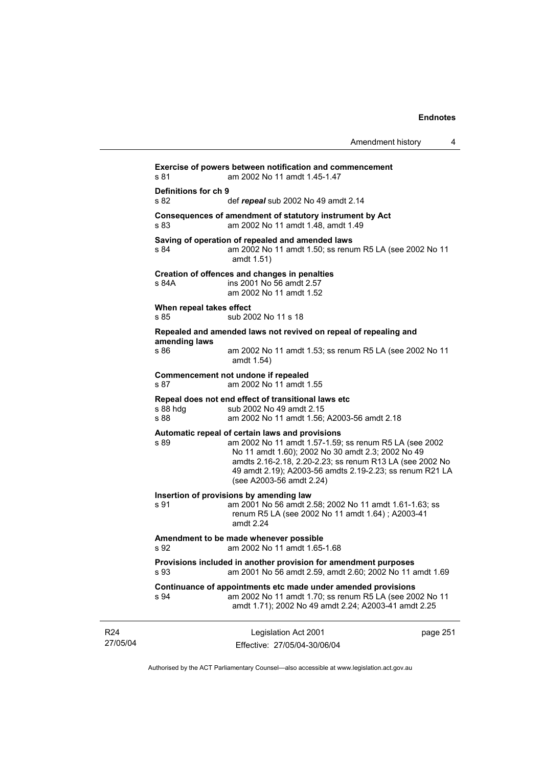|                                  |                                                                                                                                                                                                                                                                                                                    | Amendment history | 4        |
|----------------------------------|--------------------------------------------------------------------------------------------------------------------------------------------------------------------------------------------------------------------------------------------------------------------------------------------------------------------|-------------------|----------|
| s 81                             | Exercise of powers between notification and commencement<br>am 2002 No 11 amdt 1.45-1.47                                                                                                                                                                                                                           |                   |          |
| Definitions for ch 9<br>s 82     | def repeal sub 2002 No 49 amdt 2.14                                                                                                                                                                                                                                                                                |                   |          |
| s 83                             | Consequences of amendment of statutory instrument by Act<br>am 2002 No 11 amdt 1.48, amdt 1.49                                                                                                                                                                                                                     |                   |          |
| s 84                             | Saving of operation of repealed and amended laws<br>am 2002 No 11 amdt 1.50; ss renum R5 LA (see 2002 No 11<br>amdt 1.51)                                                                                                                                                                                          |                   |          |
| s 84A                            | Creation of offences and changes in penalties<br>ins 2001 No 56 amdt 2.57<br>am 2002 No 11 amdt 1.52                                                                                                                                                                                                               |                   |          |
| When repeal takes effect<br>s 85 | sub 2002 No 11 s 18                                                                                                                                                                                                                                                                                                |                   |          |
|                                  | Repealed and amended laws not revived on repeal of repealing and                                                                                                                                                                                                                                                   |                   |          |
| amending laws<br>s 86            | am 2002 No 11 amdt 1.53; ss renum R5 LA (see 2002 No 11<br>amdt 1.54)                                                                                                                                                                                                                                              |                   |          |
| s 87                             | Commencement not undone if repealed<br>am 2002 No 11 amdt 1.55                                                                                                                                                                                                                                                     |                   |          |
| s 88 hdg<br>s 88                 | Repeal does not end effect of transitional laws etc<br>sub 2002 No 49 amdt 2.15<br>am 2002 No 11 amdt 1.56; A2003-56 amdt 2.18                                                                                                                                                                                     |                   |          |
| s 89                             | Automatic repeal of certain laws and provisions<br>am 2002 No 11 amdt 1.57-1.59; ss renum R5 LA (see 2002<br>No 11 amdt 1.60); 2002 No 30 amdt 2.3; 2002 No 49<br>amdts 2.16-2.18, 2.20-2.23; ss renum R13 LA (see 2002 No<br>49 amdt 2.19); A2003-56 amdts 2.19-2.23; ss renum R21 LA<br>(see A2003-56 amdt 2.24) |                   |          |
| s 91                             | Insertion of provisions by amending law<br>am 2001 No 56 amdt 2.58; 2002 No 11 amdt 1.61-1.63; ss<br>renum R5 LA (see 2002 No 11 amdt 1.64); A2003-41<br>amdt 2.24                                                                                                                                                 |                   |          |
| s 92                             | Amendment to be made whenever possible<br>am 2002 No 11 amdt 1.65-1.68                                                                                                                                                                                                                                             |                   |          |
| s 93                             | Provisions included in another provision for amendment purposes<br>am 2001 No 56 amdt 2.59, amdt 2.60; 2002 No 11 amdt 1.69                                                                                                                                                                                        |                   |          |
| s 94                             | Continuance of appointments etc made under amended provisions<br>am 2002 No 11 amdt 1.70; ss renum R5 LA (see 2002 No 11<br>amdt 1.71); 2002 No 49 amdt 2.24; A2003-41 amdt 2.25                                                                                                                                   |                   |          |
|                                  | Legislation Act 2001                                                                                                                                                                                                                                                                                               |                   | page 251 |

R24 27/05/04

Effective: 27/05/04-30/06/04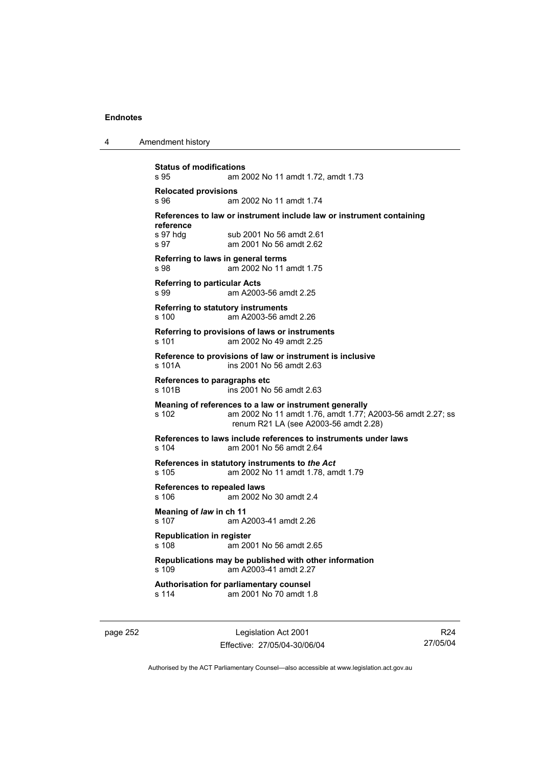| 4 | Amendment history |
|---|-------------------|
|---|-------------------|

```
Status of modifications 
s 95 am 2002 No 11 amdt 1.72, amdt 1.73 
Relocated provisions 
s 96 am 2002 No 11 amdt 1.74 
References to law or instrument include law or instrument containing 
reference 
s 97 hdg sub 2001 No 56 amdt 2.61
s 97 am 2001 No 56 amdt 2.62 
Referring to laws in general terms 
s 98 am 2002 No 11 amdt 1.75 
Referring to particular Acts 
s 99 am A2003-56 amdt 2.25 
Referring to statutory instruments
s 100 am A2003-56 amdt 2.26 
Referring to provisions of laws or instruments 
s 101 am 2002 No 49 amdt 2.25 
Reference to provisions of law or instrument is inclusive 
s 101A ins 2001 No 56 amdt 2.63 
References to paragraphs etc 
s 101B ins 2001 No 56 amdt 2.63 
Meaning of references to a law or instrument generally 
s 102 am 2002 No 11 amdt 1.76, amdt 1.77; A2003-56 amdt 2.27; ss 
                 renum R21 LA (see A2003-56 amdt 2.28) 
References to laws include references to instruments under laws 
s 104 am 2001 No 56 amdt 2.64 
References in statutory instruments to the Act
s 105 am 2002 No 11 amdt 1.78, amdt 1.79 
References to repealed laws 
s 106 am 2002 No 30 amdt 2.4 
Meaning of law in ch 11 
s 107 am A2003-41 amdt 2.26 
Republication in register 
s 108 am 2001 No 56 amdt 2.65 
Republications may be published with other information 
s 109 am A2003-41 amdt 2.27 
Authorisation for parliamentary counsel 
                am 2001 No 70 amdt 1.8
```
page 252 **Legislation Act 2001** Effective: 27/05/04-30/06/04

R24 27/05/04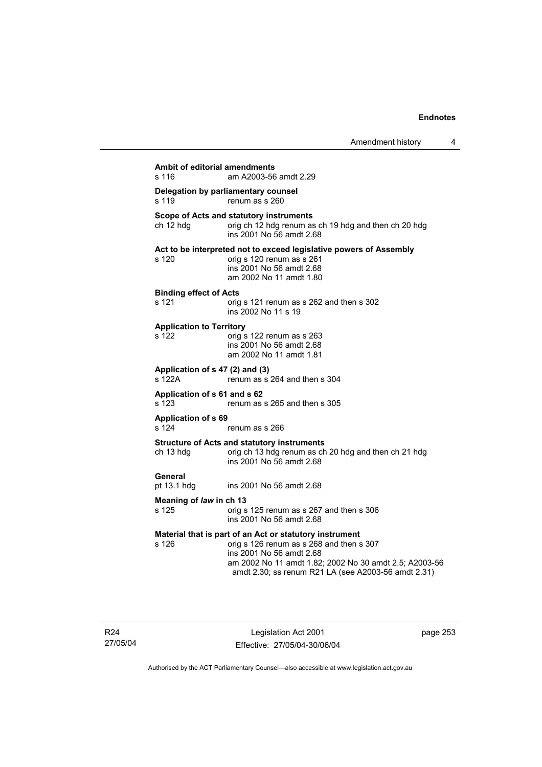| <b>Ambit of editorial amendments</b><br>s 116 | am A2003-56 amdt 2.29                                                                                                                                                                                                                            |
|-----------------------------------------------|--------------------------------------------------------------------------------------------------------------------------------------------------------------------------------------------------------------------------------------------------|
| s 119                                         | Delegation by parliamentary counsel<br>renum as s 260                                                                                                                                                                                            |
| ch 12 hdg                                     | Scope of Acts and statutory instruments<br>orig ch 12 hdg renum as ch 19 hdg and then ch 20 hdg<br>ins 2001 No 56 amdt 2.68                                                                                                                      |
| s 120                                         | Act to be interpreted not to exceed legislative powers of Assembly<br>orig s 120 renum as s 261<br>ins 2001 No 56 amdt 2.68<br>am 2002 No 11 amdt 1.80                                                                                           |
| <b>Binding effect of Acts</b><br>s 121        | orig s 121 renum as s 262 and then s 302<br>ins 2002 No 11 s 19                                                                                                                                                                                  |
| <b>Application to Territory</b><br>s 122      | orig s 122 renum as s 263<br>ins 2001 No 56 amdt 2.68<br>am 2002 No 11 amdt 1.81                                                                                                                                                                 |
| Application of s 47 (2) and (3)<br>s 122A     | renum as s 264 and then s 304                                                                                                                                                                                                                    |
| Application of s 61 and s 62<br>s 123         | renum as s 265 and then s 305                                                                                                                                                                                                                    |
| <b>Application of s 69</b><br>s 124           | renum as s 266                                                                                                                                                                                                                                   |
| ch 13 hdg                                     | <b>Structure of Acts and statutory instruments</b><br>orig ch 13 hdg renum as ch 20 hdg and then ch 21 hdg<br>ins 2001 No 56 amdt 2.68                                                                                                           |
| General<br>pt 13.1 hdg                        | ins 2001 No 56 amdt 2.68                                                                                                                                                                                                                         |
| Meaning of law in ch 13<br>s 125              | orig s 125 renum as s 267 and then s 306<br>ins 2001 No 56 amdt 2.68                                                                                                                                                                             |
| s 126                                         | Material that is part of an Act or statutory instrument<br>orig s 126 renum as s 268 and then s 307<br>ins 2001 No 56 amdt 2.68<br>am 2002 No 11 amdt 1.82; 2002 No 30 amdt 2.5; A2003-56<br>amdt 2.30; ss renum R21 LA (see A2003-56 amdt 2.31) |

R24 27/05/04

Legislation Act 2001 Effective: 27/05/04-30/06/04 page 253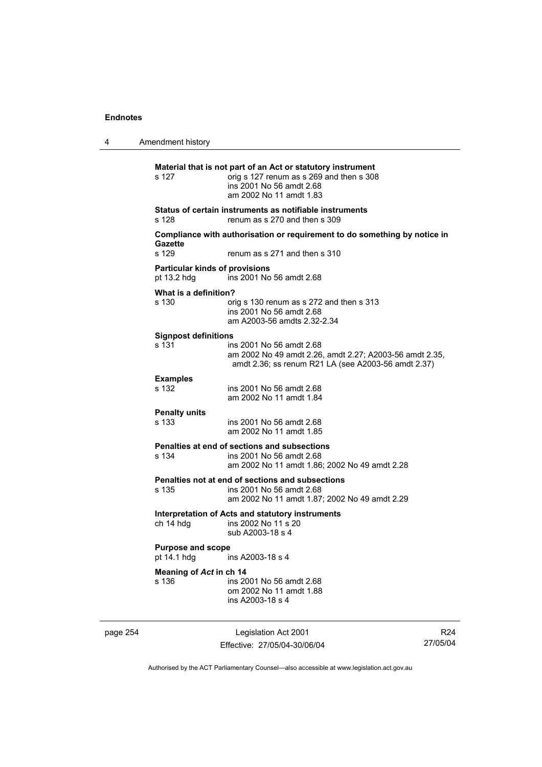4 Amendment history

**Material that is not part of an Act or statutory instrument**  s 127 orig s 127 renum as s 269 and then s 308 ins 2001 No 56 amdt 2.68 am 2002 No 11 amdt 1.83 **Status of certain instruments as notifiable instruments**  s 128 renum as s 270 and then s 309 **Compliance with authorisation or requirement to do something by notice in**  Gazette<br>s 129 renum as s 271 and then s 310 **Particular kinds of provisions**  pt 13.2 hdg ins 2001 No 56 amdt 2.68 **What is a definition?**  s 130 orig s 130 renum as s 272 and then s 313 ins 2001 No 56 amdt 2.68 am A2003-56 amdts 2.32-2.34 **Signpost definitions**  ins 2001 No 56 amdt 2.68 am 2002 No 49 amdt 2.26, amdt 2.27; A2003-56 amdt 2.35, amdt 2.36; ss renum R21 LA (see A2003-56 amdt 2.37) **Examples**  s 132 ins 2001 No 56 amdt 2.68 am 2002 No 11 amdt 1.84 **Penalty units**  s 133 ins 2001 No 56 amdt 2.68 am 2002 No 11 amdt 1.85 **Penalties at end of sections and subsections**  ins 2001 No 56 amdt 2.68 am 2002 No 11 amdt 1.86; 2002 No 49 amdt 2.28 **Penalties not at end of sections and subsections**  s 135 ins 2001 No 56 amdt 2.68 am 2002 No 11 amdt 1.87; 2002 No 49 amdt 2.29 **Interpretation of Acts and statutory instruments**  ch 14 hdg ins 2002 No 11 s 20 sub A2003-18 s 4 **Purpose and scope**  pt 14.1 hdg ins A2003-18 s 4 **Meaning of** *Act* **in ch 14**  s 136 ins 2001 No 56 amdt 2.68 om 2002 No 11 amdt 1.88 ins A2003-18 s 4

page 254 Legislation Act 2001 Effective: 27/05/04-30/06/04

R24 27/05/04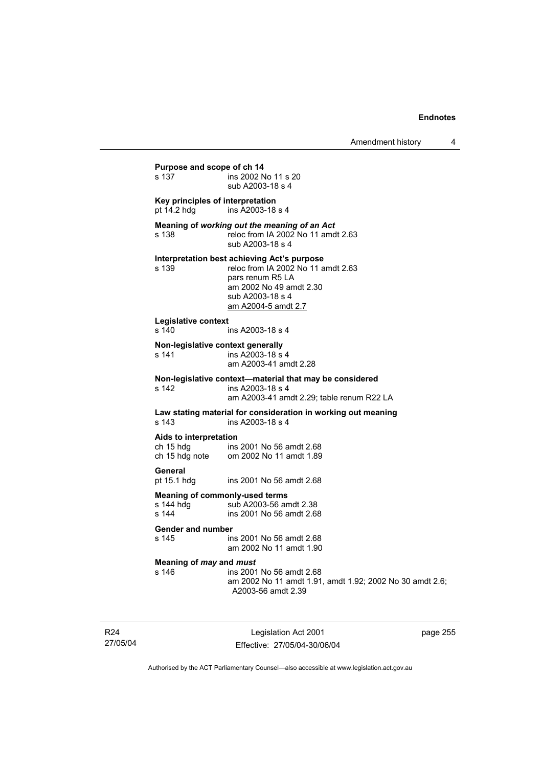# **Purpose and scope of ch 14**<br>s 137 **ins 2002** N ins 2002 No 11 s 20 sub A2003-18 s 4 **Key principles of interpretation**  pt 14.2 hdg ins A2003-18 s 4 **Meaning of** *working out the meaning of an Act* s 138 reloc from IA 2002 No 11 amdt 2.63 sub A2003-18 s 4 **Interpretation best achieving Act's purpose**  s 139 reloc from IA 2002 No 11 amdt 2.63 pars renum R5 LA am 2002 No 49 amdt 2.30 sub A2003-18 s 4 am A2004-5 amdt 2.7 **Legislative context**  ins A2003-18 s 4 **Non-legislative context generally**  s 141 ins A2003-18 s 4 am A2003-41 amdt 2.28 **Non-legislative context—material that may be considered**  s 142 ins A2003-18 s 4 am A2003-41 amdt 2.29; table renum R22 LA **Law stating material for consideration in working out meaning**  s 143 ins A2003-18 s 4 **Aids to interpretation**  ch 15 hdg ins 2001 No 56 amdt 2.68<br>ch 15 hdg note om 2002 No 11 amdt 1.89 om 2002 No 11 amdt 1.89 **General**  pt 15.1 hdg ins 2001 No 56 amdt 2.68 **Meaning of commonly-used terms**<br>s 144 hdg sub A2003-56 an s 144 hdg sub A2003-56 amdt 2.38<br>s 144 s ins 2001 No 56 amdt 2.68 ins 2001 No 56 amdt 2.68 **Gender and number**  ins 2001 No 56 amdt 2.68 am 2002 No 11 amdt 1.90 **Meaning of** *may* **and** *must* s 146 ins 2001 No 56 amdt 2.68 am 2002 No 11 amdt 1.91, amdt 1.92; 2002 No 30 amdt 2.6; A2003-56 amdt 2.39

R24 27/05/04

Legislation Act 2001 Effective: 27/05/04-30/06/04 page 255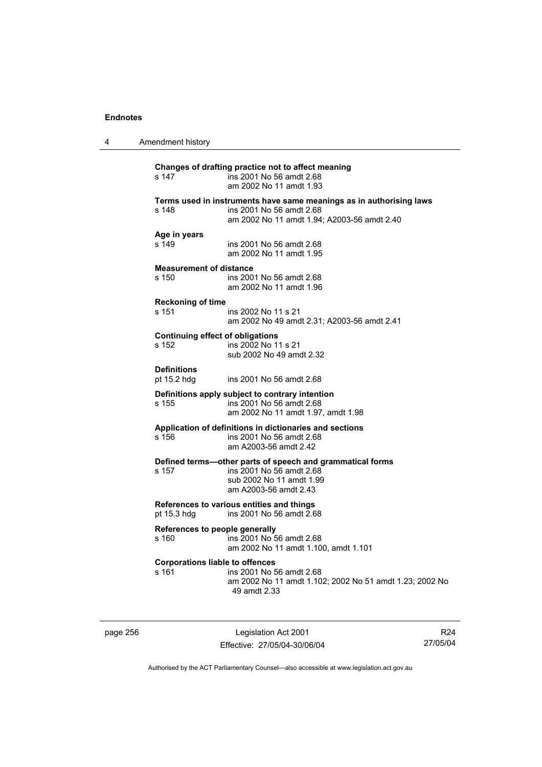| 4 | Amendment history                                |                                                                                                                                                |
|---|--------------------------------------------------|------------------------------------------------------------------------------------------------------------------------------------------------|
|   | s 147                                            | Changes of drafting practice not to affect meaning<br>ins 2001 No 56 amdt 2.68<br>am 2002 No 11 amdt 1.93                                      |
|   | s 148                                            | Terms used in instruments have same meanings as in authorising laws<br>ins 2001 No 56 amdt 2.68<br>am 2002 No 11 amdt 1.94; A2003-56 amdt 2.40 |
|   | Age in years<br>s 149                            | ins 2001 No 56 amdt 2.68<br>am 2002 No 11 amdt 1.95                                                                                            |
|   | <b>Measurement of distance</b><br>s 150          | ins 2001 No 56 amdt 2.68<br>am 2002 No 11 amdt 1.96                                                                                            |
|   | <b>Reckoning of time</b><br>s 151                | ins 2002 No 11 s 21<br>am 2002 No 49 amdt 2.31; A2003-56 amdt 2.41                                                                             |
|   | <b>Continuing effect of obligations</b><br>s 152 | ins 2002 No 11 s 21<br>sub 2002 No 49 amdt 2.32                                                                                                |
|   | <b>Definitions</b><br>pt 15.2 hdg                | ins 2001 No 56 amdt 2.68                                                                                                                       |
|   | s 155                                            | Definitions apply subject to contrary intention<br>ins 2001 No 56 amdt 2.68<br>am 2002 No 11 amdt 1.97, amdt 1.98                              |
|   | s 156                                            | Application of definitions in dictionaries and sections<br>ins 2001 No 56 amdt 2.68<br>am A2003-56 amdt 2.42                                   |
|   | s 157                                            | Defined terms-other parts of speech and grammatical forms<br>ins 2001 No 56 amdt 2.68<br>sub 2002 No 11 amdt 1.99<br>am A2003-56 amdt 2.43     |
|   | pt 15.3 hdg                                      | References to various entities and things<br>ins 2001 No 56 amdt 2.68                                                                          |
|   | References to people generally<br>s 160          | ins 2001 No 56 amdt 2.68<br>am 2002 No 11 amdt 1.100, amdt 1.101                                                                               |
|   | <b>Corporations liable to offences</b><br>s 161  | ins 2001 No 56 amdt 2.68<br>am 2002 No 11 amdt 1.102; 2002 No 51 amdt 1.23; 2002 No<br>49 amdt 2.33                                            |

page 256 Legislation Act 2001 Effective: 27/05/04-30/06/04

R24 27/05/04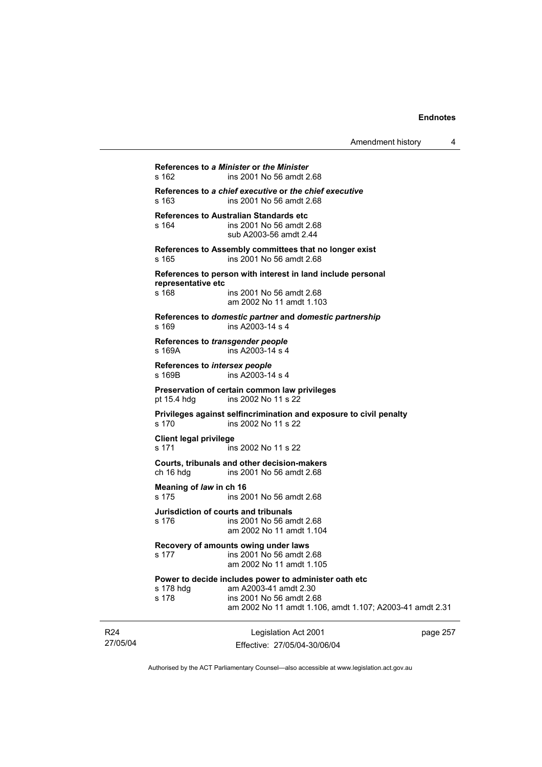| Amendment history |  |
|-------------------|--|
|-------------------|--|

**References to** *a Minister* **or** *the Minister* s 162 ins 2001 No 56 amdt 2.68 **References to** *a chief executive* **or** *the chief executive* s 163 ins 2001 No 56 amdt 2.68 **References to Australian Standards etc**  s 164 ins 2001 No 56 amdt 2.68 sub A2003-56 amdt 2.44 **References to Assembly committees that no longer exist**  s 165 ins 2001 No 56 amdt 2.68 **References to person with interest in land include personal representative etc**  ins 2001 No 56 amdt 2.68 am 2002 No 11 amdt 1.103 **References to** *domestic partner* **and** *domestic partnership*  s 169 ins A2003-14 s 4 **References to** *transgender people*  s 169A **ins A2003-14** s 4 **References to** *intersex people*  s 169B ins A2003-14 s 4 **Preservation of certain common law privileges**  pt 15.4 hdg ins 2002 No 11 s 22 **Privileges against selfincrimination and exposure to civil penalty**  s 170 ins 2002 No 11 s 22 **Client legal privilege**  s 171 ins 2002 No 11 s 22 **Courts, tribunals and other decision-makers**  ch 16 hdg ins 2001 No 56 amdt 2.68 **Meaning of** *law* **in ch 16**  s 175 ins 2001 No 56 amdt 2.68 **Jurisdiction of courts and tribunals**  s 176 ins 2001 No 56 amdt 2.68 am 2002 No 11 amdt 1.104 **Recovery of amounts owing under laws**  s 177 ins 2001 No 56 amdt 2.68 am 2002 No 11 amdt 1.105 **Power to decide includes power to administer oath etc**  s 178 hdg am A2003-41 amdt 2.30 s 178 ins 2001 No 56 amdt 2.68 am 2002 No 11 amdt 1.106, amdt 1.107; A2003-41 amdt 2.31

27/05/04 Legislation Act 2001 Effective: 27/05/04-30/06/04

R24

page 257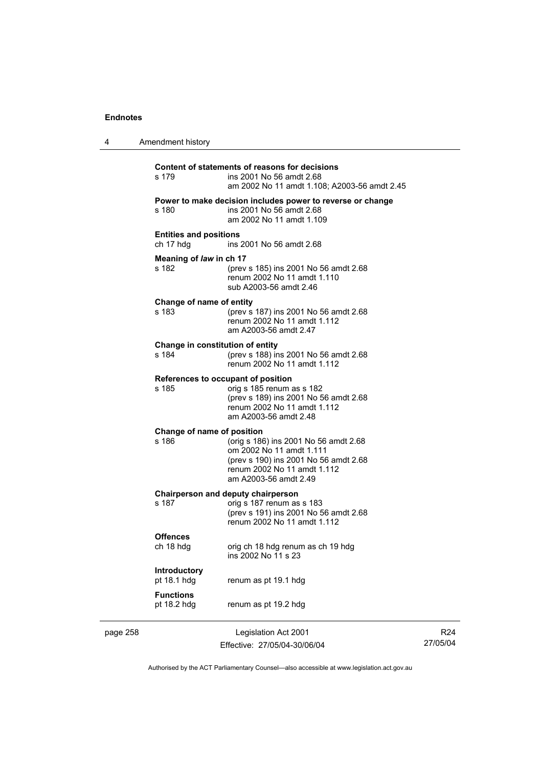| 4        | Amendment history                           |                                                                                                                                                                    |
|----------|---------------------------------------------|--------------------------------------------------------------------------------------------------------------------------------------------------------------------|
|          | s 179                                       | Content of statements of reasons for decisions<br>ins 2001 No 56 amdt 2.68<br>am 2002 No 11 amdt 1.108; A2003-56 amdt 2.45                                         |
|          | s 180                                       | Power to make decision includes power to reverse or change<br>ins 2001 No 56 amdt 2.68<br>am 2002 No 11 amdt 1.109                                                 |
|          | <b>Entities and positions</b><br>ch 17 hdg  | ins 2001 No 56 amdt 2.68                                                                                                                                           |
|          | Meaning of law in ch 17<br>s 182            | (prev s 185) ins 2001 No 56 amdt 2.68<br>renum 2002 No 11 amdt 1.110<br>sub A2003-56 amdt 2.46                                                                     |
|          | Change of name of entity<br>s 183           | (prev s 187) ins 2001 No 56 amdt 2.68<br>renum 2002 No 11 amdt 1.112<br>am A2003-56 amdt 2.47                                                                      |
|          | Change in constitution of entity<br>s 184   | (prev s 188) ins 2001 No 56 amdt 2.68<br>renum 2002 No 11 amdt 1.112                                                                                               |
|          | References to occupant of position<br>s 185 | orig s 185 renum as s 182<br>(prev s 189) ins 2001 No 56 amdt 2.68<br>renum 2002 No 11 amdt 1.112<br>am A2003-56 amdt 2.48                                         |
|          | Change of name of position<br>s 186         | (orig s 186) ins 2001 No 56 amdt 2.68<br>om 2002 No 11 amdt 1.111<br>(prev s 190) ins 2001 No 56 amdt 2.68<br>renum 2002 No 11 amdt 1.112<br>am A2003-56 amdt 2.49 |
|          | s 187                                       | Chairperson and deputy chairperson<br>orig s 187 renum as s 183<br>(prev s 191) ins 2001 No 56 amdt 2.68<br>renum 2002 No 11 amdt 1.112                            |
|          | <b>Offences</b><br>ch 18 hdg                | orig ch 18 hdg renum as ch 19 hdg<br>ins 2002 No 11 s 23                                                                                                           |
|          | Introductory<br>pt 18.1 hdg                 | renum as pt 19.1 hdg                                                                                                                                               |
|          | <b>Functions</b><br>pt 18.2 hdg             | renum as pt 19.2 hdg                                                                                                                                               |
| page 258 |                                             | Legislation Act 2001                                                                                                                                               |

Effective: 27/05/04-30/06/04

R24 27/05/04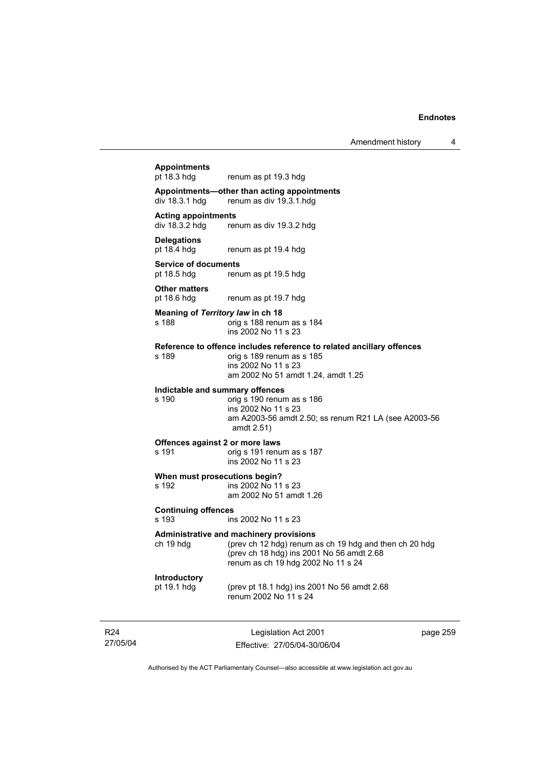# Legislation Act 2001 **Appointments**  renum as pt 19.3 hdg **Appointments—other than acting appointments**  renum as div 19.3.1 hdg **Acting appointments**  renum as div 19.3.2 hdg **Delegations**  pt 18.4 hdg renum as pt 19.4 hdg **Service of documents**<br>pt 18.5 hdg renu renum as pt 19.5 hdg **Other matters**  pt 18.6 hdg renum as pt 19.7 hdg **Meaning of** *Territory law* **in ch 18**  s 188 orig s 188 renum as s 184 ins 2002 No 11 s 23 **Reference to offence includes reference to related ancillary offences**  s 189 orig s 189 renum as s 185 ins 2002 No 11 s 23 am 2002 No 51 amdt 1.24, amdt 1.25 **Indictable and summary offences**  s 190 orig s 190 renum as s 186 ins 2002 No 11 s 23 am A2003-56 amdt 2.50; ss renum R21 LA (see A2003-56 amdt 2.51) **Offences against 2 or more laws**  s 191 orig s 191 renum as s 187 ins 2002 No 11 s 23 **When must prosecutions begin?**  s 192 ins 2002 No 11 s 23 am 2002 No 51 amdt 1.26 **Continuing offences**  s 193 ins 2002 No 11 s 23 **Administrative and machinery provisions**  ch 19 hdg (prev ch 12 hdg) renum as ch 19 hdg and then ch 20 hdg (prev ch 18 hdg) ins 2001 No 56 amdt 2.68 renum as ch 19 hdg 2002 No 11 s 24 **Introductory**  pt 19.1 hdg (prev pt 18.1 hdg) ins 2001 No 56 amdt 2.68 renum 2002 No 11 s 24

R24 27/05/04

Effective: 27/05/04-30/06/04

page 259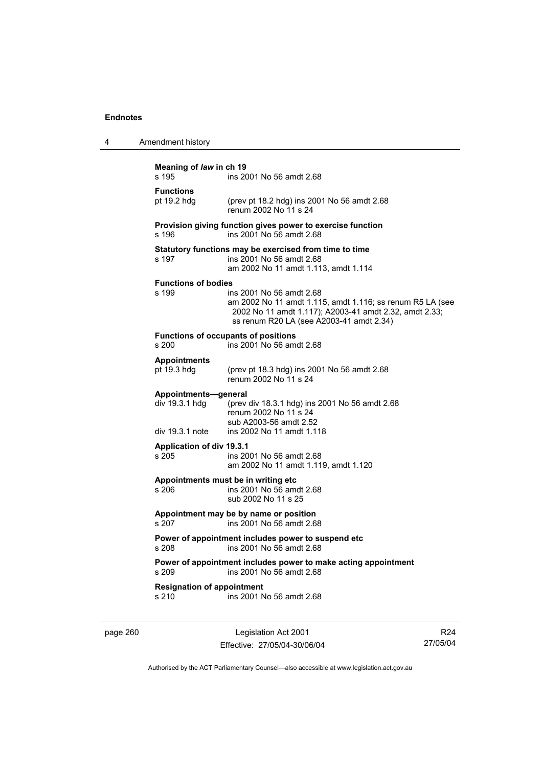| <b>Functions</b><br>pt 19.2 hdg<br>(prev pt 18.2 hdg) ins 2001 No 56 amdt 2.68<br>renum 2002 No 11 s 24<br>Provision giving function gives power to exercise function<br>s 196<br>ins 2001 No 56 amdt 2.68<br>Statutory functions may be exercised from time to time<br>s 197<br>ins 2001 No 56 amdt 2.68<br>am 2002 No 11 amdt 1.113, amdt 1.114<br><b>Functions of bodies</b> |
|---------------------------------------------------------------------------------------------------------------------------------------------------------------------------------------------------------------------------------------------------------------------------------------------------------------------------------------------------------------------------------|
|                                                                                                                                                                                                                                                                                                                                                                                 |
|                                                                                                                                                                                                                                                                                                                                                                                 |
|                                                                                                                                                                                                                                                                                                                                                                                 |
| s 199<br>ins 2001 No 56 amdt 2.68<br>am 2002 No 11 amdt 1.115, amdt 1.116; ss renum R5 LA (see<br>2002 No 11 amdt 1.117); A2003-41 amdt 2.32, amdt 2.33;<br>ss renum R20 LA (see A2003-41 amdt 2.34)                                                                                                                                                                            |
| <b>Functions of occupants of positions</b><br>s 200<br>ins 2001 No 56 amdt 2.68                                                                                                                                                                                                                                                                                                 |
| <b>Appointments</b><br>pt 19.3 hdg<br>(prev pt 18.3 hdg) ins 2001 No 56 amdt 2.68<br>renum 2002 No 11 s 24                                                                                                                                                                                                                                                                      |
| Appointments-general<br>div 19.3.1 hdg<br>(prev div 18.3.1 hdg) ins 2001 No 56 amdt 2.68<br>renum 2002 No 11 s 24<br>sub A2003-56 amdt 2.52<br>ins 2002 No 11 amdt 1.118<br>div 19.3.1 note                                                                                                                                                                                     |
| <b>Application of div 19.3.1</b><br>s 205<br>ins 2001 No 56 amdt 2.68<br>am 2002 No 11 amdt 1.119, amdt 1.120                                                                                                                                                                                                                                                                   |
| Appointments must be in writing etc.<br>ins 2001 No 56 amdt 2.68<br>s 206<br>sub 2002 No 11 s 25                                                                                                                                                                                                                                                                                |
| Appointment may be by name or position<br>ins 2001 No 56 amdt 2.68<br>s 207                                                                                                                                                                                                                                                                                                     |
| Power of appointment includes power to suspend etc<br>ins 2001 No 56 amdt 2.68<br>s 208                                                                                                                                                                                                                                                                                         |
| Power of appointment includes power to make acting appointment<br>s 209<br>ins 2001 No 56 amdt 2.68                                                                                                                                                                                                                                                                             |
| <b>Resignation of appointment</b><br>ins 2001 No 56 amdt 2.68<br>s 210                                                                                                                                                                                                                                                                                                          |

page 260 Legislation Act 2001 Effective: 27/05/04-30/06/04

R24 27/05/04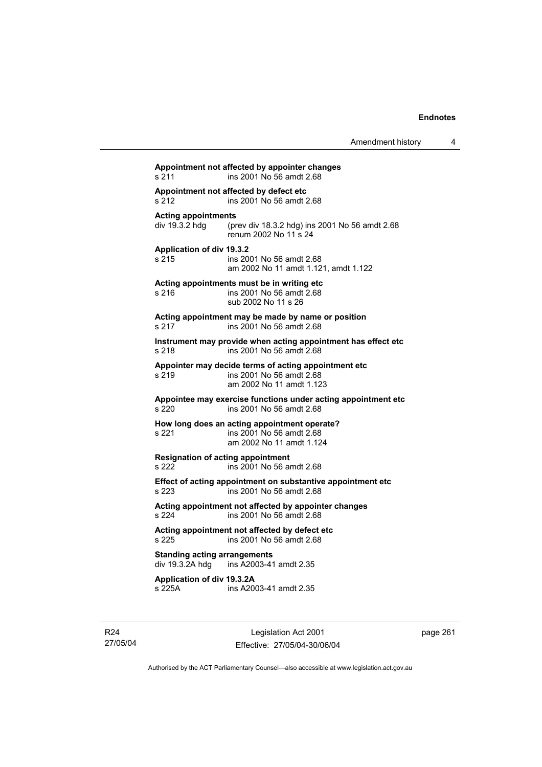# **Appointment not affected by appointer changes**  s 211 ins 2001 No 56 amdt 2.68 **Appointment not affected by defect etc**  s 212 ins 2001 No 56 amdt 2.68 **Acting appointments**  (prev div 18.3.2 hdg) ins 2001 No 56 amdt 2.68 renum 2002 No 11 s 24 **Application of div 19.3.2**  s 215 ins 2001 No 56 amdt 2.68 am 2002 No 11 amdt 1.121, amdt 1.122 **Acting appointments must be in writing etc**  s 216 ins 2001 No 56 amdt 2.68 sub 2002 No 11 s 26 **Acting appointment may be made by name or position**  s 217 ins 2001 No 56 amdt 2.68 **Instrument may provide when acting appointment has effect etc**  s 218 ins 2001 No 56 amdt 2.68 **Appointer may decide terms of acting appointment etc**  s 219 ins 2001 No 56 amdt 2.68 am 2002 No 11 amdt 1.123 **Appointee may exercise functions under acting appointment etc**  s 220 ins 2001 No 56 amdt 2.68 **How long does an acting appointment operate?**  s 221 ins 2001 No 56 amdt 2.68 am 2002 No 11 amdt 1.124 **Resignation of acting appointment**  s 222 ins 2001 No 56 amdt 2.68 **Effect of acting appointment on substantive appointment etc**  s 223 ins 2001 No 56 amdt 2.68 **Acting appointment not affected by appointer changes**  s 224 ins 2001 No 56 amdt 2.68 **Acting appointment not affected by defect etc**  s 225 ins 2001 No 56 amdt 2.68 **Standing acting arrangements**   $div 19.3.2A hda$  ins A2003-41 amdt 2.35 **Application of div 19.3.2A**  s 225A ins A2003-41 amdt 2.35

R24 27/05/04

Legislation Act 2001 Effective: 27/05/04-30/06/04 page 261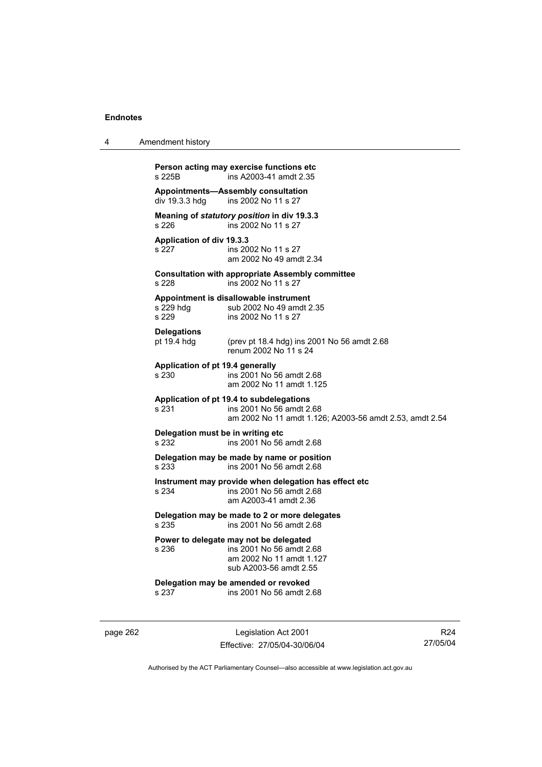| 4 | Amendment history                                                                                                                        |
|---|------------------------------------------------------------------------------------------------------------------------------------------|
|   | Person acting may exercise functions etc<br>ins A2003-41 amdt 2.35<br>s 225B                                                             |
|   | <b>Appointments-Assembly consultation</b><br>ins 2002 No 11 s 27<br>div 19.3.3 hdg                                                       |
|   | Meaning of statutory position in div 19.3.3<br>s 226<br>ins 2002 No 11 s 27                                                              |
|   | Application of div 19.3.3<br>s 227<br>ins 2002 No 11 s 27<br>am 2002 No 49 amdt 2.34                                                     |
|   | <b>Consultation with appropriate Assembly committee</b><br>s 228<br>ins 2002 No 11 s 27                                                  |
|   | Appointment is disallowable instrument<br>s 229 hdg<br>sub 2002 No 49 amdt 2.35<br>s 229<br>ins 2002 No 11 s 27                          |
|   | <b>Delegations</b><br>pt 19.4 hdg<br>(prev pt 18.4 hdg) ins 2001 No 56 amdt 2.68<br>renum 2002 No 11 s 24                                |
|   | Application of pt 19.4 generally<br>s 230<br>ins 2001 No 56 amdt 2.68<br>am 2002 No 11 amdt 1.125                                        |
|   | Application of pt 19.4 to subdelegations<br>s 231<br>ins 2001 No 56 amdt 2.68<br>am 2002 No 11 amdt 1.126; A2003-56 amdt 2.53, amdt 2.54 |
|   | Delegation must be in writing etc<br>ins 2001 No 56 amdt 2.68<br>s 232                                                                   |
|   | Delegation may be made by name or position<br>s 233<br>ins 2001 No 56 amdt 2.68                                                          |
|   | Instrument may provide when delegation has effect etc<br>s 234<br>ins 2001 No 56 amdt 2.68<br>am A2003-41 amdt 2.36                      |
|   | Delegation may be made to 2 or more delegates<br>s 235<br>ins 2001 No 56 amdt 2.68                                                       |
|   | Power to delegate may not be delegated<br>ins 2001 No 56 amdt 2.68<br>s 236<br>am 2002 No 11 amdt 1.127<br>sub A2003-56 amdt 2.55        |
|   | Delegation may be amended or revoked<br>ins 2001 No 56 amdt 2.68<br>s 237                                                                |
|   |                                                                                                                                          |

page 262 Legislation Act 2001 Effective: 27/05/04-30/06/04

R24 27/05/04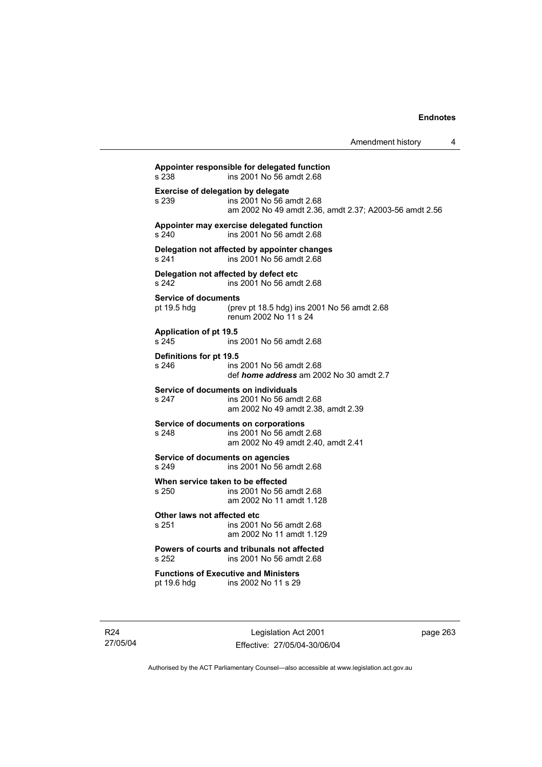| Amendment history |  |
|-------------------|--|
|-------------------|--|

**Appointer responsible for delegated function**  s 238 ins 2001 No 56 amdt 2.68 **Exercise of delegation by delegate**<br>s 239 **ins 2001** No 56 a s 239 ins 2001 No 56 amdt 2.68 am 2002 No 49 amdt 2.36, amdt 2.37; A2003-56 amdt 2.56 **Appointer may exercise delegated function**  s 240 ins 2001 No 56 amdt 2.68 **Delegation not affected by appointer changes**  s 241 ins 2001 No 56 amdt 2.68 **Delegation not affected by defect etc** s 242 **ins 2001 No 56 amd** ins 2001 No 56 amdt 2.68 **Service of documents**  pt 19.5 hdg (prev pt 18.5 hdg) ins 2001 No 56 amdt 2.68 renum 2002 No 11 s 24 **Application of pt 19.5**  s 245 ins 2001 No 56 amdt 2.68 **Definitions for pt 19.5**  ins 2001 No 56 amdt 2.68 def *home address* am 2002 No 30 amdt 2.7 **Service of documents on individuals**  s 247 ins 2001 No 56 amdt 2.68 am 2002 No 49 amdt 2.38, amdt 2.39 **Service of documents on corporations**  s 248 ins 2001 No 56 amdt 2.68 am 2002 No 49 amdt 2.40, amdt 2.41 **Service of documents on agencies**  s 249 ins 2001 No 56 amdt 2.68 **When service taken to be effected**  s 250 ins 2001 No 56 amdt 2.68 am 2002 No 11 amdt 1.128 **Other laws not affected etc**<br>s 251 ins 2001 ins 2001 No 56 amdt 2.68 am 2002 No 11 amdt 1.129 **Powers of courts and tribunals not affected**<br>s 252 ins 2001 No 56 amdt 2.68 ins 2001 No 56 amdt 2.68 **Functions of Executive and Ministers**  ins 2002 No 11 s 29

R24 27/05/04

Legislation Act 2001 Effective: 27/05/04-30/06/04 page 263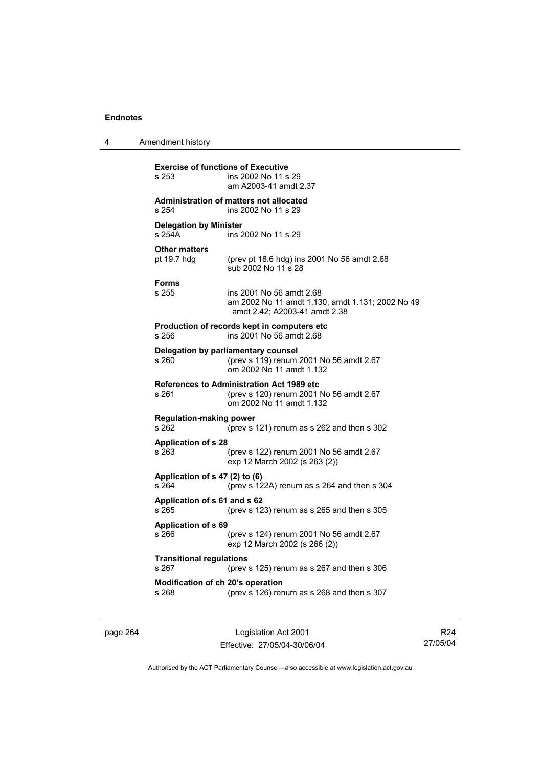| 4 | Amendment history                                         |                                                                                                               |
|---|-----------------------------------------------------------|---------------------------------------------------------------------------------------------------------------|
|   | <b>Exercise of functions of Executive</b><br>s 253        | ins 2002 No 11 s 29<br>am A2003-41 amdt 2.37                                                                  |
|   | Administration of matters not allocated<br>s 254          | ins 2002 No 11 s 29                                                                                           |
|   | <b>Delegation by Minister</b><br>s 254A                   | ins 2002 No 11 s 29                                                                                           |
|   | <b>Other matters</b><br>pt 19.7 hdg                       | (prev pt 18.6 hdg) ins 2001 No 56 amdt 2.68<br>sub 2002 No 11 s 28                                            |
|   | <b>Forms</b><br>s 255                                     | ins 2001 No 56 amdt 2.68<br>am 2002 No 11 amdt 1.130, amdt 1.131; 2002 No 49<br>amdt 2.42; A2003-41 amdt 2.38 |
|   | s 256                                                     | Production of records kept in computers etc<br>ins 2001 No 56 amdt 2.68                                       |
|   | Delegation by parliamentary counsel<br>s 260              | (prev s 119) renum 2001 No 56 amdt 2.67<br>om 2002 No 11 amdt 1.132                                           |
|   | <b>References to Administration Act 1989 etc</b><br>s 261 | (prev s 120) renum 2001 No 56 amdt 2.67<br>om 2002 No 11 amdt 1.132                                           |
|   | <b>Regulation-making power</b><br>s 262                   | (prev s 121) renum as s 262 and then s 302                                                                    |
|   | <b>Application of s 28</b><br>s 263                       | (prev s 122) renum 2001 No 56 amdt 2.67<br>exp 12 March 2002 (s 263 (2))                                      |
|   | Application of s 47 (2) to (6)<br>s 264                   | (prev s $122A$ ) renum as s $264$ and then s $304$                                                            |
|   | Application of s 61 and s 62<br>s 265                     | (prev s 123) renum as s 265 and then s 305                                                                    |
|   | <b>Application of s 69</b><br>s 266                       | (prev s 124) renum 2001 No 56 amdt 2.67<br>exp 12 March 2002 (s 266 (2))                                      |
|   | <b>Transitional regulations</b><br>s 267                  | (prev s 125) renum as s 267 and then s 306                                                                    |
|   | Modification of ch 20's operation<br>s 268                | (prev s 126) renum as s 268 and then s 307                                                                    |

page 264 Legislation Act 2001 Effective: 27/05/04-30/06/04

R24 27/05/04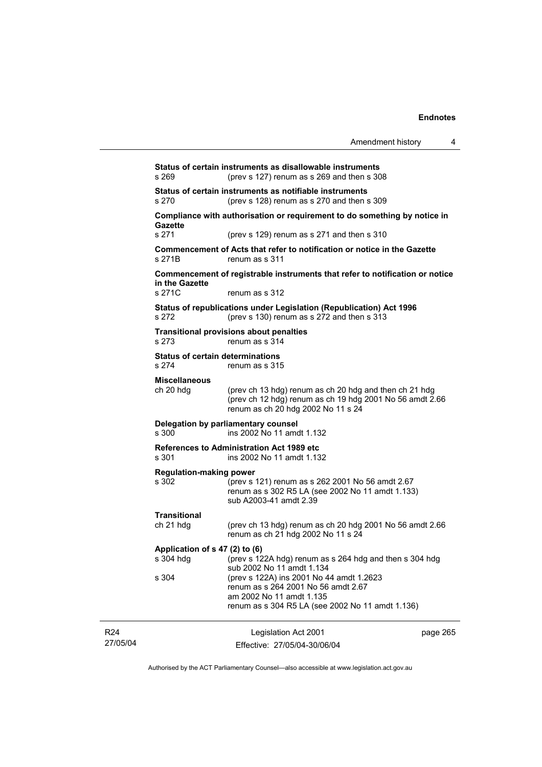| Amendment history |  |  |
|-------------------|--|--|
|-------------------|--|--|

|                             | s 269                                                                                                                                                                                                  | Status of certain instruments as disallowable instruments<br>(prev s 127) renum as s 269 and then s 308                                                         |          |  |
|-----------------------------|--------------------------------------------------------------------------------------------------------------------------------------------------------------------------------------------------------|-----------------------------------------------------------------------------------------------------------------------------------------------------------------|----------|--|
|                             | Status of certain instruments as notifiable instruments<br>s 270<br>(prev s 128) renum as s 270 and then s 309<br>Compliance with authorisation or requirement to do something by notice in<br>Gazette |                                                                                                                                                                 |          |  |
|                             |                                                                                                                                                                                                        |                                                                                                                                                                 |          |  |
|                             | s 271<br>s 271B                                                                                                                                                                                        | (prev s 129) renum as s 271 and then s 310<br>Commencement of Acts that refer to notification or notice in the Gazette<br>renum as s 311                        |          |  |
|                             | in the Gazette                                                                                                                                                                                         | Commencement of registrable instruments that refer to notification or notice                                                                                    |          |  |
|                             | s 271C                                                                                                                                                                                                 | renum as s 312                                                                                                                                                  |          |  |
|                             | s 272                                                                                                                                                                                                  | Status of republications under Legislation (Republication) Act 1996<br>(prev s 130) renum as s 272 and then s 313                                               |          |  |
|                             | s 273                                                                                                                                                                                                  | <b>Transitional provisions about penalties</b><br>renum as s 314                                                                                                |          |  |
|                             | <b>Status of certain determinations</b><br>s 274                                                                                                                                                       | renum as s 315                                                                                                                                                  |          |  |
|                             | <b>Miscellaneous</b><br>ch 20 hdg                                                                                                                                                                      | (prev ch 13 hdg) renum as ch 20 hdg and then ch 21 hdg<br>(prev ch 12 hdg) renum as ch 19 hdg 2001 No 56 amdt 2.66<br>renum as ch 20 hdg 2002 No 11 s 24        |          |  |
|                             | Delegation by parliamentary counsel<br>ins 2002 No 11 amdt 1.132<br>s 300                                                                                                                              |                                                                                                                                                                 |          |  |
|                             | s 301                                                                                                                                                                                                  | <b>References to Administration Act 1989 etc.</b><br>ins 2002 No 11 amdt 1.132                                                                                  |          |  |
|                             | <b>Regulation-making power</b><br>s 302                                                                                                                                                                | (prev s 121) renum as s 262 2001 No 56 amdt 2.67<br>renum as s 302 R5 LA (see 2002 No 11 amdt 1.133)<br>sub A2003-41 amdt 2.39                                  |          |  |
|                             | <b>Transitional</b><br>ch 21 hdg                                                                                                                                                                       | (prev ch 13 hdg) renum as ch 20 hdg 2001 No 56 amdt 2.66<br>renum as ch 21 hdg 2002 No 11 s 24                                                                  |          |  |
|                             | Application of s 47 (2) to (6)<br>(prev s 122A hdg) renum as s 264 hdg and then s 304 hdg<br>s 304 hdg<br>sub 2002 No 11 amdt 1.134                                                                    |                                                                                                                                                                 |          |  |
|                             | s 304                                                                                                                                                                                                  | (prev s 122A) ins 2001 No 44 amdt 1.2623<br>renum as s 264 2001 No 56 amdt 2.67<br>am 2002 No 11 amdt 1.135<br>renum as s 304 R5 LA (see 2002 No 11 amdt 1.136) |          |  |
| R <sub>24</sub><br>27/05/04 |                                                                                                                                                                                                        | Legislation Act 2001<br>Effective: 27/05/04-30/06/04                                                                                                            | page 265 |  |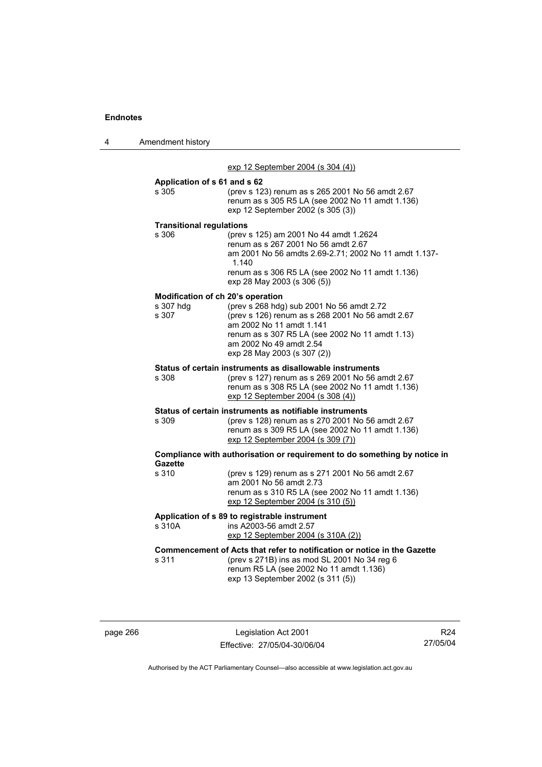4 Amendment history

|                                   | exp 12 September 2004 (s 304 (4))                                                                                                                                                                                                      |
|-----------------------------------|----------------------------------------------------------------------------------------------------------------------------------------------------------------------------------------------------------------------------------------|
| Application of s 61 and s 62      |                                                                                                                                                                                                                                        |
| s 305                             | (prev s 123) renum as s 265 2001 No 56 amdt 2.67<br>renum as s 305 R5 LA (see 2002 No 11 amdt 1.136)<br>exp 12 September 2002 (s 305 (3))                                                                                              |
| <b>Transitional regulations</b>   |                                                                                                                                                                                                                                        |
| s 306                             | (prev s 125) am 2001 No 44 amdt 1.2624<br>renum as s 267 2001 No 56 amdt 2.67<br>am 2001 No 56 amdts 2.69-2.71; 2002 No 11 amdt 1.137-<br>1.140<br>renum as s 306 R5 LA (see 2002 No 11 amdt 1.136)                                    |
|                                   | exp 28 May 2003 (s 306 (5))                                                                                                                                                                                                            |
| Modification of ch 20's operation |                                                                                                                                                                                                                                        |
| s 307 hdg<br>s 307                | (prev s 268 hdg) sub 2001 No 56 amdt 2.72<br>(prev s 126) renum as s 268 2001 No 56 amdt 2.67<br>am 2002 No 11 amdt 1.141<br>renum as s 307 R5 LA (see 2002 No 11 amdt 1.13)<br>am 2002 No 49 amdt 2.54<br>exp 28 May 2003 (s 307 (2)) |
|                                   | Status of certain instruments as disallowable instruments                                                                                                                                                                              |
| s 308                             | (prev s 127) renum as s 269 2001 No 56 amdt 2.67<br>renum as s 308 R5 LA (see 2002 No 11 amdt 1.136)<br>exp 12 September 2004 (s 308 (4))                                                                                              |
|                                   | Status of certain instruments as notifiable instruments                                                                                                                                                                                |
| s 309                             | (prev s 128) renum as s 270 2001 No 56 amdt 2.67<br>renum as s 309 R5 LA (see 2002 No 11 amdt 1.136)<br>exp 12 September 2004 (s 309 (7))                                                                                              |
| <b>Gazette</b>                    | Compliance with authorisation or requirement to do something by notice in                                                                                                                                                              |
| s 310                             | (prev s 129) renum as s 271 2001 No 56 amdt 2.67<br>am 2001 No 56 amdt 2.73<br>renum as s 310 R5 LA (see 2002 No 11 amdt 1.136)<br>exp 12 September 2004 (s 310 (5))                                                                   |
|                                   | Application of s 89 to registrable instrument                                                                                                                                                                                          |
| s 310A                            | ins A2003-56 amdt 2.57<br>exp 12 September 2004 (s 310A (2))                                                                                                                                                                           |
| s 311                             | Commencement of Acts that refer to notification or notice in the Gazette<br>(prev s 271B) ins as mod SL 2001 No 34 reg 6<br>renum R5 LA (see 2002 No 11 amdt 1.136)<br>exp 13 September 2002 (s 311 (5))                               |

page 266 Legislation Act 2001 Effective: 27/05/04-30/06/04

R24 27/05/04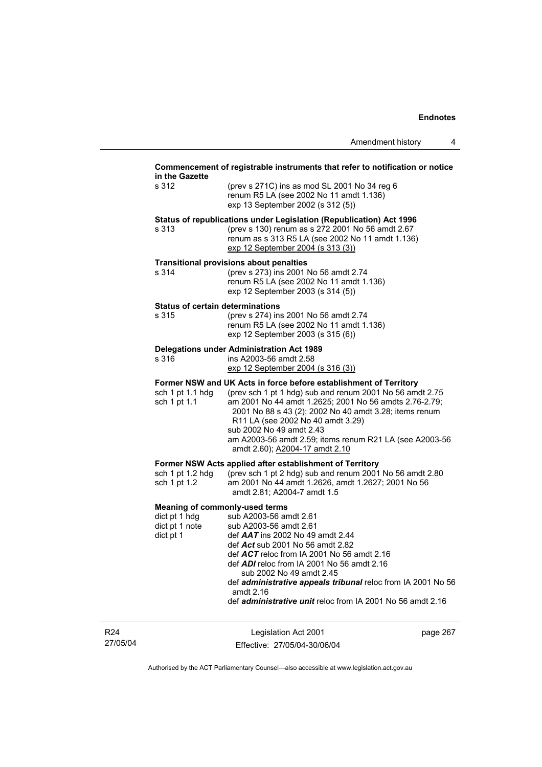#### **Commencement of registrable instruments that refer to notification or notice in the Gazette**

| in the Gazette                                                           |                                                                                                                                                                                                                                                                                                                                                                                                                 |
|--------------------------------------------------------------------------|-----------------------------------------------------------------------------------------------------------------------------------------------------------------------------------------------------------------------------------------------------------------------------------------------------------------------------------------------------------------------------------------------------------------|
| s 312                                                                    | (prev s 271C) ins as mod SL 2001 No 34 reg 6<br>renum R5 LA (see 2002 No 11 amdt 1.136)<br>exp 13 September 2002 (s 312 (5))                                                                                                                                                                                                                                                                                    |
| s 313                                                                    | Status of republications under Legislation (Republication) Act 1996<br>(prev s 130) renum as s 272 2001 No 56 amdt 2.67<br>renum as s 313 R5 LA (see 2002 No 11 amdt 1.136)<br>exp 12 September 2004 (s 313 (3))                                                                                                                                                                                                |
| s 314                                                                    | <b>Transitional provisions about penalties</b><br>(prev s 273) ins 2001 No 56 amdt 2.74<br>renum R5 LA (see 2002 No 11 amdt 1.136)<br>exp 12 September 2003 (s 314 (5))                                                                                                                                                                                                                                         |
| <b>Status of certain determinations</b><br>s 315                         | (prev s 274) ins 2001 No 56 amdt 2.74<br>renum R5 LA (see 2002 No 11 amdt 1.136)<br>exp 12 September 2003 (s 315 (6))                                                                                                                                                                                                                                                                                           |
| s 316                                                                    | Delegations under Administration Act 1989<br>ins A2003-56 amdt 2.58<br>exp 12 September 2004 (s 316 (3))                                                                                                                                                                                                                                                                                                        |
| sch 1 pt 1.1 hdg<br>sch 1 pt 1.1                                         | Former NSW and UK Acts in force before establishment of Territory<br>(prev sch 1 pt 1 hdg) sub and renum 2001 No 56 amdt 2.75<br>am 2001 No 44 amdt 1.2625; 2001 No 56 amdts 2.76-2.79;<br>2001 No 88 s 43 (2); 2002 No 40 amdt 3.28; items renum<br>R11 LA (see 2002 No 40 amdt 3.29)<br>sub 2002 No 49 amdt 2.43<br>am A2003-56 amdt 2.59; items renum R21 LA (see A2003-56<br>amdt 2.60); A2004-17 amdt 2.10 |
| sch 1 pt 1.2 hdg<br>sch 1 pt 1.2                                         | Former NSW Acts applied after establishment of Territory<br>(prev sch 1 pt 2 hdg) sub and renum 2001 No 56 amdt 2.80<br>am 2001 No 44 amdt 1.2626, amdt 1.2627; 2001 No 56<br>amdt 2.81; A2004-7 amdt 1.5                                                                                                                                                                                                       |
| <b>Meaning of commonly-used terms</b><br>dict pt 1 hdg<br>dict pt 1 note | sub A2003-56 amdt 2.61<br>sub A2003-56 amdt 2.61                                                                                                                                                                                                                                                                                                                                                                |

| dict pt 1 note | sub A2003-56 amdt 2.61                                              |
|----------------|---------------------------------------------------------------------|
| dict pt 1      | def $AAT$ ins 2002 No 49 amdt 2.44                                  |
|                | def Act sub 2001 No 56 amdt 2.82                                    |
|                | def $ACT$ reloc from IA 2001 No 56 amdt 2.16                        |
|                | def $ADI$ reloc from IA 2001 No 56 amdt 2.16                        |
|                | sub 2002 No 49 amdt 2.45                                            |
|                | def <i>administrative appeals tribunal</i> reloc from IA 2001 No 56 |
|                | amdt 2.16                                                           |
|                | def <i>administrative unit</i> reloc from IA 2001 No 56 amdt 2.16   |
|                |                                                                     |

R24 27/05/04

Legislation Act 2001 Effective: 27/05/04-30/06/04 page 267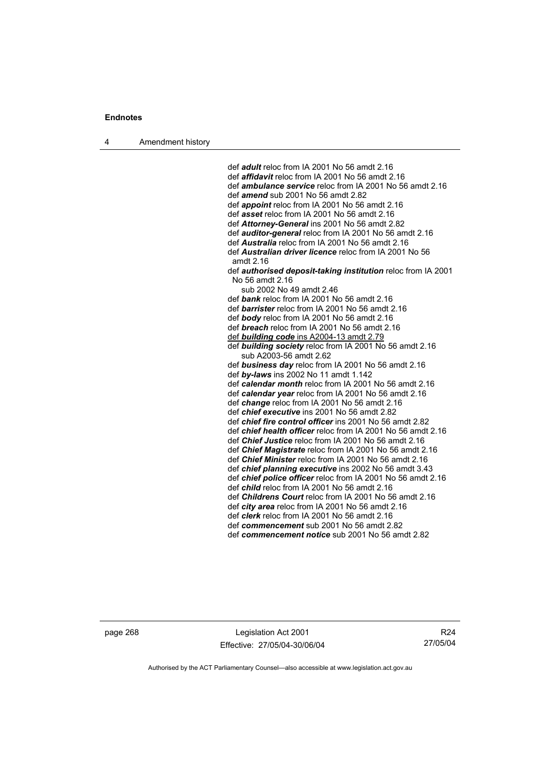4 Amendment history

 def *adult* reloc from IA 2001 No 56 amdt 2.16 def *affidavit* reloc from IA 2001 No 56 amdt 2.16 def *ambulance service* reloc from IA 2001 No 56 amdt 2.16 def *amend* sub 2001 No 56 amdt 2.82 def *appoint* reloc from IA 2001 No 56 amdt 2.16 def *asset* reloc from IA 2001 No 56 amdt 2.16 def *Attorney-General* ins 2001 No 56 amdt 2.82 def *auditor-general* reloc from IA 2001 No 56 amdt 2.16 def *Australia* reloc from IA 2001 No 56 amdt 2.16 def *Australian driver licence* reloc from IA 2001 No 56 amdt 2.16 def *authorised deposit-taking institution* reloc from IA 2001 No 56 amdt 2.16 sub 2002 No 49 amdt 2.46 def *bank* reloc from IA 2001 No 56 amdt 2.16 def *barrister* reloc from IA 2001 No 56 amdt 2.16 def *body* reloc from IA 2001 No 56 amdt 2.16 def *breach* reloc from IA 2001 No 56 amdt 2.16 def *building code* ins A2004-13 amdt 2.79 def *building society* reloc from IA 2001 No 56 amdt 2.16 sub A2003-56 amdt 2.62 def *business day* reloc from IA 2001 No 56 amdt 2.16 def *by-laws* ins 2002 No 11 amdt 1.142 def *calendar month* reloc from IA 2001 No 56 amdt 2.16 def *calendar year* reloc from IA 2001 No 56 amdt 2.16 def *change* reloc from IA 2001 No 56 amdt 2.16 def *chief executive* ins 2001 No 56 amdt 2.82 def *chief fire control officer* ins 2001 No 56 amdt 2.82 def *chief health officer* reloc from IA 2001 No 56 amdt 2.16 def *Chief Justice* reloc from IA 2001 No 56 amdt 2.16 def *Chief Magistrate* reloc from IA 2001 No 56 amdt 2.16 def *Chief Minister* reloc from IA 2001 No 56 amdt 2.16 def *chief planning executive* ins 2002 No 56 amdt 3.43 def *chief police officer* reloc from IA 2001 No 56 amdt 2.16 def *child* reloc from IA 2001 No 56 amdt 2.16 def *Childrens Court* reloc from IA 2001 No 56 amdt 2.16 def *city area* reloc from IA 2001 No 56 amdt 2.16 def *clerk* reloc from IA 2001 No 56 amdt 2.16 def *commencement* sub 2001 No 56 amdt 2.82 def *commencement notice* sub 2001 No 56 amdt 2.82

page 268 Legislation Act 2001 Effective: 27/05/04-30/06/04

R24 27/05/04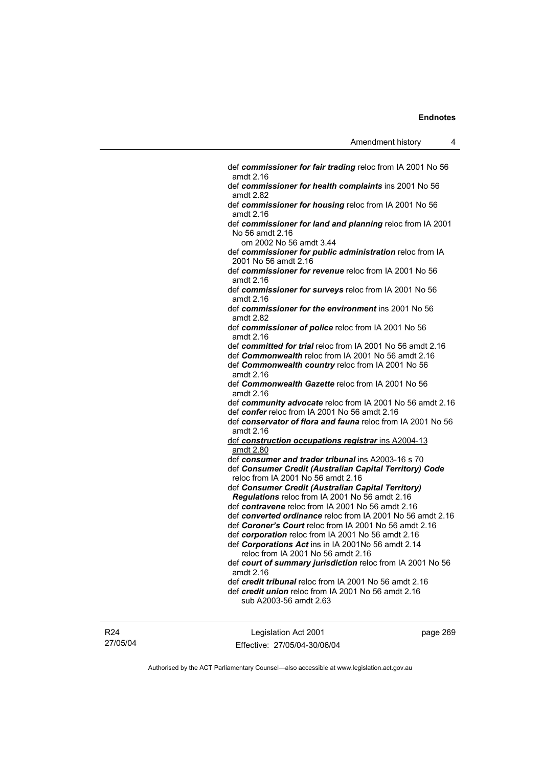| def commissioner for fair trading reloc from IA 2001 No 56<br>amdt 2.16                                                                                                                    |
|--------------------------------------------------------------------------------------------------------------------------------------------------------------------------------------------|
| def commissioner for health complaints ins 2001 No 56<br>amdt 2.82                                                                                                                         |
| def commissioner for housing reloc from IA 2001 No 56<br>amdt 2.16                                                                                                                         |
| def commissioner for land and planning reloc from IA 2001<br>No 56 amdt 2.16                                                                                                               |
| om 2002 No 56 amdt 3.44                                                                                                                                                                    |
| def commissioner for public administration reloc from IA<br>2001 No 56 amdt 2.16                                                                                                           |
| def commissioner for revenue reloc from IA 2001 No 56<br>amdt 2.16                                                                                                                         |
| def commissioner for surveys reloc from IA 2001 No 56<br>amdt 2.16                                                                                                                         |
| def commissioner for the environment ins 2001 No 56<br>amdt 2.82                                                                                                                           |
| def commissioner of police reloc from IA 2001 No 56<br>amdt 2.16                                                                                                                           |
| def committed for trial reloc from IA 2001 No 56 amdt 2.16<br>def <b>Commonwealth</b> reloc from IA 2001 No 56 amdt 2.16<br>def Commonwealth country reloc from IA 2001 No 56<br>amdt 2.16 |
| def Commonwealth Gazette reloc from IA 2001 No 56<br>amdt 2.16                                                                                                                             |
| def community advocate reloc from IA 2001 No 56 amdt 2.16                                                                                                                                  |
| def confer reloc from IA 2001 No 56 amdt 2.16                                                                                                                                              |
| def conservator of flora and fauna reloc from IA 2001 No 56<br>amdt 2.16                                                                                                                   |
| def construction occupations registrar ins A2004-13<br>amdt 2.80                                                                                                                           |
| def consumer and trader tribunal ins A2003-16 s 70                                                                                                                                         |
| def Consumer Credit (Australian Capital Territory) Code<br>reloc from IA 2001 No 56 amdt 2.16                                                                                              |
| def Consumer Credit (Australian Capital Territory)<br>Regulations reloc from IA 2001 No 56 amdt 2.16                                                                                       |
| def contravene reloc from IA 2001 No 56 amdt 2.16                                                                                                                                          |
| def converted ordinance reloc from IA 2001 No 56 amdt 2.16                                                                                                                                 |
| def Coroner's Court reloc from IA 2001 No 56 amdt 2.16                                                                                                                                     |
| def corporation reloc from IA 2001 No 56 amdt 2.16<br>def Corporations Act ins in IA 2001No 56 amdt 2.14                                                                                   |
| reloc from IA 2001 No 56 amdt 2.16                                                                                                                                                         |
| def court of summary jurisdiction reloc from IA 2001 No 56                                                                                                                                 |
| amdt 2.16                                                                                                                                                                                  |
| def credit tribunal reloc from IA 2001 No 56 amdt 2.16                                                                                                                                     |
| def <i>credit union</i> reloc from IA 2001 No 56 amdt 2.16                                                                                                                                 |
| sub A2003-56 amdt 2.63                                                                                                                                                                     |
|                                                                                                                                                                                            |
|                                                                                                                                                                                            |

R24 27/05/04

Legislation Act 2001 Effective: 27/05/04-30/06/04 page 269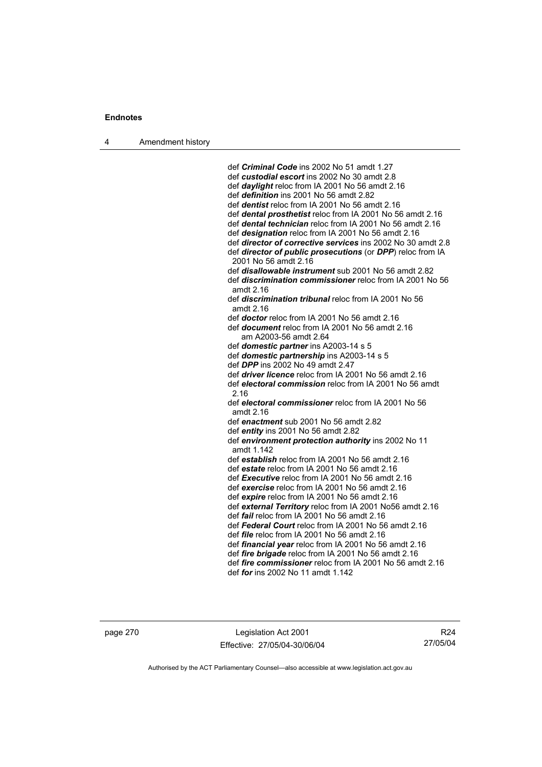4 Amendment history

 def *Criminal Code* ins 2002 No 51 amdt 1.27 def *custodial escort* ins 2002 No 30 amdt 2.8 def *daylight* reloc from IA 2001 No 56 amdt 2.16 def *definition* ins 2001 No 56 amdt 2.82 def *dentist* reloc from IA 2001 No 56 amdt 2.16 def *dental prosthetist* reloc from IA 2001 No 56 amdt 2.16 def *dental technician* reloc from IA 2001 No 56 amdt 2.16 def *designation* reloc from IA 2001 No 56 amdt 2.16 def *director of corrective services* ins 2002 No 30 amdt 2.8 def *director of public prosecutions* (or *DPP*) reloc from IA 2001 No 56 amdt 2.16 def *disallowable instrument* sub 2001 No 56 amdt 2.82 def *discrimination commissioner* reloc from IA 2001 No 56 amdt 2.16 def *discrimination tribunal* reloc from IA 2001 No 56 amdt 2.16 def *doctor* reloc from IA 2001 No 56 amdt 2.16 def *document* reloc from IA 2001 No 56 amdt 2.16 am A2003-56 amdt 2.64 def *domestic partner* ins A2003-14 s 5 def *domestic partnership* ins A2003-14 s 5 def *DPP* ins 2002 No 49 amdt 2.47 def *driver licence* reloc from IA 2001 No 56 amdt 2.16 def *electoral commission* reloc from IA 2001 No 56 amdt 2.16 def *electoral commissioner* reloc from IA 2001 No 56 amdt 2.16 def *enactment* sub 2001 No 56 amdt 2.82 def *entity* ins 2001 No 56 amdt 2.82 def *environment protection authority* ins 2002 No 11 amdt 1.142 def *establish* reloc from IA 2001 No 56 amdt 2.16 def *estate* reloc from IA 2001 No 56 amdt 2.16 def *Executive* reloc from IA 2001 No 56 amdt 2.16 def *exercise* reloc from IA 2001 No 56 amdt 2.16 def *expire* reloc from IA 2001 No 56 amdt 2.16 def *external Territory* reloc from IA 2001 No56 amdt 2.16 def *fail* reloc from IA 2001 No 56 amdt 2.16 def *Federal Court* reloc from IA 2001 No 56 amdt 2.16 def *file* reloc from IA 2001 No 56 amdt 2.16 def *financial year* reloc from IA 2001 No 56 amdt 2.16 def *fire brigade* reloc from IA 2001 No 56 amdt 2.16 def *fire commissioner* reloc from IA 2001 No 56 amdt 2.16 def *for* ins 2002 No 11 amdt 1.142

page 270 Legislation Act 2001 Effective: 27/05/04-30/06/04

R24 27/05/04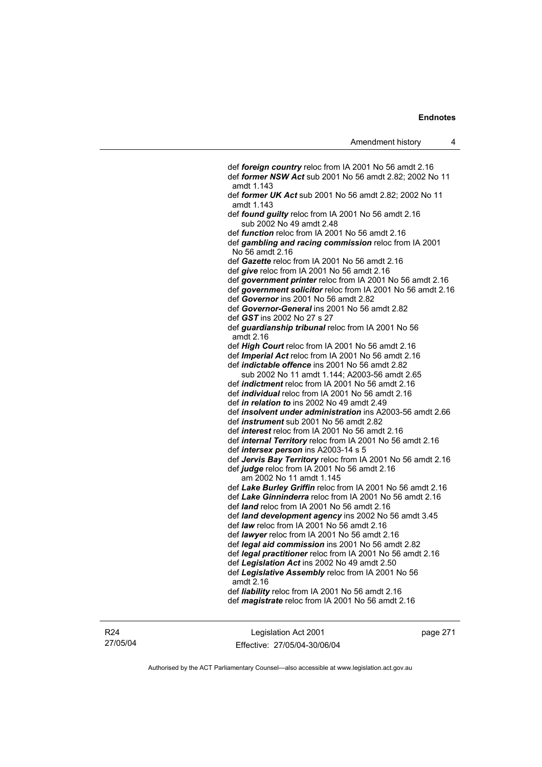def *foreign country* reloc from IA 2001 No 56 amdt 2.16 def *former NSW Act* sub 2001 No 56 amdt 2.82; 2002 No 11 amdt 1.143 def *former UK Act* sub 2001 No 56 amdt 2.82; 2002 No 11 amdt 1.143 def *found guilty* reloc from IA 2001 No 56 amdt 2.16 sub 2002 No 49 amdt 2.48 def *function* reloc from IA 2001 No 56 amdt 2.16 def *gambling and racing commission* reloc from IA 2001 No 56 amdt 2.16 def *Gazette* reloc from IA 2001 No 56 amdt 2.16 def *give* reloc from IA 2001 No 56 amdt 2.16 def *government printer* reloc from IA 2001 No 56 amdt 2.16 def *government solicitor* reloc from IA 2001 No 56 amdt 2.16 def *Governor* ins 2001 No 56 amdt 2.82 def *Governor-General* ins 2001 No 56 amdt 2.82 def *GST* ins 2002 No 27 s 27 def *guardianship tribunal* reloc from IA 2001 No 56 amdt 2.16 def *High Court* reloc from IA 2001 No 56 amdt 2.16 def *Imperial Act* reloc from IA 2001 No 56 amdt 2.16 def *indictable offence* ins 2001 No 56 amdt 2.82 sub 2002 No 11 amdt 1.144; A2003-56 amdt 2.65 def *indictment* reloc from IA 2001 No 56 amdt 2.16 def *individual* reloc from IA 2001 No 56 amdt 2.16 def *in relation to* ins 2002 No 49 amdt 2.49 def *insolvent under administration* ins A2003-56 amdt 2.66 def *instrument* sub 2001 No 56 amdt 2.82 def *interest* reloc from IA 2001 No 56 amdt 2.16 def *internal Territory* reloc from IA 2001 No 56 amdt 2.16 def *intersex person* ins A2003-14 s 5 def *Jervis Bay Territory* reloc from IA 2001 No 56 amdt 2.16 def *judge* reloc from IA 2001 No 56 amdt 2.16 am 2002 No 11 amdt 1.145 def *Lake Burley Griffin* reloc from IA 2001 No 56 amdt 2.16 def *Lake Ginninderra* reloc from IA 2001 No 56 amdt 2.16 def *land* reloc from IA 2001 No 56 amdt 2.16 def *land development agency* ins 2002 No 56 amdt 3.45 def *law* reloc from IA 2001 No 56 amdt 2.16 def *lawyer* reloc from IA 2001 No 56 amdt 2.16 def *legal aid commission* ins 2001 No 56 amdt 2.82 def *legal practitioner* reloc from IA 2001 No 56 amdt 2.16 def *Legislation Act* ins 2002 No 49 amdt 2.50 def *Legislative Assembly* reloc from IA 2001 No 56 amdt 2.16 def *liability* reloc from IA 2001 No 56 amdt 2.16 def *magistrate* reloc from IA 2001 No 56 amdt 2.16

R24 27/05/04

Legislation Act 2001 Effective: 27/05/04-30/06/04 page 271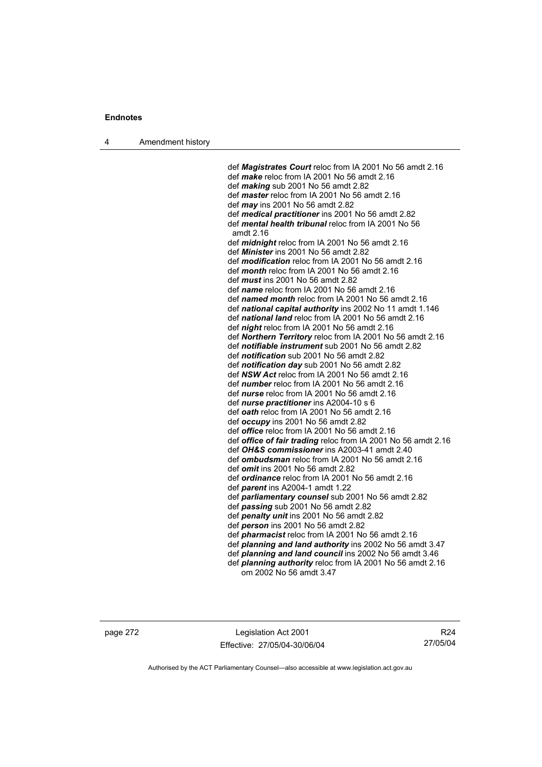4 Amendment history

 def *Magistrates Court* reloc from IA 2001 No 56 amdt 2.16 def *make* reloc from IA 2001 No 56 amdt 2.16 def *making* sub 2001 No 56 amdt 2.82 def *master* reloc from IA 2001 No 56 amdt 2.16 def *may* ins 2001 No 56 amdt 2.82 def *medical practitioner* ins 2001 No 56 amdt 2.82 def *mental health tribunal* reloc from IA 2001 No 56 amdt 2.16 def *midnight* reloc from IA 2001 No 56 amdt 2.16 def *Minister* ins 2001 No 56 amdt 2.82 def *modification* reloc from IA 2001 No 56 amdt 2.16 def *month* reloc from IA 2001 No 56 amdt 2.16 def *must* ins 2001 No 56 amdt 2.82 def *name* reloc from IA 2001 No 56 amdt 2.16 def *named month* reloc from IA 2001 No 56 amdt 2.16 def *national capital authority* ins 2002 No 11 amdt 1.146 def *national land* reloc from IA 2001 No 56 amdt 2.16 def *night* reloc from IA 2001 No 56 amdt 2.16 def *Northern Territory* reloc from IA 2001 No 56 amdt 2.16 def *notifiable instrument* sub 2001 No 56 amdt 2.82 def *notification* sub 2001 No 56 amdt 2.82 def *notification day* sub 2001 No 56 amdt 2.82 def *NSW Act* reloc from IA 2001 No 56 amdt 2.16 def *number* reloc from IA 2001 No 56 amdt 2.16 def *nurse* reloc from IA 2001 No 56 amdt 2.16 def *nurse practitioner* ins A2004-10 s 6 def *oath* reloc from IA 2001 No 56 amdt 2.16 def *occupy* ins 2001 No 56 amdt 2.82 def *office* reloc from IA 2001 No 56 amdt 2.16 def *office of fair trading* reloc from IA 2001 No 56 amdt 2.16 def *OH&S commissioner* ins A2003-41 amdt 2.40 def *ombudsman* reloc from IA 2001 No 56 amdt 2.16 def *omit* ins 2001 No 56 amdt 2.82 def *ordinance* reloc from IA 2001 No 56 amdt 2.16 def *parent* ins A2004-1 amdt 1.22 def *parliamentary counsel* sub 2001 No 56 amdt 2.82 def *passing* sub 2001 No 56 amdt 2.82 def *penalty unit* ins 2001 No 56 amdt 2.82 def *person* ins 2001 No 56 amdt 2.82 def *pharmacist* reloc from IA 2001 No 56 amdt 2.16 def *planning and land authority* ins 2002 No 56 amdt 3.47 def *planning and land council* ins 2002 No 56 amdt 3.46 def *planning authority* reloc from IA 2001 No 56 amdt 2.16 om 2002 No 56 amdt 3.47

page 272 Legislation Act 2001 Effective: 27/05/04-30/06/04

R24 27/05/04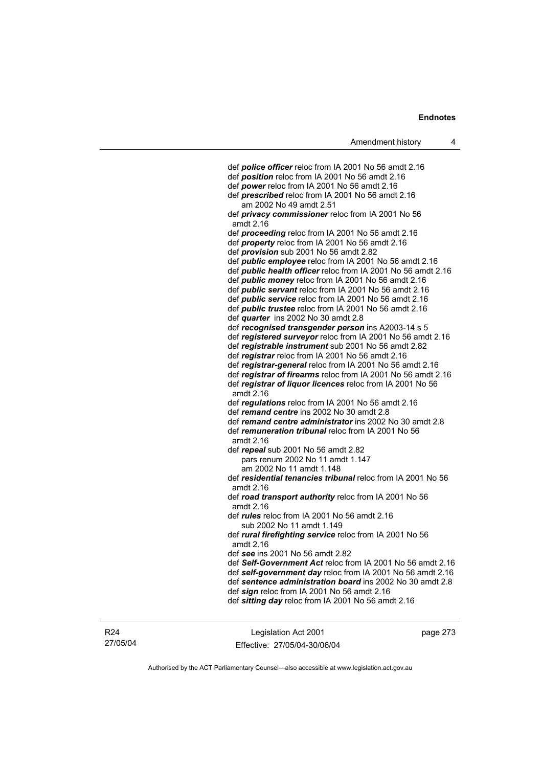def *police officer* reloc from IA 2001 No 56 amdt 2.16 def *position* reloc from IA 2001 No 56 amdt 2.16 def *power* reloc from IA 2001 No 56 amdt 2.16 def *prescribed* reloc from IA 2001 No 56 amdt 2.16 am 2002 No 49 amdt 2.51 def *privacy commissioner* reloc from IA 2001 No 56 amdt 2.16 def *proceeding* reloc from IA 2001 No 56 amdt 2.16 def *property* reloc from IA 2001 No 56 amdt 2.16 def *provision* sub 2001 No 56 amdt 2.82 def *public employee* reloc from IA 2001 No 56 amdt 2.16 def *public health officer* reloc from IA 2001 No 56 amdt 2.16 def *public money* reloc from IA 2001 No 56 amdt 2.16 def *public servant* reloc from IA 2001 No 56 amdt 2.16 def *public service* reloc from IA 2001 No 56 amdt 2.16 def *public trustee* reloc from IA 2001 No 56 amdt 2.16 def *quarter* ins 2002 No 30 amdt 2.8 def *recognised transgender person* ins A2003-14 s 5 def *registered surveyor* reloc from IA 2001 No 56 amdt 2.16 def *registrable instrument* sub 2001 No 56 amdt 2.82 def *registrar* reloc from IA 2001 No 56 amdt 2.16 def *registrar-general* reloc from IA 2001 No 56 amdt 2.16 def *registrar of firearms* reloc from IA 2001 No 56 amdt 2.16 def *registrar of liquor licences* reloc from IA 2001 No 56 amdt 2.16 def *regulations* reloc from IA 2001 No 56 amdt 2.16 def *remand centre* ins 2002 No 30 amdt 2.8 def *remand centre administrator* ins 2002 No 30 amdt 2.8 def *remuneration tribunal* reloc from IA 2001 No 56 amdt 2.16 def *repeal* sub 2001 No 56 amdt 2.82 pars renum 2002 No 11 amdt 1.147 am 2002 No 11 amdt 1.148 def *residential tenancies tribunal* reloc from IA 2001 No 56 amdt 2.16 def *road transport authority* reloc from IA 2001 No 56 amdt 2.16 def *rules* reloc from IA 2001 No 56 amdt 2.16 sub 2002 No 11 amdt 1.149 def *rural firefighting service* reloc from IA 2001 No 56 amdt 2.16 def *see* ins 2001 No 56 amdt 2.82 def *Self-Government Act* reloc from IA 2001 No 56 amdt 2.16 def *self-government day* reloc from IA 2001 No 56 amdt 2.16 def *sentence administration board* ins 2002 No 30 amdt 2.8 def *sign* reloc from IA 2001 No 56 amdt 2.16 def *sitting day* reloc from IA 2001 No 56 amdt 2.16

Legislation Act 2001 Effective: 27/05/04-30/06/04 page 273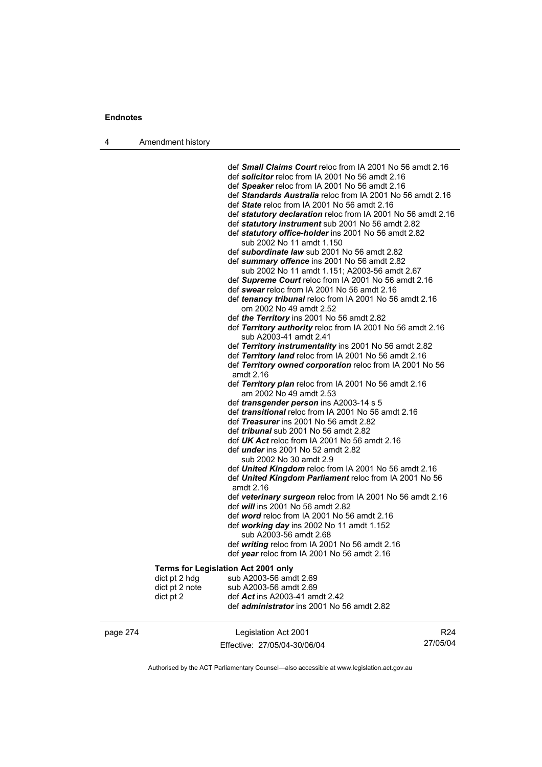4 Amendment history

 def *Small Claims Court* reloc from IA 2001 No 56 amdt 2.16 def *solicitor* reloc from IA 2001 No 56 amdt 2.16 def *Speaker* reloc from IA 2001 No 56 amdt 2.16 def *Standards Australia* reloc from IA 2001 No 56 amdt 2.16 def *State* reloc from IA 2001 No 56 amdt 2.16 def *statutory declaration* reloc from IA 2001 No 56 amdt 2.16 def *statutory instrument* sub 2001 No 56 amdt 2.82 def *statutory office-holder* ins 2001 No 56 amdt 2.82 sub 2002 No 11 amdt 1.150 def *subordinate law* sub 2001 No 56 amdt 2.82 def *summary offence* ins 2001 No 56 amdt 2.82 sub 2002 No 11 amdt 1.151; A2003-56 amdt 2.67 def *Supreme Court* reloc from IA 2001 No 56 amdt 2.16 def *swear* reloc from IA 2001 No 56 amdt 2.16 def *tenancy tribunal* reloc from IA 2001 No 56 amdt 2.16 om 2002 No 49 amdt 2.52 def *the Territory* ins 2001 No 56 amdt 2.82 def *Territory authority* reloc from IA 2001 No 56 amdt 2.16 sub A2003-41 amdt 2.41 def *Territory instrumentality* ins 2001 No 56 amdt 2.82 def *Territory land* reloc from IA 2001 No 56 amdt 2.16 def *Territory owned corporation* reloc from IA 2001 No 56 amdt 2.16 def *Territory plan* reloc from IA 2001 No 56 amdt 2.16 am 2002 No 49 amdt 2.53 def *transgender person* ins A2003-14 s 5 def *transitional* reloc from IA 2001 No 56 amdt 2.16 def *Treasurer* ins 2001 No 56 amdt 2.82 def *tribunal* sub 2001 No 56 amdt 2.82 def *UK Act* reloc from IA 2001 No 56 amdt 2.16 def *under* ins 2001 No 52 amdt 2.82 sub 2002 No 30 amdt 2.9 def *United Kingdom* reloc from IA 2001 No 56 amdt 2.16 def *United Kingdom Parliament* reloc from IA 2001 No 56 amdt 2.16 def *veterinary surgeon* reloc from IA 2001 No 56 amdt 2.16 def *will* ins 2001 No 56 amdt 2.82 def *word* reloc from IA 2001 No 56 amdt 2.16 def *working day* ins 2002 No 11 amdt 1.152 sub A2003-56 amdt 2.68 def *writing* reloc from IA 2001 No 56 amdt 2.16 def *year* reloc from IA 2001 No 56 amdt 2.16 **Terms for Legislation Act 2001 only**  dict pt 2 hdg sub A2003-56 amdt  $2.69$ dict pt 2 note sub A2003-56 amdt 2.69 dict pt 2 def *Act* ins A2003-41 amdt 2.42 def *administrator* ins 2001 No 56 amdt 2.82

page 274 Legislation Act 2001 Effective: 27/05/04-30/06/04

R24 27/05/04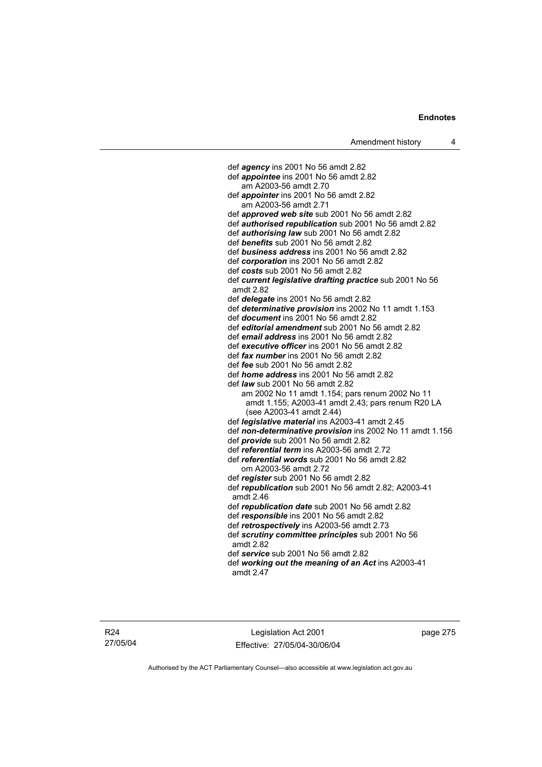def *agency* ins 2001 No 56 amdt 2.82 def *appointee* ins 2001 No 56 amdt 2.82 am A2003-56 amdt 2.70 def *appointer* ins 2001 No 56 amdt 2.82 am A2003-56 amdt 2.71 def *approved web site* sub 2001 No 56 amdt 2.82 def *authorised republication* sub 2001 No 56 amdt 2.82 def *authorising law* sub 2001 No 56 amdt 2.82 def *benefits* sub 2001 No 56 amdt 2.82 def *business address* ins 2001 No 56 amdt 2.82 def *corporation* ins 2001 No 56 amdt 2.82 def *costs* sub 2001 No 56 amdt 2.82 def *current legislative drafting practice* sub 2001 No 56 amdt 2.82 def *delegate* ins 2001 No 56 amdt 2.82 def *determinative provision* ins 2002 No 11 amdt 1.153 def *document* ins 2001 No 56 amdt 2.82 def *editorial amendment* sub 2001 No 56 amdt 2.82 def *email address* ins 2001 No 56 amdt 2.82 def *executive officer* ins 2001 No 56 amdt 2.82 def *fax number* ins 2001 No 56 amdt 2.82 def *fee* sub 2001 No 56 amdt 2.82 def *home address* ins 2001 No 56 amdt 2.82 def *law* sub 2001 No 56 amdt 2.82 am 2002 No 11 amdt 1.154; pars renum 2002 No 11 amdt 1.155; A2003-41 amdt 2.43; pars renum R20 LA (see A2003-41 amdt 2.44) def *legislative material* ins A2003-41 amdt 2.45 def *non-determinative provision* ins 2002 No 11 amdt 1.156 def *provide* sub 2001 No 56 amdt 2.82 def *referential term* ins A2003-56 amdt 2.72 def *referential words* sub 2001 No 56 amdt 2.82 om A2003-56 amdt 2.72 def *register* sub 2001 No 56 amdt 2.82 def *republication* sub 2001 No 56 amdt 2.82; A2003-41 amdt 2.46 def *republication date* sub 2001 No 56 amdt 2.82 def *responsible* ins 2001 No 56 amdt 2.82 def *retrospectively* ins A2003-56 amdt 2.73 def *scrutiny committee principles* sub 2001 No 56 amdt 2.82 def *service* sub 2001 No 56 amdt 2.82 def *working out the meaning of an Act* ins A2003-41 amdt 2.47

Legislation Act 2001 Effective: 27/05/04-30/06/04 page 275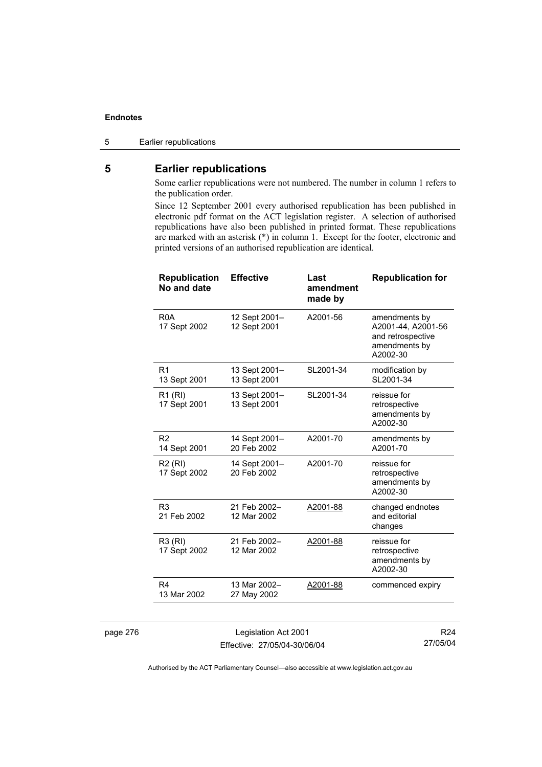### 5 Earlier republications

# **5 Earlier republications**

Some earlier republications were not numbered. The number in column 1 refers to the publication order.

Since 12 September 2001 every authorised republication has been published in electronic pdf format on the ACT legislation register. A selection of authorised republications have also been published in printed format. These republications are marked with an asterisk (\*) in column 1. Except for the footer, electronic and printed versions of an authorised republication are identical.

| A2001-56<br>R <sub>0</sub> A<br>12 Sept 2001-<br>amendments by<br>12 Sept 2001<br>A2001-44, A2001-56<br>17 Sept 2002<br>and retrospective<br>amendments by<br>A2002-30<br>13 Sept 2001-<br>SL2001-34<br>modification by<br>R1<br>SL2001-34<br>13 Sept 2001<br>13 Sept 2001<br>SL2001-34<br>13 Sept 2001-<br>reissue for<br>R <sub>1</sub> (RI)<br>17 Sept 2001<br>13 Sept 2001<br>retrospective<br>amendments by<br>A2002-30<br>R <sub>2</sub><br>A2001-70<br>14 Sept 2001-<br>amendments by<br>20 Feb 2002<br>A2001-70<br>14 Sept 2001<br>A2001-70<br><b>R2 (RI)</b><br>14 Sept 2001-<br>reissue for<br>20 Feb 2002<br>17 Sept 2002<br>retrospective<br>amendments by<br>A2002-30<br>R <sub>3</sub><br>21 Feb 2002-<br>A2001-88<br>changed endnotes<br>and editorial<br>21 Feb 2002<br>12 Mar 2002<br>changes<br>reissue for<br>R3 (RI)<br>21 Feb 2002-<br>A2001-88<br>12 Mar 2002<br>17 Sept 2002<br>retrospective<br>amendments by<br>A2002-30<br>13 Mar 2002-<br>R4 | <b>Republication</b><br>No and date | <b>Effective</b> | Last<br>amendment<br>made by | <b>Republication for</b> |
|-------------------------------------------------------------------------------------------------------------------------------------------------------------------------------------------------------------------------------------------------------------------------------------------------------------------------------------------------------------------------------------------------------------------------------------------------------------------------------------------------------------------------------------------------------------------------------------------------------------------------------------------------------------------------------------------------------------------------------------------------------------------------------------------------------------------------------------------------------------------------------------------------------------------------------------------------------------------------|-------------------------------------|------------------|------------------------------|--------------------------|
|                                                                                                                                                                                                                                                                                                                                                                                                                                                                                                                                                                                                                                                                                                                                                                                                                                                                                                                                                                         |                                     |                  |                              |                          |
|                                                                                                                                                                                                                                                                                                                                                                                                                                                                                                                                                                                                                                                                                                                                                                                                                                                                                                                                                                         |                                     |                  |                              |                          |
|                                                                                                                                                                                                                                                                                                                                                                                                                                                                                                                                                                                                                                                                                                                                                                                                                                                                                                                                                                         |                                     |                  |                              |                          |
|                                                                                                                                                                                                                                                                                                                                                                                                                                                                                                                                                                                                                                                                                                                                                                                                                                                                                                                                                                         |                                     |                  |                              |                          |
|                                                                                                                                                                                                                                                                                                                                                                                                                                                                                                                                                                                                                                                                                                                                                                                                                                                                                                                                                                         |                                     |                  |                              |                          |
|                                                                                                                                                                                                                                                                                                                                                                                                                                                                                                                                                                                                                                                                                                                                                                                                                                                                                                                                                                         |                                     |                  |                              |                          |
|                                                                                                                                                                                                                                                                                                                                                                                                                                                                                                                                                                                                                                                                                                                                                                                                                                                                                                                                                                         |                                     |                  |                              |                          |
| 13 Mar 2002<br>27 May 2002                                                                                                                                                                                                                                                                                                                                                                                                                                                                                                                                                                                                                                                                                                                                                                                                                                                                                                                                              |                                     |                  | A2001-88                     | commenced expiry         |

page 276 Legislation Act 2001 Effective: 27/05/04-30/06/04

R24 27/05/04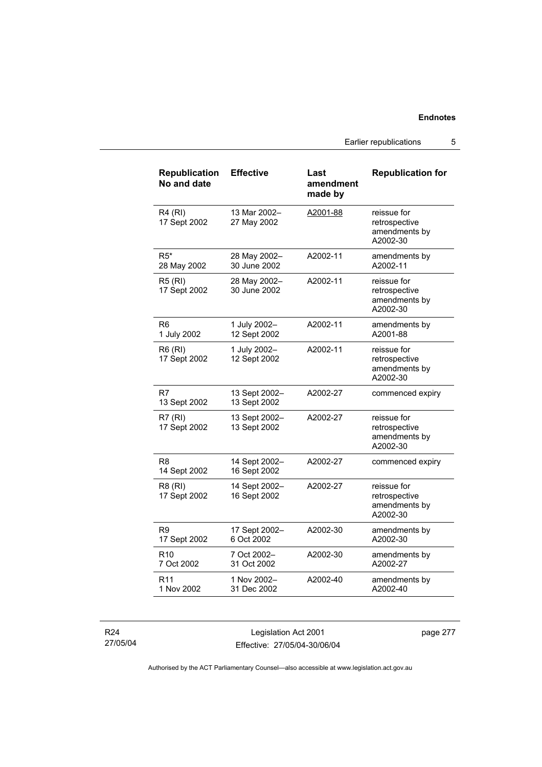Earlier republications 5

| <b>Republication</b><br>No and date | <b>Effective</b>              | Last<br>amendment<br>made by | <b>Republication for</b>                                  |
|-------------------------------------|-------------------------------|------------------------------|-----------------------------------------------------------|
| <b>R4 (RI)</b><br>17 Sept 2002      | 13 Mar 2002-<br>27 May 2002   | A2001-88                     | reissue for<br>retrospective<br>amendments by<br>A2002-30 |
| $R5*$<br>28 May 2002                | 28 May 2002-<br>30 June 2002  | A2002-11                     | amendments by<br>A2002-11                                 |
| <b>R5 (RI)</b><br>17 Sept 2002      | 28 May 2002-<br>30 June 2002  | A2002-11                     | reissue for<br>retrospective<br>amendments by<br>A2002-30 |
| R6<br>1 July 2002                   | 1 July 2002-<br>12 Sept 2002  | A2002-11                     | amendments by<br>A2001-88                                 |
| R6 (RI)<br>17 Sept 2002             | 1 July 2002-<br>12 Sept 2002  | A2002-11                     | reissue for<br>retrospective<br>amendments by<br>A2002-30 |
| R7<br>13 Sept 2002                  | 13 Sept 2002-<br>13 Sept 2002 | A2002-27                     | commenced expiry                                          |
| R7 (RI)<br>17 Sept 2002             | 13 Sept 2002-<br>13 Sept 2002 | A2002-27                     | reissue for<br>retrospective<br>amendments by<br>A2002-30 |
| R8<br>14 Sept 2002                  | 14 Sept 2002-<br>16 Sept 2002 | A2002-27                     | commenced expiry                                          |
| R8 (RI)<br>17 Sept 2002             | 14 Sept 2002-<br>16 Sept 2002 | A2002-27                     | reissue for<br>retrospective<br>amendments by<br>A2002-30 |
| R9<br>17 Sept 2002                  | 17 Sept 2002-<br>6 Oct 2002   | A2002-30                     | amendments by<br>A2002-30                                 |
| R <sub>10</sub><br>7 Oct 2002       | 7 Oct 2002-<br>31 Oct 2002    | A2002-30                     | amendments by<br>A2002-27                                 |
| R <sub>11</sub><br>1 Nov 2002       | 1 Nov 2002-<br>31 Dec 2002    | A2002-40                     | amendments by<br>A2002-40                                 |

R24 27/05/04

Legislation Act 2001 Effective: 27/05/04-30/06/04 page 277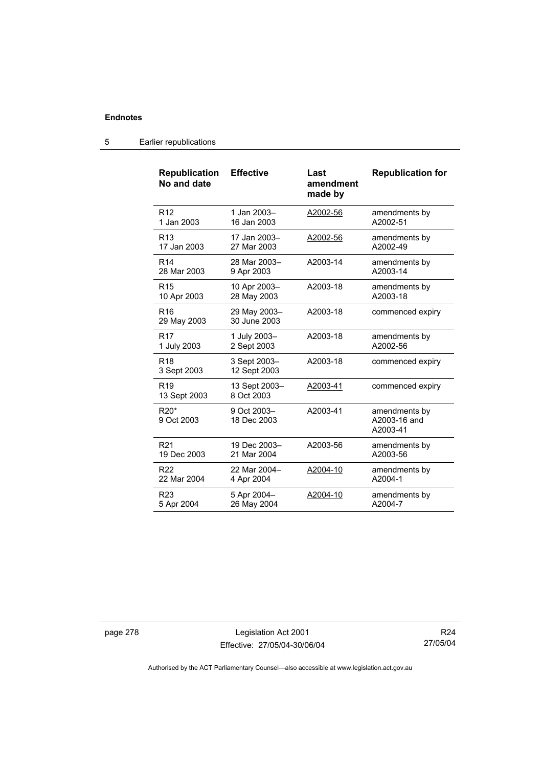| <b>Republication</b><br>No and date | <b>Effective</b>             | Last<br>amendment<br>made by | <b>Republication for</b>                  |
|-------------------------------------|------------------------------|------------------------------|-------------------------------------------|
| R <sub>12</sub>                     | 1 Jan 2003-                  | A2002-56                     | amendments by                             |
| 1 Jan 2003                          | 16 Jan 2003                  |                              | A2002-51                                  |
| R <sub>13</sub>                     | 17 Jan 2003-                 | A2002-56                     | amendments by                             |
| 17 Jan 2003                         | 27 Mar 2003                  |                              | A2002-49                                  |
| R <sub>14</sub>                     | 28 Mar 2003-                 | A2003-14                     | amendments by                             |
| 28 Mar 2003                         | 9 Apr 2003                   |                              | A2003-14                                  |
| R <sub>15</sub>                     | 10 Apr 2003-                 | A2003-18                     | amendments by                             |
| 10 Apr 2003                         | 28 May 2003                  |                              | A2003-18                                  |
| R <sub>16</sub><br>29 May 2003      | 29 May 2003-<br>30 June 2003 | A2003-18                     | commenced expiry                          |
| R <sub>17</sub>                     | 1 July 2003-                 | A2003-18                     | amendments by                             |
| 1 July 2003                         | 2 Sept 2003                  |                              | A2002-56                                  |
| <b>R18</b><br>3 Sept 2003           | 3 Sept 2003-<br>12 Sept 2003 | A2003-18                     | commenced expiry                          |
| R <sub>19</sub><br>13 Sept 2003     | 13 Sept 2003-<br>8 Oct 2003  | A2003-41                     | commenced expiry                          |
| $R20*$<br>9 Oct 2003                | 9 Oct 2003-<br>18 Dec 2003   | A2003-41                     | amendments by<br>A2003-16 and<br>A2003-41 |
| R <sub>21</sub>                     | 19 Dec 2003-                 | A2003-56                     | amendments by                             |
| 19 Dec 2003                         | 21 Mar 2004                  |                              | A2003-56                                  |
| R <sub>22</sub>                     | 22 Mar 2004-                 | A2004-10                     | amendments by                             |
| 22 Mar 2004                         | 4 Apr 2004                   |                              | A2004-1                                   |
| R <sub>23</sub>                     | 5 Apr 2004-                  | A2004-10                     | amendments by                             |
| 5 Apr 2004                          | 26 May 2004                  |                              | A2004-7                                   |

5 Earlier republications

page 278 Legislation Act 2001 Effective: 27/05/04-30/06/04

R24 27/05/04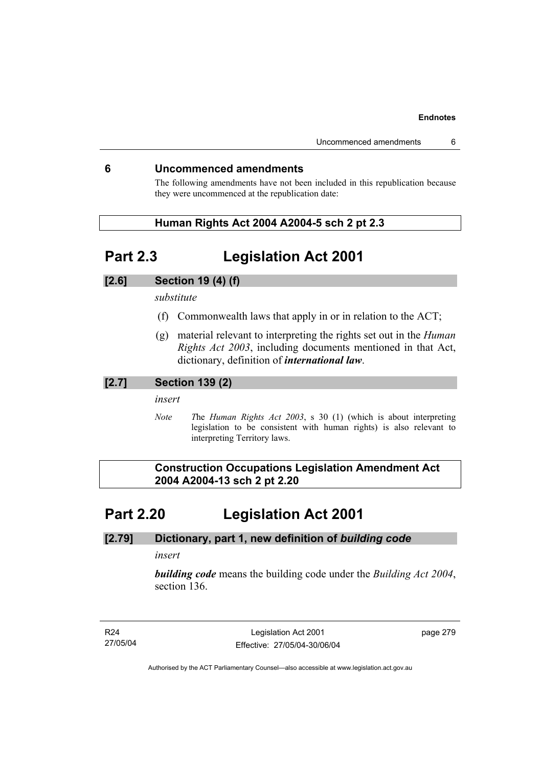# **6 Uncommenced amendments**

The following amendments have not been included in this republication because they were uncommenced at the republication date:

# **Human Rights Act 2004 A2004-5 sch 2 pt 2.3**

# **Part 2.3 Legislation Act 2001**

# **[2.6] Section 19 (4) (f)**

*substitute* 

- (f) Commonwealth laws that apply in or in relation to the ACT;
- (g) material relevant to interpreting the rights set out in the *Human Rights Act 2003*, including documents mentioned in that Act, dictionary, definition of *international law*.

## **[2.7] Section 139 (2)**

*insert* 

*Note T*he *Human Rights Act 2003*, s 30 (1) (which is about interpreting legislation to be consistent with human rights) is also relevant to interpreting Territory laws.

 **Construction Occupations Legislation Amendment Act 2004 A2004-13 sch 2 pt 2.20** 

# **Part 2.20 Legislation Act 2001**

## **[2.79] Dictionary, part 1, new definition of** *building code*

*insert* 

*building code* means the building code under the *Building Act 2004*, section 136.

R24 27/05/04

Legislation Act 2001 Effective: 27/05/04-30/06/04 page 279